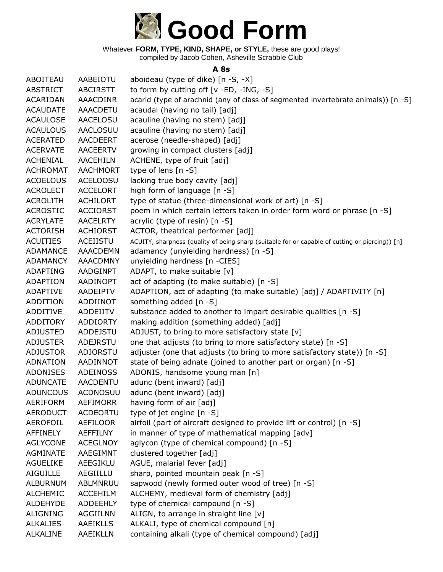

compiled by Jacob Cohen, Asheville Scrabble Club

### **A 8s**

| ABOITEAU        | AABEIOTU        | aboideau (type of dike) [n -S, -X]                                                              |
|-----------------|-----------------|-------------------------------------------------------------------------------------------------|
| <b>ABSTRICT</b> | <b>ABCIRSTT</b> | to form by cutting off [v -ED, -ING, -S]                                                        |
| <b>ACARIDAN</b> | <b>AAACDINR</b> | acarid (type of arachnid (any of class of segmented invertebrate animals)) [n -S]               |
| <b>ACAUDATE</b> | <b>AAACDETU</b> | acaudal (having no tail) [adj]                                                                  |
| <b>ACAULOSE</b> | AACELOSU        | acauline (having no stem) [adj]                                                                 |
| <b>ACAULOUS</b> | <b>AACLOSUU</b> | acauline (having no stem) [adj]                                                                 |
| <b>ACERATED</b> | <b>AACDEERT</b> | acerose (needle-shaped) [adj]                                                                   |
| <b>ACERVATE</b> | <b>AACEERTV</b> | growing in compact clusters [adj]                                                               |
| <b>ACHENIAL</b> | <b>AACEHILN</b> | ACHENE, type of fruit [adj]                                                                     |
| <b>ACHROMAT</b> | <b>AACHMORT</b> | type of lens [n -S]                                                                             |
| <b>ACOELOUS</b> | <b>ACELOOSU</b> | lacking true body cavity [adj]                                                                  |
| <b>ACROLECT</b> | <b>ACCELORT</b> | high form of language [n -S]                                                                    |
| <b>ACROLITH</b> | <b>ACHILORT</b> | type of statue (three-dimensional work of art) [n -S]                                           |
| <b>ACROSTIC</b> | <b>ACCIORST</b> | poem in which certain letters taken in order form word or phrase [n -S]                         |
| <b>ACRYLATE</b> | <b>AACELRTY</b> | acrylic (type of resin) [n -S]                                                                  |
| <b>ACTORISH</b> | <b>ACHIORST</b> | ACTOR, theatrical performer [adj]                                                               |
| <b>ACUITIES</b> | <b>ACEIISTU</b> | ACUITY, sharpness (quality of being sharp (suitable for or capable of cutting or piercing)) [n] |
| <b>ADAMANCE</b> | <b>AAACDEMN</b> | adamancy (unyielding hardness) [n -S]                                                           |
| <b>ADAMANCY</b> | <b>AAACDMNY</b> | unyielding hardness [n -CIES]                                                                   |
| <b>ADAPTING</b> | AADGINPT        | ADAPT, to make suitable [v]                                                                     |
| <b>ADAPTION</b> | AADINOPT        | act of adapting (to make suitable) [n -S]                                                       |
| <b>ADAPTIVE</b> | AADEIPTV        | ADAPTION, act of adapting (to make suitable) [adj] / ADAPTIVITY [n]                             |
| <b>ADDITION</b> | ADDIINOT        | something added [n -S]                                                                          |
| <b>ADDITIVE</b> | ADDEIITV        | substance added to another to impart desirable qualities [n -S]                                 |
| <b>ADDITORY</b> | <b>ADDIORTY</b> | making addition (something added) [adj]                                                         |
| <b>ADJUSTED</b> | <b>ADDEJSTU</b> | ADJUST, to bring to more satisfactory state [v]                                                 |
| <b>ADJUSTER</b> | ADEJRSTU        | one that adjusts (to bring to more satisfactory state) [n -S]                                   |
| <b>ADJUSTOR</b> | <b>ADJORSTU</b> | adjuster (one that adjusts (to bring to more satisfactory state)) [n -S]                        |
| ADNATION        | AADINNOT        | state of being adnate (joined to another part or organ) [n -S]                                  |
| <b>ADONISES</b> | ADEINOSS        | ADONIS, handsome young man [n]                                                                  |
| <b>ADUNCATE</b> | <b>AACDENTU</b> | adunc (bent inward) [adj]                                                                       |
| <b>ADUNCOUS</b> | <b>ACDNOSUU</b> | adunc (bent inward) [adj]                                                                       |
| <b>AERIFORM</b> | <b>AEFIMORR</b> | having form of air [adj]                                                                        |
| <b>AERODUCT</b> | <b>ACDEORTU</b> | type of jet engine [n -S]                                                                       |
| AEROFOIL        | AEFILOOR        | airfoil (part of aircraft designed to provide lift or control) [n -S]                           |
| <b>AFFINELY</b> | <b>AEFFILNY</b> | in manner of type of mathematical mapping [adv]                                                 |
| <b>AGLYCONE</b> | <b>ACEGLNOY</b> | aglycon (type of chemical compound) [n -S]                                                      |
| <b>AGMINATE</b> | AAEGIMNT        | clustered together [adj]                                                                        |
| <b>AGUELIKE</b> | AEEGIKLU        | AGUE, malarial fever [adj]                                                                      |
| <b>AIGUILLE</b> | AEGIILLU        | sharp, pointed mountain peak [n -S]                                                             |
| <b>ALBURNUM</b> | <b>ABLMNRUU</b> | sapwood (newly formed outer wood of tree) [n -S]                                                |
| <b>ALCHEMIC</b> | <b>ACCEHILM</b> | ALCHEMY, medieval form of chemistry [adj]                                                       |
| <b>ALDEHYDE</b> | <b>ADDEEHLY</b> | type of chemical compound [n -S]                                                                |
| <b>ALIGNING</b> | <b>AGGIILNN</b> | ALIGN, to arrange in straight line [v]                                                          |
| <b>ALKALIES</b> | <b>AAEIKLLS</b> | ALKALI, type of chemical compound [n]                                                           |
| <b>ALKALINE</b> | AAEIKLLN        | containing alkali (type of chemical compound) [adj]                                             |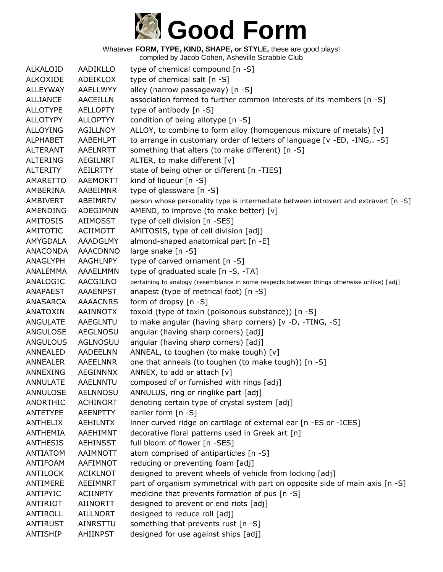

| <b>ALKALOID</b> | <b>AADIKLLO</b> | type of chemical compound [n -S]                                                           |
|-----------------|-----------------|--------------------------------------------------------------------------------------------|
| <b>ALKOXIDE</b> | ADEIKLOX        | type of chemical salt [n -S]                                                               |
| <b>ALLEYWAY</b> | AAELLWYY        | alley (narrow passageway) [n -S]                                                           |
| <b>ALLIANCE</b> | <b>AACEILLN</b> | association formed to further common interests of its members [n -S]                       |
| <b>ALLOTYPE</b> | <b>AELLOPTY</b> | type of antibody [n -S]                                                                    |
| <b>ALLOTYPY</b> | <b>ALLOPTYY</b> | condition of being allotype [n -S]                                                         |
| <b>ALLOYING</b> | <b>AGILLNOY</b> | ALLOY, to combine to form alloy (homogenous mixture of metals) [v]                         |
| <b>ALPHABET</b> | AABEHLPT        | to arrange in customary order of letters of language [v -ED, -ING, -S]                     |
| <b>ALTERANT</b> | AAELNRTT        | something that alters (to make different) [n -S]                                           |
| <b>ALTERING</b> | <b>AEGILNRT</b> | ALTER, to make different [v]                                                               |
| <b>ALTERITY</b> | <b>AEILRTTY</b> | state of being other or different [n -TIES]                                                |
| AMARETTO        | AAEMORTT        | kind of liqueur [n -S]                                                                     |
| AMBERINA        | AABEIMNR        | type of glassware [n -S]                                                                   |
| AMBIVERT        | ABEIMRTV        | person whose personality type is intermediate between introvert and extravert [n -S]       |
| AMENDING        | ADEGIMNN        | AMEND, to improve (to make better) [v]                                                     |
| <b>AMITOSIS</b> | <b>AIIMOSST</b> | type of cell division [n -SES]                                                             |
| <b>AMITOTIC</b> | <b>ACIIMOTT</b> | AMITOSIS, type of cell division [adj]                                                      |
| AMYGDALA        | AAADGLMY        | almond-shaped anatomical part [n -E]                                                       |
| <b>ANACONDA</b> | <b>AAACDNNO</b> | large snake [n -S]                                                                         |
| ANAGLYPH        | AAGHLNPY        | type of carved ornament [n -S]                                                             |
| <b>ANALEMMA</b> | AAAELMMN        | type of graduated scale [n -S, -TA]                                                        |
| ANALOGIC        | AACGILNO        | pertaining to analogy (resemblance in some respects between things otherwise unlike) [adj] |
| ANAPAEST        | <b>AAAENPST</b> | anapest (type of metrical foot) [n -S]                                                     |
| ANASARCA        | <b>AAAACNRS</b> | form of dropsy [n -S]                                                                      |
| <b>ANATOXIN</b> | <b>AAINNOTX</b> | toxoid (type of toxin (poisonous substance)) [n -S]                                        |
| ANGULATE        | AAEGLNTU        | to make angular (having sharp corners) [v -D, -TING, -S]                                   |
| ANGULOSE        | <b>AEGLNOSU</b> | angular (having sharp corners) [adj]                                                       |
| <b>ANGULOUS</b> | <b>AGLNOSUU</b> | angular (having sharp corners) [adj]                                                       |
| ANNEALED        | AADEELNN        | ANNEAL, to toughen (to make tough) [v]                                                     |
| <b>ANNEALER</b> | AAEELNNR        | one that anneals (to toughen (to make tough)) [n -S]                                       |
| ANNEXING        | AEGINNNX        | ANNEX, to add or attach [v]                                                                |
| <b>ANNULATE</b> | <b>AAELNNTU</b> | composed of or furnished with rings [adj]                                                  |
| <b>ANNULOSE</b> | <b>AELNNOSU</b> | ANNULUS, ring or ringlike part [adj]                                                       |
| ANORTHIC        | <b>ACHINORT</b> | denoting certain type of crystal system [adj]                                              |
| ANTETYPE        | <b>AEENPTTY</b> | earlier form [n -S]                                                                        |
| <b>ANTHELIX</b> | AEHILNTX        | inner curved ridge on cartilage of external ear [n -ES or -ICES]                           |
| <b>ANTHEMIA</b> | AAEHIMNT        | decorative floral patterns used in Greek art [n]                                           |
| <b>ANTHESIS</b> | <b>AEHINSST</b> | full bloom of flower [n -SES]                                                              |
| <b>ANTIATOM</b> | AAIMNOTT        | atom comprised of antiparticles [n -S]                                                     |
| ANTIFOAM        | AAFIMNOT        | reducing or preventing foam [adj]                                                          |
| ANTILOCK        | <b>ACIKLNOT</b> | designed to prevent wheels of vehicle from locking [adj]                                   |
| ANTIMERE        | <b>AEEIMNRT</b> | part of organism symmetrical with part on opposite side of main axis [n -S]                |
| ANTIPYIC        | <b>ACIINPTY</b> | medicine that prevents formation of pus [n -S]                                             |
| <b>ANTIRIOT</b> | <b>AIINORTT</b> | designed to prevent or end riots [adj]                                                     |
| ANTIROLL        | <b>AILLNORT</b> | designed to reduce roll [adj]                                                              |
| <b>ANTIRUST</b> | AINRSTTU        | something that prevents rust [n -S]                                                        |
| ANTISHIP        | AHIINPST        | designed for use against ships [adj]                                                       |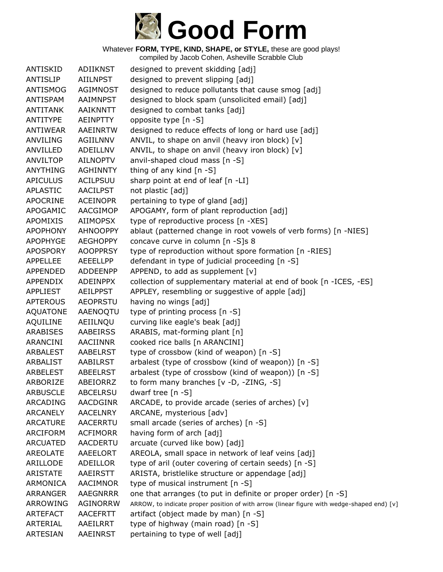

| <b>ANTISKID</b> | <b>ADIIKNST</b> | designed to prevent skidding [adj]                                                         |
|-----------------|-----------------|--------------------------------------------------------------------------------------------|
| <b>ANTISLIP</b> | <b>AIILNPST</b> | designed to prevent slipping [adj]                                                         |
| ANTISMOG        | AGIMNOST        | designed to reduce pollutants that cause smog [adj]                                        |
| ANTISPAM        | AAIMNPST        | designed to block spam (unsolicited email) [adj]                                           |
| <b>ANTITANK</b> | AAIKNNTT        | designed to combat tanks [adj]                                                             |
| ANTITYPE        | AEINPTTY        | opposite type [n -S]                                                                       |
| ANTIWEAR        | AAEINRTW        | designed to reduce effects of long or hard use [adj]                                       |
| <b>ANVILING</b> | AGIILNNV        | ANVIL, to shape on anvil (heavy iron block) [v]                                            |
| ANVILLED        | ADEILLNV        | ANVIL, to shape on anvil (heavy iron block) [v]                                            |
| <b>ANVILTOP</b> | <b>AILNOPTV</b> | anvil-shaped cloud mass [n -S]                                                             |
| <b>ANYTHING</b> | <b>AGHINNTY</b> | thing of any kind [n -S]                                                                   |
| <b>APICULUS</b> | ACILPSUU        | sharp point at end of leaf [n -LI]                                                         |
| <b>APLASTIC</b> | <b>AACILPST</b> | not plastic [adj]                                                                          |
| APOCRINE        | <b>ACEINOPR</b> | pertaining to type of gland [adj]                                                          |
| APOGAMIC        | AACGIMOP        | APOGAMY, form of plant reproduction [adj]                                                  |
| <b>APOMIXIS</b> | AIIMOPSX        | type of reproductive process [n -XES]                                                      |
| <b>APOPHONY</b> | <b>AHNOOPPY</b> | ablaut (patterned change in root vowels of verb forms) [n -NIES]                           |
| APOPHYGE        | <b>AEGHOPPY</b> | concave curve in column [n -S]s 8                                                          |
| <b>APOSPORY</b> | <b>AOOPPRSY</b> | type of reproduction without spore formation [n -RIES]                                     |
| <b>APPELLEE</b> | AEEELLPP        | defendant in type of judicial proceeding [n -S]                                            |
| APPENDED        | <b>ADDEENPP</b> | APPEND, to add as supplement [v]                                                           |
| APPENDIX        | ADEINPPX        | collection of supplementary material at end of book [n -ICES, -ES]                         |
| <b>APPLIEST</b> | <b>AEILPPST</b> | APPLEY, resembling or suggestive of apple [adj]                                            |
| <b>APTEROUS</b> | <b>AEOPRSTU</b> | having no wings [adj]                                                                      |
| <b>AQUATONE</b> | AAENOQTU        | type of printing process [n -S]                                                            |
| AQUILINE        | AEIILNQU        | curving like eagle's beak [adj]                                                            |
| <b>ARABISES</b> | <b>AABEIRSS</b> | ARABIS, mat-forming plant [n]                                                              |
| ARANCINI        | AACIINNR        | cooked rice balls [n ARANCINI]                                                             |
| ARBALEST        | AABELRST        | type of crossbow (kind of weapon) [n -S]                                                   |
| ARBALIST        | AABILRST        | arbalest (type of crossbow (kind of weapon)) [n -S]                                        |
| ARBELEST        | ABEELRST        | arbalest (type of crossbow (kind of weapon)) [n -S]                                        |
| ARBORIZE        | ABEIORRZ        | to form many branches $[v -D, -ZING, -S]$                                                  |
| <b>ARBUSCLE</b> | <b>ABCELRSU</b> | dwarf tree $[n - S]$                                                                       |
| ARCADING        | AACDGINR        | ARCADE, to provide arcade (series of arches) [v]                                           |
| <b>ARCANELY</b> | <b>AACELNRY</b> | ARCANE, mysterious [adv]                                                                   |
| <b>ARCATURE</b> | <b>AACERRTU</b> | small arcade (series of arches) [n -S]                                                     |
| ARCIFORM        | <b>ACFIMORR</b> | having form of arch [adj]                                                                  |
| <b>ARCUATED</b> | AACDERTU        | arcuate (curved like bow) [adj]                                                            |
| AREOLATE        | AAEELORT        | AREOLA, small space in network of leaf veins [adj]                                         |
| ARILLODE        | ADEILLOR        | type of aril (outer covering of certain seeds) [n -S]                                      |
| <b>ARISTATE</b> | AAEIRSTT        | ARISTA, bristlelike structure or appendage [adj]                                           |
| ARMONICA        | <b>AACIMNOR</b> | type of musical instrument [n -S]                                                          |
| ARRANGER        | <b>AAEGNRRR</b> | one that arranges (to put in definite or proper order) [n -S]                              |
| ARROWING        | <b>AGINORRW</b> | ARROW, to indicate proper position of with arrow (linear figure with wedge-shaped end) [v] |
| <b>ARTEFACT</b> | <b>AACEFRTT</b> | artifact (object made by man) [n -S]                                                       |
| ARTERIAL        | AAEILRRT        | type of highway (main road) [n -S]                                                         |
| <b>ARTESIAN</b> | AAEINRST        | pertaining to type of well [adj]                                                           |
|                 |                 |                                                                                            |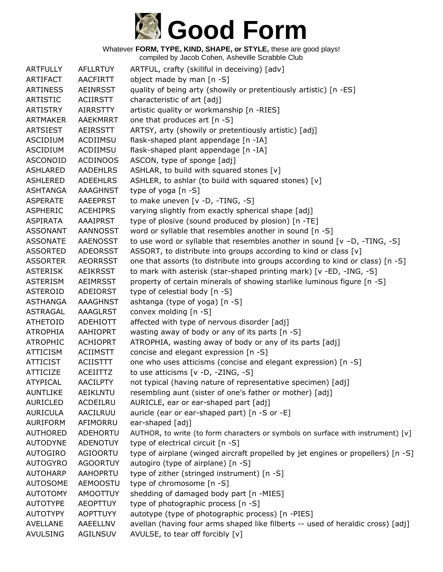

| <b>ARTFULLY</b> | <b>AFLLRTUY</b> | ARTFUL, crafty (skillful in deceiving) [adv]                                     |
|-----------------|-----------------|----------------------------------------------------------------------------------|
| ARTIFACT        | <b>AACFIRTT</b> | object made by man [n -S]                                                        |
| <b>ARTINESS</b> | <b>AEINRSST</b> | quality of being arty (showily or pretentiously artistic) [n -ES]                |
| <b>ARTISTIC</b> | <b>ACIIRSTT</b> | characteristic of art [adj]                                                      |
| <b>ARTISTRY</b> | <b>AIRRSTTY</b> | artistic quality or workmanship [n -RIES]                                        |
| <b>ARTMAKER</b> | <b>AAEKMRRT</b> | one that produces art [n -S]                                                     |
| <b>ARTSIEST</b> | AEIRSSTT        | ARTSY, arty (showily or pretentiously artistic) [adj]                            |
| <b>ASCIDIUM</b> | ACDIIMSU        | flask-shaped plant appendage [n -IA]                                             |
| ASCIDIUM        | ACDIIMSU        | flask-shaped plant appendage [n -IA]                                             |
| <b>ASCONOID</b> | <b>ACDINOOS</b> | ASCON, type of sponge [adj]                                                      |
| <b>ASHLARED</b> | <b>AADEHLRS</b> | ASHLAR, to build with squared stones [v]                                         |
| <b>ASHLERED</b> | <b>ADEEHLRS</b> | ASHLER, to ashlar (to build with squared stones) [v]                             |
| <b>ASHTANGA</b> | <b>AAAGHNST</b> | type of yoga [n -S]                                                              |
| <b>ASPERATE</b> | <b>AAEEPRST</b> | to make uneven [v -D, -TING, -S]                                                 |
| <b>ASPHERIC</b> | <b>ACEHIPRS</b> | varying slightly from exactly spherical shape [adj]                              |
| <b>ASPIRATA</b> | <b>AAAIPRST</b> | type of plosive (sound produced by plosion) [n -TE]                              |
| <b>ASSONANT</b> | <b>AANNOSST</b> | word or syllable that resembles another in sound [n -S]                          |
| <b>ASSONATE</b> | <b>AAENOSST</b> | to use word or syllable that resembles another in sound $[v -D, -TING, -S]$      |
| <b>ASSORTED</b> | <b>ADEORSST</b> | ASSORT, to distribute into groups according to kind or class [v]                 |
| <b>ASSORTER</b> | <b>AEORRSST</b> | one that assorts (to distribute into groups according to kind or class) [n -S]   |
| <b>ASTERISK</b> | <b>AEIKRSST</b> | to mark with asterisk (star-shaped printing mark) [v -ED, -ING, -S]              |
| <b>ASTERISM</b> | <b>AEIMRSST</b> | property of certain minerals of showing starlike luminous figure [n -S]          |
| <b>ASTEROID</b> | ADEIORST        | type of celestial body [n -S]                                                    |
| <b>ASTHANGA</b> | <b>AAAGHNST</b> | ashtanga (type of yoga) [n -S]                                                   |
| <b>ASTRAGAL</b> | <b>AAAGLRST</b> | convex molding [n -S]                                                            |
| <b>ATHETOID</b> | ADEHIOTT        | affected with type of nervous disorder [adj]                                     |
| <b>ATROPHIA</b> | <b>AAHIOPRT</b> | wasting away of body or any of its parts [n -S]                                  |
| <b>ATROPHIC</b> | <b>ACHIOPRT</b> | ATROPHIA, wasting away of body or any of its parts [adj]                         |
| <b>ATTICISM</b> | <b>ACIIMSTT</b> | concise and elegant expression [n -S]                                            |
| <b>ATTICIST</b> | <b>ACIISTTT</b> | one who uses atticisms (concise and elegant expression) [n -S]                   |
| <b>ATTICIZE</b> | ACEIITTZ        | to use atticisms [v -D, -ZING, -S]                                               |
| <b>ATYPICAL</b> | <b>AACILPTY</b> | not typical (having nature of representative specimen) [adj]                     |
| <b>AUNTLIKE</b> | AEIKLNTU        | resembling aunt (sister of one's father or mother) [adj]                         |
| <b>AURICLED</b> | ACDEILRU        | AURICLE, ear or ear-shaped part [adj]                                            |
| <b>AURICULA</b> | AACILRUU        | auricle (ear or ear-shaped part) [n -S or -E]                                    |
| <b>AURIFORM</b> | AFIMORRU        | ear-shaped [adj]                                                                 |
| <b>AUTHORED</b> | ADEHORTU        | AUTHOR, to write (to form characters or symbols on surface with instrument) [v]  |
| <b>AUTODYNE</b> | <b>ADENOTUY</b> | type of electrical circuit [n -S]                                                |
| AUTOGIRO        | <b>AGIOORTU</b> | type of airplane (winged aircraft propelled by jet engines or propellers) [n -S] |
| <b>AUTOGYRO</b> | <b>AGOORTUY</b> | autogiro (type of airplane) [n -S]                                               |
| <b>AUTOHARP</b> | <b>AAHOPRTU</b> | type of zither (stringed instrument) [n -S]                                      |
| <b>AUTOSOME</b> | <b>AEMOOSTU</b> | type of chromosome [n -S]                                                        |
| <b>AUTOTOMY</b> | <b>AMOOTTUY</b> | shedding of damaged body part [n -MIES]                                          |
| <b>AUTOTYPE</b> | <b>AEOPTTUY</b> | type of photographic process [n -S]                                              |
| <b>AUTOTYPY</b> | <b>AOPTTUYY</b> | autotype (type of photographic process) [n -PIES]                                |
| <b>AVELLANE</b> | AAEELLNV        | avellan (having four arms shaped like filberts -- used of heraldic cross) [adj]  |
| <b>AVULSING</b> | <b>AGILNSUV</b> | AVULSE, to tear off forcibly [v]                                                 |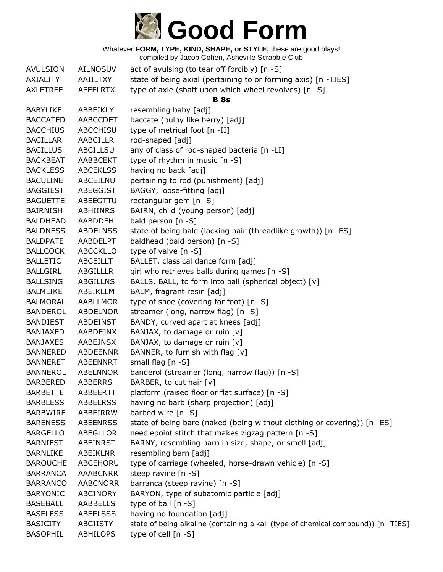

| <b>AVULSION</b> | <b>AILNOSUV</b> | act of avulsing (to tear off forcibly) $[n - S]$                                  |
|-----------------|-----------------|-----------------------------------------------------------------------------------|
| AXIALITY        | AAIILTXY        | state of being axial (pertaining to or forming axis) [n -TIES]                    |
| <b>AXLETREE</b> | <b>AEEELRTX</b> | type of axle (shaft upon which wheel revolves) [n -S]                             |
|                 |                 | <b>B</b> 8s                                                                       |
| <b>BABYLIKE</b> | ABBEIKLY        | resembling baby [adj]                                                             |
| <b>BACCATED</b> | AABCCDET        | baccate (pulpy like berry) [adj]                                                  |
| <b>BACCHIUS</b> | ABCCHISU        | type of metrical foot [n -II]                                                     |
| <b>BACILLAR</b> | <b>AABCILLR</b> | rod-shaped [adj]                                                                  |
| <b>BACILLUS</b> | ABCILLSU        | any of class of rod-shaped bacteria [n -LI]                                       |
| <b>BACKBEAT</b> | <b>AABBCEKT</b> | type of rhythm in music [n -S]                                                    |
| <b>BACKLESS</b> | <b>ABCEKLSS</b> | having no back [adj]                                                              |
| <b>BACULINE</b> | ABCEILNU        | pertaining to rod (punishment) [adj]                                              |
| <b>BAGGIEST</b> | ABEGGIST        | BAGGY, loose-fitting [adj]                                                        |
| <b>BAGUETTE</b> | ABEEGTTU        | rectangular gem [n -S]                                                            |
| <b>BAIRNISH</b> | ABHIINRS        | BAIRN, child (young person) [adj]                                                 |
| <b>BALDHEAD</b> | <b>AABDDEHL</b> | bald person [n -S]                                                                |
| <b>BALDNESS</b> | <b>ABDELNSS</b> | state of being bald (lacking hair (threadlike growth)) [n -ES]                    |
| <b>BALDPATE</b> | AABDELPT        | baldhead (bald person) [n -S]                                                     |
| <b>BALLCOCK</b> | <b>ABCCKLLO</b> | type of valve [n -S]                                                              |
| <b>BALLETIC</b> | ABCEILLT        | BALLET, classical dance form [adj]                                                |
| <b>BALLGIRL</b> | <b>ABGILLLR</b> | girl who retrieves balls during games [n -S]                                      |
| <b>BALLSING</b> | <b>ABGILLNS</b> | BALLS, BALL, to form into ball (spherical object) [v]                             |
| <b>BALMLIKE</b> | ABEIKLLM        | BALM, fragrant resin [adj]                                                        |
| <b>BALMORAL</b> | AABLLMOR        | type of shoe (covering for foot) [n -S]                                           |
| <b>BANDEROL</b> | ABDELNOR        | streamer (long, narrow flag) [n -S]                                               |
| <b>BANDIEST</b> | ABDEINST        | BANDY, curved apart at knees [adj]                                                |
| <b>BANJAXED</b> | AABDEJNX        | BANJAX, to damage or ruin [v]                                                     |
| <b>BANJAXES</b> | <b>AABEJNSX</b> | BANJAX, to damage or ruin [v]                                                     |
| <b>BANNERED</b> | ABDEENNR        | BANNER, to furnish with flag [v]                                                  |
| <b>BANNERET</b> | ABEENNRT        | small flag [n -S]                                                                 |
| <b>BANNEROL</b> | <b>ABELNNOR</b> | banderol (streamer (long, narrow flag)) [n -S]                                    |
| <b>BARBERED</b> | <b>ABBERRS</b>  | BARBER, to cut hair [v]                                                           |
| <b>BARBETTE</b> | ABBEERTT        | platform (raised floor or flat surface) [n -S]                                    |
| <b>BARBLESS</b> | <b>ABBELRSS</b> | having no barb (sharp projection) [adj]                                           |
| <b>BARBWIRE</b> | ABBEIRRW        | barbed wire [n -S]                                                                |
| <b>BARENESS</b> | <b>ABEENRSS</b> | state of being bare (naked (being without clothing or covering)) [n -ES]          |
| <b>BARGELLO</b> | ABEGLLOR        | needlepoint stitch that makes zigzag pattern [n -S]                               |
| <b>BARNIEST</b> | <b>ABEINRST</b> | BARNY, resembling barn in size, shape, or smell [adj]                             |
| <b>BARNLIKE</b> | ABEIKLNR        | resembling barn [adj]                                                             |
| <b>BAROUCHE</b> | ABCEHORU        | type of carriage (wheeled, horse-drawn vehicle) [n -S]                            |
| <b>BARRANCA</b> | <b>AAABCNRR</b> | steep ravine $[n - S]$                                                            |
| <b>BARRANCO</b> | <b>AABCNORR</b> | barranca (steep ravine) [n -S]                                                    |
| <b>BARYONIC</b> | ABCINORY        | BARYON, type of subatomic particle [adj]                                          |
| <b>BASEBALL</b> | AABBELLS        | type of ball [n -S]                                                               |
| <b>BASELESS</b> | <b>ABEELSSS</b> | having no foundation [adj]                                                        |
| <b>BASICITY</b> | <b>ABCIISTY</b> | state of being alkaline (containing alkali (type of chemical compound)) [n -TIES] |
| <b>BASOPHIL</b> | ABHILOPS        | type of cell [n -S]                                                               |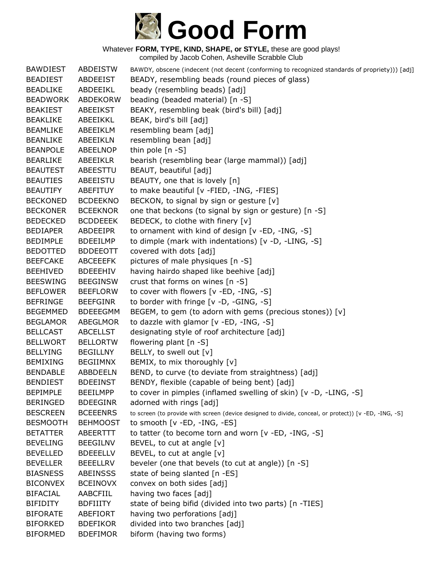

| <b>BAWDIEST</b> | <b>ABDEISTW</b> | BAWDY, obscene (indecent (not decent (conforming to recognized standards of propriety))) [adj]        |
|-----------------|-----------------|-------------------------------------------------------------------------------------------------------|
| <b>BEADIEST</b> | ABDEEIST        | BEADY, resembling beads (round pieces of glass)                                                       |
| <b>BEADLIKE</b> | ABDEEIKL        | beady (resembling beads) [adj]                                                                        |
| <b>BEADWORK</b> | ABDEKORW        | beading (beaded material) [n -S]                                                                      |
| <b>BEAKIEST</b> | ABEEIKST        | BEAKY, resembling beak (bird's bill) [adj]                                                            |
| <b>BEAKLIKE</b> | ABEEIKKL        | BEAK, bird's bill [adj]                                                                               |
| <b>BEAMLIKE</b> | ABEEIKLM        | resembling beam [adj]                                                                                 |
| <b>BEANLIKE</b> | ABEEIKLN        | resembling bean [adj]                                                                                 |
| <b>BEANPOLE</b> | ABEELNOP        | thin pole [n -S]                                                                                      |
| <b>BEARLIKE</b> | <b>ABEEIKLR</b> | bearish (resembling bear (large mammal)) [adj]                                                        |
| <b>BEAUTEST</b> | ABEESTTU        | BEAUT, beautiful [adj]                                                                                |
| <b>BEAUTIES</b> | ABEEISTU        | BEAUTY, one that is lovely [n]                                                                        |
| <b>BEAUTIFY</b> | <b>ABEFITUY</b> | to make beautiful [v -FIED, -ING, -FIES]                                                              |
| <b>BECKONED</b> | <b>BCDEEKNO</b> | BECKON, to signal by sign or gesture [v]                                                              |
| <b>BECKONER</b> | <b>BCEEKNOR</b> | one that beckons (to signal by sign or gesture) [n -S]                                                |
| <b>BEDECKED</b> | <b>BCDDEEEK</b> | BEDECK, to clothe with finery [v]                                                                     |
| <b>BEDIAPER</b> | ABDEEIPR        | to ornament with kind of design [v -ED, -ING, -S]                                                     |
| <b>BEDIMPLE</b> | <b>BDEEILMP</b> | to dimple (mark with indentations) [v -D, -LING, -S]                                                  |
| <b>BEDOTTED</b> | <b>BDDEEOTT</b> | covered with dots [adj]                                                                               |
| <b>BEEFCAKE</b> | <b>ABCEEEFK</b> | pictures of male physiques [n -S]                                                                     |
| <b>BEEHIVED</b> | <b>BDEEEHIV</b> | having hairdo shaped like beehive [adj]                                                               |
| <b>BEESWING</b> | <b>BEEGINSW</b> | crust that forms on wines [n -S]                                                                      |
| <b>BEFLOWER</b> | <b>BEEFLORW</b> | to cover with flowers [v -ED, -ING, -S]                                                               |
| <b>BEFRINGE</b> | <b>BEEFGINR</b> | to border with fringe [v -D, -GING, -S]                                                               |
| <b>BEGEMMED</b> | <b>BDEEEGMM</b> | BEGEM, to gem (to adorn with gems (precious stones)) [v]                                              |
| <b>BEGLAMOR</b> | ABEGLMOR        | to dazzle with glamor [v -ED, -ING, -S]                                                               |
| <b>BELLCAST</b> | <b>ABCELLST</b> | designating style of roof architecture [adj]                                                          |
| <b>BELLWORT</b> | <b>BELLORTW</b> | flowering plant [n -S]                                                                                |
| <b>BELLYING</b> | <b>BEGILLNY</b> | BELLY, to swell out [v]                                                                               |
| <b>BEMIXING</b> | <b>BEGIIMNX</b> | BEMIX, to mix thoroughly [v]                                                                          |
| <b>BENDABLE</b> | <b>ABBDEELN</b> | BEND, to curve (to deviate from straightness) [adj]                                                   |
| <b>BENDIEST</b> | <b>BDEEINST</b> | BENDY, flexible (capable of being bent) [adj]                                                         |
| <b>BEPIMPLE</b> | <b>BEEILMPP</b> | to cover in pimples (inflamed swelling of skin) [v -D, -LING, -S]                                     |
| <b>BERINGED</b> | <b>BDEEGINR</b> | adorned with rings [adj]                                                                              |
| <b>BESCREEN</b> | <b>BCEEENRS</b> | to screen (to provide with screen (device designed to divide, conceal, or protect)) [v -ED, -ING, -S] |
| <b>BESMOOTH</b> | <b>BEHMOOST</b> | to smooth $[v - ED, -ING, -ES]$                                                                       |
| <b>BETATTER</b> | ABEERTTT        | to tatter (to become torn and worn [v -ED, -ING, -S]                                                  |
| <b>BEVELING</b> | <b>BEEGILNV</b> | BEVEL, to cut at angle [v]                                                                            |
| <b>BEVELLED</b> | <b>BDEEELLV</b> | BEVEL, to cut at angle [v]                                                                            |
| <b>BEVELLER</b> | <b>BEEELLRV</b> | beveler (one that bevels (to cut at angle)) [n -S]                                                    |
| <b>BIASNESS</b> | <b>ABEINSSS</b> | state of being slanted [n -ES]                                                                        |
| <b>BICONVEX</b> | <b>BCEINOVX</b> | convex on both sides [adj]                                                                            |
| <b>BIFACIAL</b> | AABCFIIL        | having two faces [adj]                                                                                |
| <b>BIFIDITY</b> | <b>BDFIIITY</b> | state of being bifid (divided into two parts) [n -TIES]                                               |
| <b>BIFORATE</b> | ABEFIORT        | having two perforations [adj]                                                                         |
| <b>BIFORKED</b> | <b>BDEFIKOR</b> | divided into two branches [adj]                                                                       |
| <b>BIFORMED</b> | <b>BDEFIMOR</b> | biform (having two forms)                                                                             |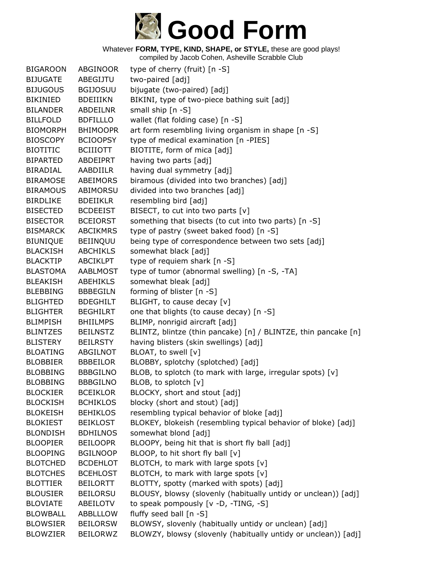

| <b>BIGAROON</b> | ABGINOOR        | type of cherry (fruit) [n -S]                                  |
|-----------------|-----------------|----------------------------------------------------------------|
| <b>BIJUGATE</b> | ABEGIJTU        | two-paired [adj]                                               |
| <b>BIJUGOUS</b> | <b>BGIJOSUU</b> | bijugate (two-paired) [adj]                                    |
| <b>BIKINIED</b> | <b>BDEIIIKN</b> | BIKINI, type of two-piece bathing suit [adj]                   |
| <b>BILANDER</b> | ABDEILNR        | small ship [n -S]                                              |
| <b>BILLFOLD</b> | <b>BDFILLLO</b> | wallet (flat folding case) [n -S]                              |
| <b>BIOMORPH</b> | <b>BHIMOOPR</b> | art form resembling living organism in shape [n -S]            |
| <b>BIOSCOPY</b> | <b>BCIOOPSY</b> | type of medical examination [n -PIES]                          |
| <b>BIOTITIC</b> | <b>BCIIIOTT</b> | BIOTITE, form of mica [adj]                                    |
| <b>BIPARTED</b> | ABDEIPRT        | having two parts [adj]                                         |
| <b>BIRADIAL</b> | AABDIILR        | having dual symmetry [adj]                                     |
| <b>BIRAMOSE</b> | ABEIMORS        | biramous (divided into two branches) [adj]                     |
| <b>BIRAMOUS</b> | ABIMORSU        | divided into two branches [adj]                                |
| <b>BIRDLIKE</b> | <b>BDEIIKLR</b> | resembling bird [adj]                                          |
| <b>BISECTED</b> | <b>BCDEEIST</b> | BISECT, to cut into two parts [v]                              |
| <b>BISECTOR</b> | <b>BCEIORST</b> | something that bisects (to cut into two parts) [n -S]          |
| <b>BISMARCK</b> | <b>ABCIKMRS</b> | type of pastry (sweet baked food) [n -S]                       |
| <b>BIUNIQUE</b> | <b>BEIINQUU</b> | being type of correspondence between two sets [adj]            |
| <b>BLACKISH</b> | <b>ABCHIKLS</b> | somewhat black [adj]                                           |
| <b>BLACKTIP</b> | <b>ABCIKLPT</b> | type of requiem shark [n -S]                                   |
| <b>BLASTOMA</b> | <b>AABLMOST</b> | type of tumor (abnormal swelling) [n -S, -TA]                  |
| <b>BLEAKISH</b> | <b>ABEHIKLS</b> | somewhat bleak [adj]                                           |
| <b>BLEBBING</b> | <b>BBBEGILN</b> | forming of blister [n -S]                                      |
| <b>BLIGHTED</b> | <b>BDEGHILT</b> | BLIGHT, to cause decay [v]                                     |
| <b>BLIGHTER</b> | <b>BEGHILRT</b> | one that blights (to cause decay) [n -S]                       |
| <b>BLIMPISH</b> | <b>BHIILMPS</b> | BLIMP, nonrigid aircraft [adj]                                 |
| <b>BLINTZES</b> | <b>BEILNSTZ</b> | BLINTZ, blintze (thin pancake) [n] / BLINTZE, thin pancake [n] |
| <b>BLISTERY</b> | <b>BEILRSTY</b> | having blisters (skin swellings) [adj]                         |
| <b>BLOATING</b> | ABGILNOT        | BLOAT, to swell [v]                                            |
| <b>BLOBBIER</b> | <b>BBBEILOR</b> | BLOBBY, splotchy (splotched) [adj]                             |
| <b>BLOBBING</b> | <b>BBBGILNO</b> | BLOB, to splotch (to mark with large, irregular spots) [v]     |
| <b>BLOBBING</b> | <b>BBBGILNO</b> | BLOB, to splotch [v]                                           |
| <b>BLOCKIER</b> | <b>BCEIKLOR</b> | BLOCKY, short and stout [adj]                                  |
| <b>BLOCKISH</b> | <b>BCHIKLOS</b> | blocky (short and stout) [adj]                                 |
| <b>BLOKEISH</b> | <b>BEHIKLOS</b> | resembling typical behavior of bloke [adj]                     |
| <b>BLOKIEST</b> | <b>BEIKLOST</b> | BLOKEY, blokeish (resembling typical behavior of bloke) [adj]  |
| <b>BLONDISH</b> | <b>BDHILNOS</b> | somewhat blond [adj]                                           |
| <b>BLOOPIER</b> | <b>BEILOOPR</b> | BLOOPY, being hit that is short fly ball [adj]                 |
| <b>BLOOPING</b> | <b>BGILNOOP</b> | BLOOP, to hit short fly ball [v]                               |
| <b>BLOTCHED</b> | <b>BCDEHLOT</b> | BLOTCH, to mark with large spots [v]                           |
| <b>BLOTCHES</b> | <b>BCEHLOST</b> | BLOTCH, to mark with large spots [v]                           |
| <b>BLOTTIER</b> | <b>BEILORTT</b> | BLOTTY, spotty (marked with spots) [adj]                       |
| <b>BLOUSIER</b> | <b>BEILORSU</b> | BLOUSY, blowsy (slovenly (habitually untidy or unclean)) [adj] |
| <b>BLOVIATE</b> | ABEILOTV        | to speak pompously [v -D, -TING, -S]                           |
| <b>BLOWBALL</b> | ABBLLLOW        | fluffy seed ball [n -S]                                        |
| <b>BLOWSIER</b> | <b>BEILORSW</b> | BLOWSY, slovenly (habitually untidy or unclean) [adj]          |
| <b>BLOWZIER</b> | BEILORWZ        | BLOWZY, blowsy (slovenly (habitually untidy or unclean)) [adj] |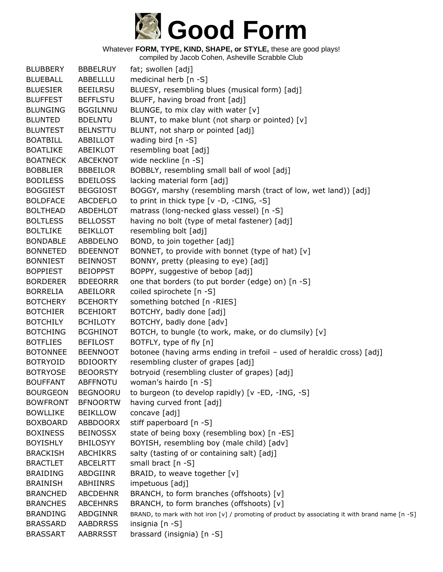

| <b>BLUBBERY</b>                    | <b>BBBELRUY</b>                    | fat; swollen [adj]                                                                                                  |
|------------------------------------|------------------------------------|---------------------------------------------------------------------------------------------------------------------|
| <b>BLUEBALL</b>                    | ABBELLLU                           | medicinal herb [n -S]                                                                                               |
| <b>BLUESIER</b>                    | <b>BEEILRSU</b>                    | BLUESY, resembling blues (musical form) [adj]                                                                       |
| <b>BLUFFEST</b>                    | <b>BEFFLSTU</b>                    | BLUFF, having broad front [adj]                                                                                     |
| <b>BLUNGING</b>                    | <b>BGGILNNU</b>                    | BLUNGE, to mix clay with water [v]                                                                                  |
| <b>BLUNTED</b>                     | <b>BDELNTU</b>                     | BLUNT, to make blunt (not sharp or pointed) [v]                                                                     |
| <b>BLUNTEST</b>                    | <b>BELNSTTU</b>                    | BLUNT, not sharp or pointed [adj]                                                                                   |
| <b>BOATBILL</b>                    | ABBILLOT                           | wading bird $[n - S]$                                                                                               |
| <b>BOATLIKE</b>                    | ABEIKLOT                           | resembling boat [adj]                                                                                               |
| <b>BOATNECK</b>                    | <b>ABCEKNOT</b>                    | wide neckline [n -S]                                                                                                |
| <b>BOBBLIER</b>                    | <b>BBBEILOR</b>                    | BOBBLY, resembling small ball of wool [adj]                                                                         |
| <b>BODILESS</b>                    | <b>BDEILOSS</b>                    | lacking material form [adj]                                                                                         |
| <b>BOGGIEST</b>                    | <b>BEGGIOST</b>                    | BOGGY, marshy (resembling marsh (tract of low, wet land)) [adj]                                                     |
| <b>BOLDFACE</b>                    | <b>ABCDEFLO</b>                    | to print in thick type [v -D, -CING, -S]                                                                            |
| <b>BOLTHEAD</b>                    | ABDEHLOT                           | matrass (long-necked glass vessel) [n -S]                                                                           |
| <b>BOLTLESS</b>                    | <b>BELLOSST</b>                    | having no bolt (type of metal fastener) [adj]                                                                       |
| <b>BOLTLIKE</b>                    | <b>BEIKLLOT</b>                    | resembling bolt [adj]                                                                                               |
| <b>BONDABLE</b>                    | ABBDELNO                           | BOND, to join together [adj]                                                                                        |
| <b>BONNETED</b>                    | <b>BDEENNOT</b>                    | BONNET, to provide with bonnet (type of hat) [v]                                                                    |
| <b>BONNIEST</b>                    | <b>BEINNOST</b>                    | BONNY, pretty (pleasing to eye) [adj]                                                                               |
| <b>BOPPIEST</b>                    | <b>BEIOPPST</b>                    | BOPPY, suggestive of bebop [adj]                                                                                    |
| <b>BORDERER</b>                    | <b>BDEEORRR</b>                    | one that borders (to put border (edge) on) [n -S]                                                                   |
| <b>BORRELIA</b>                    | ABEILORR                           | coiled spirochete [n -S]                                                                                            |
| <b>BOTCHERY</b>                    | <b>BCEHORTY</b>                    | something botched [n -RIES]                                                                                         |
| <b>BOTCHIER</b>                    | <b>BCEHIORT</b>                    | BOTCHY, badly done [adj]                                                                                            |
| <b>BOTCHILY</b>                    | <b>BCHILOTY</b>                    | BOTCHY, badly done [adv]                                                                                            |
| <b>BOTCHING</b>                    | <b>BCGHINOT</b>                    | BOTCH, to bungle (to work, make, or do clumsily) [v]                                                                |
| <b>BOTFLIES</b>                    | <b>BEFILOST</b>                    | BOTFLY, type of fly [n]                                                                                             |
| <b>BOTONNEE</b>                    | <b>BEENNOOT</b>                    | botonee (having arms ending in trefoil - used of heraldic cross) [adj]                                              |
| <b>BOTRYOID</b>                    | <b>BDIOORTY</b>                    | resembling cluster of grapes [adj]                                                                                  |
| <b>BOTRYOSE</b>                    | <b>BEOORSTY</b>                    | botryoid (resembling cluster of grapes) [adj]                                                                       |
| <b>BOUFFANT</b>                    | <b>ABFFNOTU</b>                    | woman's hairdo [n -S]                                                                                               |
| <b>BOURGEON</b>                    | <b>BEGNOORU</b>                    | to burgeon (to develop rapidly) [v -ED, -ING, -S]                                                                   |
| <b>BOWFRONT</b>                    | <b>BFNOORTW</b>                    | having curved front [adj]                                                                                           |
| <b>BOWLLIKE</b>                    | <b>BEIKLLOW</b>                    | concave [adj]                                                                                                       |
| <b>BOXBOARD</b>                    | ABBDOORX                           | stiff paperboard [n -S]                                                                                             |
| <b>BOXINESS</b>                    | <b>BEINOSSX</b>                    | state of being boxy (resembling box) [n -ES]                                                                        |
| <b>BOYISHLY</b>                    | <b>BHILOSYY</b>                    | BOYISH, resembling boy (male child) [adv]                                                                           |
| <b>BRACKISH</b>                    | <b>ABCHIKRS</b>                    | salty (tasting of or containing salt) [adj]                                                                         |
| <b>BRACTLET</b>                    | <b>ABCELRTT</b>                    | small bract [n -S]                                                                                                  |
| <b>BRAIDING</b>                    | ABDGIINR                           | BRAID, to weave together [v]                                                                                        |
| <b>BRAINISH</b>                    | ABHIINRS                           | impetuous [adj]                                                                                                     |
| <b>BRANCHED</b>                    | <b>ABCDEHNR</b>                    | BRANCH, to form branches (offshoots) [v]                                                                            |
| <b>BRANCHES</b><br><b>BRANDING</b> | <b>ABCEHNRS</b><br><b>ABDGINNR</b> | BRANCH, to form branches (offshoots) [v]                                                                            |
| <b>BRASSARD</b>                    | <b>AABDRRSS</b>                    | BRAND, to mark with hot iron [v] / promoting of product by associating it with brand name [n -S]<br>insignia [n -S] |
| <b>BRASSART</b>                    | <b>AABRRSST</b>                    | brassard (insignia) [n -S]                                                                                          |
|                                    |                                    |                                                                                                                     |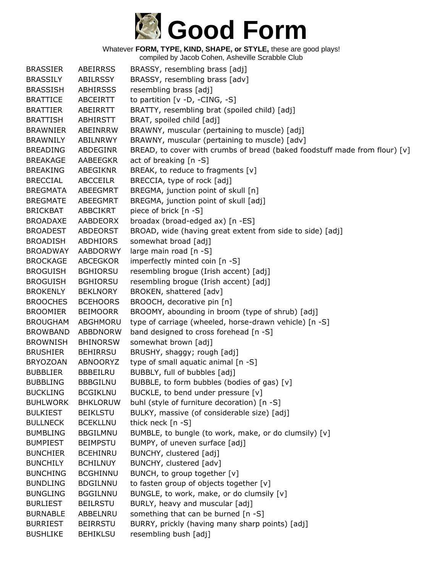

compiled by Jacob Cohen, Asheville Scrabble Club

BRASSIER ABEIRRSS BRASSY, resembling brass [adj] BRASSILY ABILRSSY BRASSY, resembling brass [adv] BRASSISH ABHIRSSS resembling brass [adj] BRATTICE ABCEIRTT to partition [v -D, -CING, -S] BRATTIER ABEIRRTT BRATTY, resembling brat (spoiled child) [adj] BRATTISH ABHIRSTT BRAT, spoiled child [adj] BRAWNIER ABEINRRW BRAWNY, muscular (pertaining to muscle) [adj] BRAWNILY ABILNRWY BRAWNY, muscular (pertaining to muscle) [adv] BREADING ABDEGINR BREAD, to cover with crumbs of bread (baked foodstuff made from flour) [v] BREAKAGE AABEEGKR act of breaking [n -S] BREAKING ABEGIKNR BREAK, to reduce to fragments [v] BRECCIAL ABCCEILR BRECCIA, type of rock [adj] BREGMATA ABEEGMRT BREGMA, junction point of skull [n] BREGMATE ABEEGMRT BREGMA, junction point of skull [adj] BRICKBAT ABBCIKRT piece of brick [n -S] BROADAXE AABDEORX broadax (broad-edged ax) [n -ES] BROADEST ABDEORST BROAD, wide (having great extent from side to side) [adj] BROADISH ABDHIORS somewhat broad [adj] BROADWAY AABDORWY large main road [n -S] BROCKAGE ABCEGKOR imperfectly minted coin [n -S] BROGUISH BGHIORSU resembling brogue (Irish accent) [adj] BROGUISH BGHIORSU resembling brogue (Irish accent) [adj] BROKENLY BEKLNORY BROKEN, shattered [adv] BROOCHES BCEHOORS BROOCH, decorative pin [n] BROOMIER BEIMOORR BROOMY, abounding in broom (type of shrub) [adj] BROUGHAM ABGHMORU type of carriage (wheeled, horse-drawn vehicle) [n -S] BROWBAND ABBDNORW band designed to cross forehead [n -S] BROWNISH BHINORSW somewhat brown [adj] BRUSHIER BEHIRRSU BRUSHY, shaggy; rough [adj] BRYOZOAN ABNOORYZ type of small aquatic animal [n -S] BUBBLIER BBBEILRU BUBBLY, full of bubbles [adj] BUBBLING BBBGILNU BUBBLE, to form bubbles (bodies of gas) [v] BUCKLING BCGIKLNU BUCKLE, to bend under pressure [v] BUHLWORK BHKLORUW buhl (style of furniture decoration) [n -S] BULKIEST BEIKLSTU BULKY, massive (of considerable size) [adj] BULLNECK BCEKLLNU thick neck [n -S] BUMBLING BBGILMNU BUMBLE, to bungle (to work, make, or do clumsily) [v] BUMPIEST BEIMPSTU BUMPY, of uneven surface [adj] BUNCHIER BCEHINRU BUNCHY, clustered [adj] BUNCHILY BCHILNUY BUNCHY, clustered [adv] BUNCHING BCGHINNU BUNCH, to group together [v] BUNDLING BDGILNNU to fasten group of objects together [v] BUNGLING BGGILNNU BUNGLE, to work, make, or do clumsily [v] BURLIEST BEILRSTU BURLY, heavy and muscular [adj] BURNABLE ABBELNRU something that can be burned [n -S] BURRIEST BEIRRSTU BURRY, prickly (having many sharp points) [adj] BUSHLIKE BEHIKLSU resembling bush [adj]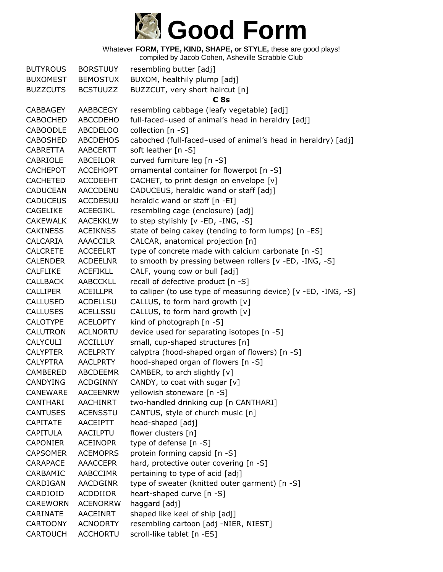

| <b>BUTYROUS</b> | <b>BORSTUUY</b> | resembling butter [adj]                                        |
|-----------------|-----------------|----------------------------------------------------------------|
| <b>BUXOMEST</b> | <b>BEMOSTUX</b> | BUXOM, healthily plump [adj]                                   |
| <b>BUZZCUTS</b> | <b>BCSTUUZZ</b> | BUZZCUT, very short haircut [n]                                |
|                 |                 | C <sub>8s</sub>                                                |
| <b>CABBAGEY</b> | AABBCEGY        | resembling cabbage (leafy vegetable) [adj]                     |
| <b>CABOCHED</b> | <b>ABCCDEHO</b> | full-faced-used of animal's head in heraldry [adj]             |
| <b>CABOODLE</b> | <b>ABCDELOO</b> | collection [n -S]                                              |
| <b>CABOSHED</b> | <b>ABCDEHOS</b> | caboched (full-faced-used of animal's head in heraldry) [adj]  |
| <b>CABRETTA</b> | <b>AABCERTT</b> | soft leather [n -S]                                            |
| <b>CABRIOLE</b> | ABCEILOR        | curved furniture leg [n -S]                                    |
| <b>CACHEPOT</b> | <b>ACCEHOPT</b> | ornamental container for flowerpot [n -S]                      |
| <b>CACHETED</b> | <b>ACCDEEHT</b> | CACHET, to print design on envelope [v]                        |
| <b>CADUCEAN</b> | <b>AACCDENU</b> | CADUCEUS, heraldic wand or staff [adj]                         |
| <b>CADUCEUS</b> | <b>ACCDESUU</b> | heraldic wand or staff [n -EI]                                 |
| <b>CAGELIKE</b> | <b>ACEEGIKL</b> | resembling cage (enclosure) [adj]                              |
| <b>CAKEWALK</b> | <b>AACEKKLW</b> | to step stylishly [v -ED, -ING, -S]                            |
| <b>CAKINESS</b> | <b>ACEIKNSS</b> | state of being cakey (tending to form lumps) [n -ES]           |
| CALCARIA        | <b>AAACCILR</b> | CALCAR, anatomical projection [n]                              |
| <b>CALCRETE</b> | <b>ACCEELRT</b> | type of concrete made with calcium carbonate [n -S]            |
| <b>CALENDER</b> | <b>ACDEELNR</b> | to smooth by pressing between rollers [v -ED, -ING, -S]        |
| <b>CALFLIKE</b> | <b>ACEFIKLL</b> | CALF, young cow or bull [adj]                                  |
| <b>CALLBACK</b> | <b>AABCCKLL</b> | recall of defective product [n -S]                             |
| <b>CALLIPER</b> | <b>ACEILLPR</b> | to caliper (to use type of measuring device) [v -ED, -ING, -S] |
| CALLUSED        | <b>ACDELLSU</b> | CALLUS, to form hard growth [v]                                |
| <b>CALLUSES</b> | <b>ACELLSSU</b> | CALLUS, to form hard growth [v]                                |
| <b>CALOTYPE</b> | <b>ACELOPTY</b> | kind of photograph [n -S]                                      |
| <b>CALUTRON</b> | <b>ACLNORTU</b> | device used for separating isotopes [n -S]                     |
| <b>CALYCULI</b> | <b>ACCILLUY</b> | small, cup-shaped structures [n]                               |
| <b>CALYPTER</b> | <b>ACELPRTY</b> | calyptra (hood-shaped organ of flowers) [n -S]                 |
| <b>CALYPTRA</b> | <b>AACLPRTY</b> | hood-shaped organ of flowers [n -S]                            |
| CAMBERED        | <b>ABCDEEMR</b> | CAMBER, to arch slightly [v]                                   |
| <b>CANDYING</b> | <b>ACDGINNY</b> | CANDY, to coat with sugar [v]                                  |
| <b>CANEWARE</b> | <b>AACEENRW</b> | yellowish stoneware [n -S]                                     |
| <b>CANTHARI</b> | <b>AACHINRT</b> | two-handled drinking cup [n CANTHARI]                          |
| <b>CANTUSES</b> | <b>ACENSSTU</b> | CANTUS, style of church music [n]                              |
| <b>CAPITATE</b> | AACEIPTT        | head-shaped [adj]                                              |
| <b>CAPITULA</b> | <b>AACILPTU</b> | flower clusters [n]                                            |
| <b>CAPONIER</b> | <b>ACEINOPR</b> | type of defense [n -S]                                         |
| <b>CAPSOMER</b> | <b>ACEMOPRS</b> | protein forming capsid [n -S]                                  |
| <b>CARAPACE</b> | <b>AAACCEPR</b> | hard, protective outer covering [n -S]                         |
| CARBAMIC        | AABCCIMR        | pertaining to type of acid [adj]                               |
| CARDIGAN        | <b>AACDGINR</b> | type of sweater (knitted outer garment) [n -S]                 |
| CARDIOID        | ACDDIIOR        | heart-shaped curve [n -S]                                      |
| <b>CAREWORN</b> | <b>ACENORRW</b> | haggard [adj]                                                  |
| CARINATE        | <b>AACEINRT</b> | shaped like keel of ship [adj]                                 |
| <b>CARTOONY</b> | <b>ACNOORTY</b> | resembling cartoon [adj -NIER, NIEST]                          |
| <b>CARTOUCH</b> | <b>ACCHORTU</b> | scroll-like tablet [n -ES]                                     |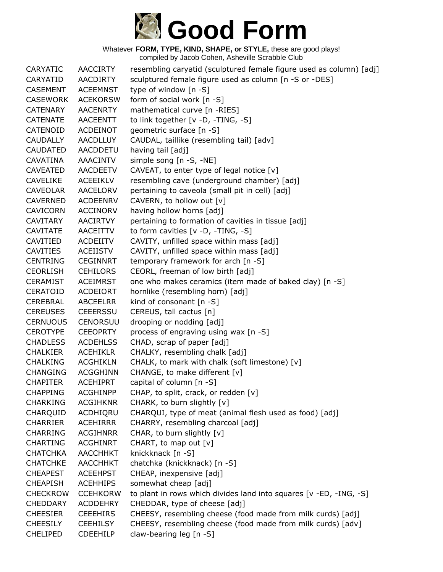

| CARYATIC        | <b>AACCIRTY</b> | resembling caryatid (sculptured female figure used as column) [adj] |
|-----------------|-----------------|---------------------------------------------------------------------|
| CARYATID        | <b>AACDIRTY</b> | sculptured female figure used as column [n -S or -DES]              |
| <b>CASEMENT</b> | <b>ACEEMNST</b> | type of window [n -S]                                               |
| <b>CASEWORK</b> | <b>ACEKORSW</b> | form of social work [n -S]                                          |
| <b>CATENARY</b> | <b>AACENRTY</b> | mathematical curve [n -RIES]                                        |
| <b>CATENATE</b> | <b>AACEENTT</b> | to link together [v -D, -TING, -S]                                  |
| CATENOID        | <b>ACDEINOT</b> | geometric surface [n -S]                                            |
| <b>CAUDALLY</b> | <b>AACDLLUY</b> | CAUDAL, taillike (resembling tail) [adv]                            |
| <b>CAUDATED</b> | AACDDETU        | having tail [adj]                                                   |
| CAVATINA        | <b>AAACINTV</b> | simple song [n -S, -NE]                                             |
| <b>CAVEATED</b> | AACDEETV        | CAVEAT, to enter type of legal notice $[v]$                         |
| CAVELIKE        | <b>ACEEIKLV</b> | resembling cave (underground chamber) [adj]                         |
| <b>CAVEOLAR</b> | <b>AACELORV</b> | pertaining to caveola (small pit in cell) [adj]                     |
| <b>CAVERNED</b> | <b>ACDEENRV</b> | CAVERN, to hollow out [v]                                           |
| <b>CAVICORN</b> | <b>ACCINORV</b> | having hollow horns [adj]                                           |
| <b>CAVITARY</b> | <b>AACIRTVY</b> | pertaining to formation of cavities in tissue [adj]                 |
| <b>CAVITATE</b> | <b>AACEITTV</b> | to form cavities [v -D, -TING, -S]                                  |
| CAVITIED        | <b>ACDEIITV</b> | CAVITY, unfilled space within mass [adj]                            |
| <b>CAVITIES</b> | <b>ACEIISTV</b> | CAVITY, unfilled space within mass [adj]                            |
| <b>CENTRING</b> | <b>CEGINNRT</b> | temporary framework for arch [n -S]                                 |
| <b>CEORLISH</b> | <b>CEHILORS</b> | CEORL, freeman of low birth [adj]                                   |
| <b>CERAMIST</b> | <b>ACEIMRST</b> | one who makes ceramics (item made of baked clay) [n -S]             |
| CERATOID        | <b>ACDEIORT</b> | hornlike (resembling horn) [adj]                                    |
| CEREBRAL        | <b>ABCEELRR</b> | kind of consonant [n -S]                                            |
| <b>CEREUSES</b> | <b>CEEERSSU</b> | CEREUS, tall cactus [n]                                             |
| <b>CERNUOUS</b> | <b>CENORSUU</b> | drooping or nodding [adj]                                           |
| <b>CEROTYPE</b> | <b>CEEOPRTY</b> | process of engraving using wax [n -S]                               |
| <b>CHADLESS</b> | <b>ACDEHLSS</b> | CHAD, scrap of paper [adj]                                          |
| <b>CHALKIER</b> | <b>ACEHIKLR</b> | CHALKY, resembling chalk [adj]                                      |
| <b>CHALKING</b> | <b>ACGHIKLN</b> | CHALK, to mark with chalk (soft limestone) [v]                      |
| <b>CHANGING</b> | <b>ACGGHINN</b> | CHANGE, to make different [v]                                       |
| <b>CHAPITER</b> | <b>ACEHIPRT</b> | capital of column [n -S]                                            |
| <b>CHAPPING</b> | <b>ACGHINPP</b> | CHAP, to split, crack, or redden [v]                                |
| <b>CHARKING</b> | <b>ACGIHKNR</b> | CHARK, to burn slightly [v]                                         |
| CHARQUID        | ACDHIQRU        | CHARQUI, type of meat (animal flesh used as food) [adj]             |
| <b>CHARRIER</b> | <b>ACEHIRRR</b> | CHARRY, resembling charcoal [adj]                                   |
| <b>CHARRING</b> | <b>ACGIHNRR</b> | CHAR, to burn slightly [v]                                          |
| <b>CHARTING</b> | <b>ACGHINRT</b> | CHART, to map out [v]                                               |
| <b>CHATCHKA</b> | <b>AACCHHKT</b> | knickknack [n -S]                                                   |
| <b>CHATCHKE</b> | <b>AACCHHKT</b> | chatchka (knickknack) [n -S]                                        |
| <b>CHEAPEST</b> | <b>ACEEHPST</b> | CHEAP, inexpensive [adj]                                            |
| <b>CHEAPISH</b> | <b>ACEHHIPS</b> | somewhat cheap [adj]                                                |
| <b>CHECKROW</b> | <b>CCEHKORW</b> | to plant in rows which divides land into squares [v -ED, -ING, -S]  |
| <b>CHEDDARY</b> | <b>ACDDEHRY</b> | CHEDDAR, type of cheese [adj]                                       |
| <b>CHEESIER</b> | <b>CEEEHIRS</b> | CHEESY, resembling cheese (food made from milk curds) [adj]         |
| <b>CHEESILY</b> | <b>CEEHILSY</b> | CHEESY, resembling cheese (food made from milk curds) [adv]         |
| <b>CHELIPED</b> | <b>CDEEHILP</b> | claw-bearing leg [n -S]                                             |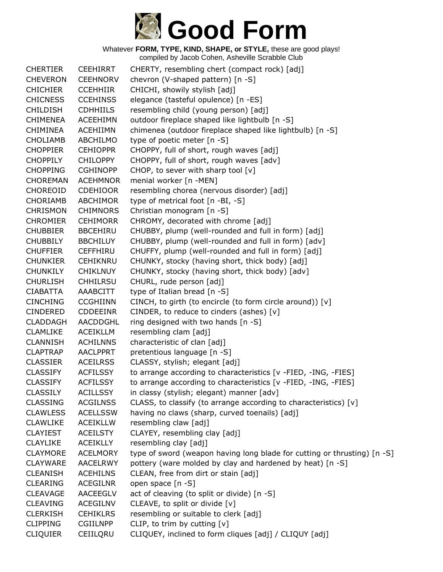

Whatever **FORM, TYPE, KIND, SHAPE, or STYLE,** these are good plays! compiled by Jacob Cohen, Asheville Scrabble Club

| <b>CHERTIER</b> | <b>CEEHIRRT</b> | CHERTY, resembling chert (compact rock) [adj]                            |
|-----------------|-----------------|--------------------------------------------------------------------------|
| <b>CHEVERON</b> | <b>CEEHNORV</b> | chevron (V-shaped pattern) [n -S]                                        |
| <b>CHICHIER</b> | <b>CCEHHIIR</b> | CHICHI, showily stylish [adj]                                            |
| <b>CHICNESS</b> | <b>CCEHINSS</b> | elegance (tasteful opulence) [n -ES]                                     |
| <b>CHILDISH</b> | <b>CDHHIILS</b> | resembling child (young person) [adj]                                    |
| <b>CHIMENEA</b> | <b>ACEEHIMN</b> | outdoor fireplace shaped like lightbulb [n -S]                           |
| <b>CHIMINEA</b> | <b>ACEHIIMN</b> | chimenea (outdoor fireplace shaped like lightbulb) [n -S]                |
| <b>CHOLIAMB</b> | ABCHILMO        | type of poetic meter [n -S]                                              |
| <b>CHOPPIER</b> | <b>CEHIOPPR</b> | CHOPPY, full of short, rough waves [adj]                                 |
| <b>CHOPPILY</b> | <b>CHILOPPY</b> | CHOPPY, full of short, rough waves [adv]                                 |
| <b>CHOPPING</b> | <b>CGHINOPP</b> | CHOP, to sever with sharp tool [v]                                       |
| <b>CHOREMAN</b> | <b>ACEHMNOR</b> | menial worker [n -MEN]                                                   |
| <b>CHOREOID</b> | <b>CDEHIOOR</b> | resembling chorea (nervous disorder) [adj]                               |
| <b>CHORIAMB</b> | ABCHIMOR        | type of metrical foot [n -BI, -S]                                        |
| <b>CHRISMON</b> | <b>CHIMNORS</b> | Christian monogram [n -S]                                                |
| <b>CHROMIER</b> | <b>CEHIMORR</b> | CHROMY, decorated with chrome [adj]                                      |
| <b>CHUBBIER</b> | <b>BBCEHIRU</b> | CHUBBY, plump (well-rounded and full in form) [adj]                      |
| <b>CHUBBILY</b> | <b>BBCHILUY</b> | CHUBBY, plump (well-rounded and full in form) [adv]                      |
| <b>CHUFFIER</b> | <b>CEFFHIRU</b> | CHUFFY, plump (well-rounded and full in form) [adj]                      |
| <b>CHUNKIER</b> | <b>CEHIKNRU</b> | CHUNKY, stocky (having short, thick body) [adj]                          |
| <b>CHUNKILY</b> | <b>CHIKLNUY</b> | CHUNKY, stocky (having short, thick body) [adv]                          |
| <b>CHURLISH</b> | <b>CHHILRSU</b> | CHURL, rude person [adj]                                                 |
| <b>CIABATTA</b> | AAABCITT        | type of Italian bread [n -S]                                             |
| <b>CINCHING</b> | <b>CCGHIINN</b> | CINCH, to girth (to encircle (to form circle around)) [v]                |
| <b>CINDERED</b> | <b>CDDEEINR</b> | CINDER, to reduce to cinders (ashes) [v]                                 |
| <b>CLADDAGH</b> | AACDDGHL        | ring designed with two hands [n -S]                                      |
| <b>CLAMLIKE</b> | <b>ACEIKLLM</b> | resembling clam [adj]                                                    |
| <b>CLANNISH</b> | <b>ACHILNNS</b> | characteristic of clan [adj]                                             |
| <b>CLAPTRAP</b> | <b>AACLPPRT</b> | pretentious language [n -S]                                              |
| <b>CLASSIER</b> | <b>ACEILRSS</b> | CLASSY, stylish; elegant [adj]                                           |
| <b>CLASSIFY</b> | <b>ACFILSSY</b> | to arrange according to characteristics [v -FIED, -ING, -FIES]           |
| <b>CLASSIFY</b> | <b>ACFILSSY</b> | to arrange according to characteristics [v -FIED, -ING, -FIES]           |
| <b>CLASSILY</b> | <b>ACILLSSY</b> | in classy (stylish; elegant) manner [adv]                                |
| <b>CLASSING</b> | <b>ACGILNSS</b> | CLASS, to classify (to arrange according to characteristics) [v]         |
| <b>CLAWLESS</b> | <b>ACELLSSW</b> | having no claws (sharp, curved toenails) [adj]                           |
| <b>CLAWLIKE</b> | <b>ACEIKLLW</b> | resembling claw [adj]                                                    |
| <b>CLAYIEST</b> | <b>ACEILSTY</b> | CLAYEY, resembling clay [adj]                                            |
| <b>CLAYLIKE</b> | <b>ACEIKLLY</b> | resembling clay [adj]                                                    |
| <b>CLAYMORE</b> | <b>ACELMORY</b> | type of sword (weapon having long blade for cutting or thrusting) [n -S] |
| <b>CLAYWARE</b> | <b>AACELRWY</b> | pottery (ware molded by clay and hardened by heat) [n -S]                |
| <b>CLEANISH</b> | <b>ACEHILNS</b> | CLEAN, free from dirt or stain [adj]                                     |
| <b>CLEARING</b> | ACEGILNR        | open space [n -S]                                                        |
| <b>CLEAVAGE</b> | <b>AACEEGLV</b> | act of cleaving (to split or divide) [n -S]                              |
| <b>CLEAVING</b> | ACEGILNV        | CLEAVE, to split or divide [v]                                           |
| <b>CLERKISH</b> | <b>CEHIKLRS</b> | resembling or suitable to clerk [adj]                                    |
| <b>CLIPPING</b> | <b>CGIILNPP</b> | CLIP, to trim by cutting $[v]$                                           |
| <b>CLIQUIER</b> | CEIILQRU        | CLIQUEY, inclined to form cliques [adj] / CLIQUY [adj]                   |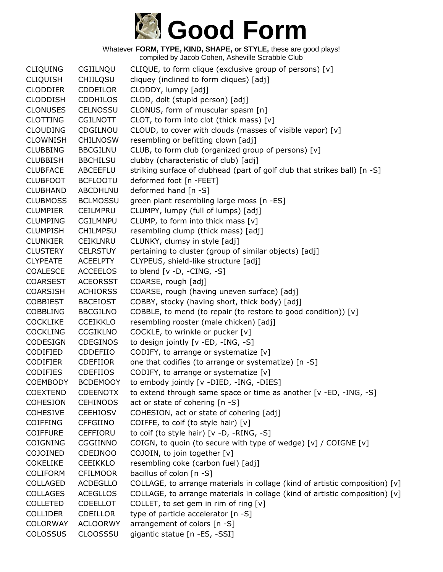

Whatever **FORM, TYPE, KIND, SHAPE, or STYLE,** these are good plays! compiled by Jacob Cohen, Asheville Scrabble Club

CLIQUING CGIILNQU CLIQUE, to form clique (exclusive group of persons) [v] CLIQUISH CHIILQSU cliquey (inclined to form cliques) [adj] CLODDIER CDDEILOR CLODDY, lumpy [adj] CLODDISH CDDHILOS CLOD, dolt (stupid person) [adj] CLONUSES CELNOSSU CLONUS, form of muscular spasm [n] CLOTTING CGILNOTT CLOT, to form into clot (thick mass) [v] CLOUDING CDGILNOU CLOUD, to cover with clouds (masses of visible vapor) [v] CLOWNISH CHILNOSW resembling or befitting clown [adj] CLUBBING BBCGILNU CLUB, to form club (organized group of persons) [v] CLUBBISH BBCHILSU clubby (characteristic of club) [adj] CLUBFACE ABCEEFLU striking surface of clubhead (part of golf club that strikes ball) [n -S] CLUBFOOT BCFLOOTU deformed foot [n -FEET] CLUBHAND ABCDHLNU deformed hand [n -S] CLUBMOSS BCLMOSSU green plant resembling large moss [n -ES] CLUMPIER CEILMPRU CLUMPY, lumpy (full of lumps) [adj] CLUMPING CGILMNPU CLUMP, to form into thick mass [v] CLUMPISH CHILMPSU resembling clump (thick mass) [adj] CLUNKIER CEIKLNRU CLUNKY, clumsy in style [adj] CLUSTERY CELRSTUY pertaining to cluster (group of similar objects) [adj] CLYPEATE ACEELPTY CLYPEUS, shield-like structure [adj] COALESCE ACCEELOS to blend [v -D, -CING, -S] COARSEST ACEORSST COARSE, rough [adj] COARSISH ACHIORSS COARSE, rough (having uneven surface) [adj] COBBIEST BBCEIOST COBBY, stocky (having short, thick body) [adj] COBBLING BBCGILNO COBBLE, to mend (to repair (to restore to good condition))  $[v]$ COCKLIKE CCEIKKLO resembling rooster (male chicken) [adj] COCKLING CCGIKLNO COCKLE, to wrinkle or pucker [v] CODESIGN CDEGINOS to design jointly [v -ED, -ING, -S] CODIFIED CDDEFIIO CODIFY, to arrange or systematize [v] CODIFIER CDEFIIOR one that codifies (to arrange or systematize) [n -S] CODIFIES CDEFIIOS CODIFY, to arrange or systematize [v] COEMBODY BCDEMOOY to embody jointly [v -DIED, -ING, -DIES] COEXTEND CDEENOTX to extend through same space or time as another [v -ED, -ING, -S] COHESION CEHINOOS act or state of cohering [n -S] COHESIVE CEEHIOSV COHESION, act or state of cohering [adj] COIFFING CFFGIINO COIFFE, to coif (to style hair) [v] COIFFURE CEFFIORU to coif (to style hair) [v -D, -RING, -S] COIGNING CGGIINNO COIGN, to quoin (to secure with type of wedge) [v] / COIGNE [v] COJOINED CDEIJNOO COJOIN, to join together [v] COKELIKE CEEIKKLO resembling coke (carbon fuel) [adj] COLIFORM CFILMOOR bacillus of colon [n -S] COLLAGED ACDEGLLO COLLAGE, to arrange materials in collage (kind of artistic composition) [v] COLLAGES ACEGLLOS COLLAGE, to arrange materials in collage (kind of artistic composition) [v] COLLETED CDEELLOT COLLET, to set gem in rim of ring [v] COLLIDER CDEILLOR type of particle accelerator [n -S] COLORWAY ACLOORWY arrangement of colors [n -S] COLOSSUS CLOOSSSU gigantic statue [n -ES, -SSI]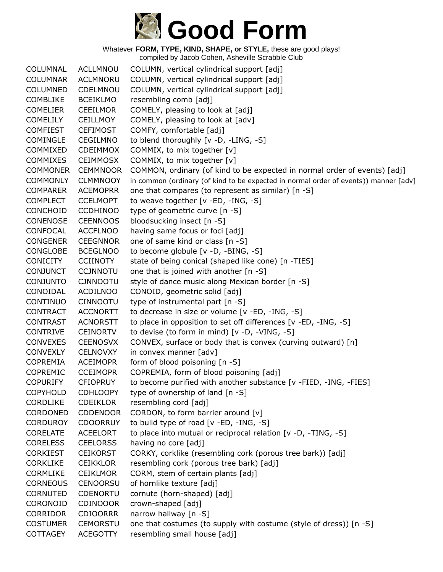

| COLUMNAL        | <b>ACLLMNOU</b> | COLUMN, vertical cylindrical support [adj]                                           |
|-----------------|-----------------|--------------------------------------------------------------------------------------|
| <b>COLUMNAR</b> | <b>ACLMNORU</b> | COLUMN, vertical cylindrical support [adj]                                           |
| <b>COLUMNED</b> | CDELMNOU        | COLUMN, vertical cylindrical support [adj]                                           |
| <b>COMBLIKE</b> | <b>BCEIKLMO</b> | resembling comb [adj]                                                                |
| <b>COMELIER</b> | <b>CEEILMOR</b> | COMELY, pleasing to look at [adj]                                                    |
| <b>COMELILY</b> | <b>CEILLMOY</b> | COMELY, pleasing to look at [adv]                                                    |
| <b>COMFIEST</b> | <b>CEFIMOST</b> | COMFY, comfortable [adj]                                                             |
| <b>COMINGLE</b> | <b>CEGILMNO</b> | to blend thoroughly [v -D, -LING, -S]                                                |
| COMMIXED        | <b>CDEIMMOX</b> | COMMIX, to mix together [v]                                                          |
| <b>COMMIXES</b> | <b>CEIMMOSX</b> | COMMIX, to mix together [v]                                                          |
| <b>COMMONER</b> | <b>CEMMNOOR</b> | COMMON, ordinary (of kind to be expected in normal order of events) [adj]            |
| <b>COMMONLY</b> | <b>CLMMNOOY</b> | in common (ordinary (of kind to be expected in normal order of events)) manner [adv] |
| <b>COMPARER</b> | <b>ACEMOPRR</b> | one that compares (to represent as similar) [n -S]                                   |
| <b>COMPLECT</b> | <b>CCELMOPT</b> | to weave together [v -ED, -ING, -S]                                                  |
| <b>CONCHOID</b> | <b>CCDHINOO</b> | type of geometric curve [n -S]                                                       |
| CONENOSE        | <b>CEENNOOS</b> | bloodsucking insect [n -S]                                                           |
| CONFOCAL        | <b>ACCFLNOO</b> | having same focus or foci [adj]                                                      |
| <b>CONGENER</b> | <b>CEEGNNOR</b> | one of same kind or class [n -S]                                                     |
| CONGLOBE        | <b>BCEGLNOO</b> | to become globule [v -D, -BING, -S]                                                  |
| <b>CONICITY</b> | <b>CCIINOTY</b> | state of being conical (shaped like cone) [n -TIES]                                  |
| <b>CONJUNCT</b> | <b>CCJNNOTU</b> | one that is joined with another [n -S]                                               |
| <b>CONJUNTO</b> | <b>CJNNOOTU</b> | style of dance music along Mexican border [n -S]                                     |
| CONOIDAL        | <b>ACDILNOO</b> | CONOID, geometric solid [adj]                                                        |
| <b>CONTINUO</b> | <b>CINNOOTU</b> | type of instrumental part [n -S]                                                     |
| <b>CONTRACT</b> | <b>ACCNORTT</b> | to decrease in size or volume [v -ED, -ING, -S]                                      |
| <b>CONTRAST</b> | <b>ACNORSTT</b> | to place in opposition to set off differences [v -ED, -ING, -S]                      |
| <b>CONTRIVE</b> | <b>CEINORTV</b> | to devise (to form in mind) [v -D, -VING, -S]                                        |
| <b>CONVEXES</b> | <b>CEENOSVX</b> | CONVEX, surface or body that is convex (curving outward) [n]                         |
| <b>CONVEXLY</b> | <b>CELNOVXY</b> | in convex manner [adv]                                                               |
| <b>COPREMIA</b> | <b>ACEIMOPR</b> | form of blood poisoning [n -S]                                                       |
| <b>COPREMIC</b> | <b>CCEIMOPR</b> | COPREMIA, form of blood poisoning [adj]                                              |
| <b>COPURIFY</b> | <b>CFIOPRUY</b> | to become purified with another substance [v -FIED, -ING, -FIES]                     |
| <b>COPYHOLD</b> | <b>CDHLOOPY</b> | type of ownership of land [n -S]                                                     |
| <b>CORDLIKE</b> | <b>CDEIKLOR</b> | resembling cord [adj]                                                                |
| CORDONED        | <b>CDDENOOR</b> | CORDON, to form barrier around [v]                                                   |
| <b>CORDUROY</b> | <b>CDOORRUY</b> | to build type of road [v -ED, -ING, -S]                                              |
| <b>CORELATE</b> | <b>ACEELORT</b> | to place into mutual or reciprocal relation [v -D, -TING, -S]                        |
| <b>CORELESS</b> | <b>CEELORSS</b> | having no core [adj]                                                                 |
| <b>CORKIEST</b> | <b>CEIKORST</b> | CORKY, corklike (resembling cork (porous tree bark)) [adj]                           |
| CORKLIKE        | <b>CEIKKLOR</b> | resembling cork (porous tree bark) [adj]                                             |
| <b>CORMLIKE</b> | <b>CEIKLMOR</b> | CORM, stem of certain plants [adj]                                                   |
| <b>CORNEOUS</b> | <b>CENOORSU</b> | of hornlike texture [adj]                                                            |
| CORNUTED        | CDENORTU        | cornute (horn-shaped) [adj]                                                          |
| CORONOID        | <b>CDINOOOR</b> | crown-shaped [adj]                                                                   |
| <b>CORRIDOR</b> | <b>CDIOORRR</b> | narrow hallway [n -S]                                                                |
| <b>COSTUMER</b> | <b>CEMORSTU</b> | one that costumes (to supply with costume (style of dress)) [n -S]                   |
| <b>COTTAGEY</b> | <b>ACEGOTTY</b> | resembling small house [adj]                                                         |
|                 |                 |                                                                                      |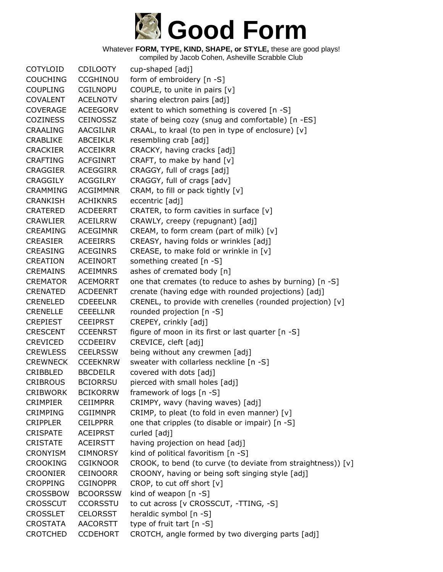

| <b>COTYLOID</b> | <b>CDILOOTY</b> | cup-shaped [adj]                                             |
|-----------------|-----------------|--------------------------------------------------------------|
| <b>COUCHING</b> | <b>CCGHINOU</b> | form of embroidery [n -S]                                    |
| <b>COUPLING</b> | <b>CGILNOPU</b> | COUPLE, to unite in pairs [v]                                |
| <b>COVALENT</b> | <b>ACELNOTV</b> | sharing electron pairs [adj]                                 |
| <b>COVERAGE</b> | <b>ACEEGORV</b> | extent to which something is covered [n -S]                  |
| <b>COZINESS</b> | <b>CEINOSSZ</b> | state of being cozy (snug and comfortable) [n -ES]           |
| <b>CRAALING</b> | <b>AACGILNR</b> | CRAAL, to kraal (to pen in type of enclosure) [v]            |
| <b>CRABLIKE</b> | <b>ABCEIKLR</b> | resembling crab [adj]                                        |
| <b>CRACKIER</b> | <b>ACCEIKRR</b> | CRACKY, having cracks [adj]                                  |
| <b>CRAFTING</b> | <b>ACFGINRT</b> | CRAFT, to make by hand [v]                                   |
| <b>CRAGGIER</b> | <b>ACEGGIRR</b> | CRAGGY, full of crags [adj]                                  |
| <b>CRAGGILY</b> | <b>ACGGILRY</b> | CRAGGY, full of crags [adv]                                  |
| <b>CRAMMING</b> | <b>ACGIMMNR</b> | CRAM, to fill or pack tightly [v]                            |
| <b>CRANKISH</b> | <b>ACHIKNRS</b> | eccentric [adj]                                              |
| <b>CRATERED</b> | <b>ACDEERRT</b> | CRATER, to form cavities in surface $[v]$                    |
| <b>CRAWLIER</b> | <b>ACEILRRW</b> | CRAWLY, creepy (repugnant) [adj]                             |
| <b>CREAMING</b> | <b>ACEGIMNR</b> | CREAM, to form cream (part of milk) [v]                      |
| <b>CREASIER</b> | <b>ACEEIRRS</b> | CREASY, having folds or wrinkles [adj]                       |
| <b>CREASING</b> | <b>ACEGINRS</b> | CREASE, to make fold or wrinkle in $[v]$                     |
| <b>CREATION</b> | <b>ACEINORT</b> | something created [n -S]                                     |
| <b>CREMAINS</b> | <b>ACEIMNRS</b> | ashes of cremated body [n]                                   |
| <b>CREMATOR</b> | <b>ACEMORRT</b> | one that cremates (to reduce to ashes by burning) [n -S]     |
| <b>CRENATED</b> | <b>ACDEENRT</b> | crenate (having edge with rounded projections) [adj]         |
| <b>CRENELED</b> | <b>CDEEELNR</b> | CRENEL, to provide with crenelles (rounded projection) [v]   |
| <b>CRENELLE</b> | <b>CEEELLNR</b> | rounded projection [n -S]                                    |
| <b>CREPIEST</b> | <b>CEEIPRST</b> | CREPEY, crinkly [adj]                                        |
| <b>CRESCENT</b> | <b>CCEENRST</b> | figure of moon in its first or last quarter [n -S]           |
| <b>CREVICED</b> | <b>CCDEEIRV</b> | CREVICE, cleft [adj]                                         |
| <b>CREWLESS</b> | <b>CEELRSSW</b> | being without any crewmen [adj]                              |
| <b>CREWNECK</b> | <b>CCEEKNRW</b> | sweater with collarless neckline [n -S]                      |
| CRIBBLED        | <b>BBCDEILR</b> | covered with dots [adj]                                      |
| <b>CRIBROUS</b> | <b>BCIORRSU</b> | pierced with small holes [adj]                               |
| <b>CRIBWORK</b> | <b>BCIKORRW</b> | framework of logs [n -S]                                     |
| <b>CRIMPIER</b> | <b>CEIIMPRR</b> | CRIMPY, wavy (having waves) [adj]                            |
| <b>CRIMPING</b> | <b>CGIIMNPR</b> | CRIMP, to pleat (to fold in even manner) [v]                 |
| <b>CRIPPLER</b> | <b>CEILPPRR</b> | one that cripples (to disable or impair) [n -S]              |
| <b>CRISPATE</b> | <b>ACEIPRST</b> | curled [adj]                                                 |
| <b>CRISTATE</b> | <b>ACEIRSTT</b> | having projection on head [adj]                              |
| <b>CRONYISM</b> | <b>CIMNORSY</b> | kind of political favoritism [n -S]                          |
| <b>CROOKING</b> | <b>CGIKNOOR</b> | CROOK, to bend (to curve (to deviate from straightness)) [v] |
| <b>CROONIER</b> | <b>CEINOORR</b> | CROONY, having or being soft singing style [adj]             |
| <b>CROPPING</b> | <b>CGINOPPR</b> | CROP, to cut off short [v]                                   |
| <b>CROSSBOW</b> | <b>BCOORSSW</b> | kind of weapon $[n - S]$                                     |
| <b>CROSSCUT</b> | <b>CCORSSTU</b> | to cut across [v CROSSCUT, -TTING, -S]                       |
| <b>CROSSLET</b> | <b>CELORSST</b> | heraldic symbol [n -S]                                       |
| <b>CROSTATA</b> | <b>AACORSTT</b> | type of fruit tart [n -S]                                    |
| <b>CROTCHED</b> | <b>CCDEHORT</b> | CROTCH, angle formed by two diverging parts [adj]            |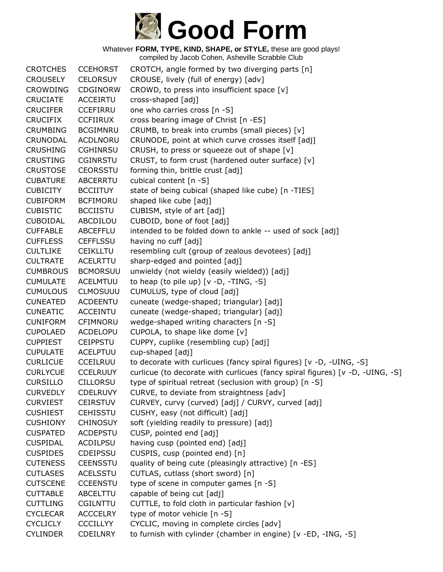

Whatever **FORM, TYPE, KIND, SHAPE, or STYLE,** these are good plays! compiled by Jacob Cohen, Asheville Scrabble Club

CROTCHES CCEHORST CROTCH, angle formed by two diverging parts [n] CROUSELY CELORSUY CROUSE, lively (full of energy) [adv] CROWDING CDGINORW CROWD, to press into insufficient space [v] CRUCIATE ACCEIRTU cross-shaped [adj] CRUCIFER CCEFIRRU one who carries cross [n -S] CRUCIFIX CCFIIRUX cross bearing image of Christ [n -ES] CRUMBING BCGIMNRU CRUMB, to break into crumbs (small pieces) [v] CRUNODAL ACDLNORU CRUNODE, point at which curve crosses itself [adj] CRUSHING CGHINRSU CRUSH, to press or squeeze out of shape [v] CRUSTING CGINRSTU CRUST, to form crust (hardened outer surface) [v] CRUSTOSE CEORSSTU forming thin, brittle crust [adj] CUBATURE ABCERRTU cubical content [n -S] CUBICITY BCCIITUY state of being cubical (shaped like cube) [n -TIES] CUBIFORM BCFIMORU shaped like cube [adj] CUBISTIC BCCIISTU CUBISM, style of art [adj] CUBOIDAL ABCDILOU CUBOID, bone of foot [adj] CUFFABLE ABCEFFLU intended to be folded down to ankle -- used of sock [adj] CUFFLESS CEFFLSSU having no cuff [adj] CULTLIKE CEIKLLTU resembling cult (group of zealous devotees) [adj] CULTRATE ACELRTTU sharp-edged and pointed [adj] CUMBROUS BCMORSUU unwieldy (not wieldy (easily wielded)) [adj] CUMULATE ACELMTUU to heap (to pile up) [v -D, -TING, -S] CUMULOUS CLMOSUUU CUMULUS, type of cloud [adj] CUNEATED ACDEENTU cuneate (wedge-shaped; triangular) [adj] CUNEATIC ACCEINTU cuneate (wedge-shaped; triangular) [adj] CUNIFORM CFIMNORU wedge-shaped writing characters [n -S] CUPOLAED ACDELOPU CUPOLA, to shape like dome [v] CUPPIEST CEIPPSTU CUPPY, cuplike (resembling cup) [adj] CUPULATE ACELPTUU cup-shaped [adj] CURLICUE CCEILRUU to decorate with curlicues (fancy spiral figures) [v -D, -UING, -S] CURLYCUE CCELRUUY curlicue (to decorate with curlicues (fancy spiral figures) [v -D, -UING, -S] CURSILLO CILLORSU type of spiritual retreat (seclusion with group) [n -S] CURVEDLY CDELRUVY CURVE, to deviate from straightness [adv] CURVIEST CEIRSTUV CURVEY, curvy (curved) [adj] / CURVY, curved [adj] CUSHIEST CEHISSTU CUSHY, easy (not difficult) [adj] CUSHIONY CHINOSUY soft (yielding readily to pressure) [adj] CUSPATED ACDEPSTU CUSP, pointed end [adj] CUSPIDAL ACDILPSU having cusp (pointed end) [adj] CUSPIDES CDEIPSSU CUSPIS, cusp (pointed end) [n] CUTENESS CEENSSTU quality of being cute (pleasingly attractive) [n -ES] CUTLASES ACELSSTU CUTLAS, cutlass (short sword) [n] CUTSCENE CCEENSTU type of scene in computer games [n -S] CUTTABLE ABCELTTU capable of being cut [adj] CUTTLING CGILNTTU CUTTLE, to fold cloth in particular fashion [v] CYCLECAR ACCCELRY type of motor vehicle [n -S] CYCLICLY CCCILLYY CYCLIC, moving in complete circles [adv] CYLINDER CDEILNRY to furnish with cylinder (chamber in engine) [v -ED, -ING, -S]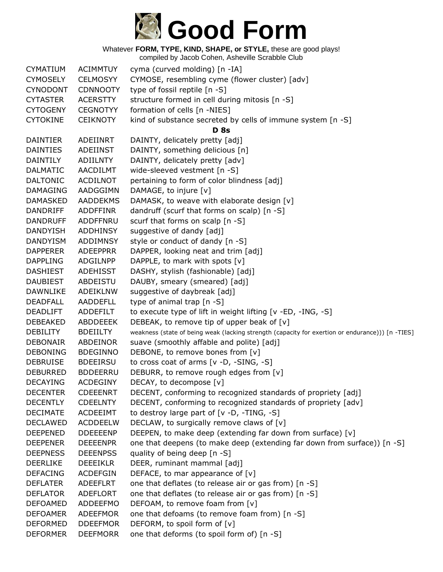

| CYMATIUM        | <b>ACIMMTUY</b> | cyma (curved molding) [n -IA]                                                                    |
|-----------------|-----------------|--------------------------------------------------------------------------------------------------|
| <b>CYMOSELY</b> | <b>CELMOSYY</b> | CYMOSE, resembling cyme (flower cluster) [adv]                                                   |
| <b>CYNODONT</b> | <b>CDNNOOTY</b> | type of fossil reptile [n -S]                                                                    |
| <b>CYTASTER</b> | <b>ACERSTTY</b> | structure formed in cell during mitosis [n -S]                                                   |
| <b>CYTOGENY</b> | <b>CEGNOTYY</b> | formation of cells [n -NIES]                                                                     |
| <b>CYTOKINE</b> | <b>CEIKNOTY</b> | kind of substance secreted by cells of immune system [n -S]                                      |
|                 |                 | <b>D</b> 8s                                                                                      |
| <b>DAINTIER</b> | ADEIINRT        | DAINTY, delicately pretty [adj]                                                                  |
| <b>DAINTIES</b> | ADEIINST        | DAINTY, something delicious [n]                                                                  |
| <b>DAINTILY</b> | <b>ADIILNTY</b> | DAINTY, delicately pretty [adv]                                                                  |
| <b>DALMATIC</b> | AACDILMT        | wide-sleeved vestment [n -S]                                                                     |
| <b>DALTONIC</b> | ACDILNOT        | pertaining to form of color blindness [adj]                                                      |
| <b>DAMAGING</b> | AADGGIMN        | DAMAGE, to injure [v]                                                                            |
| <b>DAMASKED</b> | <b>AADDEKMS</b> | DAMASK, to weave with elaborate design [v]                                                       |
| <b>DANDRIFF</b> | <b>ADDFFINR</b> | dandruff (scurf that forms on scalp) [n -S]                                                      |
| <b>DANDRUFF</b> | <b>ADDFFNRU</b> | scurf that forms on scalp [n -S]                                                                 |
| <b>DANDYISH</b> | <b>ADDHINSY</b> | suggestive of dandy [adj]                                                                        |
| <b>DANDYISM</b> | ADDIMNSY        | style or conduct of dandy [n -S]                                                                 |
| <b>DAPPERER</b> | <b>ADEEPPRR</b> | DAPPER, looking neat and trim [adj]                                                              |
| <b>DAPPLING</b> | ADGILNPP        | DAPPLE, to mark with spots [v]                                                                   |
| <b>DASHIEST</b> | <b>ADEHISST</b> | DASHY, stylish (fashionable) [adj]                                                               |
| <b>DAUBIEST</b> | ABDEISTU        | DAUBY, smeary (smeared) [adj]                                                                    |
| <b>DAWNLIKE</b> | <b>ADEIKLNW</b> | suggestive of daybreak [adj]                                                                     |
| <b>DEADFALL</b> | AADDEFLL        | type of animal trap [n -S]                                                                       |
| <b>DEADLIFT</b> | ADDEFILT        | to execute type of lift in weight lifting [v -ED, -ING, -S]                                      |
| <b>DEBEAKED</b> | <b>ABDDEEEK</b> | DEBEAK, to remove tip of upper beak of [v]                                                       |
| <b>DEBILITY</b> | <b>BDEIILTY</b> | weakness (state of being weak (lacking strength (capacity for exertion or endurance))) [n -TIES] |
| <b>DEBONAIR</b> | ABDEINOR        | suave (smoothly affable and polite) [adj]                                                        |
| <b>DEBONING</b> | <b>BDEGINNO</b> | DEBONE, to remove bones from [v]                                                                 |
| <b>DEBRUISE</b> | <b>BDEEIRSU</b> | to cross coat of arms [v -D, -SING, -S]                                                          |
| <b>DEBURRED</b> | <b>BDDEERRU</b> | DEBURR, to remove rough edges from [v]                                                           |
| <b>DECAYING</b> | <b>ACDEGINY</b> | DECAY, to decompose [v]                                                                          |
| <b>DECENTER</b> | <b>CDEEENRT</b> | DECENT, conforming to recognized standards of propriety [adj]                                    |
| <b>DECENTLY</b> | <b>CDEELNTY</b> | DECENT, conforming to recognized standards of propriety [adv]                                    |
| <b>DECIMATE</b> | <b>ACDEEIMT</b> | to destroy large part of $[v -D, -TING, -S]$                                                     |
| <b>DECLAWED</b> | <b>ACDDEELW</b> | DECLAW, to surgically remove claws of [v]                                                        |
| <b>DEEPENED</b> | <b>DDEEEENP</b> | DEEPEN, to make deep (extending far down from surface) [v]                                       |
| <b>DEEPENER</b> | <b>DEEEENPR</b> | one that deepens (to make deep (extending far down from surface)) [n -S]                         |
| <b>DEEPNESS</b> | <b>DEEENPSS</b> | quality of being deep [n -S]                                                                     |
| <b>DEERLIKE</b> | <b>DEEEIKLR</b> | DEER, ruminant mammal [adj]                                                                      |
| <b>DEFACING</b> | <b>ACDEFGIN</b> | DEFACE, to mar appearance of $[v]$                                                               |
| <b>DEFLATER</b> | <b>ADEEFLRT</b> | one that deflates (to release air or gas from) [n -S]                                            |
| <b>DEFLATOR</b> | <b>ADEFLORT</b> | one that deflates (to release air or gas from) [n -S]                                            |
| <b>DEFOAMED</b> | ADDEEFMO        | DEFOAM, to remove foam from [v]                                                                  |
| <b>DEFOAMER</b> | ADEEFMOR        | one that defoams (to remove foam from) [n -S]                                                    |
| <b>DEFORMED</b> | <b>DDEEFMOR</b> | DEFORM, to spoil form of [v]                                                                     |
| <b>DEFORMER</b> | <b>DEEFMORR</b> | one that deforms (to spoil form of) [n -S]                                                       |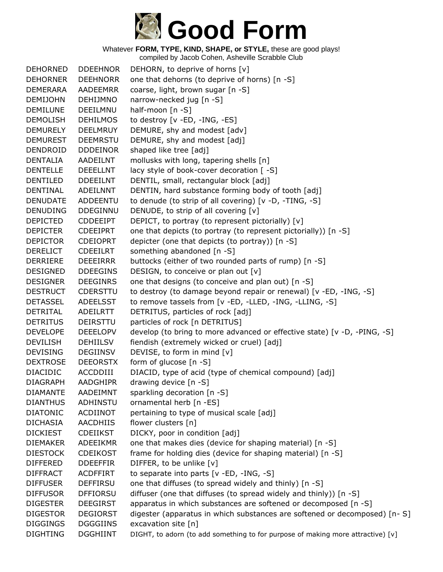

| <b>DEHORNED</b> | <b>DDEEHNOR</b> | DEHORN, to deprive of horns [v]                                                 |
|-----------------|-----------------|---------------------------------------------------------------------------------|
| <b>DEHORNER</b> | <b>DEEHNORR</b> | one that dehorns (to deprive of horns) [n -S]                                   |
| <b>DEMERARA</b> | <b>AADEEMRR</b> | coarse, light, brown sugar [n -S]                                               |
| <b>DEMIJOHN</b> | <b>DEHIJMNO</b> | narrow-necked jug [n -S]                                                        |
| <b>DEMILUNE</b> | DEEILMNU        | half-moon [n -S]                                                                |
| <b>DEMOLISH</b> | <b>DEHILMOS</b> | to destroy [v -ED, -ING, -ES]                                                   |
| <b>DEMURELY</b> | <b>DEELMRUY</b> | DEMURE, shy and modest [adv]                                                    |
| <b>DEMUREST</b> | <b>DEEMRSTU</b> | DEMURE, shy and modest [adj]                                                    |
| DENDROID        | <b>DDDEINOR</b> | shaped like tree [adj]                                                          |
| <b>DENTALIA</b> | <b>AADEILNT</b> | mollusks with long, tapering shells [n]                                         |
| <b>DENTELLE</b> | <b>DEEELLNT</b> | lacy style of book-cover decoration [-S]                                        |
| <b>DENTILED</b> | <b>DDEEILNT</b> | DENTIL, small, rectangular block [adj]                                          |
| <b>DENTINAL</b> | <b>ADEILNNT</b> | DENTIN, hard substance forming body of tooth [adj]                              |
| <b>DENUDATE</b> | ADDEENTU        | to denude (to strip of all covering) [v -D, -TING, -S]                          |
| <b>DENUDING</b> | <b>DDEGINNU</b> | DENUDE, to strip of all covering [v]                                            |
| <b>DEPICTED</b> | <b>CDDEEIPT</b> | DEPICT, to portray (to represent pictorially) [v]                               |
| <b>DEPICTER</b> | <b>CDEEIPRT</b> | one that depicts (to portray (to represent pictorially)) [n -S]                 |
| <b>DEPICTOR</b> | <b>CDEIOPRT</b> | depicter (one that depicts (to portray)) [n -S]                                 |
| <b>DERELICT</b> | <b>CDEEILRT</b> | something abandoned [n -S]                                                      |
| <b>DERRIERE</b> | <b>DEEEIRRR</b> | buttocks (either of two rounded parts of rump) [n -S]                           |
| <b>DESIGNED</b> | <b>DDEEGINS</b> | DESIGN, to conceive or plan out [v]                                             |
| <b>DESIGNER</b> | <b>DEEGINRS</b> | one that designs (to conceive and plan out) [n -S]                              |
| <b>DESTRUCT</b> | <b>CDERSTTU</b> | to destroy (to damage beyond repair or renewal) [v -ED, -ING, -S]               |
| <b>DETASSEL</b> | <b>ADEELSST</b> | to remove tassels from [v -ED, -LLED, -ING, -LLING, -S]                         |
| <b>DETRITAL</b> | ADEILRTT        | DETRITUS, particles of rock [adj]                                               |
| <b>DETRITUS</b> | <b>DEIRSTTU</b> | particles of rock [n DETRITUS]                                                  |
| <b>DEVELOPE</b> | <b>DEEELOPV</b> | develop (to bring to more advanced or effective state) [v -D, -PING, -S]        |
| <b>DEVILISH</b> | <b>DEHIILSV</b> | fiendish (extremely wicked or cruel) [adj]                                      |
| <b>DEVISING</b> | <b>DEGIINSV</b> | DEVISE, to form in mind [v]                                                     |
| <b>DEXTROSE</b> | <b>DEEORSTX</b> | form of glucose [n -S]                                                          |
| <b>DIACIDIC</b> | ACCDDIII        | DIACID, type of acid (type of chemical compound) [adj]                          |
| <b>DIAGRAPH</b> | <b>AADGHIPR</b> | drawing device [n -S]                                                           |
| <b>DIAMANTE</b> | AADEIMNT        | sparkling decoration [n -S]                                                     |
| <b>DIANTHUS</b> | ADHINSTU        | ornamental herb [n -ES]                                                         |
| <b>DIATONIC</b> | ACDIINOT        | pertaining to type of musical scale [adj]                                       |
| <b>DICHASIA</b> | AACDHIIS        | flower clusters [n]                                                             |
| <b>DICKIEST</b> | <b>CDEIIKST</b> | DICKY, poor in condition [adj]                                                  |
| <b>DIEMAKER</b> | ADEEIKMR        | one that makes dies (device for shaping material) [n -S]                        |
| <b>DIESTOCK</b> | <b>CDEIKOST</b> | frame for holding dies (device for shaping material) [n -S]                     |
| <b>DIFFERED</b> | <b>DDEEFFIR</b> | DIFFER, to be unlike [v]                                                        |
| <b>DIFFRACT</b> | <b>ACDFFIRT</b> | to separate into parts [v -ED, -ING, -S]                                        |
| <b>DIFFUSER</b> | <b>DEFFIRSU</b> | one that diffuses (to spread widely and thinly) [n -S]                          |
| <b>DIFFUSOR</b> | <b>DFFIORSU</b> | diffuser (one that diffuses (to spread widely and thinly)) [n -S]               |
| <b>DIGESTER</b> | <b>DEEGIRST</b> | apparatus in which substances are softened or decomposed [n -S]                 |
| <b>DIGESTOR</b> | <b>DEGIORST</b> | digester (apparatus in which substances are softened or decomposed) [n-S]       |
| <b>DIGGINGS</b> | <b>DGGGIINS</b> | excavation site [n]                                                             |
| <b>DIGHTING</b> | <b>DGGHIINT</b> | DIGHT, to adorn (to add something to for purpose of making more attractive) [v] |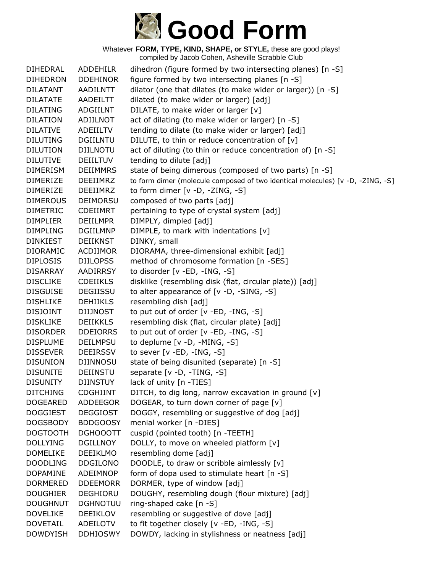

Whatever **FORM, TYPE, KIND, SHAPE, or STYLE,** these are good plays! compiled by Jacob Cohen, Asheville Scrabble Club

DIHEDRAL ADDEHILR dihedron (figure formed by two intersecting planes) [n -S] DIHEDRON DDEHINOR figure formed by two intersecting planes [n -S] DILATANT AADILNTT dilator (one that dilates (to make wider or larger)) [n -S] DILATATE AADEILTT dilated (to make wider or larger) [adj] DILATING ADGIILNT DILATE, to make wider or larger [v] DILATION ADIILNOT act of dilating (to make wider or larger) [n -S] DILATIVE ADEIILTV tending to dilate (to make wider or larger) [adj] DILUTING DGIILNTU DILUTE, to thin or reduce concentration of [v] DILUTION DIILNOTU act of diluting (to thin or reduce concentration of) [n -S] DILUTIVE DEIILTUV tending to dilute [adj] DIMERISM DEIIMMRS state of being dimerous (composed of two parts) [n -S] DIMERIZE DEEIIMRZ to form dimer (molecule composed of two identical molecules) [v -D, -ZING, -S] DIMERIZE DEEIIMRZ to form dimer [v -D, -ZING, -S] DIMEROUS DEIMORSU composed of two parts [adj] DIMETRIC CDEIIMRT pertaining to type of crystal system [adj] DIMPLIER DEIILMPR DIMPLY, dimpled [adj] DIMPLING DGIILMNP DIMPLE, to mark with indentations [v] DINKIEST DEIIKNST DINKY, small DIORAMIC ACDIIMOR DIORAMA, three-dimensional exhibit [adj] DIPLOSIS DIILOPSS method of chromosome formation [n -SES] DISARRAY AADIRRSY to disorder [v -ED, -ING, -S] DISCLIKE CDEIIKLS disklike (resembling disk (flat, circular plate)) [adj] DISGUISE DEGIISSU to alter appearance of [v -D, -SING, -S] DISHLIKE DEHIIKLS resembling dish [adj] DISJOINT DIIJNOST to put out of order [v -ED, -ING, -S] DISKLIKE DEIIKKLS resembling disk (flat, circular plate) [adj] DISORDER DDEIORRS to put out of order [v -ED, -ING, -S] DISPLUME DEILMPSU to deplume [v -D, -MING, -S] DISSEVER DEEIRSSV to sever [v -ED, -ING, -S] DISUNION DIINNOSU state of being disunited (separate) [n -S] DISUNITE DEIINSTU separate [v -D, -TING, -S] DISUNITY DIINSTUY lack of unity [n -TIES] DITCHING CDGHIINT DITCH, to dig long, narrow excavation in ground [v] DOGEARED ADDEEGOR DOGEAR, to turn down corner of page [v] DOGGIEST DEGGIOST DOGGY, resembling or suggestive of dog [adj] DOGSBODY BDDGOOSY menial worker [n -DIES] DOGTOOTH DGHOOOTT cuspid (pointed tooth) [n -TEETH] DOLLYING DGILLNOY DOLLY, to move on wheeled platform [v] DOMELIKE DEEIKLMO resembling dome [adj] DOODLING DDGILONO DOODLE, to draw or scribble aimlessly [v] DOPAMINE ADEIMNOP form of dopa used to stimulate heart [n -S] DORMERED DDEEMORR DORMER, type of window [adj] DOUGHIER DEGHIORU DOUGHY, resembling dough (flour mixture) [adj] DOUGHNUT DGHNOTUU ring-shaped cake [n -S] DOVELIKE DEEIKLOV resembling or suggestive of dove [adj] DOVETAIL ADEILOTV to fit together closely [v -ED, -ING, -S] DOWDYISH DDHIOSWY DOWDY, lacking in stylishness or neatness [adj]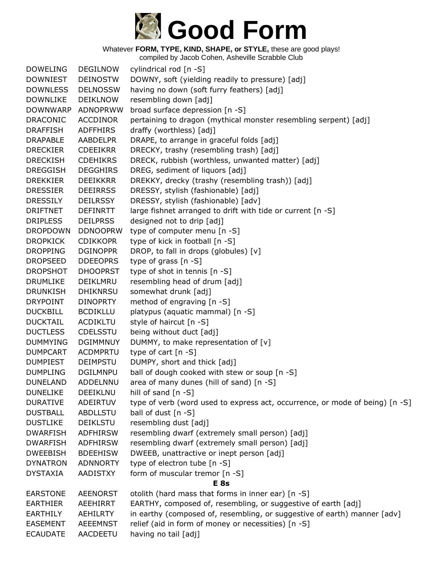

| <b>DOWELING</b> | <b>DEGILNOW</b> | cylindrical rod [n -S]                                                       |
|-----------------|-----------------|------------------------------------------------------------------------------|
| <b>DOWNIEST</b> | <b>DEINOSTW</b> | DOWNY, soft (yielding readily to pressure) [adj]                             |
| <b>DOWNLESS</b> | <b>DELNOSSW</b> | having no down (soft furry feathers) [adj]                                   |
| <b>DOWNLIKE</b> | <b>DEIKLNOW</b> | resembling down [adj]                                                        |
| <b>DOWNWARP</b> | ADNOPRWW        | broad surface depression [n -S]                                              |
| <b>DRACONIC</b> | ACCDINOR        | pertaining to dragon (mythical monster resembling serpent) [adj]             |
| <b>DRAFFISH</b> | <b>ADFFHIRS</b> | draffy (worthless) [adj]                                                     |
| <b>DRAPABLE</b> | <b>AABDELPR</b> | DRAPE, to arrange in graceful folds [adj]                                    |
| <b>DRECKIER</b> | <b>CDEEIKRR</b> | DRECKY, trashy (resembling trash) [adj]                                      |
| <b>DRECKISH</b> | <b>CDEHIKRS</b> | DRECK, rubbish (worthless, unwanted matter) [adj]                            |
| <b>DREGGISH</b> | <b>DEGGHIRS</b> | DREG, sediment of liquors [adj]                                              |
| <b>DREKKIER</b> | <b>DEEIKKRR</b> | DREKKY, drecky (trashy (resembling trash)) [adj]                             |
| <b>DRESSIER</b> | <b>DEEIRRSS</b> | DRESSY, stylish (fashionable) [adj]                                          |
| <b>DRESSILY</b> | <b>DEILRSSY</b> | DRESSY, stylish (fashionable) [adv]                                          |
| <b>DRIFTNET</b> | <b>DEFINRTT</b> | large fishnet arranged to drift with tide or current [n -S]                  |
| <b>DRIPLESS</b> | <b>DEILPRSS</b> | designed not to drip [adj]                                                   |
| <b>DROPDOWN</b> | <b>DDNOOPRW</b> | type of computer menu [n -S]                                                 |
| <b>DROPKICK</b> | <b>CDIKKOPR</b> | type of kick in football [n -S]                                              |
| <b>DROPPING</b> | <b>DGINOPPR</b> | DROP, to fall in drops (globules) [v]                                        |
| <b>DROPSEED</b> | <b>DDEEOPRS</b> | type of grass $[n - S]$                                                      |
| <b>DROPSHOT</b> | <b>DHOOPRST</b> | type of shot in tennis [n -S]                                                |
| <b>DRUMLIKE</b> | DEIKLMRU        | resembling head of drum [adj]                                                |
| <b>DRUNKISH</b> | <b>DHIKNRSU</b> | somewhat drunk [adj]                                                         |
| <b>DRYPOINT</b> | <b>DINOPRTY</b> | method of engraving [n -S]                                                   |
| <b>DUCKBILL</b> | <b>BCDIKLLU</b> | platypus (aquatic mammal) [n -S]                                             |
| <b>DUCKTAIL</b> | <b>ACDIKLTU</b> | style of haircut [n -S]                                                      |
| <b>DUCTLESS</b> | CDELSSTU        | being without duct [adj]                                                     |
| <b>DUMMYING</b> | <b>DGIMMNUY</b> | DUMMY, to make representation of [v]                                         |
| <b>DUMPCART</b> | <b>ACDMPRTU</b> | type of cart $[n - S]$                                                       |
| <b>DUMPIEST</b> | <b>DEIMPSTU</b> | DUMPY, short and thick [adj]                                                 |
| <b>DUMPLING</b> | <b>DGILMNPU</b> | ball of dough cooked with stew or soup [n -S]                                |
| <b>DUNELAND</b> | ADDELNNU        | area of many dunes (hill of sand) [n -S]                                     |
| <b>DUNELIKE</b> | DEEIKLNU        | hill of sand $[n -S]$                                                        |
| <b>DURATIVE</b> | ADEIRTUV        | type of verb (word used to express act, occurrence, or mode of being) [n -S] |
| <b>DUSTBALL</b> | ABDLLSTU        | ball of dust $[n -S]$                                                        |
| <b>DUSTLIKE</b> | <b>DEIKLSTU</b> | resembling dust [adj]                                                        |
| <b>DWARFISH</b> | <b>ADFHIRSW</b> | resembling dwarf (extremely small person) [adj]                              |
| <b>DWARFISH</b> | <b>ADFHIRSW</b> | resembling dwarf (extremely small person) [adj]                              |
| <b>DWEEBISH</b> | <b>BDEEHISW</b> | DWEEB, unattractive or inept person [adj]                                    |
| <b>DYNATRON</b> | <b>ADNNORTY</b> | type of electron tube [n -S]                                                 |
| <b>DYSTAXIA</b> | AADISTXY        | form of muscular tremor [n -S]                                               |
|                 |                 | E <sub>8s</sub>                                                              |
| <b>EARSTONE</b> | <b>AEENORST</b> | otolith (hard mass that forms in inner ear) [n -S]                           |
| <b>EARTHIER</b> | AEEHIRRT        | EARTHY, composed of, resembling, or suggestive of earth [adj]                |
| <b>EARTHILY</b> | <b>AEHILRTY</b> | in earthy (composed of, resembling, or suggestive of earth) manner [adv]     |
| <b>EASEMENT</b> | <b>AEEEMNST</b> | relief (aid in form of money or necessities) [n -S]                          |
| <b>ECAUDATE</b> | AACDEETU        | having no tail [adj]                                                         |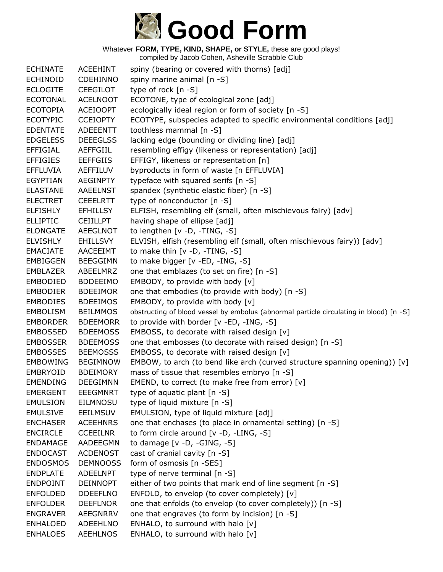

| <b>ECHINATE</b> | <b>ACEEHINT</b> | spiny (bearing or covered with thorns) [adj]                                           |
|-----------------|-----------------|----------------------------------------------------------------------------------------|
| <b>ECHINOID</b> | <b>CDEHINNO</b> | spiny marine animal [n -S]                                                             |
| <b>ECLOGITE</b> | <b>CEEGILOT</b> | type of rock [n -S]                                                                    |
| <b>ECOTONAL</b> | <b>ACELNOOT</b> | ECOTONE, type of ecological zone [adj]                                                 |
| <b>ECOTOPIA</b> | <b>ACEIOOPT</b> | ecologically ideal region or form of society [n -S]                                    |
| <b>ECOTYPIC</b> | <b>CCEIOPTY</b> | ECOTYPE, subspecies adapted to specific environmental conditions [adj]                 |
| <b>EDENTATE</b> | <b>ADEEENTT</b> | toothless mammal [n -S]                                                                |
| <b>EDGELESS</b> | <b>DEEEGLSS</b> | lacking edge (bounding or dividing line) [adj]                                         |
| <b>EFFIGIAL</b> | <b>AEFFGIIL</b> | resembling effigy (likeness or representation) [adj]                                   |
| <b>EFFIGIES</b> | <b>EEFFGIIS</b> | EFFIGY, likeness or representation [n]                                                 |
| <b>EFFLUVIA</b> | <b>AEFFILUV</b> | byproducts in form of waste [n EFFLUVIA]                                               |
| <b>EGYPTIAN</b> | <b>AEGINPTY</b> | typeface with squared serifs [n -S]                                                    |
| <b>ELASTANE</b> | <b>AAEELNST</b> | spandex (synthetic elastic fiber) [n -S]                                               |
| <b>ELECTRET</b> | <b>CEEELRTT</b> | type of nonconductor [n -S]                                                            |
| <b>ELFISHLY</b> | <b>EFHILLSY</b> | ELFISH, resembling elf (small, often mischievous fairy) [adv]                          |
| <b>ELLIPTIC</b> | <b>CEIILLPT</b> | having shape of ellipse [adj]                                                          |
| <b>ELONGATE</b> | <b>AEEGLNOT</b> | to lengthen [v -D, -TING, -S]                                                          |
| <b>ELVISHLY</b> | <b>EHILLSVY</b> | ELVISH, elfish (resembling elf (small, often mischievous fairy)) [adv]                 |
| <b>EMACIATE</b> | AACEEIMT        | to make thin $[v -D, -TING, -S]$                                                       |
| <b>EMBIGGEN</b> | <b>BEEGGIMN</b> | to make bigger [v -ED, -ING, -S]                                                       |
| <b>EMBLAZER</b> | ABEELMRZ        | one that emblazes (to set on fire) [n -S]                                              |
| <b>EMBODIED</b> | <b>BDDEEIMO</b> | EMBODY, to provide with body [v]                                                       |
| <b>EMBODIER</b> | <b>BDEEIMOR</b> | one that embodies (to provide with body) [n -S]                                        |
| <b>EMBODIES</b> | <b>BDEEIMOS</b> | EMBODY, to provide with body [v]                                                       |
| <b>EMBOLISM</b> | <b>BEILMMOS</b> | obstructing of blood vessel by embolus (abnormal particle circulating in blood) [n -S] |
| <b>EMBORDER</b> | <b>BDEEMORR</b> | to provide with border [v -ED, -ING, -S]                                               |
| <b>EMBOSSED</b> | <b>BDEEMOSS</b> | EMBOSS, to decorate with raised design [v]                                             |
| <b>EMBOSSER</b> | <b>BDEEMOSS</b> | one that embosses (to decorate with raised design) [n -S]                              |
| <b>EMBOSSES</b> | <b>BEEMOSSS</b> | EMBOSS, to decorate with raised design [v]                                             |
| <b>EMBOWING</b> | <b>BEGIMNOW</b> | EMBOW, to arch (to bend like arch (curved structure spanning opening)) [v]             |
| EMBRYOID        | <b>BDEIMORY</b> | mass of tissue that resembles embryo [n -S]                                            |
| <b>EMENDING</b> | <b>DEEGIMNN</b> | EMEND, to correct (to make free from error) [v]                                        |
| <b>EMERGENT</b> | <b>EEEGMNRT</b> | type of aquatic plant [n -S]                                                           |
| <b>EMULSION</b> | <b>EILMNOSU</b> | type of liquid mixture [n -S]                                                          |
| <b>EMULSIVE</b> | <b>EEILMSUV</b> | EMULSION, type of liquid mixture [adj]                                                 |
| <b>ENCHASER</b> | <b>ACEEHNRS</b> | one that enchases (to place in ornamental setting) [n -S]                              |
| <b>ENCIRCLE</b> | <b>CCEEILNR</b> | to form circle around $[v -D, -LING, -S]$                                              |
| <b>ENDAMAGE</b> | <b>AADEEGMN</b> | to damage $[v -D, -GING, -S]$                                                          |
| <b>ENDOCAST</b> | <b>ACDENOST</b> | cast of cranial cavity [n -S]                                                          |
| <b>ENDOSMOS</b> | <b>DEMNOOSS</b> | form of osmosis [n -SES]                                                               |
| <b>ENDPLATE</b> | ADEELNPT        | type of nerve terminal [n -S]                                                          |
| <b>ENDPOINT</b> | <b>DEINNOPT</b> | either of two points that mark end of line segment [n -S]                              |
| <b>ENFOLDED</b> | <b>DDEEFLNO</b> | ENFOLD, to envelop (to cover completely) [v]                                           |
| <b>ENFOLDER</b> | <b>DEEFLNOR</b> | one that enfolds (to envelop (to cover completely)) [n -S]                             |
| <b>ENGRAVER</b> | AEEGNRRV        | one that engraves (to form by incision) [n -S]                                         |
| <b>ENHALOED</b> | <b>ADEEHLNO</b> | ENHALO, to surround with halo [v]                                                      |
| <b>ENHALOES</b> | AEEHLNOS        | ENHALO, to surround with halo [v]                                                      |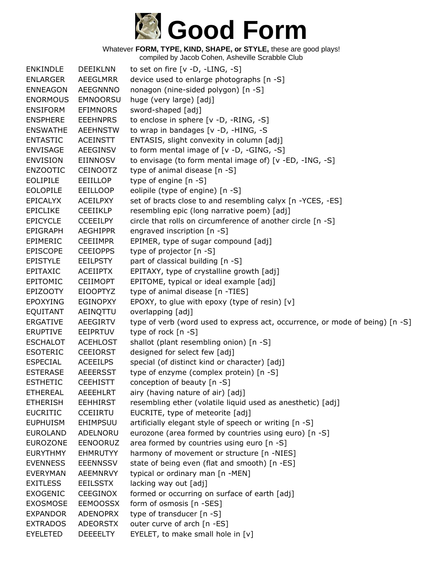

| <b>ENKINDLE</b> | <b>DEEIKLNN</b> | to set on fire $[v -D, -LING, -S]$                                           |
|-----------------|-----------------|------------------------------------------------------------------------------|
| <b>ENLARGER</b> | AEEGLMRR        | device used to enlarge photographs [n -S]                                    |
| <b>ENNEAGON</b> | <b>AEEGNNNO</b> | nonagon (nine-sided polygon) [n -S]                                          |
| <b>ENORMOUS</b> | <b>EMNOORSU</b> | huge (very large) [adj]                                                      |
| <b>ENSIFORM</b> | <b>EFIMNORS</b> | sword-shaped [adj]                                                           |
| <b>ENSPHERE</b> | <b>EEEHNPRS</b> | to enclose in sphere [v -D, -RING, -S]                                       |
| <b>ENSWATHE</b> | <b>AEEHNSTW</b> | to wrap in bandages [v -D, -HING, -S                                         |
| <b>ENTASTIC</b> | <b>ACEINSTT</b> | ENTASIS, slight convexity in column [adj]                                    |
| <b>ENVISAGE</b> | <b>AEEGINSV</b> | to form mental image of [v -D, -GING, -S]                                    |
| <b>ENVISION</b> | <b>EIINNOSV</b> | to envisage (to form mental image of) [v -ED, -ING, -S]                      |
| <b>ENZOOTIC</b> | <b>CEINOOTZ</b> | type of animal disease [n -S]                                                |
| <b>EOLIPILE</b> | <b>EEIILLOP</b> | type of engine [n -S]                                                        |
| <b>EOLOPILE</b> | <b>EEILLOOP</b> | eolipile (type of engine) [n -S]                                             |
| <b>EPICALYX</b> | <b>ACEILPXY</b> | set of bracts close to and resembling calyx [n -YCES, -ES]                   |
| <b>EPICLIKE</b> | <b>CEEIIKLP</b> | resembling epic (long narrative poem) [adj]                                  |
| <b>EPICYCLE</b> | <b>CCEEILPY</b> | circle that rolls on circumference of another circle [n -S]                  |
| <b>EPIGRAPH</b> | <b>AEGHIPPR</b> | engraved inscription [n -S]                                                  |
| EPIMERIC        | <b>CEEIIMPR</b> | EPIMER, type of sugar compound [adj]                                         |
| <b>EPISCOPE</b> | <b>CEEIOPPS</b> | type of projector [n -S]                                                     |
| <b>EPISTYLE</b> | <b>EEILPSTY</b> | part of classical building [n -S]                                            |
| EPITAXIC        | <b>ACEIIPTX</b> | EPITAXY, type of crystalline growth [adj]                                    |
| EPITOMIC        | <b>CEIIMOPT</b> | EPITOME, typical or ideal example [adj]                                      |
| <b>EPIZOOTY</b> | <b>EIOOPTYZ</b> | type of animal disease [n -TIES]                                             |
| <b>EPOXYING</b> | <b>EGINOPXY</b> | EPOXY, to glue with epoxy (type of resin) [v]                                |
| <b>EQUITANT</b> | AEINQTTU        | overlapping [adj]                                                            |
| <b>ERGATIVE</b> | AEEGIRTV        | type of verb (word used to express act, occurrence, or mode of being) [n -S] |
| <b>ERUPTIVE</b> | EEIPRTUV        | type of rock $[n - S]$                                                       |
| <b>ESCHALOT</b> | <b>ACEHLOST</b> | shallot (plant resembling onion) [n -S]                                      |
| <b>ESOTERIC</b> | <b>CEEIORST</b> | designed for select few [adj]                                                |
| <b>ESPECIAL</b> | <b>ACEEILPS</b> | special (of distinct kind or character) [adj]                                |
| <b>ESTERASE</b> | <b>AEEERSST</b> | type of enzyme (complex protein) [n -S]                                      |
| <b>ESTHETIC</b> | <b>CEEHISTT</b> | conception of beauty [n -S]                                                  |
| <b>ETHEREAL</b> | <b>AEEEHLRT</b> | airy (having nature of air) [adj]                                            |
| <b>ETHERISH</b> | <b>EEHHIRST</b> | resembling ether (volatile liquid used as anesthetic) [adj]                  |
| <b>EUCRITIC</b> | <b>CCEIIRTU</b> | EUCRITE, type of meteorite [adj]                                             |
| <b>EUPHUISM</b> | EHIMPSUU        | artificially elegant style of speech or writing [n -S]                       |
| <b>EUROLAND</b> | ADELNORU        | eurozone (area formed by countries using euro) [n -S]                        |
| <b>EUROZONE</b> | EENOORUZ        | area formed by countries using euro [n -S]                                   |
| <b>EURYTHMY</b> | <b>EHMRUTYY</b> | harmony of movement or structure [n -NIES]                                   |
| <b>EVENNESS</b> | <b>EEENNSSV</b> | state of being even (flat and smooth) [n -ES]                                |
| <b>EVERYMAN</b> | AEEMNRVY        | typical or ordinary man [n -MEN]                                             |
| <b>EXITLESS</b> | <b>EEILSSTX</b> | lacking way out [adj]                                                        |
| <b>EXOGENIC</b> | <b>CEEGINOX</b> | formed or occurring on surface of earth [adj]                                |
| <b>EXOSMOSE</b> | <b>EEMOOSSX</b> | form of osmosis [n -SES]                                                     |
| <b>EXPANDOR</b> | <b>ADENOPRX</b> | type of transducer [n -S]                                                    |
| <b>EXTRADOS</b> | <b>ADEORSTX</b> | outer curve of arch [n -ES]                                                  |
| <b>EYELETED</b> | <b>DEEEELTY</b> | EYELET, to make small hole in [v]                                            |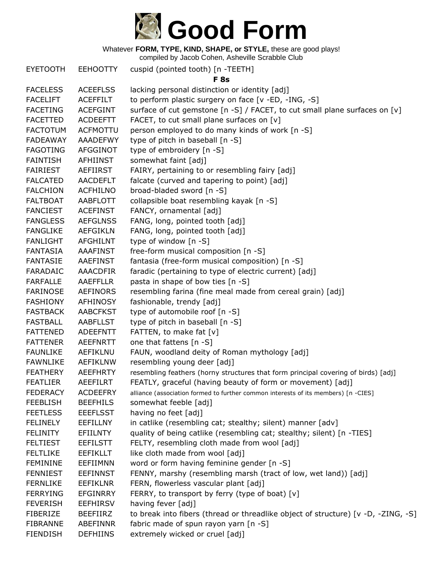

compiled by Jacob Cohen, Asheville Scrabble Club

|                 |                 | complica by cacco concin, noncyllic corabbic   |
|-----------------|-----------------|------------------------------------------------|
| <b>EYETOOTH</b> | <b>EEHOOTTY</b> | cuspid (pointed tooth) [n -TEETH]              |
|                 |                 | F 8s                                           |
| <b>FACELESS</b> | <b>ACEEFLSS</b> | lacking personal distinction or identity [adj] |
| <b>FACELIFT</b> | <b>ACEFFILT</b> | to perform plastic surgery on face [v -ED, -:  |
| <b>FACETING</b> | <b>ACEFGINT</b> | surface of cut gemstone [n -S] / FACET, to     |
| <b>FACETTED</b> | <b>ACDEEFTT</b> | FACET, to cut small plane surfaces on $[v]$    |
| <b>FACTOTUM</b> | <b>ACFMOTTU</b> | person employed to do many kinds of work       |
| <b>FADEAWAY</b> | <b>AAADEFWY</b> | type of pitch in baseball [n -S]               |
| <b>FAGOTING</b> | <b>AFGGINOT</b> | type of embroidery [n -S]                      |
| <b>FAINTISH</b> | <b>AFHIINST</b> | somewhat faint [adj]                           |
| <b>FAIRIEST</b> | <b>AEFIIRST</b> | FAIRY, pertaining to or resembling fairy [ad   |
| <b>FALCATED</b> | <b>AACDEFLT</b> | falcate (curved and tapering to point) [adj]   |
| <b>FALCHION</b> | <b>ACFHILNO</b> | broad-bladed sword [n -S]                      |
| <b>FALTBOAT</b> | AABFLOTT        | collapsible boat resembling kayak [n -S]       |
| <b>FANCIEST</b> | <b>ACEFINST</b> | FANCY, ornamental [adj]                        |
| <b>FANGLESS</b> | <b>AEFGLNSS</b> | FANG, long, pointed tooth [adj]                |
| <b>FANGLIKE</b> | <b>AEFGIKLN</b> | FANG, long, pointed tooth [adj]                |
| <b>FANLIGHT</b> | <b>AFGHILNT</b> | type of window [n -S]                          |
| <b>FANTASIA</b> | <b>AAAFINST</b> | free-form musical composition [n -S]           |
| <b>FANTASIE</b> | <b>AAEFINST</b> | fantasia (free-form musical composition) [n    |
|                 |                 |                                                |

astic surgery on face  $[v - ED, -ING, -S]$ gemstone  $[n - S]$  / FACET, to cut small plane surfaces on  $[v]$ small plane surfaces on  $[v]$ yed to do many kinds of work  $[n - S]$ in baseball  $[n - S]$ oidery  $[n - S]$  $int [adj]$ ning to or resembling fairy [adj] ed and tapering to point) [adj] sword  $[n - S]$ at resembling kayak [n -S] nental [adj] ointed tooth [adj] ointed tooth [adj] w [n -S]  $sical composition [n -S]$  $H$ -form musical composition) [n -S] FARADAIC AAACDFIR faradic (pertaining to type of electric current) [adj] FARFALLE AAEFFLLR pasta in shape of bow ties [n -S] FARINOSE AEFINORS resembling farina (fine meal made from cereal grain) [adj] FASHIONY AFHINOSY fashionable, trendy [adj] FASTBACK AABCFKST type of automobile roof [n -S] FASTBALL AABFLLST type of pitch in baseball [n -S] FATTENED ADEEFNTT FATTEN, to make fat [v] FATTENER AEEFNRTT one that fattens [n -S] FAUNLIKE AEFIKLNU FAUN, woodland deity of Roman mythology [adj] FAWNLIKE AEFIKLNW resembling young deer [adj] FEATHERY AEEFHRTY resembling feathers (horny structures that form principal covering of birds) [adj] FEATLIER AEEFILRT FEATLY, graceful (having beauty of form or movement) [adj] FEDERACY ACDEEFRY alliance (association formed to further common interests of its members) [n -CIES] FEEBLISH BEEFHILS somewhat feeble [adj] FEETLESS EEEFLSST having no feet [adj] FELINELY EEFILLNY in catlike (resembling cat; stealthy; silent) manner [adv] FELINITY EFIILNTY quality of being catlike (resembling cat; stealthy; silent) [n -TIES] FELTIEST EEFILSTT FELTY, resembling cloth made from wool [adj] FELTLIKE EEFIKLLT like cloth made from wool [adj] FEMININE EEFIIMNN word or form having feminine gender [n -S] FENNIEST EEFINNST FENNY, marshy (resembling marsh (tract of low, wet land)) [adj]

- FERNLIKE EEFIKLNR FERN, flowerless vascular plant [adj]
- FERRYING EFGINRRY FERRY, to transport by ferry (type of boat) [v]

FEVERISH EEFHIRSV having fever [adj]

- FIBERIZE BEEFIIRZ to break into fibers (thread or threadlike object of structure) [v -D, -ZING, -S] FIBRANNE ABEFINNR fabric made of spun rayon yarn [n -S]
- FIENDISH DEFHIINS extremely wicked or cruel [adj]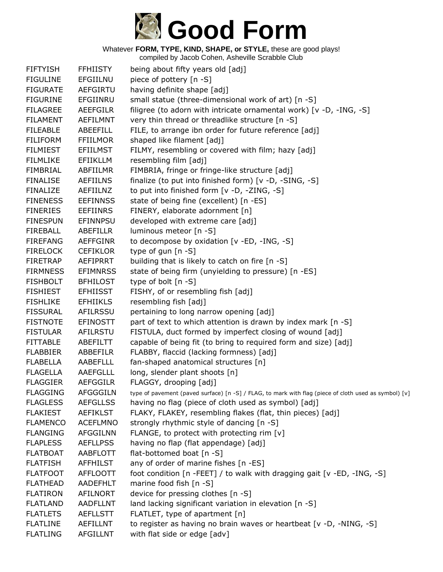

| <b>FIFTYISH</b> | <b>FFHIISTY</b> | being about fifty years old [adj]                                                                     |
|-----------------|-----------------|-------------------------------------------------------------------------------------------------------|
| <b>FIGULINE</b> | EFGIILNU        | piece of pottery [n -S]                                                                               |
| <b>FIGURATE</b> | AEFGIRTU        | having definite shape [adj]                                                                           |
| <b>FIGURINE</b> | EFGIINRU        | small statue (three-dimensional work of art) [n -S]                                                   |
| <b>FILAGREE</b> | <b>AEEFGILR</b> | filigree (to adorn with intricate ornamental work) [v -D, -ING, -S]                                   |
| <b>FILAMENT</b> | AEFILMNT        | very thin thread or threadlike structure [n -S]                                                       |
| <b>FILEABLE</b> | ABEEFILL        | FILE, to arrange ibn order for future reference [adj]                                                 |
| <b>FILIFORM</b> | <b>FFIILMOR</b> | shaped like filament [adj]                                                                            |
| <b>FILMIEST</b> | <b>EFIILMST</b> | FILMY, resembling or covered with film; hazy [adj]                                                    |
| <b>FILMLIKE</b> | <b>EFIIKLLM</b> | resembling film [adj]                                                                                 |
| <b>FIMBRIAL</b> | ABFIILMR        | FIMBRIA, fringe or fringe-like structure [adj]                                                        |
| <b>FINALISE</b> | <b>AEFIILNS</b> | finalize (to put into finished form) [v -D, -SING, -S]                                                |
| <b>FINALIZE</b> | AEFIILNZ        | to put into finished form [v -D, -ZING, -S]                                                           |
| <b>FINENESS</b> | <b>EEFINNSS</b> | state of being fine (excellent) [n -ES]                                                               |
| <b>FINERIES</b> | <b>EEFIINRS</b> | FINERY, elaborate adornment [n]                                                                       |
| <b>FINESPUN</b> | EFINNPSU        | developed with extreme care [adj]                                                                     |
| <b>FIREBALL</b> | ABEFILLR        | luminous meteor [n -S]                                                                                |
| <b>FIREFANG</b> | <b>AEFFGINR</b> | to decompose by oxidation [v -ED, -ING, -S]                                                           |
| <b>FIRELOCK</b> | <b>CEFIKLOR</b> | type of gun $[n - S]$                                                                                 |
| <b>FIRETRAP</b> | AEFIPRRT        | building that is likely to catch on fire [n -S]                                                       |
| <b>FIRMNESS</b> | <b>EFIMNRSS</b> | state of being firm (unyielding to pressure) [n -ES]                                                  |
| <b>FISHBOLT</b> | <b>BFHILOST</b> | type of bolt [n -S]                                                                                   |
| <b>FISHIEST</b> | <b>EFHIISST</b> | FISHY, of or resembling fish [adj]                                                                    |
| <b>FISHLIKE</b> | <b>EFHIIKLS</b> | resembling fish [adj]                                                                                 |
| <b>FISSURAL</b> | AFILRSSU        | pertaining to long narrow opening [adj]                                                               |
| <b>FISTNOTE</b> | <b>EFINOSTT</b> | part of text to which attention is drawn by index mark [n -S]                                         |
| <b>FISTULAR</b> | <b>AFILRSTU</b> | FISTULA, duct formed by imperfect closing of wound [adj]                                              |
| <b>FITTABLE</b> | ABEFILTT        | capable of being fit (to bring to required form and size) [adj]                                       |
| <b>FLABBIER</b> | ABBEFILR        | FLABBY, flaccid (lacking formness) [adj]                                                              |
| <b>FLABELLA</b> | AABEFLLL        | fan-shaped anatomical structures [n]                                                                  |
| <b>FLAGELLA</b> | AAEFGLLL        | long, slender plant shoots [n]                                                                        |
| <b>FLAGGIER</b> | <b>AEFGGILR</b> | FLAGGY, drooping [adj]                                                                                |
| <b>FLAGGING</b> | <b>AFGGGILN</b> | type of pavement (paved surface) [n -S] / FLAG, to mark with flag (piece of cloth used as symbol) [v] |
| <b>FLAGLESS</b> | <b>AEFGLLSS</b> | having no flag (piece of cloth used as symbol) [adj]                                                  |
| <b>FLAKIEST</b> | <b>AEFIKLST</b> | FLAKY, FLAKEY, resembling flakes (flat, thin pieces) [adj]                                            |
| <b>FLAMENCO</b> | <b>ACEFLMNO</b> | strongly rhythmic style of dancing [n -S]                                                             |
| <b>FLANGING</b> | <b>AFGGILNN</b> | FLANGE, to protect with protecting rim [v]                                                            |
| <b>FLAPLESS</b> | <b>AEFLLPSS</b> | having no flap (flat appendage) [adj]                                                                 |
| <b>FLATBOAT</b> | AABFLOTT        | flat-bottomed boat [n -S]                                                                             |
| <b>FLATFISH</b> | AFFHILST        | any of order of marine fishes [n -ES]                                                                 |
| <b>FLATFOOT</b> | <b>AFFLOOTT</b> | foot condition [n -FEET] / to walk with dragging gait [v -ED, -ING, -S]                               |
| <b>FLATHEAD</b> | <b>AADEFHLT</b> | marine food fish [n -S]                                                                               |
| <b>FLATIRON</b> | <b>AFILNORT</b> | device for pressing clothes [n -S]                                                                    |
| <b>FLATLAND</b> | <b>AADFLLNT</b> | land lacking significant variation in elevation [n -S]                                                |
| <b>FLATLETS</b> | <b>AEFLLSTT</b> | FLATLET, type of apartment [n]                                                                        |
| <b>FLATLINE</b> | AEFILLNT        | to register as having no brain waves or heartbeat [v -D, -NING, -S]                                   |
| <b>FLATLING</b> | <b>AFGILLNT</b> | with flat side or edge [adv]                                                                          |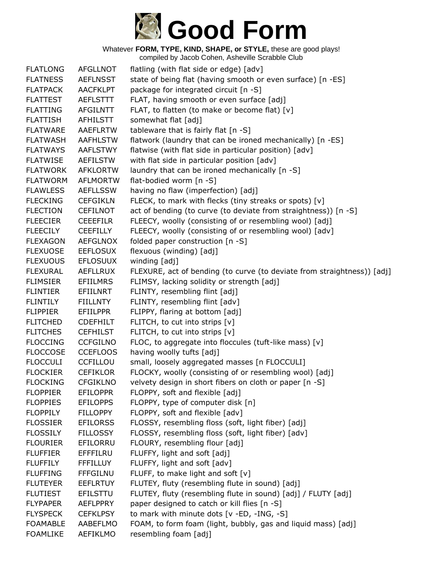

| <b>FLATLONG</b> | <b>AFGLLNOT</b> | flatling (with flat side or edge) [adv]                                 |
|-----------------|-----------------|-------------------------------------------------------------------------|
| <b>FLATNESS</b> | <b>AEFLNSST</b> | state of being flat (having smooth or even surface) [n -ES]             |
| <b>FLATPACK</b> | <b>AACFKLPT</b> | package for integrated circuit [n -S]                                   |
| <b>FLATTEST</b> | <b>AEFLSTTT</b> | FLAT, having smooth or even surface [adj]                               |
| <b>FLATTING</b> | <b>AFGILNTT</b> | FLAT, to flatten (to make or become flat) [v]                           |
| <b>FLATTISH</b> | AFHILSTT        | somewhat flat [adj]                                                     |
| <b>FLATWARE</b> | <b>AAEFLRTW</b> | tableware that is fairly flat [n -S]                                    |
| <b>FLATWASH</b> | <b>AAFHLSTW</b> | flatwork (laundry that can be ironed mechanically) [n -ES]              |
| <b>FLATWAYS</b> | AAFLSTWY        | flatwise (with flat side in particular position) [adv]                  |
| <b>FLATWISE</b> | AEFILSTW        | with flat side in particular position [adv]                             |
| <b>FLATWORK</b> | <b>AFKLORTW</b> | laundry that can be ironed mechanically [n -S]                          |
| <b>FLATWORM</b> | <b>AFLMORTW</b> | flat-bodied worm [n -S]                                                 |
| <b>FLAWLESS</b> | <b>AEFLLSSW</b> | having no flaw (imperfection) [adj]                                     |
| <b>FLECKING</b> | <b>CEFGIKLN</b> | FLECK, to mark with flecks (tiny streaks or spots) [v]                  |
| <b>FLECTION</b> | <b>CEFILNOT</b> | act of bending (to curve (to deviate from straightness)) [n -S]         |
| <b>FLEECIER</b> | <b>CEEEFILR</b> | FLEECY, woolly (consisting of or resembling wool) [adj]                 |
| <b>FLEECILY</b> | <b>CEEFILLY</b> | FLEECY, woolly (consisting of or resembling wool) [adv]                 |
| <b>FLEXAGON</b> | <b>AEFGLNOX</b> | folded paper construction [n -S]                                        |
| <b>FLEXUOSE</b> | <b>EEFLOSUX</b> | flexuous (winding) [adj]                                                |
| <b>FLEXUOUS</b> | <b>EFLOSUUX</b> | winding [adj]                                                           |
| <b>FLEXURAL</b> | <b>AEFLLRUX</b> | FLEXURE, act of bending (to curve (to deviate from straightness)) [adj] |
| <b>FLIMSIER</b> | <b>EFIILMRS</b> | FLIMSY, lacking solidity or strength [adj]                              |
| <b>FLINTIER</b> | EFIILNRT        | FLINTY, resembling flint [adj]                                          |
| <b>FLINTILY</b> | <b>FIILLNTY</b> | FLINTY, resembling flint [adv]                                          |
| <b>FLIPPIER</b> | <b>EFIILPPR</b> | FLIPPY, flaring at bottom [adj]                                         |
| <b>FLITCHED</b> | <b>CDEFHILT</b> | FLITCH, to cut into strips [v]                                          |
| <b>FLITCHES</b> | <b>CEFHILST</b> | FLITCH, to cut into strips [v]                                          |
| <b>FLOCCING</b> | <b>CCFGILNO</b> | FLOC, to aggregate into floccules (tuft-like mass) [v]                  |
| <b>FLOCCOSE</b> | <b>CCEFLOOS</b> | having woolly tufts [adj]                                               |
| <b>FLOCCULI</b> | CCFILLOU        | small, loosely aggregated masses [n FLOCCULI]                           |
| <b>FLOCKIER</b> | <b>CEFIKLOR</b> | FLOCKY, woolly (consisting of or resembling wool) [adj]                 |
| <b>FLOCKING</b> | <b>CFGIKLNO</b> | velvety design in short fibers on cloth or paper [n -S]                 |
| <b>FLOPPIER</b> | <b>EFILOPPR</b> | FLOPPY, soft and flexible [adj]                                         |
| <b>FLOPPIES</b> | <b>EFILOPPS</b> | FLOPPY, type of computer disk [n]                                       |
| <b>FLOPPILY</b> | <b>FILLOPPY</b> | FLOPPY, soft and flexible [adv]                                         |
| <b>FLOSSIER</b> | <b>EFILORSS</b> | FLOSSY, resembling floss (soft, light fiber) [adj]                      |
| <b>FLOSSILY</b> | <b>FILLOSSY</b> | FLOSSY, resembling floss (soft, light fiber) [adv]                      |
| <b>FLOURIER</b> | EFILORRU        | FLOURY, resembling flour [adj]                                          |
| <b>FLUFFIER</b> | EFFFILRU        | FLUFFY, light and soft [adj]                                            |
| <b>FLUFFILY</b> | <b>FFFILLUY</b> | FLUFFY, light and soft [adv]                                            |
| <b>FLUFFING</b> | <b>FFFGILNU</b> | FLUFF, to make light and soft [v]                                       |
| <b>FLUTEYER</b> | <b>EEFLRTUY</b> | FLUTEY, fluty (resembling flute in sound) [adj]                         |
| <b>FLUTIEST</b> | <b>EFILSTTU</b> | FLUTEY, fluty (resembling flute in sound) [adj] / FLUTY [adj]           |
| <b>FLYPAPER</b> | <b>AEFLPPRY</b> | paper designed to catch or kill flies [n -S]                            |
| <b>FLYSPECK</b> | <b>CEFKLPSY</b> | to mark with minute dots [v -ED, -ING, -S]                              |
| <b>FOAMABLE</b> | AABEFLMO        | FOAM, to form foam (light, bubbly, gas and liquid mass) [adj]           |
| <b>FOAMLIKE</b> | AEFIKLMO        | resembling foam [adj]                                                   |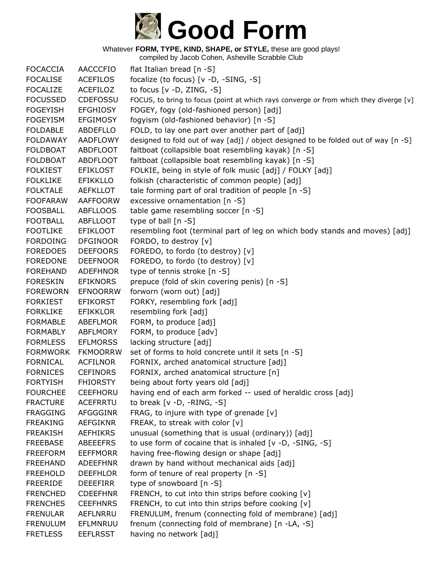

compiled by Jacob Cohen, Asheville Scrabble Club

FOCACCIA AACCCFIO flat Italian bread [n -S] FOCALISE ACEFILOS focalize (to focus) [v -D, -SING, -S] FOCALIZE ACEFILOZ to focus [v -D, ZING, -S] FOCUSSED CDEFOSSU FOCUS, to bring to focus (point at which rays converge or from which they diverge [v] FOGEYISH EFGHIOSY FOGEY, fogy (old-fashioned person) [adj] FOGEYISM EFGIMOSY fogyism (old-fashioned behavior) [n -S] FOLDABLE ABDEFLLO FOLD, to lay one part over another part of [adj] FOLDAWAY AADFLOWY designed to fold out of way [adj] / object designed to be folded out of way [n -S] FOLDBOAT ABDFLOOT faltboat (collapsible boat resembling kayak) [n -S] FOLDBOAT ABDFLOOT faltboat (collapsible boat resembling kayak) [n -S] FOLKIEST EFIKLOST FOLKIE, being in style of folk music [adj] / FOLKY [adj] FOLKLIKE EFIKKLLO folkish (characteristic of common people) [adj] FOLKTALE AEFKLLOT tale forming part of oral tradition of people  $[n -S]$ FOOFARAW AAFFOORW excessive ornamentation [n -S] FOOSBALL ABFLLOOS table game resembling soccer [n -S] FOOTBALL ABFLLOOT type of ball [n -S] FOOTLIKE EFIKLOOT resembling foot (terminal part of leg on which body stands and moves) [adj] FORDOING DFGINOOR FORDO, to destroy [v] FOREDOES DEEFOORS FOREDO, to fordo (to destroy) [v] FOREDONE DEEFNOOR FOREDO, to fordo (to destroy) [v] FOREHAND ADEFHNOR type of tennis stroke [n -S] FORESKIN EFIKNORS prepuce (fold of skin covering penis) [n -S] FOREWORN EFNOORRW forworn (worn out) [adj] FORKIEST EFIKORST FORKY, resembling fork [adj] FORKLIKE EFIKKLOR resembling fork [adj] FORMABLE ABEFLMOR FORM, to produce [adj] FORMABLY ABFLMORY FORM, to produce [adv] FORMLESS EFLMORSS lacking structure [adj] FORMWORK FKMOORRW set of forms to hold concrete until it sets [n -S] FORNICAL ACFILNOR FORNIX, arched anatomical structure [adj] FORNICES CEFINORS FORNIX, arched anatomical structure [n] FORTYISH FHIORSTY being about forty years old [adj] FOURCHEE CEEFHORU having end of each arm forked -- used of heraldic cross [adj] FRACTURE ACEFRRTU to break [v -D, -RING, -S] FRAGGING AFGGGINR FRAG, to injure with type of grenade [v] FREAKING AEFGIKNR FREAK, to streak with color [v] FREAKISH AEFHIKRS unusual (something that is usual (ordinary)) [adj] FREEBASE ABEEEFRS to use form of cocaine that is inhaled [v -D, -SING, -S] FREEFORM EEFFMORR having free-flowing design or shape [adj] FREEHAND ADEEFHNR drawn by hand without mechanical aids [adj] FREEHOLD DEEFHLOR form of tenure of real property [n -S] FREERIDE DEEEFIRR type of snowboard [n -S] FRENCHED CDEEFHNR FRENCH, to cut into thin strips before cooking [v] FRENCHES CEEFHNRS FRENCH, to cut into thin strips before cooking [v] FRENULAR AEFLNRRU FRENULUM, frenum (connecting fold of membrane) [adj] FRENULUM EFLMNRUU frenum (connecting fold of membrane) [n -LA, -S] FRETLESS EEFLRSST having no network [adj]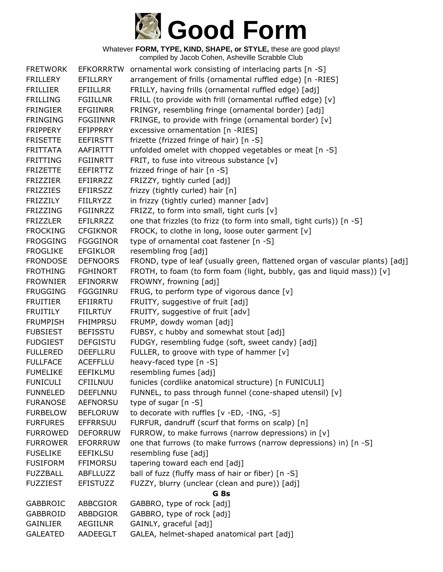

Whatever **FORM, TYPE, KIND, SHAPE, or STYLE,** these are good plays! compiled by Jacob Cohen, Asheville Scrabble Club

| <b>FRETWORK</b> | EFKORRRTW       | ornamental work consisting of interlacing parts [n -S]                        |
|-----------------|-----------------|-------------------------------------------------------------------------------|
| <b>FRILLERY</b> | <b>EFILLRRY</b> | arrangement of frills (ornamental ruffled edge) [n -RIES]                     |
| <b>FRILLIER</b> | <b>EFIILLRR</b> | FRILLY, having frills (ornamental ruffled edge) [adj]                         |
| <b>FRILLING</b> | <b>FGIILLNR</b> | FRILL (to provide with frill (ornamental ruffled edge) [v]                    |
| <b>FRINGIER</b> | <b>EFGIINRR</b> | FRINGY, resembling fringe (ornamental border) [adj]                           |
| <b>FRINGING</b> | <b>FGGIINNR</b> | FRINGE, to provide with fringe (ornamental border) [v]                        |
| <b>FRIPPERY</b> | <b>EFIPPRRY</b> | excessive ornamentation [n -RIES]                                             |
| <b>FRISETTE</b> | <b>EEFIRSTT</b> | frizette (frizzed fringe of hair) [n -S]                                      |
| <b>FRITTATA</b> | AAFIRTTT        | unfolded omelet with chopped vegetables or meat [n -S]                        |
| <b>FRITTING</b> | <b>FGIINRTT</b> | FRIT, to fuse into vitreous substance $[v]$                                   |
| <b>FRIZETTE</b> | <b>EEFIRTTZ</b> | frizzed fringe of hair [n -S]                                                 |
| <b>FRIZZIER</b> | <b>EFIIRRZZ</b> | FRIZZY, tightly curled [adj]                                                  |
| <b>FRIZZIES</b> | <b>EFIIRSZZ</b> | frizzy (tightly curled) hair [n]                                              |
| <b>FRIZZILY</b> | <b>FIILRYZZ</b> | in frizzy (tightly curled) manner [adv]                                       |
| <b>FRIZZING</b> | <b>FGIINRZZ</b> | FRIZZ, to form into small, tight curls [v]                                    |
| <b>FRIZZLER</b> | <b>EFILRRZZ</b> | one that frizzles (to frizz (to form into small, tight curls)) [n -S]         |
| <b>FROCKING</b> | <b>CFGIKNOR</b> | FROCK, to clothe in long, loose outer garment [v]                             |
| <b>FROGGING</b> | <b>FGGGINOR</b> | type of ornamental coat fastener [n -S]                                       |
| <b>FROGLIKE</b> | <b>EFGIKLOR</b> | resembling frog [adj]                                                         |
| <b>FRONDOSE</b> | <b>DEFNOORS</b> | FROND, type of leaf (usually green, flattened organ of vascular plants) [adj] |
| <b>FROTHING</b> | <b>FGHINORT</b> | FROTH, to foam (to form foam (light, bubbly, gas and liquid mass)) [v]        |
| <b>FROWNIER</b> | <b>EFINORRW</b> | FROWNY, frowning [adj]                                                        |
| <b>FRUGGING</b> | FGGGINRU        | FRUG, to perform type of vigorous dance [v]                                   |
| <b>FRUITIER</b> | EFIIRRTU        | FRUITY, suggestive of fruit [adj]                                             |
| <b>FRUITILY</b> | <b>FIILRTUY</b> | FRUITY, suggestive of fruit [adv]                                             |
| <b>FRUMPISH</b> | <b>FHIMPRSU</b> | FRUMP, dowdy woman [adj]                                                      |
| <b>FUBSIEST</b> | <b>BEFISSTU</b> | FUBSY, c hubby and somewhat stout [adj]                                       |
| <b>FUDGIEST</b> | <b>DEFGISTU</b> | FUDGY, resembling fudge (soft, sweet candy) [adj]                             |
| <b>FULLERED</b> | DEEFLLRU        | FULLER, to groove with type of hammer [v]                                     |
| <b>FULLFACE</b> | <b>ACEFFLLU</b> | heavy-faced type [n -S]                                                       |
| <b>FUMELIKE</b> | EEFIKLMU        | resembling fumes [adj]                                                        |
| <b>FUNICULI</b> | CFIILNUU        | funicles (cordlike anatomical structure) [n FUNICULI]                         |
| <b>FUNNELED</b> | <b>DEEFLNNU</b> | FUNNEL, to pass through funnel (cone-shaped utensil) [v]                      |
| <b>FURANOSE</b> | <b>AEFNORSU</b> | type of sugar [n -S]                                                          |
| <b>FURBELOW</b> | <b>BEFLORUW</b> | to decorate with ruffles [v -ED, -ING, -S]                                    |
| <b>FURFURES</b> | <b>EFFRRSUU</b> | FURFUR, dandruff (scurf that forms on scalp) [n]                              |
| <b>FURROWED</b> | <b>DEFORRUW</b> | FURROW, to make furrows (narrow depressions) in [v]                           |
| <b>FURROWER</b> | <b>EFORRRUW</b> | one that furrows (to make furrows (narrow depressions) in) [n -S]             |
| <b>FUSELIKE</b> | <b>EEFIKLSU</b> | resembling fuse [adj]                                                         |
| <b>FUSIFORM</b> | <b>FFIMORSU</b> | tapering toward each end [adj]                                                |
| <b>FUZZBALL</b> | ABFLLUZZ        | ball of fuzz (fluffy mass of hair or fiber) [n -S]                            |
| <b>FUZZIEST</b> | <b>EFISTUZZ</b> | FUZZY, blurry (unclear (clean and pure)) [adj]                                |
|                 |                 | G <sub>8s</sub>                                                               |
| <b>GABBROIC</b> | ABBCGIOR        | GABBRO, type of rock [adj]                                                    |
| <b>GABBROID</b> | ABBDGIOR        | GABBRO, type of rock [adj]                                                    |
| <b>GAINLIER</b> | AEGIILNR        | GAINLY, graceful [adj]                                                        |
| <b>GALEATED</b> | AADEEGLT        | GALEA, helmet-shaped anatomical part [adj]                                    |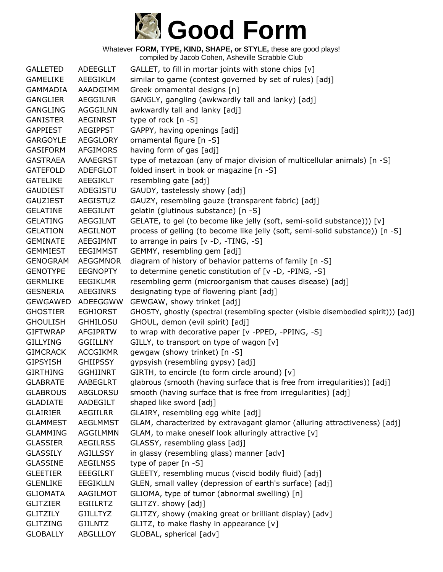

| <b>GALLETED</b> | ADEEGLLT        | GALLET, to fill in mortar joints with stone chips [v]                              |
|-----------------|-----------------|------------------------------------------------------------------------------------|
| <b>GAMELIKE</b> | AEEGIKLM        | similar to game (contest governed by set of rules) [adj]                           |
| GAMMADIA        | AAADGIMM        | Greek ornamental designs [n]                                                       |
| <b>GANGLIER</b> | <b>AEGGILNR</b> | GANGLY, gangling (awkwardly tall and lanky) [adj]                                  |
| <b>GANGLING</b> | <b>AGGGILNN</b> | awkwardly tall and lanky [adj]                                                     |
| <b>GANISTER</b> | <b>AEGINRST</b> | type of rock [n -S]                                                                |
| <b>GAPPIEST</b> | <b>AEGIPPST</b> | GAPPY, having openings [adj]                                                       |
| <b>GARGOYLE</b> | AEGGLORY        | ornamental figure [n -S]                                                           |
| <b>GASIFORM</b> | AFGIMORS        | having form of gas [adj]                                                           |
| <b>GASTRAEA</b> | <b>AAAEGRST</b> | type of metazoan (any of major division of multicellular animals) [n -S]           |
| <b>GATEFOLD</b> | <b>ADEFGLOT</b> | folded insert in book or magazine [n -S]                                           |
| <b>GATELIKE</b> | AEEGIKLT        | resembling gate [adj]                                                              |
| <b>GAUDIEST</b> | ADEGISTU        | GAUDY, tastelessly showy [adj]                                                     |
| <b>GAUZIEST</b> | <b>AEGISTUZ</b> | GAUZY, resembling gauze (transparent fabric) [adj]                                 |
| <b>GELATINE</b> | AEEGILNT        | gelatin (glutinous substance) [n -S]                                               |
| <b>GELATING</b> | <b>AEGGILNT</b> | GELATE, to gel (to become like jelly (soft, semi-solid substance))) [v]            |
| <b>GELATION</b> | <b>AEGILNOT</b> | process of gelling (to become like jelly (soft, semi-solid substance)) [n -S]      |
| <b>GEMINATE</b> | AEEGIMNT        | to arrange in pairs $[v -D, -TING, -S]$                                            |
| <b>GEMMIEST</b> | <b>EEGIMMST</b> | GEMMY, resembling gem [adj]                                                        |
| <b>GENOGRAM</b> | AEGGMNOR        | diagram of history of behavior patterns of family [n -S]                           |
| <b>GENOTYPE</b> | <b>EEGNOPTY</b> | to determine genetic constitution of [v -D, -PING, -S]                             |
| <b>GERMLIKE</b> | <b>EEGIKLMR</b> | resembling germ (microorganism that causes disease) [adj]                          |
| <b>GESNERIA</b> | <b>AEEGINRS</b> | designating type of flowering plant [adj]                                          |
| <b>GEWGAWED</b> | ADEEGGWW        | GEWGAW, showy trinket [adj]                                                        |
| <b>GHOSTIER</b> | <b>EGHIORST</b> | GHOSTY, ghostly (spectral (resembling specter (visible disembodied spirit))) [adj] |
| <b>GHOULISH</b> | <b>GHHILOSU</b> | GHOUL, demon (evil spirit) [adj]                                                   |
| <b>GIFTWRAP</b> | <b>AFGIPRTW</b> | to wrap with decorative paper [v -PPED, -PPING, -S]                                |
| <b>GILLYING</b> | <b>GGIILLNY</b> | GILLY, to transport on type of wagon [v]                                           |
| <b>GIMCRACK</b> | <b>ACCGIKMR</b> | gewgaw (showy trinket) [n -S]                                                      |
| <b>GIPSYISH</b> | <b>GHIIPSSY</b> | gypsyish (resembling gypsy) [adj]                                                  |
| <b>GIRTHING</b> | <b>GGHIINRT</b> | GIRTH, to encircle (to form circle around) [v]                                     |
| <b>GLABRATE</b> | <b>AABEGLRT</b> | glabrous (smooth (having surface that is free from irregularities)) [adj]          |
| <b>GLABROUS</b> | <b>ABGLORSU</b> | smooth (having surface that is free from irregularities) [adj]                     |
| <b>GLADIATE</b> | AADEGILT        | shaped like sword [adj]                                                            |
| <b>GLAIRIER</b> | AEGIILRR        | GLAIRY, resembling egg white [adj]                                                 |
| <b>GLAMMEST</b> | <b>AEGLMMST</b> | GLAM, characterized by extravagant glamor (alluring attractiveness) [adj]          |
| <b>GLAMMING</b> | <b>AGGILMMN</b> | GLAM, to make oneself look alluringly attractive [v]                               |
| <b>GLASSIER</b> | <b>AEGILRSS</b> | GLASSY, resembling glass [adj]                                                     |
| <b>GLASSILY</b> | <b>AGILLSSY</b> | in glassy (resembling glass) manner [adv]                                          |
| <b>GLASSINE</b> | <b>AEGILNSS</b> | type of paper $[n - S]$                                                            |
| <b>GLEETIER</b> | <b>EEEGILRT</b> | GLEETY, resembling mucus (viscid bodily fluid) [adj]                               |
| <b>GLENLIKE</b> | <b>EEGIKLLN</b> | GLEN, small valley (depression of earth's surface) [adj]                           |
| <b>GLIOMATA</b> | AAGILMOT        | GLIOMA, type of tumor (abnormal swelling) [n]                                      |
| <b>GLITZIER</b> | <b>EGIILRTZ</b> | GLITZY. showy [adj]                                                                |
| <b>GLITZILY</b> | <b>GIILLTYZ</b> | GLITZY, showy (making great or brilliant display) [adv]                            |
| <b>GLITZING</b> | <b>GIILNTZ</b>  | GLITZ, to make flashy in appearance [v]                                            |
| <b>GLOBALLY</b> | ABGLLLOY        | GLOBAL, spherical [adv]                                                            |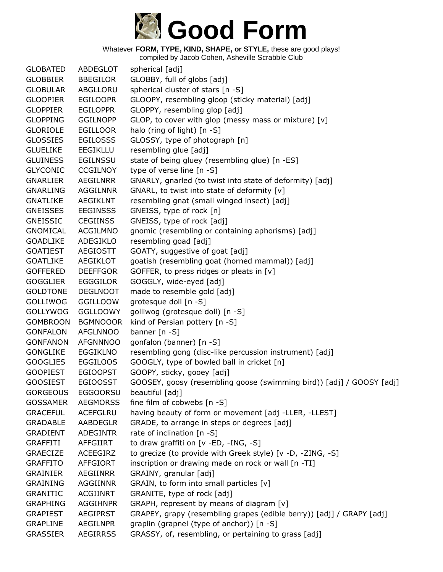

| <b>GLOBATED</b> | ABDEGLOT        | spherical [adj]                                                      |
|-----------------|-----------------|----------------------------------------------------------------------|
| <b>GLOBBIER</b> | <b>BBEGILOR</b> | GLOBBY, full of globs [adj]                                          |
| <b>GLOBULAR</b> | ABGLLORU        | spherical cluster of stars [n -S]                                    |
| <b>GLOOPIER</b> | <b>EGILOOPR</b> | GLOOPY, resembling gloop (sticky material) [adj]                     |
| <b>GLOPPIER</b> | <b>EGILOPPR</b> | GLOPPY, resembling glop [adj]                                        |
| <b>GLOPPING</b> | <b>GGILNOPP</b> | GLOP, to cover with glop (messy mass or mixture) [v]                 |
| <b>GLORIOLE</b> | EGILLOOR        | halo (ring of light) [n -S]                                          |
| <b>GLOSSIES</b> | <b>EGILOSSS</b> | GLOSSY, type of photograph [n]                                       |
| <b>GLUELIKE</b> | <b>EEGIKLLU</b> | resembling glue [adj]                                                |
| <b>GLUINESS</b> | <b>EGILNSSU</b> | state of being gluey (resembling glue) [n -ES]                       |
| <b>GLYCONIC</b> | <b>CCGILNOY</b> | type of verse line [n -S]                                            |
| <b>GNARLIER</b> | AEGILNRR        | GNARLY, gnarled (to twist into state of deformity) [adj]             |
| <b>GNARLING</b> | <b>AGGILNNR</b> | GNARL, to twist into state of deformity [v]                          |
| <b>GNATLIKE</b> | <b>AEGIKLNT</b> | resembling gnat (small winged insect) [adj]                          |
| <b>GNEISSES</b> | <b>EEGINSSS</b> | GNEISS, type of rock [n]                                             |
| <b>GNEISSIC</b> | <b>CEGIINSS</b> | GNEISS, type of rock [adj]                                           |
| <b>GNOMICAL</b> | <b>ACGILMNO</b> | gnomic (resembling or containing aphorisms) [adj]                    |
| <b>GOADLIKE</b> | ADEGIKLO        | resembling goad [adj]                                                |
| <b>GOATIEST</b> | AEGIOSTT        | GOATY, suggestive of goat [adj]                                      |
| <b>GOATLIKE</b> | AEGIKLOT        | goatish (resembling goat (horned mammal)) [adj]                      |
| <b>GOFFERED</b> | <b>DEEFFGOR</b> | GOFFER, to press ridges or pleats in [v]                             |
| <b>GOGGLIER</b> | <b>EGGGILOR</b> | GOGGLY, wide-eyed [adj]                                              |
| <b>GOLDTONE</b> | <b>DEGLNOOT</b> | made to resemble gold [adj]                                          |
| <b>GOLLIWOG</b> | <b>GGILLOOW</b> | grotesque doll [n -S]                                                |
| <b>GOLLYWOG</b> | <b>GGLLOOWY</b> | golliwog (grotesque doll) [n -S]                                     |
| <b>GOMBROON</b> | <b>BGMNOOOR</b> | kind of Persian pottery [n -S]                                       |
| <b>GONFALON</b> | <b>AFGLNNOO</b> | banner $[n - S]$                                                     |
| <b>GONFANON</b> | <b>AFGNNNOO</b> | gonfalon (banner) [n -S]                                             |
| <b>GONGLIKE</b> | <b>EGGIKLNO</b> | resembling gong (disc-like percussion instrument) [adj]              |
| <b>GOOGLIES</b> | <b>EGGILOOS</b> | GOOGLY, type of bowled ball in cricket [n]                           |
| <b>GOOPIEST</b> | <b>EGIOOPST</b> | GOOPY, sticky, gooey [adj]                                           |
| <b>GOOSIEST</b> | <b>EGIOOSST</b> | GOOSEY, goosy (resembling goose (swimming bird)) [adj] / GOOSY [adj] |
| <b>GORGEOUS</b> | <b>EGGOORSU</b> | beautiful [adj]                                                      |
| <b>GOSSAMER</b> | <b>AEGMORSS</b> | fine film of cobwebs [n -S]                                          |
| <b>GRACEFUL</b> | ACEFGLRU        | having beauty of form or movement [adj -LLER, -LLEST]                |
| <b>GRADABLE</b> | <b>AABDEGLR</b> | GRADE, to arrange in steps or degrees [adj]                          |
| GRADIENT        | <b>ADEGINTR</b> | rate of inclination [n -S]                                           |
| <b>GRAFFITI</b> | AFFGIIRT        | to draw graffiti on [v -ED, -ING, -S]                                |
| <b>GRAECIZE</b> | <b>ACEEGIRZ</b> | to grecize (to provide with Greek style) [v -D, -ZING, -S]           |
| <b>GRAFFITO</b> | AFFGIORT        | inscription or drawing made on rock or wall [n -TI]                  |
| <b>GRAINIER</b> | AEGIINRR        | GRAINY, granular [adj]                                               |
| <b>GRAINING</b> | <b>AGGIINNR</b> | GRAIN, to form into small particles [v]                              |
| <b>GRANITIC</b> | ACGIINRT        | GRANITE, type of rock [adj]                                          |
| <b>GRAPHING</b> | <b>AGGIHNPR</b> | GRAPH, represent by means of diagram [v]                             |
| <b>GRAPIEST</b> | <b>AEGIPRST</b> | GRAPEY, grapy (resembling grapes (edible berry)) [adj] / GRAPY [adj] |
| <b>GRAPLINE</b> | AEGILNPR        | graplin (grapnel (type of anchor)) [n -S]                            |
| <b>GRASSIER</b> | <b>AEGIRRSS</b> | GRASSY, of, resembling, or pertaining to grass [adj]                 |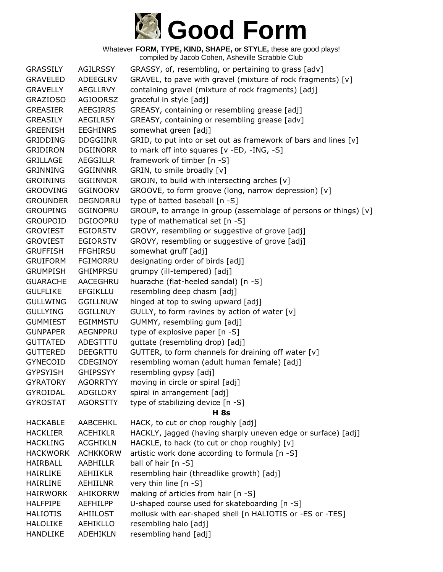

Whatever **FORM, TYPE, KIND, SHAPE, or STYLE,** these are good plays! compiled by Jacob Cohen, Asheville Scrabble Club

GRASSILY AGILRSSY GRASSY, of, resembling, or pertaining to grass [adv] GRAVELED ADEEGLRV GRAVEL, to pave with gravel (mixture of rock fragments) [v] GRAVELLY AEGLLRVY containing gravel (mixture of rock fragments) [adj] GRAZIOSO AGIOORSZ graceful in style [adj] GREASIER AEEGIRRS GREASY, containing or resembling grease [adj] GREASILY AEGILRSY GREASY, containing or resembling grease [adv] GREENISH EEGHINRS somewhat green [adj] GRIDDING DDGGIINR GRID, to put into or set out as framework of bars and lines [v] GRIDIRON DGIINORR to mark off into squares [v -ED, -ING, -S] GRILLAGE AEGGILLR framework of timber [n -S] GRINNING GGIINNNR GRIN, to smile broadly [v] GROINING GGIINNOR GROIN, to build with intersecting arches [v] GROOVING GGINOORV GROOVE, to form groove (long, narrow depression) [v] GROUNDER DEGNORRU type of batted baseball [n -S] GROUPING GGINOPRU GROUP, to arrange in group (assemblage of persons or things) [v] GROUPOID DGIOOPRU type of mathematical set [n -S] GROVIEST EGIORSTV GROVY, resembling or suggestive of grove [adj] GROVIEST EGIORSTV GROVY, resembling or suggestive of grove [adj] GRUFFISH FFGHIRSU somewhat gruff [adj] GRUIFORM FGIMORRU designating order of birds [adj] GRUMPISH GHIMPRSU grumpy (ill-tempered) [adj] GUARACHE AACEGHRU huarache (flat-heeled sandal) [n -S] GULFLIKE EFGIKLLU resembling deep chasm [adj] GULLWING GGILLNUW hinged at top to swing upward [adj] GULLYING GGILLNUY GULLY, to form ravines by action of water [v] GUMMIEST EGIMMSTU GUMMY, resembling gum [adj] GUNPAPER AEGNPPRU type of explosive paper [n -S] GUTTATED ADEGTTTU guttate (resembling drop) [adj] GUTTERED DEEGRTTU GUTTER, to form channels for draining off water [v] GYNECOID CDEGINOY resembling woman (adult human female) [adj] GYPSYISH GHIPSSYY resembling gypsy [adj] GYRATORY AGORRTYY moving in circle or spiral [adj] GYROIDAL ADGILORY spiral in arrangement [adj] GYROSTAT AGORSTTY type of stabilizing device [n -S] **H 8s** HACKABLE AABCEHKL HACK, to cut or chop roughly [adj] HACKLIER ACEHIKLR HACKLY, jagged (having sharply uneven edge or surface) [adj] HACKLING ACGHIKLN HACKLE, to hack (to cut or chop roughly) [v] HACKWORK ACHKKORW artistic work done according to formula [n -S] HAIRBALL AABHILLR ball of hair [n -S] HAIRLIKE AEHIIKLR resembling hair (threadlike growth) [adj] HAIRLINE AEHIILNR very thin line [n -S] HAIRWORK AHIKORRW making of articles from hair [n -S] HALFPIPE AEFHILPP U-shaped course used for skateboarding [n -S] HALIOTIS AHIILOST mollusk with ear-shaped shell [n HALIOTIS or -ES or -TES] HALOLIKE AEHIKLLO resembling halo [adj] HANDLIKE ADEHIKLN resembling hand [adj]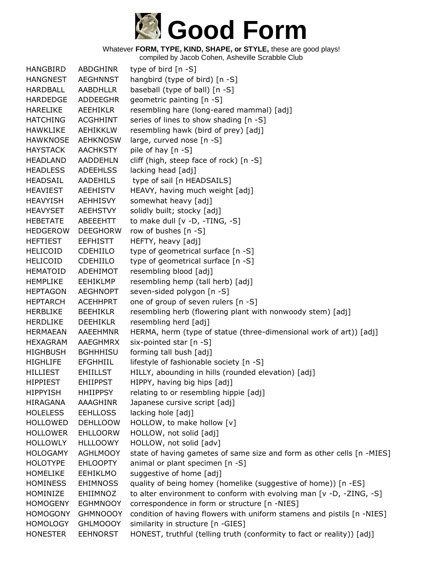

| <b>HANGBIRD</b> | ABDGHINR        | type of bird $[n - S]$                                                 |
|-----------------|-----------------|------------------------------------------------------------------------|
| <b>HANGNEST</b> | <b>AEGHNNST</b> | hangbird (type of bird) [n -S]                                         |
| HARDBALL        | <b>AABDHLLR</b> | baseball (type of ball) [n -S]                                         |
| <b>HARDEDGE</b> | <b>ADDEEGHR</b> | geometric painting [n -S]                                              |
| <b>HARELIKE</b> | <b>AEEHIKLR</b> | resembling hare (long-eared mammal) [adj]                              |
| <b>HATCHING</b> | <b>ACGHHINT</b> | series of lines to show shading [n -S]                                 |
| <b>HAWKLIKE</b> | <b>AEHIKKLW</b> | resembling hawk (bird of prey) [adj]                                   |
| <b>HAWKNOSE</b> | <b>AEHKNOSW</b> | large, curved nose [n -S]                                              |
| <b>HAYSTACK</b> | <b>AACHKSTY</b> | pile of hay [n -S]                                                     |
| <b>HEADLAND</b> | <b>AADDEHLN</b> | cliff (high, steep face of rock) [n -S]                                |
| <b>HEADLESS</b> | <b>ADEEHLSS</b> | lacking head [adj]                                                     |
| <b>HEADSAIL</b> | AADEHILS        | type of sail [n HEADSAILS]                                             |
| <b>HEAVIEST</b> | AEEHISTV        | HEAVY, having much weight [adj]                                        |
| <b>HEAVYISH</b> | <b>AEHHISVY</b> | somewhat heavy [adj]                                                   |
| <b>HEAVYSET</b> | <b>AEEHSTVY</b> | solidly built; stocky [adj]                                            |
| <b>HEBETATE</b> | ABEEEHTT        | to make dull [v -D, -TING, -S]                                         |
| <b>HEDGEROW</b> | <b>DEEGHORW</b> | row of bushes [n -S]                                                   |
| <b>HEFTIEST</b> | <b>EEFHISTT</b> | HEFTY, heavy [adj]                                                     |
| <b>HELICOID</b> | <b>CDEHIILO</b> | type of geometrical surface [n -S]                                     |
| <b>HELICOID</b> | <b>CDEHIILO</b> | type of geometrical surface [n -S]                                     |
| <b>HEMATOID</b> | ADEHIMOT        | resembling blood [adj]                                                 |
| <b>HEMPLIKE</b> | <b>EEHIKLMP</b> | resembling hemp (tall herb) [adj]                                      |
| <b>HEPTAGON</b> | <b>AEGHNOPT</b> | seven-sided polygon [n -S]                                             |
| <b>HEPTARCH</b> | <b>ACEHHPRT</b> | one of group of seven rulers [n -S]                                    |
| <b>HERBLIKE</b> | <b>BEEHIKLR</b> | resembling herb (flowering plant with nonwoody stem) [adj]             |
| <b>HERDLIKE</b> | <b>DEEHIKLR</b> | resembling herd [adj]                                                  |
| <b>HERMAEAN</b> | <b>AAEEHMNR</b> | HERMA, herm (type of statue (three-dimensional work of art)) [adj]     |
| <b>HEXAGRAM</b> | AAEGHMRX        | six-pointed star [n -S]                                                |
| <b>HIGHBUSH</b> | <b>BGHHHISU</b> | forming tall bush [adj]                                                |
| <b>HIGHLIFE</b> | <b>EFGHHIIL</b> | lifestyle of fashionable society [n -S]                                |
| <b>HILLIEST</b> | <b>EHIILLST</b> | HILLY, abounding in hills (rounded elevation) [adj]                    |
| <b>HIPPIEST</b> | <b>EHIIPPST</b> | HIPPY, having big hips [adj]                                           |
| <b>HIPPYISH</b> | <b>HHIIPPSY</b> | relating to or resembling hippie [adj]                                 |
| HIRAGANA        | AAAGHINR        | Japanese cursive script [adj]                                          |
| <b>HOLELESS</b> | <b>EEHLLOSS</b> | lacking hole [adj]                                                     |
| <b>HOLLOWED</b> | <b>DEHLLOOW</b> | HOLLOW, to make hollow [v]                                             |
| <b>HOLLOWER</b> | <b>EHLLOORW</b> | HOLLOW, not solid [adj]                                                |
| <b>HOLLOWLY</b> | <b>HLLLOOWY</b> | HOLLOW, not solid [adv]                                                |
| <b>HOLOGAMY</b> | <b>AGHLMOOY</b> | state of having gametes of same size and form as other cells [n -MIES] |
| <b>HOLOTYPE</b> | <b>EHLOOPTY</b> | animal or plant specimen [n -S]                                        |
| <b>HOMELIKE</b> | <b>EEHIKLMO</b> | suggestive of home [adj]                                               |
| <b>HOMINESS</b> | <b>EHIMNOSS</b> | quality of being homey (homelike (suggestive of home)) [n -ES]         |
| HOMINIZE        | EHIIMNOZ        | to alter environment to conform with evolving man [v -D, -ZING, -S]    |
| <b>HOMOGENY</b> | <b>EGHMNOOY</b> | correspondence in form or structure [n -NIES]                          |
| <b>HOMOGONY</b> | <b>GHMNOOOY</b> | condition of having flowers with uniform stamens and pistils [n -NIES] |
| <b>HOMOLOGY</b> | <b>GHLMOOOY</b> | similarity in structure [n -GIES]                                      |
| <b>HONESTER</b> | <b>EEHNORST</b> | HONEST, truthful (telling truth (conformity to fact or reality)) [adj] |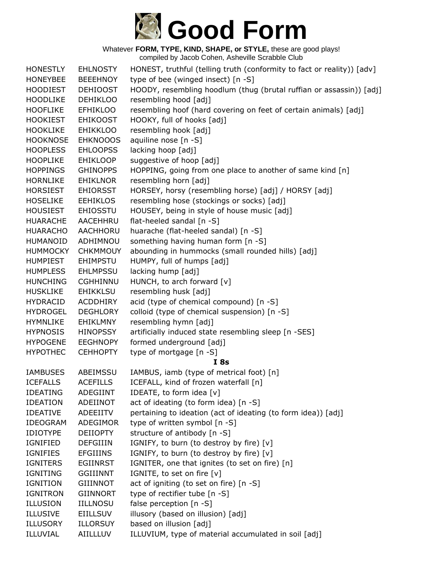

Whatever **FORM, TYPE, KIND, SHAPE, or STYLE,** these are good plays! compiled by Jacob Cohen, Asheville Scrabble Club

| <b>HONESTLY</b> | <b>EHLNOSTY</b> | HONEST, truthful (telling truth (conformity to fact or reality)) [adv] |
|-----------------|-----------------|------------------------------------------------------------------------|
| <b>HONEYBEE</b> | <b>BEEEHNOY</b> | type of bee (winged insect) [n -S]                                     |
| <b>HOODIEST</b> | <b>DEHIOOST</b> | HOODY, resembling hoodlum (thug (brutal ruffian or assassin)) [adj]    |
| <b>HOODLIKE</b> | <b>DEHIKLOO</b> | resembling hood [adj]                                                  |
| <b>HOOFLIKE</b> | <b>EFHIKLOO</b> | resembling hoof (hard covering on feet of certain animals) [adj]       |
| <b>HOOKIEST</b> | <b>EHIKOOST</b> | HOOKY, full of hooks [adj]                                             |
| <b>HOOKLIKE</b> | <b>EHIKKLOO</b> | resembling hook [adj]                                                  |
| <b>HOOKNOSE</b> | <b>EHKNOOOS</b> | aquiline nose [n -S]                                                   |
| <b>HOOPLESS</b> | <b>EHLOOPSS</b> | lacking hoop [adj]                                                     |
| <b>HOOPLIKE</b> | <b>EHIKLOOP</b> | suggestive of hoop [adj]                                               |
| <b>HOPPINGS</b> | <b>GHINOPPS</b> | HOPPING, going from one place to another of same kind [n]              |
| <b>HORNLIKE</b> | <b>EHIKLNOR</b> | resembling horn [adj]                                                  |
| <b>HORSIEST</b> | <b>EHIORSST</b> | HORSEY, horsy (resembling horse) [adj] / HORSY [adj]                   |
| <b>HOSELIKE</b> | <b>EEHIKLOS</b> | resembling hose (stockings or socks) [adj]                             |
| <b>HOUSIEST</b> | <b>EHIOSSTU</b> | HOUSEY, being in style of house music [adj]                            |
| <b>HUARACHE</b> | AACEHHRU        | flat-heeled sandal [n -S]                                              |
| <b>HUARACHO</b> | <b>AACHHORU</b> | huarache (flat-heeled sandal) [n -S]                                   |
| <b>HUMANOID</b> | ADHIMNOU        | something having human form [n -S]                                     |
| <b>HUMMOCKY</b> | <b>CHKMMOUY</b> | abounding in hummocks (small rounded hills) [adj]                      |
| <b>HUMPIEST</b> | <b>EHIMPSTU</b> | HUMPY, full of humps [adj]                                             |
| <b>HUMPLESS</b> | <b>EHLMPSSU</b> | lacking hump [adj]                                                     |
| <b>HUNCHING</b> | <b>CGHHINNU</b> | HUNCH, to arch forward [v]                                             |
| <b>HUSKLIKE</b> | <b>EHIKKLSU</b> | resembling husk [adj]                                                  |
| <b>HYDRACID</b> | <b>ACDDHIRY</b> | acid (type of chemical compound) [n -S]                                |
| <b>HYDROGEL</b> | <b>DEGHLORY</b> | colloid (type of chemical suspension) [n -S]                           |
| <b>HYMNLIKE</b> | EHIKLMNY        | resembling hymn [adj]                                                  |
| <b>HYPNOSIS</b> | <b>HINOPSSY</b> | artificially induced state resembling sleep [n -SES]                   |
| <b>HYPOGENE</b> | <b>EEGHNOPY</b> | formed underground [adj]                                               |
| <b>HYPOTHEC</b> | <b>CEHHOPTY</b> | type of mortgage [n -S]                                                |
|                 |                 | I 8s                                                                   |
| <b>IAMBUSES</b> | ABEIMSSU        | IAMBUS, iamb (type of metrical foot) [n]                               |
| <b>ICEFALLS</b> | <b>ACEFILLS</b> | ICEFALL, kind of frozen waterfall [n]                                  |
| <b>IDEATING</b> | ADEGIINT        | IDEATE, to form idea [v]                                               |
| <b>IDEATION</b> | ADEIINOT        | act of ideating (to form idea) [n -S]                                  |
| <b>IDEATIVE</b> | ADEEIITV        | pertaining to ideation (act of ideating (to form idea)) [adj]          |
| <b>IDEOGRAM</b> | ADEGIMOR        | type of written symbol [n -S]                                          |
| <b>IDIOTYPE</b> | <b>DEIIOPTY</b> | structure of antibody [n -S]                                           |
| IGNIFIED        | <b>DEFGIIIN</b> | IGNIFY, to burn (to destroy by fire) [v]                               |
| <b>IGNIFIES</b> | <b>EFGIIINS</b> | IGNIFY, to burn (to destroy by fire) [v]                               |
| <b>IGNITERS</b> | <b>EGIINRST</b> | IGNITER, one that ignites (to set on fire) [n]                         |
| <b>IGNITING</b> | <b>GGIIINNT</b> | IGNITE, to set on fire [v]                                             |
| <b>IGNITION</b> | <b>GIIINNOT</b> | act of igniting (to set on fire) [n -S]                                |
| <b>IGNITRON</b> | <b>GIINNORT</b> | type of rectifier tube [n -S]                                          |
| <b>ILLUSION</b> | <b>IILLNOSU</b> | false perception [n -S]                                                |
| <b>ILLUSIVE</b> | <b>EIILLSUV</b> | illusory (based on illusion) [adj]                                     |
| <b>ILLUSORY</b> | <b>ILLORSUY</b> | based on illusion [adj]                                                |
| ILLUVIAL        | AIILLLUV        | ILLUVIUM, type of material accumulated in soil [adj]                   |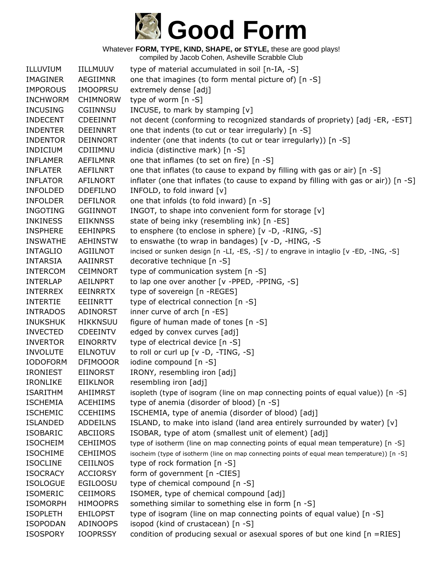# **Good Form**

Whatever **FORM, TYPE, KIND, SHAPE, or STYLE,** these are good plays!

| ILLUVIUM        | <b>IILLMUUV</b> | type of material accumulated in soil [n-IA, -S]                                              |
|-----------------|-----------------|----------------------------------------------------------------------------------------------|
| <b>IMAGINER</b> | AEGIIMNR        | one that imagines (to form mental picture of) [n -S]                                         |
| <b>IMPOROUS</b> | <b>IMOOPRSU</b> | extremely dense [adj]                                                                        |
| <b>INCHWORM</b> | <b>CHIMNORW</b> | type of worm [n -S]                                                                          |
| <b>INCUSING</b> | <b>CGIINNSU</b> | INCUSE, to mark by stamping [v]                                                              |
| <b>INDECENT</b> | <b>CDEEINNT</b> | not decent (conforming to recognized standards of propriety) [adj -ER, -EST]                 |
| <b>INDENTER</b> | <b>DEEINNRT</b> | one that indents (to cut or tear irregularly) [n -S]                                         |
| <b>INDENTOR</b> | <b>DEINNORT</b> | indenter (one that indents (to cut or tear irregularly)) [n -S]                              |
| <b>INDICIUM</b> | CDIIIMNU        | indicia (distinctive mark) [n -S]                                                            |
| <b>INFLAMER</b> | <b>AEFILMNR</b> | one that inflames (to set on fire) [n -S]                                                    |
| <b>INFLATER</b> | AEFILNRT        | one that inflates (to cause to expand by filling with gas or air) [n -S]                     |
| <b>INFLATOR</b> | <b>AFILNORT</b> | inflater (one that inflates (to cause to expand by filling with gas or air)) [n -S]          |
| <b>INFOLDED</b> | <b>DDEFILNO</b> | INFOLD, to fold inward [v]                                                                   |
| <b>INFOLDER</b> | <b>DEFILNOR</b> | one that infolds (to fold inward) [n -S]                                                     |
| <b>INGOTING</b> | <b>GGIINNOT</b> | INGOT, to shape into convenient form for storage [v]                                         |
| <b>INKINESS</b> | <b>EIIKNNSS</b> | state of being inky (resembling ink) [n -ES]                                                 |
| <b>INSPHERE</b> | <b>EEHINPRS</b> | to ensphere (to enclose in sphere) [v -D, -RING, -S]                                         |
| <b>INSWATHE</b> | <b>AEHINSTW</b> | to enswathe (to wrap in bandages) [v -D, -HING, -S                                           |
| <b>INTAGLIO</b> | AGIILNOT        | incised or sunken design [n -LI, -ES, -S] / to engrave in intaglio [v -ED, -ING, -S]         |
| <b>INTARSIA</b> | AAIINRST        | decorative technique [n -S]                                                                  |
| <b>INTERCOM</b> | <b>CEIMNORT</b> | type of communication system [n -S]                                                          |
| <b>INTERLAP</b> | <b>AEILNPRT</b> | to lap one over another [v -PPED, -PPING, -S]                                                |
| <b>INTERREX</b> | <b>EEINRRTX</b> | type of sovereign [n -REGES]                                                                 |
| <b>INTERTIE</b> | <b>EEIINRTT</b> | type of electrical connection [n -S]                                                         |
| <b>INTRADOS</b> | ADINORST        | inner curve of arch [n -ES]                                                                  |
| <b>INUKSHUK</b> | <b>HIKKNSUU</b> | figure of human made of tones [n -S]                                                         |
| <b>INVECTED</b> | <b>CDEEINTV</b> | edged by convex curves [adj]                                                                 |
| <b>INVERTOR</b> | <b>EINORRTV</b> | type of electrical device [n -S]                                                             |
| <b>INVOLUTE</b> | <b>EILNOTUV</b> | to roll or curl up [v -D, -TING, -S]                                                         |
| <b>IODOFORM</b> | <b>DFIMOOOR</b> | iodine compound [n -S]                                                                       |
| <b>IRONIEST</b> | <b>EIINORST</b> | IRONY, resembling iron [adj]                                                                 |
| <b>IRONLIKE</b> | <b>EIIKLNOR</b> | resembling iron [adj]                                                                        |
| <b>ISARITHM</b> | AHIIMRST        | isopleth (type of isogram (line on map connecting points of equal value)) [n -S]             |
| <b>ISCHEMIA</b> | <b>ACEHIIMS</b> | type of anemia (disorder of blood) [n -S]                                                    |
| <b>ISCHEMIC</b> | <b>CCEHIIMS</b> | ISCHEMIA, type of anemia (disorder of blood) [adj]                                           |
| <b>ISLANDED</b> | <b>ADDEILNS</b> | ISLAND, to make into island (land area entirely surrounded by water) [v]                     |
| <b>ISOBARIC</b> | <b>ABCIIORS</b> | ISOBAR, type of atom (smallest unit of element) [adj]                                        |
| <b>ISOCHEIM</b> | <b>CEHIIMOS</b> | type of isotherm (line on map connecting points of equal mean temperature) [n -S]            |
| <b>ISOCHIME</b> | <b>CEHIIMOS</b> | isocheim (type of isotherm (line on map connecting points of equal mean temperature)) [n -S] |
| <b>ISOCLINE</b> | <b>CEIILNOS</b> | type of rock formation [n -S]                                                                |
| <b>ISOCRACY</b> | <b>ACCIORSY</b> | form of government [n -CIES]                                                                 |
| <b>ISOLOGUE</b> | <b>EGILOOSU</b> | type of chemical compound [n -S]                                                             |
| <b>ISOMERIC</b> | <b>CEIIMORS</b> | ISOMER, type of chemical compound [adj]                                                      |
| <b>ISOMORPH</b> | <b>HIMOOPRS</b> | something similar to something else in form [n -S]                                           |
| <b>ISOPLETH</b> | <b>EHILOPST</b> | type of isogram (line on map connecting points of equal value) [n -S]                        |
| <b>ISOPODAN</b> | ADINOOPS        | isopod (kind of crustacean) [n -S]                                                           |
| <b>ISOSPORY</b> | <b>IOOPRSSY</b> | condition of producing sexual or asexual spores of but one kind $[n = RIES]$                 |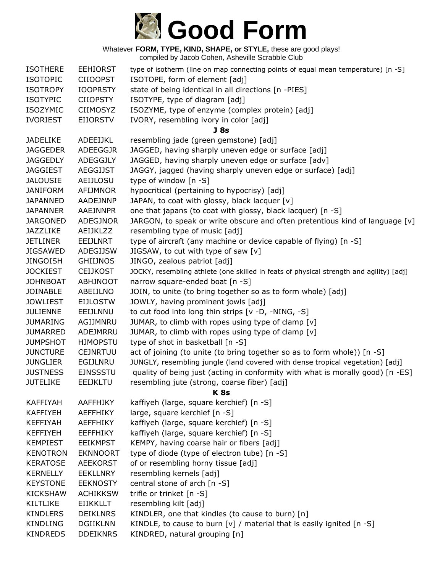

| <b>ISOTHERE</b> | <b>EEHIORST</b> | type of isotherm (line on map connecting points of equal mean temperature) [n -S]       |
|-----------------|-----------------|-----------------------------------------------------------------------------------------|
| <b>ISOTOPIC</b> | <b>CIIOOPST</b> | ISOTOPE, form of element [adj]                                                          |
| <b>ISOTROPY</b> | <b>IOOPRSTY</b> | state of being identical in all directions [n -PIES]                                    |
| <b>ISOTYPIC</b> | <b>CIIOPSTY</b> | ISOTYPE, type of diagram [adj]                                                          |
| <b>ISOZYMIC</b> | <b>CIIMOSYZ</b> | ISOZYME, type of enzyme (complex protein) [adj]                                         |
| <b>IVORIEST</b> | <b>EIIORSTV</b> | IVORY, resembling ivory in color [adj]                                                  |
|                 |                 | J <sub>8s</sub>                                                                         |
| <b>JADELIKE</b> | ADEEIJKL        | resembling jade (green gemstone) [adj]                                                  |
| <b>JAGGEDER</b> | <b>ADEEGGJR</b> | JAGGED, having sharply uneven edge or surface [adj]                                     |
| <b>JAGGEDLY</b> | ADEGGJLY        | JAGGED, having sharply uneven edge or surface [adv]                                     |
| <b>JAGGIEST</b> | <b>AEGGIJST</b> | JAGGY, jagged (having sharply uneven edge or surface) [adj]                             |
| <b>JALOUSIE</b> | AEIJLOSU        | type of window [n -S]                                                                   |
| <b>JANIFORM</b> | AFIJMNOR        | hypocritical (pertaining to hypocrisy) [adj]                                            |
| <b>JAPANNED</b> | AADEJNNP        | JAPAN, to coat with glossy, black lacquer [v]                                           |
| <b>JAPANNER</b> | AAEJNNPR        | one that japans (to coat with glossy, black lacquer) [n -S]                             |
| <b>JARGONED</b> | <b>ADEGJNOR</b> | JARGON, to speak or write obscure and often pretentious kind of language $[v]$          |
| <b>JAZZLIKE</b> | <b>AEIJKLZZ</b> | resembling type of music [adj]                                                          |
| <b>JETLINER</b> | <b>EEIJLNRT</b> | type of aircraft (any machine or device capable of flying) [n -S]                       |
| <b>JIGSAWED</b> | ADEGIJSW        | JIGSAW, to cut with type of saw [v]                                                     |
| <b>JINGOISH</b> | <b>GHIIJNOS</b> | JINGO, zealous patriot [adj]                                                            |
| <b>JOCKIEST</b> | <b>CEIJKOST</b> | JOCKY, resembling athlete (one skilled in feats of physical strength and agility) [adj] |
| <b>JOHNBOAT</b> | <b>ABHJNOOT</b> | narrow square-ended boat [n -S]                                                         |
| <b>JOINABLE</b> | ABEIJLNO        | JOIN, to unite (to bring together so as to form whole) [adj]                            |
| <b>JOWLIEST</b> | <b>EIJLOSTW</b> | JOWLY, having prominent jowls [adj]                                                     |
| <b>JULIENNE</b> | EEIJLNNU        | to cut food into long thin strips [v -D, -NING, -S]                                     |
| <b>JUMARING</b> | AGIJMNRU        | JUMAR, to climb with ropes using type of clamp [v]                                      |
| <b>JUMARRED</b> | ADEJMRRU        | JUMAR, to climb with ropes using type of clamp [v]                                      |
| <b>JUMPSHOT</b> | <b>HJMOPSTU</b> | type of shot in basketball [n -S]                                                       |
| <b>JUNCTURE</b> | <b>CEJNRTUU</b> | act of joining (to unite (to bring together so as to form whole)) [n -S]                |
| <b>JUNGLIER</b> | EGIJLNRU        | JUNGLY, resembling jungle (land covered with dense tropical vegetation) [adj]           |
| <b>JUSTNESS</b> | <b>EJNSSSTU</b> | quality of being just (acting in conformity with what is morally good) [n -ES]          |
| <b>JUTELIKE</b> | <b>EEIJKLTU</b> | resembling jute (strong, coarse fiber) [adj]                                            |
|                 |                 | <b>K8s</b>                                                                              |
| <b>KAFFIYAH</b> | AAFFHIKY        | kaffiyeh (large, square kerchief) [n -S]                                                |
| <b>KAFFIYEH</b> | <b>AEFFHIKY</b> | large, square kerchief [n -S]                                                           |
| <b>KEFFIYAH</b> | <b>AEFFHIKY</b> | kaffiyeh (large, square kerchief) [n -S]                                                |
| <b>KEFFIYEH</b> | <b>EEFFHIKY</b> | kaffiyeh (large, square kerchief) [n -S]                                                |
| <b>KEMPIEST</b> | <b>EEIKMPST</b> | KEMPY, having coarse hair or fibers [adj]                                               |
| <b>KENOTRON</b> | <b>EKNNOORT</b> | type of diode (type of electron tube) [n -S]                                            |
| <b>KERATOSE</b> | <b>AEEKORST</b> | of or resembling horny tissue [adj]                                                     |
| <b>KERNELLY</b> | <b>EEKLLNRY</b> | resembling kernels [adj]                                                                |
| <b>KEYSTONE</b> | <b>EEKNOSTY</b> | central stone of arch [n -S]                                                            |
| <b>KICKSHAW</b> | <b>ACHIKKSW</b> | trifle or trinket [n -S]                                                                |
| <b>KILTLIKE</b> | <b>EIIKKLLT</b> | resembling kilt [adj]                                                                   |
| <b>KINDLERS</b> | <b>DEIKLNRS</b> | KINDLER, one that kindles (to cause to burn) [n]                                        |
| <b>KINDLING</b> | <b>DGIIKLNN</b> | KINDLE, to cause to burn $[v]$ / material that is easily ignited $[n - S]$              |
| <b>KINDREDS</b> | <b>DDEIKNRS</b> | KINDRED, natural grouping [n]                                                           |
|                 |                 |                                                                                         |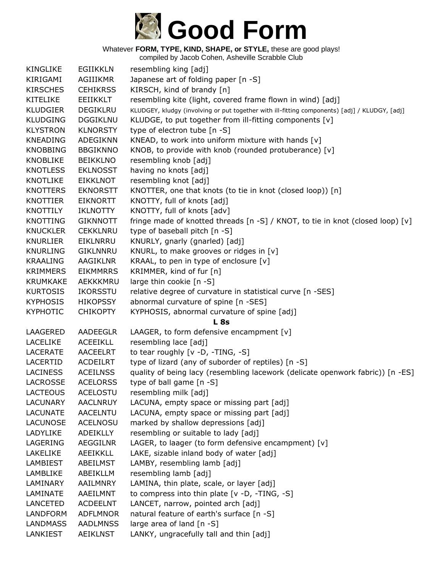

| <b>KINGLIKE</b> | <b>EGIIKKLN</b> | resembling king [adj]                                                                         |
|-----------------|-----------------|-----------------------------------------------------------------------------------------------|
| KIRIGAMI        | AGIIIKMR        | Japanese art of folding paper [n -S]                                                          |
| <b>KIRSCHES</b> | <b>CEHIKRSS</b> | KIRSCH, kind of brandy [n]                                                                    |
| <b>KITELIKE</b> | <b>EEIIKKLT</b> | resembling kite (light, covered frame flown in wind) [adj]                                    |
| <b>KLUDGIER</b> | DEGIKLRU        | KLUDGEY, kludgy (involving or put together with ill-fitting components) [adj] / KLUDGY, [adj] |
| <b>KLUDGING</b> | <b>DGGIKLNU</b> | KLUDGE, to put together from ill-fitting components [v]                                       |
| <b>KLYSTRON</b> | <b>KLNORSTY</b> | type of electron tube [n -S]                                                                  |
| <b>KNEADING</b> | ADEGIKNN        | KNEAD, to work into uniform mixture with hands [v]                                            |
| <b>KNOBBING</b> | <b>BBGIKNNO</b> | KNOB, to provide with knob (rounded protuberance) [v]                                         |
| <b>KNOBLIKE</b> | <b>BEIKKLNO</b> | resembling knob [adj]                                                                         |
| <b>KNOTLESS</b> | <b>EKLNOSST</b> | having no knots [adj]                                                                         |
| <b>KNOTLIKE</b> | <b>EIKKLNOT</b> | resembling knot [adj]                                                                         |
| <b>KNOTTERS</b> | <b>EKNORSTT</b> | KNOTTER, one that knots (to tie in knot (closed loop)) [n]                                    |
| <b>KNOTTIER</b> | <b>EIKNORTT</b> | KNOTTY, full of knots [adj]                                                                   |
| <b>KNOTTILY</b> | <b>IKLNOTTY</b> | KNOTTY, full of knots [adv]                                                                   |
| <b>KNOTTING</b> | <b>GIKNNOTT</b> | fringe made of knotted threads [n -S] / KNOT, to tie in knot (closed loop) [v]                |
| <b>KNUCKLER</b> | <b>CEKKLNRU</b> | type of baseball pitch [n -S]                                                                 |
| <b>KNURLIER</b> | EIKLNRRU        | KNURLY, gnarly (gnarled) [adj]                                                                |
| <b>KNURLING</b> | <b>GIKLNNRU</b> | KNURL, to make grooves or ridges in [v]                                                       |
| <b>KRAALING</b> | <b>AAGIKLNR</b> | KRAAL, to pen in type of enclosure [v]                                                        |
| <b>KRIMMERS</b> | <b>EIKMMRRS</b> | KRIMMER, kind of fur [n]                                                                      |
| <b>KRUMKAKE</b> | AEKKKMRU        | large thin cookie [n -S]                                                                      |
| <b>KURTOSIS</b> | <b>IKORSSTU</b> | relative degree of curvature in statistical curve [n -SES]                                    |
| <b>KYPHOSIS</b> | <b>HIKOPSSY</b> | abnormal curvature of spine [n -SES]                                                          |
| <b>KYPHOTIC</b> | <b>CHIKOPTY</b> | KYPHOSIS, abnormal curvature of spine [adj]                                                   |
|                 |                 | <b>L</b> 8s                                                                                   |
| LAAGERED        | AADEEGLR        | LAAGER, to form defensive encampment [v]                                                      |
| <b>LACELIKE</b> | <b>ACEEIKLL</b> | resembling lace [adj]                                                                         |
| <b>LACERATE</b> | <b>AACEELRT</b> | to tear roughly [v -D, -TING, -S]                                                             |
| LACERTID        | <b>ACDEILRT</b> | type of lizard (any of suborder of reptiles) [n -S]                                           |
| <b>LACINESS</b> | <b>ACEILNSS</b> | quality of being lacy (resembling lacework (delicate openwork fabric)) [n -ES]                |
| <b>LACROSSE</b> | <b>ACELORSS</b> | type of ball game [n -S]                                                                      |
| LACTEOUS        | <b>ACELOSTU</b> | resembling milk [adj]                                                                         |
| <b>LACUNARY</b> | <b>AACLNRUY</b> | LACUNA, empty space or missing part [adj]                                                     |
| <b>LACUNATE</b> | <b>AACELNTU</b> | LACUNA, empty space or missing part [adj]                                                     |
| <b>LACUNOSE</b> | <b>ACELNOSU</b> | marked by shallow depressions [adj]                                                           |
| LADYLIKE        | <b>ADEIKLLY</b> | resembling or suitable to lady [adj]                                                          |
| LAGERING        | <b>AEGGILNR</b> | LAGER, to laager (to form defensive encampment) [v]                                           |
| LAKELIKE        | AEEIKKLL        | LAKE, sizable inland body of water [adj]                                                      |
| LAMBIEST        | ABEILMST        | LAMBY, resembling lamb [adj]                                                                  |
| LAMBLIKE        | ABEIKLLM        | resembling lamb [adj]                                                                         |
| LAMINARY        | AAILMNRY        | LAMINA, thin plate, scale, or layer [adj]                                                     |
| LAMINATE        | AAEILMNT        | to compress into thin plate [v -D, -TING, -S]                                                 |
| <b>LANCETED</b> | <b>ACDEELNT</b> | LANCET, narrow, pointed arch [adj]                                                            |
| <b>LANDFORM</b> | <b>ADFLMNOR</b> | natural feature of earth's surface [n -S]                                                     |
| <b>LANDMASS</b> | <b>AADLMNSS</b> | large area of land [n -S]                                                                     |
| LANKIEST        | <b>AEIKLNST</b> | LANKY, ungracefully tall and thin [adj]                                                       |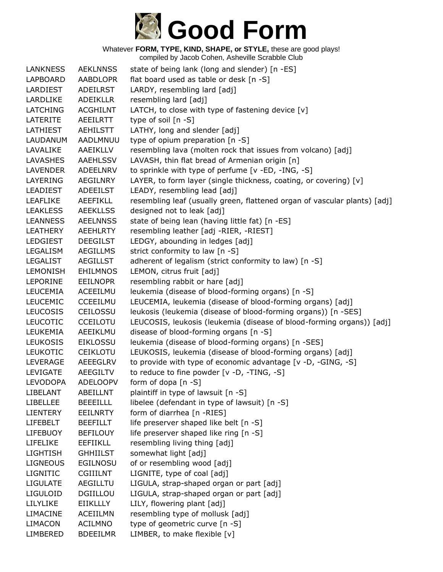

| <b>LANKNESS</b> | <b>AEKLNNSS</b> | state of being lank (long and slender) [n -ES]                            |
|-----------------|-----------------|---------------------------------------------------------------------------|
| LAPBOARD        | <b>AABDLOPR</b> | flat board used as table or desk [n -S]                                   |
| LARDIEST        | <b>ADEILRST</b> | LARDY, resembling lard [adj]                                              |
| LARDLIKE        | <b>ADEIKLLR</b> | resembling lard [adj]                                                     |
| <b>LATCHING</b> | <b>ACGHILNT</b> | LATCH, to close with type of fastening device [v]                         |
| <b>LATERITE</b> | AEEILRTT        | type of soil $[n -S]$                                                     |
| LATHIEST        | <b>AEHILSTT</b> | LATHY, long and slender [adj]                                             |
| LAUDANUM        | AADLMNUU        | type of opium preparation [n -S]                                          |
| LAVALIKE        | AAEIKLLV        | resembling lava (molten rock that issues from volcano) [adj]              |
| LAVASHES        | AAEHLSSV        | LAVASH, thin flat bread of Armenian origin [n]                            |
| <b>LAVENDER</b> | ADEELNRV        | to sprinkle with type of perfume [v -ED, -ING, -S]                        |
| LAYERING        | AEGILNRY        | LAYER, to form layer (single thickness, coating, or covering) [v]         |
| <b>LEADIEST</b> | <b>ADEEILST</b> | LEADY, resembling lead [adj]                                              |
| <b>LEAFLIKE</b> | <b>AEEFIKLL</b> | resembling leaf (usually green, flattened organ of vascular plants) [adj] |
| <b>LEAKLESS</b> | <b>AEEKLLSS</b> | designed not to leak [adj]                                                |
| <b>LEANNESS</b> | <b>AEELNNSS</b> | state of being lean (having little fat) [n -ES]                           |
| <b>LEATHERY</b> | <b>AEEHLRTY</b> | resembling leather [adj -RIER, -RIEST]                                    |
| <b>LEDGIEST</b> | <b>DEEGILST</b> | LEDGY, abounding in ledges [adj]                                          |
| LEGALISM        | <b>AEGILLMS</b> | strict conformity to law [n -S]                                           |
| <b>LEGALIST</b> | AEGILLST        | adherent of legalism (strict conformity to law) [n -S]                    |
| LEMONISH        | <b>EHILMNOS</b> | LEMON, citrus fruit [adj]                                                 |
| <b>LEPORINE</b> | <b>EEILNOPR</b> | resembling rabbit or hare [adj]                                           |
| <b>LEUCEMIA</b> | ACEEILMU        | leukemia (disease of blood-forming organs) [n -S]                         |
| <b>LEUCEMIC</b> | CCEEILMU        | LEUCEMIA, leukemia (disease of blood-forming organs) [adj]                |
| <b>LEUCOSIS</b> | CEILOSSU        | leukosis (leukemia (disease of blood-forming organs)) [n -SES]            |
| <b>LEUCOTIC</b> | <b>CCEILOTU</b> | LEUCOSIS, leukosis (leukemia (disease of blood-forming organs)) [adj]     |
| LEUKEMIA        | AEEIKLMU        | disease of blood-forming organs [n -S]                                    |
| <b>LEUKOSIS</b> | <b>EIKLOSSU</b> | leukemia (disease of blood-forming organs) [n -SES]                       |
| <b>LEUKOTIC</b> | <b>CEIKLOTU</b> | LEUKOSIS, leukemia (disease of blood-forming organs) [adj]                |
| LEVERAGE        | AEEEGLRV        | to provide with type of economic advantage [v -D, -GING, -S]              |
| LEVIGATE        | AEEGILTV        | to reduce to fine powder [v -D, -TING, -S]                                |
| <b>LEVODOPA</b> | <b>ADELOOPV</b> | form of dopa [n -S]                                                       |
| LIBELANT        | ABEILLNT        | plaintiff in type of lawsuit [n -S]                                       |
| <b>LIBELLEE</b> | <b>BEEEILLL</b> | libelee (defendant in type of lawsuit) [n -S]                             |
| <b>LIENTERY</b> | <b>EEILNRTY</b> | form of diarrhea [n -RIES]                                                |
| <b>LIFEBELT</b> | <b>BEEFILLT</b> | life preserver shaped like belt [n -S]                                    |
| <b>LIFEBUOY</b> | <b>BEFILOUY</b> | life preserver shaped like ring [n -S]                                    |
| LIFELIKE        | <b>EEFIIKLL</b> | resembling living thing [adj]                                             |
| <b>LIGHTISH</b> | <b>GHHIILST</b> | somewhat light [adj]                                                      |
| <b>LIGNEOUS</b> | <b>EGILNOSU</b> | of or resembling wood [adj]                                               |
| <b>LIGNITIC</b> | <b>CGIIILNT</b> | LIGNITE, type of coal [adj]                                               |
| <b>LIGULATE</b> | <b>AEGILLTU</b> | LIGULA, strap-shaped organ or part [adj]                                  |
| <b>LIGULOID</b> | DGIILLOU        | LIGULA, strap-shaped organ or part [adj]                                  |
| LILYLIKE        | <b>EIIKLLLY</b> | LILY, flowering plant [adj]                                               |
| <b>LIMACINE</b> | <b>ACEIILMN</b> | resembling type of mollusk [adj]                                          |
| <b>LIMACON</b>  | <b>ACILMNO</b>  | type of geometric curve [n -S]                                            |
| LIMBERED        | <b>BDEEILMR</b> | LIMBER, to make flexible [v]                                              |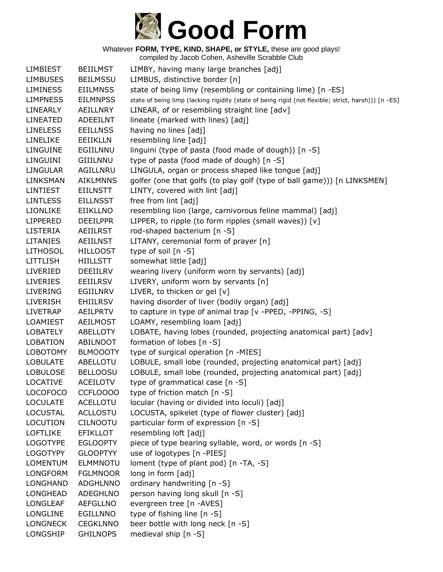

| <b>LIMBIEST</b> | <b>BEIILMST</b> | LIMBY, having many large branches [adj]                                                             |
|-----------------|-----------------|-----------------------------------------------------------------------------------------------------|
| <b>LIMBUSES</b> | <b>BEILMSSU</b> | LIMBUS, distinctive border [n]                                                                      |
| <b>LIMINESS</b> | <b>EIILMNSS</b> | state of being limy (resembling or containing lime) [n -ES]                                         |
| <b>LIMPNESS</b> | <b>EILMNPSS</b> | state of being limp (lacking rigidity (state of being rigid (not flexible; strict, harsh))) [n -ES] |
| LINEARLY        | <b>AEILLNRY</b> | LINEAR, of or resembling straight line [adv]                                                        |
| <b>LINEATED</b> | <b>ADEEILNT</b> | lineate (marked with lines) [adj]                                                                   |
| <b>LINELESS</b> | <b>EEILLNSS</b> | having no lines [adj]                                                                               |
| <b>LINELIKE</b> | EEIIKLLN        | resembling line [adj]                                                                               |
| LINGUINE        | EGIILNNU        | linguini (type of pasta (food made of dough)) [n -S]                                                |
| LINGUINI        | GIIILNNU        | type of pasta (food made of dough) [n -S]                                                           |
| <b>LINGULAR</b> | AGILLNRU        | LINGULA, organ or process shaped like tongue [adj]                                                  |
| LINKSMAN        | <b>AIKLMNNS</b> | golfer (one that golfs (to play golf (type of ball game))) [n LINKSMEN]                             |
| <b>LINTIEST</b> | <b>EIILNSTT</b> | LINTY, covered with lint [adj]                                                                      |
| <b>LINTLESS</b> | <b>EILLNSST</b> | free from lint [adj]                                                                                |
| LIONLIKE        | EIIKLLNO        | resembling lion (large, carnivorous feline mammal) [adj]                                            |
| <b>LIPPERED</b> | <b>DEEILPPR</b> | LIPPER, to ripple (to form ripples (small waves)) [v]                                               |
| <b>LISTERIA</b> | <b>AEIILRST</b> | rod-shaped bacterium [n -S]                                                                         |
| <b>LITANIES</b> | <b>AEIILNST</b> | LITANY, ceremonial form of prayer [n]                                                               |
| <b>LITHOSOL</b> | <b>HILLOOST</b> | type of soil [n -S]                                                                                 |
| <b>LITTLISH</b> | <b>HIILLSTT</b> | somewhat little [adj]                                                                               |
| LIVERIED        | DEEIILRV        | wearing livery (uniform worn by servants) [adj]                                                     |
| <b>LIVERIES</b> | <b>EEIILRSV</b> | LIVERY, uniform worn by servants [n]                                                                |
| <b>LIVERING</b> | EGIILNRV        | LIVER, to thicken or gel [v]                                                                        |
| <b>LIVERISH</b> | <b>EHIILRSV</b> | having disorder of liver (bodily organ) [adj]                                                       |
| <b>LIVETRAP</b> | AEILPRTV        | to capture in type of animal trap [v -PPED, -PPING, -S]                                             |
| LOAMIEST        | AEILMOST        | LOAMY, resembling loam [adj]                                                                        |
| <b>LOBATELY</b> | ABELLOTY        | LOBATE, having lobes (rounded, projecting anatomical part) [adv]                                    |
| <b>LOBATION</b> | ABILNOOT        | formation of lobes [n -S]                                                                           |
| <b>LOBOTOMY</b> | <b>BLMOOOTY</b> | type of surgical operation [n -MIES]                                                                |
| <b>LOBULATE</b> | ABELLOTU        | LOBULE, small lobe (rounded, projecting anatomical part) [adj]                                      |
| <b>LOBULOSE</b> | <b>BELLOOSU</b> | LOBULE, small lobe (rounded, projecting anatomical part) [adj]                                      |
| <b>LOCATIVE</b> | <b>ACEILOTV</b> | type of grammatical case [n -S]                                                                     |
| <b>LOCOFOCO</b> | CCFLOOOO        | type of friction match [n -S]                                                                       |
| <b>LOCULATE</b> | <b>ACELLOTU</b> | locular (having or divided into loculi) [adj]                                                       |
| <b>LOCUSTAL</b> | <b>ACLLOSTU</b> | LOCUSTA, spikelet (type of flower cluster) [adj]                                                    |
| <b>LOCUTION</b> | <b>CILNOOTU</b> | particular form of expression [n -S]                                                                |
| <b>LOFTLIKE</b> | <b>EFIKLLOT</b> | resembling loft [adj]                                                                               |
| <b>LOGOTYPE</b> | <b>EGLOOPTY</b> | piece of type bearing syllable, word, or words [n -S]                                               |
| <b>LOGOTYPY</b> | <b>GLOOPTYY</b> | use of logotypes [n -PIES]                                                                          |
| <b>LOMENTUM</b> | ELMMNOTU        | loment (type of plant pod) [n -TA, -S]                                                              |
| <b>LONGFORM</b> | <b>FGLMNOOR</b> | long in form [adj]                                                                                  |
| <b>LONGHAND</b> | <b>ADGHLNNO</b> | ordinary handwriting [n -S]                                                                         |
| LONGHEAD        | <b>ADEGHLNO</b> | person having long skull [n -S]                                                                     |
| LONGLEAF        | <b>AEFGLLNO</b> | evergreen tree [n -AVES]                                                                            |
| <b>LONGLINE</b> | <b>EGILLNNO</b> | type of fishing line [n -S]                                                                         |
| <b>LONGNECK</b> | <b>CEGKLNNO</b> | beer bottle with long neck [n -S]                                                                   |
| LONGSHIP        | <b>GHILNOPS</b> | medieval ship [n -S]                                                                                |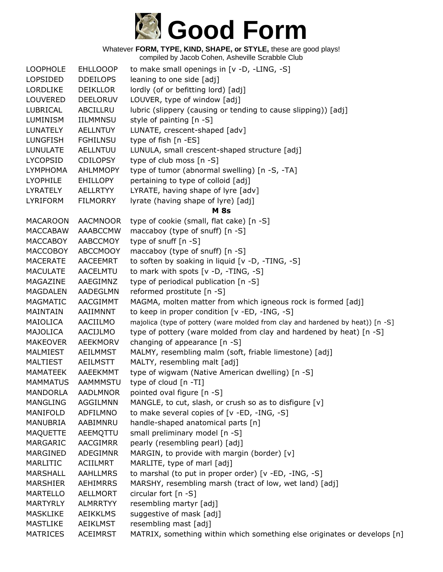

| <b>LOOPHOLE</b>                    | <b>EHLLOOOP</b>             | to make small openings in [v -D, -LING, -S]                                    |
|------------------------------------|-----------------------------|--------------------------------------------------------------------------------|
| LOPSIDED                           | <b>DDEILOPS</b>             | leaning to one side [adj]                                                      |
| <b>LORDLIKE</b>                    | <b>DEIKLLOR</b>             | lordly (of or befitting lord) [adj]                                            |
| LOUVERED                           | <b>DEELORUV</b>             | LOUVER, type of window [adj]                                                   |
| LUBRICAL                           | ABCILLRU                    | lubric (slippery (causing or tending to cause slipping)) [adj]                 |
| <b>LUMINISM</b>                    | IILMMNSU                    | style of painting [n -S]                                                       |
| <b>LUNATELY</b>                    | <b>AELLNTUY</b>             | LUNATE, crescent-shaped [adv]                                                  |
| <b>LUNGFISH</b>                    | <b>FGHILNSU</b>             | type of fish [n -ES]                                                           |
| <b>LUNULATE</b>                    | <b>AELLNTUU</b>             | LUNULA, small crescent-shaped structure [adj]                                  |
| <b>LYCOPSID</b>                    | <b>CDILOPSY</b>             | type of club moss [n -S]                                                       |
| <b>LYMPHOMA</b>                    | <b>AHLMMOPY</b>             | type of tumor (abnormal swelling) [n -S, -TA]                                  |
| <b>LYOPHILE</b>                    | <b>EHILLOPY</b>             | pertaining to type of colloid [adj]                                            |
| <b>LYRATELY</b>                    | <b>AELLRTYY</b>             | LYRATE, having shape of lyre [adv]                                             |
| <b>LYRIFORM</b>                    | <b>FILMORRY</b>             | lyrate (having shape of lyre) [adj]                                            |
|                                    |                             | <b>M</b> 8s                                                                    |
| <b>MACAROON</b>                    | <b>AACMNOOR</b>             | type of cookie (small, flat cake) [n -S]                                       |
| <b>MACCABAW</b>                    | AAABCCMW                    | maccaboy (type of snuff) [n -S]                                                |
| <b>MACCABOY</b>                    | AABCCMOY                    | type of snuff [n -S]                                                           |
| <b>MACCOBOY</b>                    | <b>ABCCMOOY</b>             | maccaboy (type of snuff) [n -S]                                                |
| <b>MACERATE</b>                    | <b>AACEEMRT</b>             | to soften by soaking in liquid [v -D, -TING, -S]                               |
| <b>MACULATE</b>                    | AACELMTU                    | to mark with spots [v -D, -TING, -S]                                           |
| MAGAZINE                           | AAEGIMNZ                    | type of periodical publication [n -S]                                          |
| <b>MAGDALEN</b>                    | AADEGLMN                    | reformed prostitute [n -S]                                                     |
| MAGMATIC                           | AACGIMMT                    | MAGMA, molten matter from which igneous rock is formed [adj]                   |
| MAINTAIN                           | AAIIMNNT                    | to keep in proper condition [v -ED, -ING, -S]                                  |
| MAIOLICA                           | AACIILMO                    | majolica (type of pottery (ware molded from clay and hardened by heat)) [n -S] |
| MAJOLICA                           | AACIJLMO                    | type of pottery (ware molded from clay and hardened by heat) [n -S]            |
| <b>MAKEOVER</b>                    | <b>AEEKMORV</b>             | changing of appearance [n -S]                                                  |
| MALMIEST                           | AEILMMST                    | MALMY, resembling malm (soft, friable limestone) [adj]                         |
| <b>MALTIEST</b><br><b>MAMATEEK</b> | <b>AEILMSTT</b>             | MALTY, resembling malt [adj]                                                   |
| <b>MAMMATUS</b>                    | AAEEKMMT<br><b>AAMMMSTU</b> | type of wigwam (Native American dwelling) [n -S]<br>type of cloud [n -TI]      |
| <b>MANDORLA</b>                    | <b>AADLMNOR</b>             | pointed oval figure [n -S]                                                     |
| MANGLING                           | AGGILMNN                    | MANGLE, to cut, slash, or crush so as to disfigure [v]                         |
| MANIFOLD                           | ADFILMNO                    | to make several copies of [v -ED, -ING, -S]                                    |
| MANUBRIA                           | AABIMNRU                    | handle-shaped anatomical parts [n]                                             |
| <b>MAQUETTE</b>                    | AEEMQTTU                    | small preliminary model [n -S]                                                 |
| <b>MARGARIC</b>                    | <b>AACGIMRR</b>             | pearly (resembling pearl) [adj]                                                |
| MARGINED                           | ADEGIMNR                    | MARGIN, to provide with margin (border) [v]                                    |
| MARLITIC                           | <b>ACIILMRT</b>             | MARLITE, type of marl [adj]                                                    |
| MARSHALL                           | <b>AAHLLMRS</b>             | to marshal (to put in proper order) [v -ED, -ING, -S]                          |
| <b>MARSHIER</b>                    | <b>AEHIMRRS</b>             | MARSHY, resembling marsh (tract of low, wet land) [adj]                        |
| <b>MARTELLO</b>                    | AELLMORT                    | circular fort [n -S]                                                           |
| <b>MARTYRLY</b>                    | <b>ALMRRTYY</b>             | resembling martyr [adj]                                                        |
| <b>MASKLIKE</b>                    | <b>AEIKKLMS</b>             | suggestive of mask [adj]                                                       |
| <b>MASTLIKE</b>                    | AEIKLMST                    | resembling mast [adj]                                                          |
| <b>MATRICES</b>                    | <b>ACEIMRST</b>             | MATRIX, something within which something else originates or develops [n]       |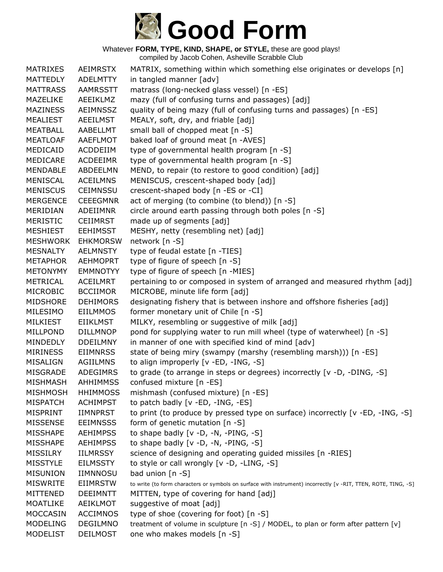

| <b>MATRIXES</b> | AEIMRSTX        | MATRIX, something within which something else originates or develops [n]                                       |
|-----------------|-----------------|----------------------------------------------------------------------------------------------------------------|
| <b>MATTEDLY</b> | <b>ADELMTTY</b> | in tangled manner [adv]                                                                                        |
| <b>MATTRASS</b> | <b>AAMRSSTT</b> | matrass (long-necked glass vessel) [n -ES]                                                                     |
| <b>MAZELIKE</b> | AEEIKLMZ        | mazy (full of confusing turns and passages) [adj]                                                              |
| <b>MAZINESS</b> | <b>AEIMNSSZ</b> | quality of being mazy (full of confusing turns and passages) [n -ES]                                           |
| <b>MEALIEST</b> | <b>AEEILMST</b> | MEALY, soft, dry, and friable [adj]                                                                            |
| <b>MEATBALL</b> | AABELLMT        | small ball of chopped meat [n -S]                                                                              |
| <b>MEATLOAF</b> | AAEFLMOT        | baked loaf of ground meat [n -AVES]                                                                            |
| MEDICAID        | ACDDEIIM        | type of governmental health program [n -S]                                                                     |
| MEDICARE        | <b>ACDEEIMR</b> | type of governmental health program [n -S]                                                                     |
| <b>MENDABLE</b> | ABDEELMN        | MEND, to repair (to restore to good condition) [adj]                                                           |
| <b>MENISCAL</b> | <b>ACEILMNS</b> | MENISCUS, crescent-shaped body [adj]                                                                           |
| <b>MENISCUS</b> | <b>CEIMNSSU</b> | crescent-shaped body [n -ES or -CI]                                                                            |
| <b>MERGENCE</b> | <b>CEEEGMNR</b> | act of merging (to combine (to blend)) [n -S]                                                                  |
| MERIDIAN        | ADEIIMNR        | circle around earth passing through both poles [n -S]                                                          |
| <b>MERISTIC</b> | <b>CEIIMRST</b> | made up of segments [adj]                                                                                      |
| <b>MESHIEST</b> | <b>EEHIMSST</b> | MESHY, netty (resembling net) [adj]                                                                            |
| <b>MESHWORK</b> | <b>EHKMORSW</b> | network [n -S]                                                                                                 |
| <b>MESNALTY</b> | <b>AELMNSTY</b> | type of feudal estate [n -TIES]                                                                                |
| <b>METAPHOR</b> | <b>AEHMOPRT</b> | type of figure of speech [n -S]                                                                                |
| <b>METONYMY</b> | <b>EMMNOTYY</b> | type of figure of speech [n -MIES]                                                                             |
| <b>METRICAL</b> | <b>ACEILMRT</b> | pertaining to or composed in system of arranged and measured rhythm [adj]                                      |
| <b>MICROBIC</b> | <b>BCCIIMOR</b> | MICROBE, minute life form [adj]                                                                                |
| <b>MIDSHORE</b> | <b>DEHIMORS</b> | designating fishery that is between inshore and offshore fisheries [adj]                                       |
| MILESIMO        | <b>EIILMMOS</b> | former monetary unit of Chile [n -S]                                                                           |
| <b>MILKIEST</b> | <b>EIIKLMST</b> | MILKY, resembling or suggestive of milk [adj]                                                                  |
| <b>MILLPOND</b> | <b>DILLMNOP</b> | pond for supplying water to run mill wheel (type of waterwheel) [n -S]                                         |
| MINDEDLY        | <b>DDEILMNY</b> | in manner of one with specified kind of mind [adv]                                                             |
| <b>MIRINESS</b> | <b>EIIMNRSS</b> | state of being miry (swampy (marshy (resembling marsh))) [n -ES]                                               |
| MISALIGN        | <b>AGIILMNS</b> | to align improperly [v -ED, -ING, -S]                                                                          |
| MISGRADE        | ADEGIMRS        | to grade (to arrange in steps or degrees) incorrectly [v -D, -DING, -S]                                        |
| <b>MISHMASH</b> | <b>AHHIMMSS</b> | confused mixture [n -ES]                                                                                       |
| <b>MISHMOSH</b> | <b>HHIMMOSS</b> | mishmash (confused mixture) [n -ES]                                                                            |
| <b>MISPATCH</b> | <b>ACHIMPST</b> | to patch badly [v -ED, -ING, -ES]                                                                              |
| MISPRINT        | <b>IIMNPRST</b> | to print (to produce by pressed type on surface) incorrectly [v -ED, -ING, -S]                                 |
| <b>MISSENSE</b> | <b>EEIMNSSS</b> | form of genetic mutation [n -S]                                                                                |
| <b>MISSHAPE</b> | <b>AEHIMPSS</b> | to shape badly $[v -D, -N, -PING, -S]$                                                                         |
| <b>MISSHAPE</b> | <b>AEHIMPSS</b> | to shape badly $[v -D, -N, -PING, -S]$                                                                         |
| <b>MISSILRY</b> | <b>IILMRSSY</b> | science of designing and operating guided missiles [n -RIES]                                                   |
| <b>MISSTYLE</b> | <b>EILMSSTY</b> | to style or call wrongly [v -D, -LING, -S]                                                                     |
| <b>MISUNION</b> | <b>IIMNNOSU</b> | bad union [n -S]                                                                                               |
| <b>MISWRITE</b> | <b>EIIMRSTW</b> | to write (to form characters or symbols on surface with instrument) incorrectly [v -RIT, TTEN, ROTE, TING, -S] |
| MITTENED        | <b>DEEIMNTT</b> | MITTEN, type of covering for hand [adj]                                                                        |
| <b>MOATLIKE</b> | AEIKLMOT        | suggestive of moat [adj]                                                                                       |
| <b>MOCCASIN</b> | <b>ACCIMNOS</b> | type of shoe (covering for foot) [n -S]                                                                        |
| <b>MODELING</b> | <b>DEGILMNO</b> | treatment of volume in sculpture [n -S] / MODEL, to plan or form after pattern [v]                             |
| <b>MODELIST</b> | <b>DEILMOST</b> | one who makes models [n -S]                                                                                    |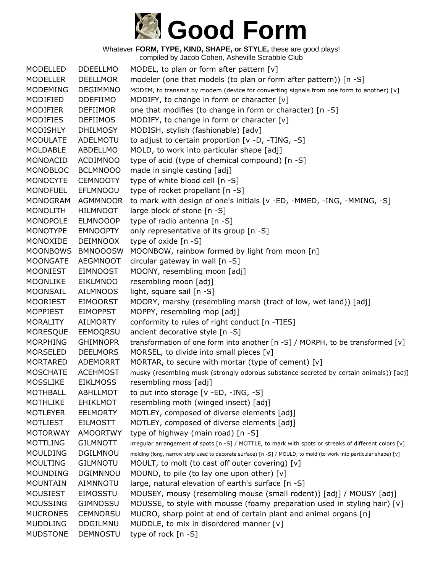

compiled by Jacob Cohen, Asheville Scrabble Club

MODELLED DDEELLMO MODEL, to plan or form after pattern [v] MODELLER DEELLMOR modeler (one that models (to plan or form after pattern)) [n -S] MODEMING DEGIMMNO MODEM, to transmit by modem (device for converting signals from one form to another) [v] MODIFIED DDEFIIMO MODIFY, to change in form or character [v] MODIFIER DEFIIMOR one that modifies (to change in form or character) [n -S] MODIFIES DEFIIMOS MODIFY, to change in form or character [v] MODISHLY DHILMOSY MODISH, stylish (fashionable) [adv] MODULATE ADELMOTU to adjust to certain proportion [v -D, -TING, -S] MOLDABLE ABDELLMO MOLD, to work into particular shape [adj] MONOACID ACDIMNOO type of acid (type of chemical compound) [n -S] MONOBLOC BCLMNOOO made in single casting [adj] MONOCYTE CEMNOOTY type of white blood cell [n -S] MONOFUEL EFLMNOOU type of rocket propellant [n -S] MONOGRAM AGMMNOOR to mark with design of one's initials [v -ED, -MMED, -ING, -MMING, -S] MONOLITH HILMNOOT large block of stone [n -S] MONOPOLE ELMNOOOP type of radio antenna [n -S] MONOTYPE EMNOOPTY only representative of its group [n -S] MONOXIDE DEIMNOOX type of oxide [n -S] MOONBOWS BMNOOOSW MOONBOW, rainbow formed by light from moon [n] MOONGATE AEGMNOOT circular gateway in wall [n -S] MOONIEST EIMNOOST MOONY, resembling moon [adj] MOONLIKE EIKLMNOO resembling moon [adj] MOONSAIL AILMNOOS light, square sail [n -S] MOORIEST EIMOORST MOORY, marshy (resembling marsh (tract of low, wet land)) [adj] MOPPIEST EIMOPPST MOPPY, resembling mop [adj] MORALITY AILMORTY conformity to rules of right conduct [n -TIES] MORESQUE EEMOQRSU ancient decorative style [n -S] MORPHING GHIMNOPR transformation of one form into another [n -S] / MORPH, to be transformed [v] MORSELED DEELMORS MORSEL, to divide into small pieces [v] MORTARED ADEMORRT MORTAR, to secure with mortar (type of cement)  $[v]$ MOSCHATE ACEHMOST musky (resembling musk (strongly odorous substance secreted by certain animals)) [adj] MOSSLIKE EIKLMOSS resembling moss [adj] MOTHBALL ABHLLMOT to put into storage [v -ED, -ING, -S] MOTHLIKE EHIKLMOT resembling moth (winged insect) [adj] MOTLEYER EELMORTY MOTLEY, composed of diverse elements [adj] MOTLIEST EILMOSTT MOTLEY, composed of diverse elements [adj] MOTORWAY AMOORTWY type of highway (main road) [n -S] MOTTLING GILMNOTT irregular arrangement of spots [n -S] / MOTTLE, to mark with spots or streaks of different colors [v] MOULDING DGILMNOU molding (long, narrow strip used to decorate surface) [n -S] / MOULD, to mold (to work into particular shape) [v] MOULTING GILMNOTU MOULT, to molt (to cast off outer covering) [v] MOUNDING DGIMNNOU MOUND, to pile (to lay one upon other) [v] MOUNTAIN AIMNNOTU large, natural elevation of earth's surface [n -S] MOUSIEST EIMOSSTU MOUSEY, mousy (resembling mouse (small rodent)) [adj] / MOUSY [adj] MOUSSING GIMNOSSU MOUSSE, to style with mousse (foamy preparation used in styling hair) [v] MUCRONES CEMNORSU MUCRO, sharp point at end of certain plant and animal organs [n] MUDDLING DDGILMNU MUDDLE, to mix in disordered manner [v] MUDSTONE DEMNOSTU type of rock [n -S]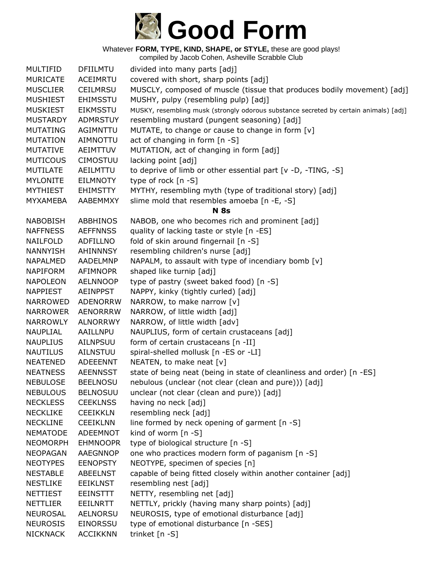

| <b>MULTIFID</b> | <b>DFIILMTU</b> | divided into many parts [adj]                                                         |
|-----------------|-----------------|---------------------------------------------------------------------------------------|
| <b>MURICATE</b> | ACEIMRTU        | covered with short, sharp points [adj]                                                |
| <b>MUSCLIER</b> | <b>CEILMRSU</b> | MUSCLY, composed of muscle (tissue that produces bodily movement) [adj]               |
| <b>MUSHIEST</b> | <b>EHIMSSTU</b> | MUSHY, pulpy (resembling pulp) [adj]                                                  |
| <b>MUSKIEST</b> | <b>EIKMSSTU</b> | MUSKY, resembling musk (strongly odorous substance secreted by certain animals) [adj] |
| <b>MUSTARDY</b> | <b>ADMRSTUY</b> | resembling mustard (pungent seasoning) [adj]                                          |
| <b>MUTATING</b> | AGIMNTTU        | MUTATE, to change or cause to change in form [v]                                      |
| <b>MUTATION</b> | <b>AIMNOTTU</b> | act of changing in form [n -S]                                                        |
| <b>MUTATIVE</b> | AEIMTTUV        | MUTATION, act of changing in form [adj]                                               |
| <b>MUTICOUS</b> | <b>CIMOSTUU</b> | lacking point [adj]                                                                   |
| <b>MUTILATE</b> | AEILMTTU        | to deprive of limb or other essential part [v -D, -TING, -S]                          |
| <b>MYLONITE</b> | <b>EILMNOTY</b> | type of rock [n -S]                                                                   |
| <b>MYTHIEST</b> | <b>EHIMSTTY</b> | MYTHY, resembling myth (type of traditional story) [adj]                              |
| MYXAMEBA        | AABEMMXY        | slime mold that resembles amoeba [n -E, -S]                                           |
|                 |                 | <b>N</b> 8s                                                                           |
| <b>NABOBISH</b> | ABBHINOS        | NABOB, one who becomes rich and prominent [adj]                                       |
| <b>NAFFNESS</b> | <b>AEFFNNSS</b> | quality of lacking taste or style [n -ES]                                             |
| NAILFOLD        | ADFILLNO        | fold of skin around fingernail [n -S]                                                 |
| <b>NANNYISH</b> | AHINNNSY        | resembling children's nurse [adj]                                                     |
| <b>NAPALMED</b> | AADELMNP        | NAPALM, to assault with type of incendiary bomb [v]                                   |
| <b>NAPIFORM</b> | AFIMNOPR        | shaped like turnip [adj]                                                              |
| <b>NAPOLEON</b> | <b>AELNNOOP</b> | type of pastry (sweet baked food) [n -S]                                              |
| <b>NAPPIEST</b> | <b>AEINPPST</b> | NAPPY, kinky (tightly curled) [adj]                                                   |
| <b>NARROWED</b> | <b>ADENORRW</b> | NARROW, to make narrow [v]                                                            |
| <b>NARROWER</b> | <b>AENORRRW</b> | NARROW, of little width [adj]                                                         |
| <b>NARROWLY</b> | <b>ALNORRWY</b> | NARROW, of little width [adv]                                                         |
| <b>NAUPLIAL</b> | AAILLNPU        | NAUPLIUS, form of certain crustaceans [adj]                                           |
| <b>NAUPLIUS</b> | AILNPSUU        | form of certain crustaceans [n -II]                                                   |
| <b>NAUTILUS</b> | AILNSTUU        | spiral-shelled mollusk [n -ES or -LI]                                                 |
| <b>NEATENED</b> | ADEEENNT        | NEATEN, to make neat [v]                                                              |
| <b>NEATNESS</b> | <b>AEENNSST</b> | state of being neat (being in state of cleanliness and order) [n -ES]                 |
| <b>NEBULOSE</b> | <b>BEELNOSU</b> | nebulous (unclear (not clear (clean and pure))) [adj]                                 |
| <b>NEBULOUS</b> | <b>BELNOSUU</b> | unclear (not clear (clean and pure)) [adj]                                            |
| <b>NECKLESS</b> | <b>CEEKLNSS</b> | having no neck [adj]                                                                  |
| <b>NECKLIKE</b> | <b>CEEIKKLN</b> | resembling neck [adj]                                                                 |
| <b>NECKLINE</b> | <b>CEEIKLNN</b> | line formed by neck opening of garment $[n -S]$                                       |
| <b>NEMATODE</b> | <b>ADEEMNOT</b> | kind of worm $[n -S]$                                                                 |
| <b>NEOMORPH</b> | <b>EHMNOOPR</b> | type of biological structure [n -S]                                                   |
| <b>NEOPAGAN</b> | AAEGNNOP        | one who practices modern form of paganism [n -S]                                      |
| <b>NEOTYPES</b> | <b>EENOPSTY</b> | NEOTYPE, specimen of species [n]                                                      |
| <b>NESTABLE</b> | <b>ABEELNST</b> | capable of being fitted closely within another container [adj]                        |
| <b>NESTLIKE</b> | <b>EEIKLNST</b> | resembling nest [adj]                                                                 |
| <b>NETTIEST</b> | <b>EEINSTTT</b> | NETTY, resembling net [adj]                                                           |
| <b>NETTLIER</b> | <b>EEILNRTT</b> | NETTLY, prickly (having many sharp points) [adj]                                      |
| <b>NEUROSAL</b> | <b>AELNORSU</b> | NEUROSIS, type of emotional disturbance [adj]                                         |
| <b>NEUROSIS</b> | <b>EINORSSU</b> | type of emotional disturbance [n -SES]                                                |
| <b>NICKNACK</b> | <b>ACCIKKNN</b> | trinket [n -S]                                                                        |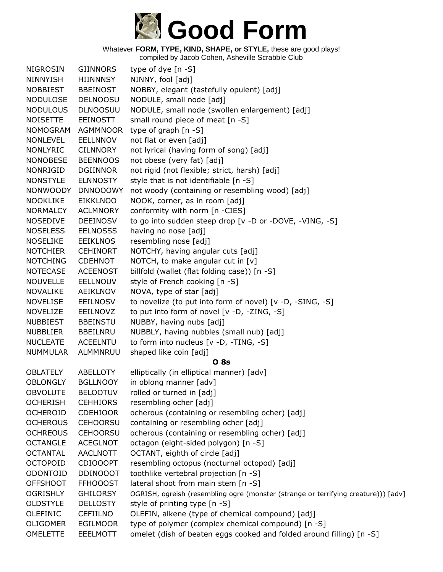

| <b>NIGROSIN</b> | <b>GIINNORS</b> | type of dye $[n - S]$                                                              |
|-----------------|-----------------|------------------------------------------------------------------------------------|
| <b>NINNYISH</b> | <b>HIINNNSY</b> | NINNY, fool [adj]                                                                  |
| <b>NOBBIEST</b> | <b>BBEINOST</b> | NOBBY, elegant (tastefully opulent) [adj]                                          |
| <b>NODULOSE</b> | <b>DELNOOSU</b> | NODULE, small node [adj]                                                           |
| <b>NODULOUS</b> | <b>DLNOOSUU</b> | NODULE, small node (swollen enlargement) [adj]                                     |
| <b>NOISETTE</b> | <b>EEINOSTT</b> | small round piece of meat [n -S]                                                   |
| <b>NOMOGRAM</b> | <b>AGMMNOOR</b> | type of graph $[n - S]$                                                            |
| <b>NONLEVEL</b> | <b>EELLNNOV</b> | not flat or even [adj]                                                             |
| <b>NONLYRIC</b> | <b>CILNNORY</b> | not lyrical (having form of song) [adj]                                            |
| <b>NONOBESE</b> | <b>BEENNOOS</b> | not obese (very fat) [adj]                                                         |
| <b>NONRIGID</b> | <b>DGIINNOR</b> | not rigid (not flexible; strict, harsh) [adj]                                      |
| <b>NONSTYLE</b> | <b>ELNNOSTY</b> | style that is not identifiable [n -S]                                              |
| <b>NONWOODY</b> | <b>DNNOOOWY</b> | not woody (containing or resembling wood) [adj]                                    |
| <b>NOOKLIKE</b> | <b>EIKKLNOO</b> | NOOK, corner, as in room [adj]                                                     |
| <b>NORMALCY</b> | <b>ACLMNORY</b> | conformity with norm [n -CIES]                                                     |
| <b>NOSEDIVE</b> | <b>DEEINOSV</b> | to go into sudden steep drop [v -D or -DOVE, -VING, -S]                            |
| <b>NOSELESS</b> | <b>EELNOSSS</b> | having no nose [adj]                                                               |
| <b>NOSELIKE</b> | <b>EEIKLNOS</b> | resembling nose [adj]                                                              |
| <b>NOTCHIER</b> | <b>CEHINORT</b> | NOTCHY, having angular cuts [adj]                                                  |
| <b>NOTCHING</b> | <b>CDEHNOT</b>  | NOTCH, to make angular cut in $[v]$                                                |
| <b>NOTECASE</b> | <b>ACEENOST</b> | billfold (wallet (flat folding case)) [n -S]                                       |
| <b>NOUVELLE</b> | <b>EELLNOUV</b> | style of French cooking [n -S]                                                     |
| <b>NOVALIKE</b> | AEIKLNOV        | NOVA, type of star [adj]                                                           |
| <b>NOVELISE</b> | <b>EEILNOSV</b> | to novelize (to put into form of novel) [v -D, -SING, -S]                          |
| <b>NOVELIZE</b> | EEILNOVZ        | to put into form of novel [v -D, -ZING, -S]                                        |
| <b>NUBBIEST</b> | <b>BBEINSTU</b> | NUBBY, having nubs [adj]                                                           |
| <b>NUBBLIER</b> | <b>BBEILNRU</b> | NUBBLY, having nubbles (small nub) [adj]                                           |
| <b>NUCLEATE</b> | <b>ACEELNTU</b> | to form into nucleus [v -D, -TING, -S]                                             |
| <b>NUMMULAR</b> | ALMMNRUU        | shaped like coin [adj]                                                             |
|                 |                 | <b>O</b> 8s                                                                        |
| <b>OBLATELY</b> | ABELLOTY        | elliptically (in elliptical manner) [adv]                                          |
| <b>OBLONGLY</b> | <b>BGLLNOOY</b> | in oblong manner [adv]                                                             |
| <b>OBVOLUTE</b> | <b>BELOOTUV</b> | rolled or turned in [adj]                                                          |
| <b>OCHERISH</b> | <b>CEHHIORS</b> | resembling ocher [adj]                                                             |
| <b>OCHEROID</b> | <b>CDEHIOOR</b> | ocherous (containing or resembling ocher) [adj]                                    |
| <b>OCHEROUS</b> | <b>CEHOORSU</b> | containing or resembling ocher [adj]                                               |
| <b>OCHREOUS</b> | <b>CEHOORSU</b> | ocherous (containing or resembling ocher) [adj]                                    |
| <b>OCTANGLE</b> | <b>ACEGLNOT</b> | octagon (eight-sided polygon) [n -S]                                               |
| <b>OCTANTAL</b> | <b>AACLNOTT</b> | OCTANT, eighth of circle [adj]                                                     |
| <b>OCTOPOID</b> | <b>CDIOOOPT</b> | resembling octopus (nocturnal octopod) [adj]                                       |
| ODONTOID        | <b>DDINOOOT</b> | toothlike vertebral projection [n -S]                                              |
| <b>OFFSHOOT</b> | <b>FFHOOOST</b> | lateral shoot from main stem [n -S]                                                |
| <b>OGRISHLY</b> | <b>GHILORSY</b> | OGRISH, ogreish (resembling ogre (monster (strange or terrifying creature))) [adv] |
| <b>OLDSTYLE</b> | <b>DELLOSTY</b> | style of printing type [n -S]                                                      |
| OLEFINIC        | <b>CEFIILNO</b> | OLEFIN, alkene (type of chemical compound) [adj]                                   |
| <b>OLIGOMER</b> | <b>EGILMOOR</b> | type of polymer (complex chemical compound) [n -S]                                 |
| OMELETTE        | <b>EEELMOTT</b> | omelet (dish of beaten eggs cooked and folded around filling) [n -S]               |
|                 |                 |                                                                                    |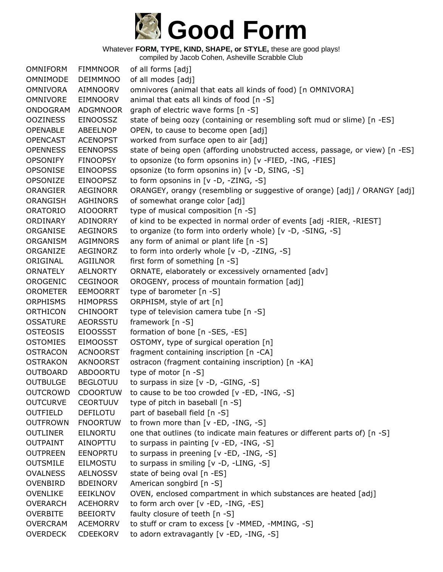

compiled by Jacob Cohen, Asheville Scrabble Club

OMNIFORM FIMMNOOR of all forms [adj] OMNIMODE DEIMMNOO of all modes [adj] OMNIVORA AIMNOORV omnivores (animal that eats all kinds of food) [n OMNIVORA] OMNIVORE EIMNOORV animal that eats all kinds of food [n -S] ONDOGRAM ADGMNOOR graph of electric wave forms [n -S] OOZINESS EINOOSSZ state of being oozy (containing or resembling soft mud or slime) [n -ES] OPENABLE ABEELNOP OPEN, to cause to become open [adj] OPENCAST ACENOPST worked from surface open to air [adj] OPENNESS EENNOPSS state of being open (affording unobstructed access, passage, or view) [n -ES] OPSONIFY FINOOPSY to opsonize (to form opsonins in) [v -FIED, -ING, -FIES] OPSONISE EINOOPSS opsonize (to form opsonins in) [v -D, SING, -S] OPSONIZE EINOOPSZ to form opsonins in [v -D, -ZING, -S] ORANGIER AEGINORR ORANGEY, orangy (resembling or suggestive of orange) [adj] / ORANGY [adj] ORANGISH AGHINORS of somewhat orange color [adj] ORATORIO AIOOORRT type of musical composition [n -S] ORDINARY ADINORRY of kind to be expected in normal order of events [adj -RIER, -RIEST] ORGANISE AEGINORS to organize (to form into orderly whole) [v -D, -SING, -S] ORGANISM AGIMNORS any form of animal or plant life [n -S] ORGANIZE AEGINORZ to form into orderly whole [v -D, -ZING, -S] ORIGINAL AGIILNOR first form of something [n -S] ORNATELY AELNORTY ORNATE, elaborately or excessively ornamented [adv] OROGENIC CEGINOOR OROGENY, process of mountain formation [adj] OROMETER EEMOORRT type of barometer [n -S] ORPHISMS HIMOPRSS ORPHISM, style of art [n] ORTHICON CHINOORT type of television camera tube [n -S] OSSATURE AEORSSTU framework [n -S] OSTEOSIS EIOOSSST formation of bone [n -SES, -ES] OSTOMIES EIMOOSST OSTOMY, type of surgical operation [n] OSTRACON ACNOORST fragment containing inscription [n -CA] OSTRAKON AKNOORST ostracon (fragment containing inscription) [n -KA] OUTBOARD ABDOORTU type of motor [n -S] OUTBULGE BEGLOTUU to surpass in size [v -D, -GING, -S] OUTCROWD CDOORTUW to cause to be too crowded [v -ED, -ING, -S] OUTCURVE CEORTUUV type of pitch in baseball [n -S] OUTFIELD DEFILOTU part of baseball field [n -S] OUTFROWN FNOORTUW to frown more than [v -ED, -ING, -S] OUTLINER EILNORTU one that outlines (to indicate main features or different parts of) [n -S] OUTPAINT AINOPTTU to surpass in painting [v -ED, -ING, -S] OUTPREEN EENOPRTU to surpass in preening [v -ED, -ING, -S] OUTSMILE EILMOSTU to surpass in smiling [v -D, -LING, -S] OVALNESS AELNOSSV state of being oval [n -ES] OVENBIRD BDEINORV American songbird [n -S] OVENLIKE EEIKLNOV OVEN, enclosed compartment in which substances are heated [adj] OVERARCH ACEHORRV to form arch over [v -ED, -ING, -ES] OVERBITE BEEIORTV faulty closure of teeth [n -S] OVERCRAM ACEMORRV to stuff or cram to excess [v -MMED, -MMING, -S] OVERDECK CDEEKORV to adorn extravagantly [v -ED, -ING, -S]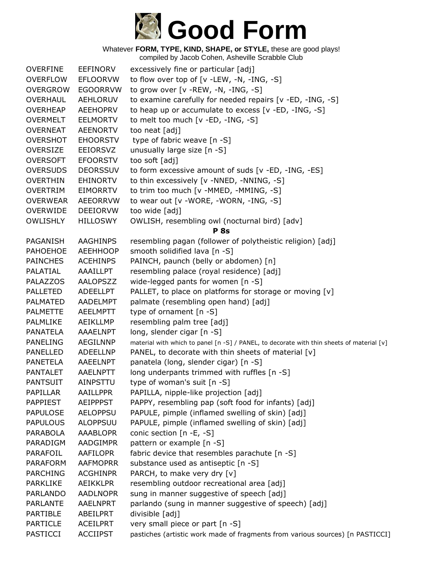

| <b>OVERFINE</b> | <b>EEFINORV</b> | excessively fine or particular [adj]                                                      |
|-----------------|-----------------|-------------------------------------------------------------------------------------------|
| <b>OVERFLOW</b> | <b>EFLOORVW</b> | to flow over top of $[v - LEW, -N, -ING, -S]$                                             |
| <b>OVERGROW</b> | <b>EGOORRVW</b> | to grow over [v -REW, -N, -ING, -S]                                                       |
| OVERHAUL        | <b>AEHLORUV</b> | to examine carefully for needed repairs [v -ED, -ING, -S]                                 |
| <b>OVERHEAP</b> | <b>AEEHOPRV</b> | to heap up or accumulate to excess [v -ED, -ING, -S]                                      |
| <b>OVERMELT</b> | <b>EELMORTV</b> | to melt too much [v -ED, -ING, -S]                                                        |
| <b>OVERNEAT</b> | <b>AEENORTV</b> | too neat [adj]                                                                            |
| <b>OVERSHOT</b> | <b>EHOORSTV</b> | type of fabric weave [n -S]                                                               |
| <b>OVERSIZE</b> | EEIORSVZ        | unusually large size [n -S]                                                               |
| <b>OVERSOFT</b> | <b>EFOORSTV</b> | too soft [adj]                                                                            |
| <b>OVERSUDS</b> | <b>DEORSSUV</b> | to form excessive amount of suds [v -ED, -ING, -ES]                                       |
| <b>OVERTHIN</b> | <b>EHINORTV</b> | to thin excessively [v -NNED, -NNING, -S]                                                 |
| <b>OVERTRIM</b> | <b>EIMORRTV</b> | to trim too much [v -MMED, -MMING, -S]                                                    |
| <b>OVERWEAR</b> | <b>AEEORRVW</b> | to wear out [v -WORE, -WORN, -ING, -S]                                                    |
| <b>OVERWIDE</b> | <b>DEEIORVW</b> | too wide [adj]                                                                            |
| <b>OWLISHLY</b> | <b>HILLOSWY</b> | OWLISH, resembling owl (nocturnal bird) [adv]                                             |
|                 |                 | <b>P</b> 8s                                                                               |
| PAGANISH        | <b>AAGHINPS</b> | resembling pagan (follower of polytheistic religion) [adj]                                |
| <b>PAHOEHOE</b> | <b>AEEHHOOP</b> | smooth solidified lava [n -S]                                                             |
| <b>PAINCHES</b> | <b>ACEHINPS</b> | PAINCH, paunch (belly or abdomen) [n]                                                     |
| PALATIAL        | AAAILLPT        | resembling palace (royal residence) [adj]                                                 |
| <b>PALAZZOS</b> | AALOPSZZ        | wide-legged pants for women [n -S]                                                        |
| <b>PALLETED</b> | ADEELLPT        | PALLET, to place on platforms for storage or moving [v]                                   |
| <b>PALMATED</b> | <b>AADELMPT</b> | palmate (resembling open hand) [adj]                                                      |
| <b>PALMETTE</b> | <b>AEELMPTT</b> | type of ornament [n -S]                                                                   |
| PALMLIKE        | AEIKLLMP        | resembling palm tree [adj]                                                                |
| <b>PANATELA</b> | AAAELNPT        | long, slender cigar [n -S]                                                                |
| <b>PANELING</b> | <b>AEGILNNP</b> | material with which to panel [n -S] / PANEL, to decorate with thin sheets of material [v] |
| <b>PANELLED</b> | ADEELLNP        | PANEL, to decorate with thin sheets of material [v]                                       |
| PANETELA        | AAEELNPT        | panatela (long, slender cigar) [n -S]                                                     |
| <b>PANTALET</b> | AAELNPTT        | long underpants trimmed with ruffles [n -S]                                               |
| <b>PANTSUIT</b> | AINPSTTU        | type of woman's suit [n -S]                                                               |
| PAPILLAR        | <b>AAILLPPR</b> | PAPILLA, nipple-like projection [adj]                                                     |
| PAPPIEST        | <b>AEIPPPST</b> | PAPPY, resembling pap (soft food for infants) [adj]                                       |
| <b>PAPULOSE</b> | <b>AELOPPSU</b> | PAPULE, pimple (inflamed swelling of skin) [adj]                                          |
| <b>PAPULOUS</b> | <b>ALOPPSUU</b> | PAPULE, pimple (inflamed swelling of skin) [adj]                                          |
| <b>PARABOLA</b> | <b>AAABLOPR</b> | conic section [n -E, -S]                                                                  |
| PARADIGM        | AADGIMPR        | pattern or example [n -S]                                                                 |
| PARAFOIL        | <b>AAFILOPR</b> | fabric device that resembles parachute [n -S]                                             |
| <b>PARAFORM</b> | <b>AAFMOPRR</b> | substance used as antiseptic [n -S]                                                       |
| <b>PARCHING</b> | <b>ACGHINPR</b> | PARCH, to make very dry [v]                                                               |
| <b>PARKLIKE</b> | <b>AEIKKLPR</b> | resembling outdoor recreational area [adj]                                                |
| PARLANDO        | <b>AADLNOPR</b> | sung in manner suggestive of speech [adj]                                                 |
| <b>PARLANTE</b> | AAELNPRT        | parlando (sung in manner suggestive of speech) [adj]                                      |
| <b>PARTIBLE</b> | ABEILPRT        | divisible [adj]                                                                           |
| <b>PARTICLE</b> | <b>ACEILPRT</b> | very small piece or part [n -S]                                                           |
| PASTICCI        | <b>ACCIIPST</b> | pastiches (artistic work made of fragments from various sources) [n PASTICCI]             |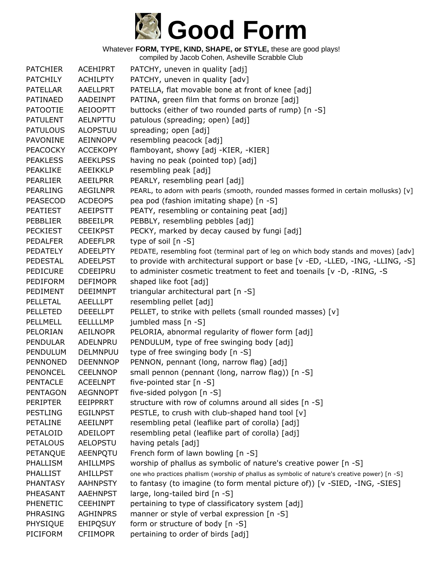

| <b>PATCHIER</b> | <b>ACEHIPRT</b> | PATCHY, uneven in quality [adj]                                                               |
|-----------------|-----------------|-----------------------------------------------------------------------------------------------|
| <b>PATCHILY</b> | <b>ACHILPTY</b> | PATCHY, uneven in quality [adv]                                                               |
| <b>PATELLAR</b> | AAELLPRT        | PATELLA, flat movable bone at front of knee [adj]                                             |
| PATINAED        | AADEINPT        | PATINA, green film that forms on bronze [adj]                                                 |
| <b>PATOOTIE</b> | <b>AEIOOPTT</b> | buttocks (either of two rounded parts of rump) [n -S]                                         |
| <b>PATULENT</b> | <b>AELNPTTU</b> | patulous (spreading; open) [adj]                                                              |
| <b>PATULOUS</b> | <b>ALOPSTUU</b> | spreading; open [adj]                                                                         |
| PAVONINE        | <b>AEINNOPV</b> | resembling peacock [adj]                                                                      |
| <b>PEACOCKY</b> | <b>ACCEKOPY</b> | flamboyant, showy [adj -KIER, -KIER]                                                          |
| <b>PEAKLESS</b> | <b>AEEKLPSS</b> | having no peak (pointed top) [adj]                                                            |
| PEAKLIKE        | <b>AEEIKKLP</b> | resembling peak [adj]                                                                         |
| <b>PEARLIER</b> | AEEILPRR        | PEARLY, resembling pearl [adj]                                                                |
| <b>PEARLING</b> | <b>AEGILNPR</b> | PEARL, to adorn with pearls (smooth, rounded masses formed in certain mollusks) [v]           |
| <b>PEASECOD</b> | <b>ACDEOPS</b>  | pea pod (fashion imitating shape) [n -S]                                                      |
| <b>PEATIEST</b> | <b>AEEIPSTT</b> | PEATY, resembling or containing peat [adj]                                                    |
| PEBBLIER        | <b>BBEEILPR</b> | PEBBLY, resembling pebbles [adj]                                                              |
| <b>PECKIEST</b> | <b>CEEIKPST</b> | PECKY, marked by decay caused by fungi [adj]                                                  |
| <b>PEDALFER</b> | <b>ADEEFLPR</b> | type of soil [n -S]                                                                           |
| PEDATELY        | <b>ADEELPTY</b> | PEDATE, resembling foot (terminal part of leg on which body stands and moves) [adv]           |
| <b>PEDESTAL</b> | <b>ADEELPST</b> | to provide with architectural support or base [v -ED, -LLED, -ING, -LLING, -S]                |
| <b>PEDICURE</b> | CDEEIPRU        | to administer cosmetic treatment to feet and toenails [v -D, -RING, -S                        |
| PEDIFORM        | <b>DEFIMOPR</b> | shaped like foot [adj]                                                                        |
| PEDIMENT        | <b>DEEIMNPT</b> | triangular architectural part [n -S]                                                          |
| PELLETAL        | <b>AEELLLPT</b> | resembling pellet [adj]                                                                       |
| <b>PELLETED</b> | <b>DEEELLPT</b> | PELLET, to strike with pellets (small rounded masses) [v]                                     |
| PELLMELL        | <b>EELLLLMP</b> | jumbled mass [n -S]                                                                           |
| PELORIAN        | <b>AEILNOPR</b> | PELORIA, abnormal regularity of flower form [adj]                                             |
| <b>PENDULAR</b> | ADELNPRU        | PENDULUM, type of free swinging body [adj]                                                    |
| PENDULUM        | DELMNPUU        | type of free swinging body [n -S]                                                             |
| <b>PENNONED</b> | <b>DEENNNOP</b> | PENNON, pennant (long, narrow flag) [adj]                                                     |
| PENONCEL        | <b>CEELNNOP</b> | small pennon (pennant (long, narrow flag)) [n -S]                                             |
| <b>PENTACLE</b> | <b>ACEELNPT</b> | five-pointed star $[n -S]$                                                                    |
| <b>PENTAGON</b> | <b>AEGNNOPT</b> | five-sided polygon [n -S]                                                                     |
| <b>PERIPTER</b> | EEIPPRRT        | structure with row of columns around all sides [n -S]                                         |
| <b>PESTLING</b> | <b>EGILNPST</b> | PESTLE, to crush with club-shaped hand tool [v]                                               |
| <b>PETALINE</b> | AEEILNPT        | resembling petal (leaflike part of corolla) [adj]                                             |
| PETALOID        | ADEILOPT        | resembling petal (leaflike part of corolla) [adj]                                             |
| <b>PETALOUS</b> | <b>AELOPSTU</b> | having petals [adj]                                                                           |
| PETANQUE        | AEENPQTU        | French form of lawn bowling [n -S]                                                            |
| PHALLISM        | <b>AHILLMPS</b> | worship of phallus as symbolic of nature's creative power [n -S]                              |
| <b>PHALLIST</b> | AHILLPST        | one who practices phallism (worship of phallus as symbolic of nature's creative power) [n -S] |
| <b>PHANTASY</b> | <b>AAHNPSTY</b> | to fantasy (to imagine (to form mental picture of)) [v -SIED, -ING, -SIES]                    |
| PHEASANT        | <b>AAEHNPST</b> | large, long-tailed bird [n -S]                                                                |
| PHENETIC        | <b>CEEHINPT</b> | pertaining to type of classificatory system [adj]                                             |
| PHRASING        | <b>AGHINPRS</b> | manner or style of verbal expression [n -S]                                                   |
| PHYSIQUE        | <b>EHIPQSUY</b> | form or structure of body [n -S]                                                              |
| PICIFORM        | <b>CFIIMOPR</b> | pertaining to order of birds [adj]                                                            |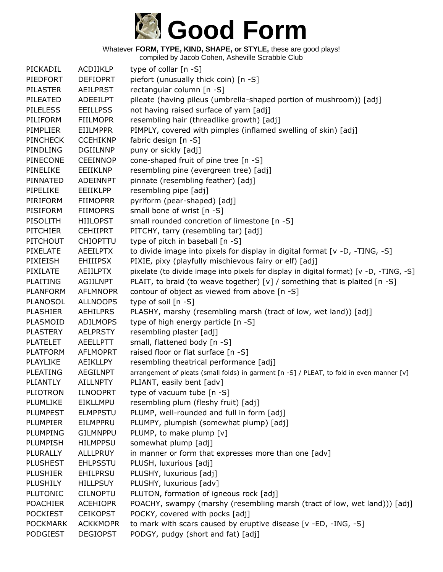

| PICKADIL        | ACDIIKLP        | type of collar $[n - S]$                                                                  |
|-----------------|-----------------|-------------------------------------------------------------------------------------------|
| PIEDFORT        | <b>DEFIOPRT</b> | piefort (unusually thick coin) [n -S]                                                     |
| <b>PILASTER</b> | <b>AEILPRST</b> | rectangular column [n -S]                                                                 |
| PILEATED        | ADEEILPT        | pileate (having pileus (umbrella-shaped portion of mushroom)) [adj]                       |
| <b>PILELESS</b> | <b>EEILLPSS</b> | not having raised surface of yarn [adj]                                                   |
| PILIFORM        | <b>FIILMOPR</b> | resembling hair (threadlike growth) [adj]                                                 |
| <b>PIMPLIER</b> | <b>EIILMPPR</b> | PIMPLY, covered with pimples (inflamed swelling of skin) [adj]                            |
| <b>PINCHECK</b> | <b>CCEHIKNP</b> | fabric design [n -S]                                                                      |
| PINDLING        | <b>DGIILNNP</b> | puny or sickly [adj]                                                                      |
| <b>PINECONE</b> | <b>CEEINNOP</b> | cone-shaped fruit of pine tree [n -S]                                                     |
| PINELIKE        | EEIIKLNP        | resembling pine (evergreen tree) [adj]                                                    |
| PINNATED        | ADEINNPT        | pinnate (resembling feather) [adj]                                                        |
| PIPELIKE        | <b>EEIIKLPP</b> | resembling pipe [adj]                                                                     |
| PIRIFORM        | <b>FIIMOPRR</b> | pyriform (pear-shaped) [adj]                                                              |
| PISIFORM        | <b>FIIMOPRS</b> | small bone of wrist [n -S]                                                                |
| PISOLITH        | <b>HIILOPST</b> | small rounded concretion of limestone [n -S]                                              |
| <b>PITCHIER</b> | <b>CEHIIPRT</b> | PITCHY, tarry (resembling tar) [adj]                                                      |
| <b>PITCHOUT</b> | <b>CHIOPTTU</b> | type of pitch in baseball [n -S]                                                          |
| PIXELATE        | <b>AEEILPTX</b> | to divide image into pixels for display in digital format [v -D, -TING, -S]               |
| PIXIEISH        | <b>EHIIIPSX</b> | PIXIE, pixy (playfully mischievous fairy or elf) [adj]                                    |
| PIXILATE        | <b>AEIILPTX</b> | pixelate (to divide image into pixels for display in digital format) [v -D, -TING, -S]    |
| <b>PLAITING</b> | <b>AGIILNPT</b> | PLAIT, to braid (to weave together) [v] / something that is plaited [n -S]                |
| <b>PLANFORM</b> | <b>AFLMNOPR</b> | contour of object as viewed from above [n -S]                                             |
| PLANOSOL        | <b>ALLNOOPS</b> | type of soil $[n -S]$                                                                     |
| <b>PLASHIER</b> | <b>AEHILPRS</b> | PLASHY, marshy (resembling marsh (tract of low, wet land)) [adj]                          |
| PLASMOID        | <b>ADILMOPS</b> | type of high energy particle [n -S]                                                       |
| <b>PLASTERY</b> | <b>AELPRSTY</b> | resembling plaster [adj]                                                                  |
| <b>PLATELET</b> | <b>AEELLPTT</b> | small, flattened body [n -S]                                                              |
| <b>PLATFORM</b> | <b>AFLMOPRT</b> | raised floor or flat surface [n -S]                                                       |
| PLAYLIKE        | AEIKLLPY        | resembling theatrical performance [adj]                                                   |
| PLEATING        | <b>AEGILNPT</b> | arrangement of pleats (small folds) in garment [n -S] / PLEAT, to fold in even manner [v] |
| PLIANTLY        | <b>AILLNPTY</b> | PLIANT, easily bent [adv]                                                                 |
| <b>PLIOTRON</b> | <b>ILNOOPRT</b> | type of vacuum tube $[n -S]$                                                              |
| PLUMLIKE        | EIKLLMPU        | resembling plum (fleshy fruit) [adj]                                                      |
| <b>PLUMPEST</b> | <b>ELMPPSTU</b> | PLUMP, well-rounded and full in form [adj]                                                |
| <b>PLUMPIER</b> | EILMPPRU        | PLUMPY, plumpish (somewhat plump) [adj]                                                   |
| PLUMPING        | <b>GILMNPPU</b> | PLUMP, to make plump [v]                                                                  |
| PLUMPISH        | <b>HILMPPSU</b> | somewhat plump [adj]                                                                      |
| PLURALLY        | <b>ALLLPRUY</b> | in manner or form that expresses more than one [adv]                                      |
| <b>PLUSHEST</b> | <b>EHLPSSTU</b> | PLUSH, luxurious [adj]                                                                    |
| <b>PLUSHIER</b> | <b>EHILPRSU</b> | PLUSHY, luxurious [adj]                                                                   |
| PLUSHILY        | <b>HILLPSUY</b> | PLUSHY, luxurious [adv]                                                                   |
| <b>PLUTONIC</b> | <b>CILNOPTU</b> | PLUTON, formation of igneous rock [adj]                                                   |
| <b>POACHIER</b> | <b>ACEHIOPR</b> | POACHY, swampy (marshy (resembling marsh (tract of low, wet land))) [adj]                 |
| <b>POCKIEST</b> | <b>CEIKOPST</b> | POCKY, covered with pocks [adj]                                                           |
| <b>POCKMARK</b> | <b>ACKKMOPR</b> | to mark with scars caused by eruptive disease [v -ED, -ING, -S]                           |
| <b>PODGIEST</b> | <b>DEGIOPST</b> | PODGY, pudgy (short and fat) [adj]                                                        |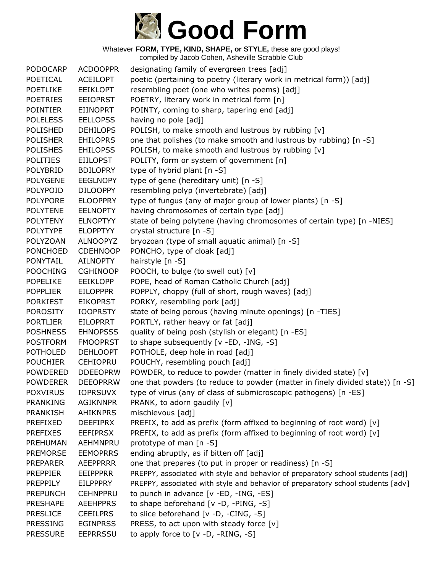

| <b>PODOCARP</b> | <b>ACDOOPPR</b> | designating family of evergreen trees [adj]                                     |
|-----------------|-----------------|---------------------------------------------------------------------------------|
| POETICAL        | <b>ACEILOPT</b> | poetic (pertaining to poetry (literary work in metrical form)) [adj]            |
| <b>POETLIKE</b> | <b>EEIKLOPT</b> | resembling poet (one who writes poems) [adj]                                    |
| <b>POETRIES</b> | <b>EEIOPRST</b> | POETRY, literary work in metrical form [n]                                      |
| <b>POINTIER</b> | <b>EIINOPRT</b> | POINTY, coming to sharp, tapering end [adj]                                     |
| <b>POLELESS</b> | <b>EELLOPSS</b> | having no pole [adj]                                                            |
| <b>POLISHED</b> | <b>DEHILOPS</b> | POLISH, to make smooth and lustrous by rubbing [v]                              |
| <b>POLISHER</b> | <b>EHILOPRS</b> | one that polishes (to make smooth and lustrous by rubbing) [n -S]               |
| <b>POLISHES</b> | <b>EHILOPSS</b> | POLISH, to make smooth and lustrous by rubbing [v]                              |
| <b>POLITIES</b> | <b>EIILOPST</b> | POLITY, form or system of government [n]                                        |
| <b>POLYBRID</b> | <b>BDILOPRY</b> | type of hybrid plant [n -S]                                                     |
| <b>POLYGENE</b> | <b>EEGLNOPY</b> | type of gene (hereditary unit) [n -S]                                           |
| POLYPOID        | <b>DILOOPPY</b> | resembling polyp (invertebrate) [adj]                                           |
| <b>POLYPORE</b> | <b>ELOOPPRY</b> | type of fungus (any of major group of lower plants) [n -S]                      |
| <b>POLYTENE</b> | <b>EELNOPTY</b> | having chromosomes of certain type [adj]                                        |
| <b>POLYTENY</b> | <b>ELNOPTYY</b> | state of being polytene (having chromosomes of certain type) [n -NIES]          |
| <b>POLYTYPE</b> | <b>ELOPPTYY</b> | crystal structure [n -S]                                                        |
| POLYZOAN        | <b>ALNOOPYZ</b> | bryozoan (type of small aquatic animal) [n -S]                                  |
| <b>PONCHOED</b> | <b>CDEHNOOP</b> | PONCHO, type of cloak [adj]                                                     |
| <b>PONYTAIL</b> | AILNOPTY        | hairstyle [n -S]                                                                |
| <b>POOCHING</b> | <b>CGHINOOP</b> | POOCH, to bulge (to swell out) [v]                                              |
| <b>POPELIKE</b> | <b>EEIKLOPP</b> | POPE, head of Roman Catholic Church [adj]                                       |
| <b>POPPLIER</b> | <b>EILOPPPR</b> | POPPLY, choppy (full of short, rough waves) [adj]                               |
| <b>PORKIEST</b> | <b>EIKOPRST</b> | PORKY, resembling pork [adj]                                                    |
| <b>POROSITY</b> | <b>IOOPRSTY</b> | state of being porous (having minute openings) [n -TIES]                        |
| <b>PORTLIER</b> | <b>EILOPRRT</b> | PORTLY, rather heavy or fat [adj]                                               |
| <b>POSHNESS</b> | <b>EHNOPSSS</b> | quality of being posh (stylish or elegant) [n -ES]                              |
| <b>POSTFORM</b> | <b>FMOOPRST</b> | to shape subsequently [v -ED, -ING, -S]                                         |
| <b>POTHOLED</b> | <b>DEHLOOPT</b> | POTHOLE, deep hole in road [adj]                                                |
| <b>POUCHIER</b> | <b>CEHIOPRU</b> | POUCHY, resembling pouch [adj]                                                  |
| POWDERED        | <b>DDEEOPRW</b> | POWDER, to reduce to powder (matter in finely divided state) [v]                |
| <b>POWDERER</b> | <b>DEEOPRRW</b> | one that powders (to reduce to powder (matter in finely divided state)) [n -S]  |
| <b>POXVIRUS</b> | <b>IOPRSUVX</b> | type of virus (any of class of submicroscopic pathogens) [n -ES]                |
| <b>PRANKING</b> | <b>AGIKNNPR</b> | PRANK, to adorn gaudily [v]                                                     |
| <b>PRANKISH</b> | <b>AHIKNPRS</b> | mischievous [adj]                                                               |
| PREFIXED        | <b>DEEFIPRX</b> | PREFIX, to add as prefix (form affixed to beginning of root word) [v]           |
| <b>PREFIXES</b> | <b>EEFIPRSX</b> | PREFIX, to add as prefix (form affixed to beginning of root word) [v]           |
| PREHUMAN        | AEHMNPRU        | prototype of man [n -S]                                                         |
| <b>PREMORSE</b> | <b>EEMOPRRS</b> | ending abruptly, as if bitten off [adj]                                         |
| <b>PREPARER</b> | <b>AEEPPRRR</b> | one that prepares (to put in proper or readiness) [n -S]                        |
| <b>PREPPIER</b> | <b>EEIPPPRR</b> | PREPPY, associated with style and behavior of preparatory school students [adj] |
| <b>PREPPILY</b> | <b>EILPPPRY</b> | PREPPY, associated with style and behavior of preparatory school students [adv] |
| <b>PREPUNCH</b> | <b>CEHNPPRU</b> | to punch in advance [v -ED, -ING, -ES]                                          |
| <b>PRESHAPE</b> | <b>AEEHPPRS</b> | to shape beforehand [v -D, -PING, -S]                                           |
| <b>PRESLICE</b> | <b>CEEILPRS</b> | to slice beforehand [v -D, -CING, -S]                                           |
| <b>PRESSING</b> | <b>EGINPRSS</b> | PRESS, to act upon with steady force [v]                                        |
| <b>PRESSURE</b> | <b>EEPRRSSU</b> | to apply force to [v -D, -RING, -S]                                             |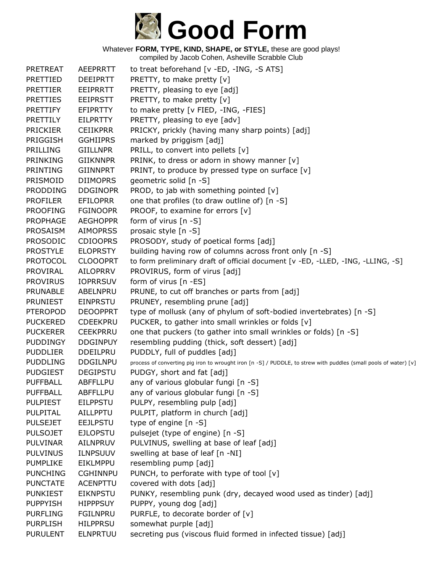

| <b>PRETREAT</b> | AEEPRRTT        | to treat beforehand [v -ED, -ING, -S ATS]                                                                        |
|-----------------|-----------------|------------------------------------------------------------------------------------------------------------------|
| PRETTIED        | <b>DEEIPRTT</b> | PRETTY, to make pretty [v]                                                                                       |
| <b>PRETTIER</b> | EEIPRRTT        | PRETTY, pleasing to eye [adj]                                                                                    |
| <b>PRETTIES</b> | <b>EEIPRSTT</b> | PRETTY, to make pretty [v]                                                                                       |
| <b>PRETTIFY</b> | <b>EFIPRTTY</b> | to make pretty [v FIED, -ING, -FIES]                                                                             |
| PRETTILY        | <b>EILPRTTY</b> | PRETTY, pleasing to eye [adv]                                                                                    |
| <b>PRICKIER</b> | <b>CEIIKPRR</b> | PRICKY, prickly (having many sharp points) [adj]                                                                 |
| PRIGGISH        | <b>GGHIIPRS</b> | marked by priggism [adj]                                                                                         |
| <b>PRILLING</b> | <b>GIILLNPR</b> | PRILL, to convert into pellets [v]                                                                               |
| PRINKING        | <b>GIIKNNPR</b> | PRINK, to dress or adorn in showy manner [v]                                                                     |
| PRINTING        | <b>GIINNPRT</b> | PRINT, to produce by pressed type on surface [v]                                                                 |
| PRISMOID        | <b>DIIMOPRS</b> | geometric solid [n -S]                                                                                           |
| <b>PRODDING</b> | <b>DDGINOPR</b> | PROD, to jab with something pointed [v]                                                                          |
| <b>PROFILER</b> | <b>EFILOPRR</b> | one that profiles (to draw outline of) [n -S]                                                                    |
| <b>PROOFING</b> | <b>FGINOOPR</b> | PROOF, to examine for errors [v]                                                                                 |
| <b>PROPHAGE</b> | <b>AEGHOPPR</b> | form of virus $[n - S]$                                                                                          |
| <b>PROSAISM</b> | <b>AIMOPRSS</b> | prosaic style [n -S]                                                                                             |
| <b>PROSODIC</b> | <b>CDIOOPRS</b> | PROSODY, study of poetical forms [adj]                                                                           |
| <b>PROSTYLE</b> | <b>ELOPRSTY</b> | building having row of columns across front only [n -S]                                                          |
| <b>PROTOCOL</b> | <b>CLOOOPRT</b> | to form preliminary draft of official document [v -ED, -LLED, -ING, -LLING, -S]                                  |
| <b>PROVIRAL</b> | <b>AILOPRRV</b> | PROVIRUS, form of virus [adj]                                                                                    |
| <b>PROVIRUS</b> | <b>IOPRRSUV</b> | form of virus $[n - ES]$                                                                                         |
| <b>PRUNABLE</b> | ABELNPRU        | PRUNE, to cut off branches or parts from [adj]                                                                   |
| <b>PRUNIEST</b> | <b>EINPRSTU</b> | PRUNEY, resembling prune [adj]                                                                                   |
| <b>PTEROPOD</b> | <b>DEOOPPRT</b> | type of mollusk (any of phylum of soft-bodied invertebrates) [n -S]                                              |
| <b>PUCKERED</b> | <b>CDEEKPRU</b> | PUCKER, to gather into small wrinkles or folds [v]                                                               |
| <b>PUCKERER</b> | <b>CEEKPRRU</b> | one that puckers (to gather into small wrinkles or folds) [n -S]                                                 |
| <b>PUDDINGY</b> | <b>DDGINPUY</b> | resembling pudding (thick, soft dessert) [adj]                                                                   |
| <b>PUDDLIER</b> | <b>DDEILPRU</b> | PUDDLY, full of puddles [adj]                                                                                    |
| <b>PUDDLING</b> | <b>DDGILNPU</b> | process of converting pig iron to wrought iron [n -S] / PUDDLE, to strew with puddles (small pools of water) [v] |
| <b>PUDGIEST</b> | <b>DEGIPSTU</b> | PUDGY, short and fat [adj]                                                                                       |
| <b>PUFFBALL</b> | ABFFLLPU        | any of various globular fungi [n -S]                                                                             |
| <b>PUFFBALL</b> | <b>ABFFLLPU</b> | any of various globular fungi [n -S]                                                                             |
| <b>PULPIEST</b> | <b>EILPPSTU</b> | PULPY, resembling pulp [adj]                                                                                     |
| PULPITAL        | AILLPPTU        | PULPIT, platform in church [adj]                                                                                 |
| <b>PULSEJET</b> | <b>EEJLPSTU</b> | type of engine [n -S]                                                                                            |
| <b>PULSOJET</b> | <b>EJLOPSTU</b> | pulsejet (type of engine) [n -S]                                                                                 |
| <b>PULVINAR</b> | <b>AILNPRUV</b> | PULVINUS, swelling at base of leaf [adj]                                                                         |
| <b>PULVINUS</b> | <b>ILNPSUUV</b> | swelling at base of leaf [n -NI]                                                                                 |
| <b>PUMPLIKE</b> | EIKLMPPU        | resembling pump [adj]                                                                                            |
| <b>PUNCHING</b> | <b>CGHINNPU</b> | PUNCH, to perforate with type of tool $[v]$                                                                      |
| <b>PUNCTATE</b> | <b>ACENPTTU</b> | covered with dots [adj]                                                                                          |
| <b>PUNKIEST</b> | EIKNPSTU        | PUNKY, resembling punk (dry, decayed wood used as tinder) [adj]                                                  |
| <b>PUPPYISH</b> | <b>HIPPPSUY</b> | PUPPY, young dog [adj]                                                                                           |
| <b>PURFLING</b> | <b>FGILNPRU</b> | PURFLE, to decorate border of [v]                                                                                |
| <b>PURPLISH</b> | <b>HILPPRSU</b> | somewhat purple [adj]                                                                                            |
| <b>PURULENT</b> | <b>ELNPRTUU</b> | secreting pus (viscous fluid formed in infected tissue) [adj]                                                    |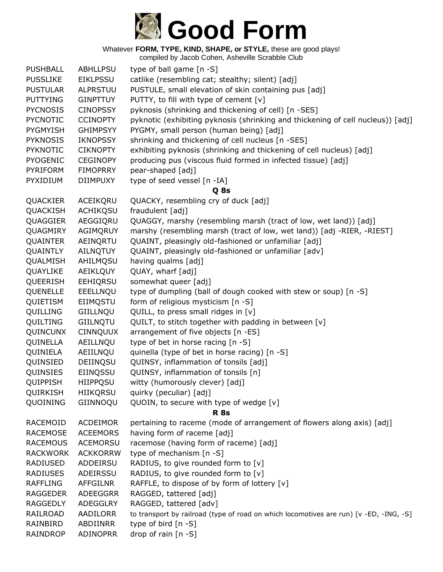

Whatever **FORM, TYPE, KIND, SHAPE, or STYLE,** these are good plays! compiled by Jacob Cohen, Asheville Scrabble Club

| <b>PUSHBALL</b> | <b>ABHLLPSU</b> | type of ball game [n -S]                                                               |
|-----------------|-----------------|----------------------------------------------------------------------------------------|
| <b>PUSSLIKE</b> | <b>EIKLPSSU</b> | catlike (resembling cat; stealthy; silent) [adj]                                       |
| <b>PUSTULAR</b> | <b>ALPRSTUU</b> | PUSTULE, small elevation of skin containing pus [adj]                                  |
| <b>PUTTYING</b> | <b>GINPTTUY</b> | PUTTY, to fill with type of cement [v]                                                 |
| <b>PYCNOSIS</b> | <b>CINOPSSY</b> | pyknosis (shrinking and thickening of cell) [n -SES]                                   |
| <b>PYCNOTIC</b> | <b>CCINOPTY</b> | pyknotic (exhibiting pyknosis (shrinking and thickening of cell nucleus)) [adj]        |
| PYGMYISH        | <b>GHIMPSYY</b> | PYGMY, small person (human being) [adj]                                                |
| <b>PYKNOSIS</b> | <b>IKNOPSSY</b> | shrinking and thickening of cell nucleus [n -SES]                                      |
| <b>PYKNOTIC</b> | <b>CIKNOPTY</b> | exhibiting pyknosis (shrinking and thickening of cell nucleus) [adj]                   |
| <b>PYOGENIC</b> | <b>CEGINOPY</b> | producing pus (viscous fluid formed in infected tissue) [adj]                          |
| <b>PYRIFORM</b> | <b>FIMOPRRY</b> | pear-shaped [adj]                                                                      |
| PYXIDIUM        | <b>DIIMPUXY</b> | type of seed vessel [n -IA]                                                            |
|                 |                 | Q 8s                                                                                   |
| QUACKIER        | ACEIKQRU        | QUACKY, resembling cry of duck [adj]                                                   |
| QUACKISH        | <b>ACHIKQSU</b> | fraudulent [adj]                                                                       |
| QUAGGIER        | AEGGIORU        | QUAGGY, marshy (resembling marsh (tract of low, wet land)) [adj]                       |
| QUAGMIRY        | AGIMQRUY        | marshy (resembling marsh (tract of low, wet land)) [adj -RIER, -RIEST]                 |
| QUAINTER        | AEINQRTU        | QUAINT, pleasingly old-fashioned or unfamiliar [adj]                                   |
| QUAINTLY        | <b>AILNQTUY</b> | QUAINT, pleasingly old-fashioned or unfamiliar [adv]                                   |
| QUALMISH        | AHILMQSU        | having qualms [adj]                                                                    |
| QUAYLIKE        | AEIKLQUY        | QUAY, wharf [adj]                                                                      |
| QUEERISH        | EEHIQRSU        | somewhat queer [adj]                                                                   |
| QUENELLE        | EEELLNQU        | type of dumpling (ball of dough cooked with stew or soup) [n -S]                       |
| QUIETISM        | EIIMQSTU        | form of religious mysticism [n -S]                                                     |
| QUILLING        | GIILLNQU        | QUILL, to press small ridges in [v]                                                    |
| QUILTING        | GIILNQTU        | QUILT, to stitch together with padding in between [v]                                  |
| QUINCUNX        | <b>CINNQUUX</b> | arrangement of five objects [n -ES]                                                    |
| QUINELLA        | AEILLNQU        | type of bet in horse racing [n -S]                                                     |
| QUINIELA        | AEIILNQU        | quinella (type of bet in horse racing) [n -S]                                          |
| QUINSIED        | DEIINQSU        | QUINSY, inflammation of tonsils [adj]                                                  |
| QUINSIES        | EIINQSSU        | QUINSY, inflammation of tonsils [n]                                                    |
| QUIPPISH        | HIIPPQSU        | witty (humorously clever) [adj]                                                        |
| QUIRKISH        | <b>HIIKQRSU</b> | quirky (peculiar) [adj]                                                                |
| QUOINING        | GIINNOQU        | QUOIN, to secure with type of wedge [v]                                                |
|                 |                 | <b>R</b> 8s                                                                            |
| RACEMOID        | ACDEIMOR        | pertaining to raceme (mode of arrangement of flowers along axis) [adj]                 |
| <b>RACEMOSE</b> | <b>ACEEMORS</b> | having form of raceme [adj]                                                            |
| <b>RACEMOUS</b> | <b>ACEMORSU</b> | racemose (having form of raceme) [adj]                                                 |
| <b>RACKWORK</b> | <b>ACKKORRW</b> | type of mechanism [n -S]                                                               |
| RADIUSED        | ADDEIRSU        | RADIUS, to give rounded form to [v]                                                    |
| <b>RADIUSES</b> | ADEIRSSU        | RADIUS, to give rounded form to [v]                                                    |
| <b>RAFFLING</b> | <b>AFFGILNR</b> | RAFFLE, to dispose of by form of lottery [v]                                           |
| <b>RAGGEDER</b> | ADEEGGRR        | RAGGED, tattered [adj]                                                                 |
| <b>RAGGEDLY</b> | ADEGGLRY        | RAGGED, tattered [adv]                                                                 |
| RAILROAD        | AADILORR        | to transport by railroad (type of road on which locomotives are run) [v -ED, -ING, -S] |
| RAINBIRD        | ABDIINRR        | type of bird [n -S]                                                                    |
| RAINDROP        | ADINOPRR        | drop of rain [n -S]                                                                    |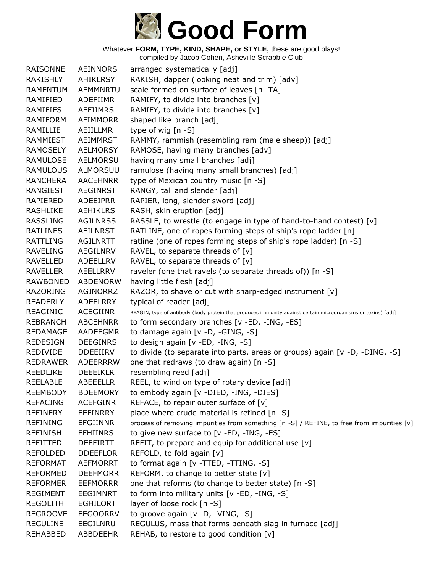

| <b>RAISONNE</b> | <b>AEINNORS</b> | arranged systematically [adj]                                                                                 |
|-----------------|-----------------|---------------------------------------------------------------------------------------------------------------|
| RAKISHLY        | AHIKLRSY        | RAKISH, dapper (looking neat and trim) [adv]                                                                  |
| RAMENTUM        | AEMMNRTU        | scale formed on surface of leaves [n -TA]                                                                     |
| RAMIFIED        | ADEFIIMR        | RAMIFY, to divide into branches [v]                                                                           |
| <b>RAMIFIES</b> | <b>AEFIIMRS</b> | RAMIFY, to divide into branches [v]                                                                           |
| <b>RAMIFORM</b> | AFIMMORR        | shaped like branch [adj]                                                                                      |
| RAMILLIE        | AEIILLMR        | type of wig [n -S]                                                                                            |
| RAMMIEST        | AEIMMRST        | RAMMY, rammish (resembling ram (male sheep)) [adj]                                                            |
| RAMOSELY        | AELMORSY        | RAMOSE, having many branches [adv]                                                                            |
| RAMULOSE        | <b>AELMORSU</b> | having many small branches [adj]                                                                              |
| <b>RAMULOUS</b> | ALMORSUU        | ramulose (having many small branches) [adj]                                                                   |
| <b>RANCHERA</b> | <b>AACEHNRR</b> | type of Mexican country music [n -S]                                                                          |
| RANGIEST        | AEGINRST        | RANGY, tall and slender [adj]                                                                                 |
| RAPIERED        | ADEEIPRR        | RAPIER, long, slender sword [adj]                                                                             |
| <b>RASHLIKE</b> | AEHIKLRS        | RASH, skin eruption [adj]                                                                                     |
| <b>RASSLING</b> | <b>AGILNRSS</b> | RASSLE, to wrestle (to engage in type of hand-to-hand contest) [v]                                            |
| <b>RATLINES</b> | <b>AEILNRST</b> | RATLINE, one of ropes forming steps of ship's rope ladder [n]                                                 |
| RATTLING        | <b>AGILNRTT</b> | ratline (one of ropes forming steps of ship's rope ladder) [n -S]                                             |
| <b>RAVELING</b> | AEGILNRV        | RAVEL, to separate threads of $[v]$                                                                           |
| RAVELLED        | ADEELLRV        | RAVEL, to separate threads of $[v]$                                                                           |
| <b>RAVELLER</b> | AEELLRRV        | raveler (one that ravels (to separate threads of)) [n -S]                                                     |
| <b>RAWBONED</b> | <b>ABDENORW</b> | having little flesh [adj]                                                                                     |
| <b>RAZORING</b> | AGINORRZ        | RAZOR, to shave or cut with sharp-edged instrument [v]                                                        |
| <b>READERLY</b> | ADEELRRY        | typical of reader [adj]                                                                                       |
| REAGINIC        | ACEGIINR        | REAGIN, type of antibody (body protein that produces immunity against certain microorganisms or toxins) [adj] |
| <b>REBRANCH</b> | <b>ABCEHNRR</b> | to form secondary branches [v -ED, -ING, -ES]                                                                 |
| <b>REDAMAGE</b> | AADEEGMR        | to damage again [v -D, -GING, -S]                                                                             |
| <b>REDESIGN</b> | <b>DEEGINRS</b> | to design again [v -ED, -ING, -S]                                                                             |
| <b>REDIVIDE</b> | <b>DDEEIIRV</b> | to divide (to separate into parts, areas or groups) again [v -D, -DING, -S]                                   |
| <b>REDRAWER</b> | ADEERRRW        | one that redraws (to draw again) [n -S]                                                                       |
| <b>REEDLIKE</b> | <b>DEEEIKLR</b> | resembling reed [adj]                                                                                         |
| <b>REELABLE</b> | <b>ABEEELLR</b> | REEL, to wind on type of rotary device [adj]                                                                  |
| REEMBODY        | <b>BDEEMORY</b> | to embody again [v -DIED, -ING, -DIES]                                                                        |
| <b>REFACING</b> | <b>ACEFGINR</b> | REFACE, to repair outer surface of [v]                                                                        |
| <b>REFINERY</b> | EEFINRRY        | place where crude material is refined [n -S]                                                                  |
| <b>REFINING</b> | <b>EFGIINNR</b> | process of removing impurities from something [n -S] / REFINE, to free from impurities [v]                    |
| <b>REFINISH</b> | <b>EFHIINRS</b> | to give new surface to [v -ED, -ING, -ES]                                                                     |
| REFITTED        | <b>DEEFIRTT</b> | REFIT, to prepare and equip for additional use $[v]$                                                          |
| <b>REFOLDED</b> | <b>DDEEFLOR</b> | REFOLD, to fold again [v]                                                                                     |
| <b>REFORMAT</b> | <b>AEFMORRT</b> | to format again [v -TTED, -TTING, -S]                                                                         |
| <b>REFORMED</b> | <b>DEEFMORR</b> | REFORM, to change to better state [v]                                                                         |
| <b>REFORMER</b> | <b>EEFMORRR</b> | one that reforms (to change to better state) [n -S]                                                           |
| <b>REGIMENT</b> | <b>EEGIMNRT</b> | to form into military units [v -ED, -ING, -S]                                                                 |
| <b>REGOLITH</b> | <b>EGHILORT</b> | layer of loose rock [n -S]                                                                                    |
| <b>REGROOVE</b> | <b>EEGOORRV</b> | to groove again [v -D, -VING, -S]                                                                             |
| <b>REGULINE</b> | EEGILNRU        | REGULUS, mass that forms beneath slag in furnace [adj]                                                        |
| <b>REHABBED</b> | ABBDEEHR        | REHAB, to restore to good condition [v]                                                                       |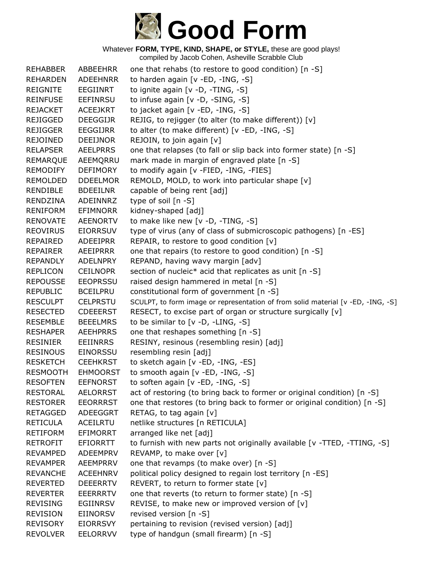

Whatever **FORM, TYPE, KIND, SHAPE, or STYLE,** these are good plays! compiled by Jacob Cohen, Asheville Scrabble Club

| <b>REHABBER</b> | ABBEEHRR        | one that rehabs (to restore to good condition) [n -S]                            |
|-----------------|-----------------|----------------------------------------------------------------------------------|
| <b>REHARDEN</b> | <b>ADEEHNRR</b> | to harden again [v -ED, -ING, -S]                                                |
| <b>REIGNITE</b> | <b>EEGIINRT</b> | to ignite again [v -D, -TING, -S]                                                |
| <b>REINFUSE</b> | EEFINRSU        | to infuse again [v -D, -SING, -S]                                                |
| <b>REJACKET</b> | <b>ACEEJKRT</b> | to jacket again [v -ED, -ING, -S]                                                |
| <b>REJIGGED</b> | <b>DEEGGIJR</b> | REJIG, to rejigger (to alter (to make different)) [v]                            |
| <b>REJIGGER</b> | EEGGIJRR        | to alter (to make different) [v -ED, -ING, -S]                                   |
| <b>REJOINED</b> | <b>DEEIJNOR</b> | REJOIN, to join again [v]                                                        |
| <b>RELAPSER</b> | <b>AEELPRRS</b> | one that relapses (to fall or slip back into former state) [n -S]                |
| <b>REMARQUE</b> | AEEMQRRU        | mark made in margin of engraved plate [n -S]                                     |
| REMODIFY        | <b>DEFIMORY</b> | to modify again [v -FIED, -ING, -FIES]                                           |
| REMOLDED        | <b>DDEELMOR</b> | REMOLD, MOLD, to work into particular shape [v]                                  |
| <b>RENDIBLE</b> | <b>BDEEILNR</b> | capable of being rent [adj]                                                      |
| RENDZINA        | ADEINNRZ        | type of soil [n -S]                                                              |
| <b>RENIFORM</b> | <b>EFIMNORR</b> | kidney-shaped [adj]                                                              |
| <b>RENOVATE</b> | <b>AEENORTV</b> | to make like new [v -D, -TING, -S]                                               |
| <b>REOVIRUS</b> | <b>EIORRSUV</b> | type of virus (any of class of submicroscopic pathogens) [n -ES]                 |
| REPAIRED        | ADEEIPRR        | REPAIR, to restore to good condition [v]                                         |
| REPAIRER        | AEEIPRRR        | one that repairs (to restore to good condition) [n -S]                           |
| REPANDLY        | ADELNPRY        | REPAND, having wavy margin [adv]                                                 |
| <b>REPLICON</b> | <b>CEILNOPR</b> | section of nucleic* acid that replicates as unit [n -S]                          |
| <b>REPOUSSE</b> | <b>EEOPRSSU</b> | raised design hammered in metal [n -S]                                           |
| <b>REPUBLIC</b> | <b>BCEILPRU</b> | constitutional form of government [n -S]                                         |
| <b>RESCULPT</b> | <b>CELPRSTU</b> | SCULPT, to form image or representation of from solid material [v -ED, -ING, -S] |
| <b>RESECTED</b> | <b>CDEEERST</b> | RESECT, to excise part of organ or structure surgically [v]                      |
| <b>RESEMBLE</b> | <b>BEEELMRS</b> | to be similar to [v -D, -LING, -S]                                               |
| <b>RESHAPER</b> | <b>AEEHPRRS</b> | one that reshapes something [n -S]                                               |
| <b>RESINIER</b> | EEIINRRS        | RESINY, resinous (resembling resin) [adj]                                        |
| <b>RESINOUS</b> | EINORSSU        | resembling resin [adj]                                                           |
| <b>RESKETCH</b> | <b>CEEHKRST</b> | to sketch again [v -ED, -ING, -ES]                                               |
| <b>RESMOOTH</b> | <b>EHMOORST</b> | to smooth again [v -ED, -ING, -S]                                                |
| <b>RESOFTEN</b> | <b>EEFNORST</b> | to soften again [v -ED, -ING, -S]                                                |
| <b>RESTORAL</b> | <b>AELORRST</b> | act of restoring (to bring back to former or original condition) [n -S]          |
| <b>RESTORER</b> | <b>EEORRRST</b> | one that restores (to bring back to former or original condition) [n -S]         |
| <b>RETAGGED</b> | <b>ADEEGGRT</b> | RETAG, to tag again [v]                                                          |
| <b>RETICULA</b> | <b>ACEILRTU</b> | netlike structures [n RETICULA]                                                  |
| <b>RETIFORM</b> | <b>EFIMORRT</b> | arranged like net [adj]                                                          |
| <b>RETROFIT</b> | <b>EFIORRTT</b> | to furnish with new parts not originally available [v -TTED, -TTING, -S]         |
| <b>REVAMPED</b> | ADEEMPRV        | REVAMP, to make over [v]                                                         |
| <b>REVAMPER</b> | AEEMPRRV        | one that revamps (to make over) [n -S]                                           |
| <b>REVANCHE</b> | <b>ACEEHNRV</b> | political policy designed to regain lost territory [n -ES]                       |
| <b>REVERTED</b> | <b>DEEERRTV</b> | REVERT, to return to former state $[v]$                                          |
| <b>REVERTER</b> | <b>EEERRRTV</b> | one that reverts (to return to former state) [n -S]                              |
| <b>REVISING</b> | EGIINRSV        | REVISE, to make new or improved version of [v]                                   |
| <b>REVISION</b> | EIINORSV        | revised version [n -S]                                                           |
| <b>REVISORY</b> | <b>EIORRSVY</b> | pertaining to revision (revised version) [adj]                                   |
| <b>REVOLVER</b> | <b>EELORRVV</b> | type of handgun (small firearm) [n -S]                                           |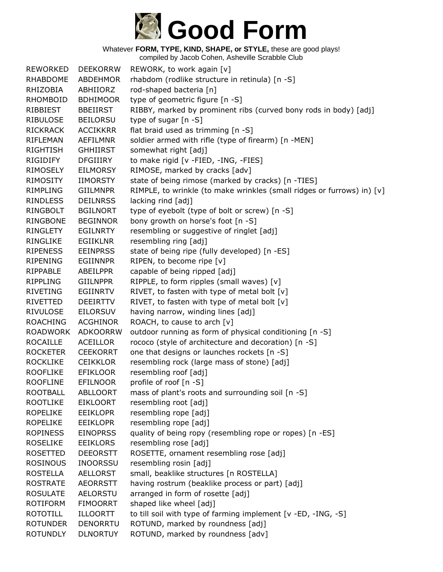## **Good Form**

Whatever **FORM, TYPE, KIND, SHAPE, or STYLE,** these are good plays!

| <b>REWORKED</b> | <b>DEEKORRW</b> | REWORK, to work again [v]                                              |
|-----------------|-----------------|------------------------------------------------------------------------|
| <b>RHABDOME</b> | <b>ABDEHMOR</b> | rhabdom (rodlike structure in retinula) [n -S]                         |
| RHIZOBIA        | ABHIIORZ        | rod-shaped bacteria [n]                                                |
| RHOMBOID        | <b>BDHIMOOR</b> | type of geometric figure [n -S]                                        |
| RIBBIEST        | <b>BBEIIRST</b> | RIBBY, marked by prominent ribs (curved bony rods in body) [adj]       |
| <b>RIBULOSE</b> | <b>BEILORSU</b> | type of sugar [n -S]                                                   |
| <b>RICKRACK</b> | <b>ACCIKKRR</b> | flat braid used as trimming [n -S]                                     |
| <b>RIFLEMAN</b> | <b>AEFILMNR</b> | soldier armed with rifle (type of firearm) [n -MEN]                    |
| <b>RIGHTISH</b> | <b>GHHIIRST</b> | somewhat right [adj]                                                   |
| RIGIDIFY        | <b>DFGIIIRY</b> | to make rigid [v -FIED, -ING, -FIES]                                   |
| RIMOSELY        | <b>EILMORSY</b> | RIMOSE, marked by cracks [adv]                                         |
| RIMOSITY        | <b>IIMORSTY</b> | state of being rimose (marked by cracks) [n -TIES]                     |
| <b>RIMPLING</b> | <b>GIILMNPR</b> | RIMPLE, to wrinkle (to make wrinkles (small ridges or furrows) in) [v] |
| <b>RINDLESS</b> | <b>DEILNRSS</b> | lacking rind [adj]                                                     |
| RINGBOLT        | <b>BGILNORT</b> | type of eyebolt (type of bolt or screw) [n -S]                         |
| RINGBONE        | <b>BEGINNOR</b> | bony growth on horse's foot [n -S]                                     |
| RINGLETY        | <b>EGILNRTY</b> | resembling or suggestive of ringlet [adj]                              |
| <b>RINGLIKE</b> | <b>EGIIKLNR</b> | resembling ring [adj]                                                  |
| <b>RIPENESS</b> | <b>EEINPRSS</b> | state of being ripe (fully developed) [n -ES]                          |
| <b>RIPENING</b> | <b>EGIINNPR</b> | RIPEN, to become ripe [v]                                              |
| <b>RIPPABLE</b> | ABEILPPR        | capable of being ripped [adj]                                          |
| <b>RIPPLING</b> | <b>GIILNPPR</b> | RIPPLE, to form ripples (small waves) [v]                              |
| <b>RIVETING</b> | EGIINRTV        | RIVET, to fasten with type of metal bolt [v]                           |
| RIVETTED        | <b>DEEIRTTV</b> | RIVET, to fasten with type of metal bolt [v]                           |
| <b>RIVULOSE</b> | <b>EILORSUV</b> | having narrow, winding lines [adj]                                     |
| <b>ROACHING</b> | <b>ACGHINOR</b> | ROACH, to cause to arch [v]                                            |
| <b>ROADWORK</b> | <b>ADKOORRW</b> | outdoor running as form of physical conditioning [n -S]                |
| <b>ROCAILLE</b> | <b>ACEILLOR</b> | rococo (style of architecture and decoration) [n -S]                   |
| <b>ROCKETER</b> | <b>CEEKORRT</b> | one that designs or launches rockets [n -S]                            |
| <b>ROCKLIKE</b> | <b>CEIKKLOR</b> | resembling rock (large mass of stone) [adj]                            |
| <b>ROOFLIKE</b> | <b>EFIKLOOR</b> | resembling roof [adj]                                                  |
| <b>ROOFLINE</b> | <b>EFILNOOR</b> | profile of roof [n -S]                                                 |
| <b>ROOTBALL</b> | <b>ABLLOORT</b> | mass of plant's roots and surrounding soil [n -S]                      |
| <b>ROOTLIKE</b> | <b>EIKLOORT</b> | resembling root [adj]                                                  |
| <b>ROPELIKE</b> | <b>EEIKLOPR</b> | resembling rope [adj]                                                  |
| <b>ROPELIKE</b> | <b>EEIKLOPR</b> | resembling rope [adj]                                                  |
| <b>ROPINESS</b> | <b>EINOPRSS</b> | quality of being ropy (resembling rope or ropes) [n -ES]               |
| <b>ROSELIKE</b> | <b>EEIKLORS</b> | resembling rose [adj]                                                  |
| ROSETTED        | <b>DEEORSTT</b> | ROSETTE, ornament resembling rose [adj]                                |
| <b>ROSINOUS</b> | <b>INOORSSU</b> | resembling rosin [adj]                                                 |
| ROSTELLA        | <b>AELLORST</b> | small, beaklike structures [n ROSTELLA]                                |
| <b>ROSTRATE</b> | <b>AEORRSTT</b> | having rostrum (beaklike process or part) [adj]                        |
| <b>ROSULATE</b> | AELORSTU        | arranged in form of rosette [adj]                                      |
| <b>ROTIFORM</b> | <b>FIMOORRT</b> | shaped like wheel [adj]                                                |
| <b>ROTOTILL</b> | <b>ILLOORTT</b> | to till soil with type of farming implement [v -ED, -ING, -S]          |
| <b>ROTUNDER</b> | <b>DENORRTU</b> | ROTUND, marked by roundness [adj]                                      |
| <b>ROTUNDLY</b> | <b>DLNORTUY</b> | ROTUND, marked by roundness [adv]                                      |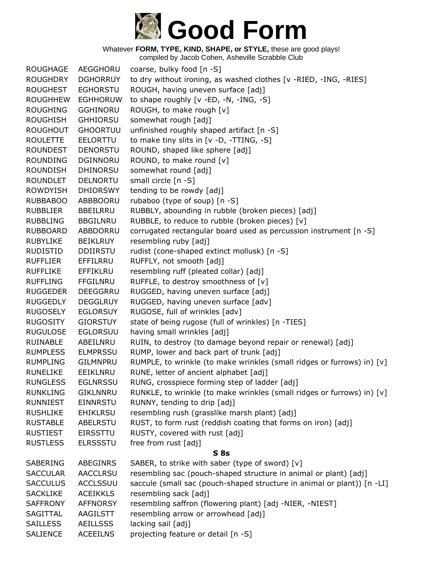

compiled by Jacob Cohen, Asheville Scrabble Club

ROUGHAGE AEGGHORU coarse, bulky food [n -S] ROUGHDRY DGHORRUY to dry without ironing, as washed clothes [v -RIED, -ING, -RIES] ROUGHEST EGHORSTU ROUGH, having uneven surface [adj] ROUGHHEW EGHHORUW to shape roughly [v -ED, -N, -ING, -S] ROUGHING GGHINORU ROUGH, to make rough [v] ROUGHISH GHHIORSU somewhat rough [adj] ROUGHOUT GHOORTUU unfinished roughly shaped artifact [n -S] ROULETTE EELORTTU to make tiny slits in [v -D, -TTING, -S] ROUNDEST DENORSTU ROUND, shaped like sphere [adj] ROUNDING DGINNORU ROUND, to make round [v] ROUNDISH DHINORSU somewhat round [adj] ROUNDLET DELNORTU small circle [n -S] ROWDYISH DHIORSWY tending to be rowdy [adj] RUBBABOO ABBBOORU rubaboo (type of soup) [n -S] RUBBLIER BBEILRRU RUBBLY, abounding in rubble (broken pieces) [adj] RUBBLING BBGILNRU RUBBLE, to reduce to rubble (broken pieces) [v] RUBBOARD ABBDORRU corrugated rectangular board used as percussion instrument [n -S] RUBYLIKE BEIKLRUY resembling ruby [adj] RUDISTID DDIIRSTU rudist (cone-shaped extinct mollusk) [n -S] RUFFLIER EFFILRRU RUFFLY, not smooth [adj] RUFFLIKE EFFIKLRU resembling ruff (pleated collar) [adj] RUFFLING FFGILNRU RUFFLE, to destroy smoothness of [v] RUGGEDER DEEGGRRU RUGGED, having uneven surface [adj] RUGGEDLY DEGGLRUY RUGGED, having uneven surface [adv] RUGOSELY EGLORSUY RUGOSE, full of wrinkles [adv] RUGOSITY GIORSTUY state of being rugose (full of wrinkles) [n -TIES] RUGULOSE EGLORSUU having small wrinkles [adj] RUINABLE ABEILNRU RUIN, to destroy (to damage beyond repair or renewal) [adj] RUMPLESS ELMPRSSU RUMP, lower and back part of trunk [adj] RUMPLING GILMNPRU RUMPLE, to wrinkle (to make wrinkles (small ridges or furrows) in) [v] RUNELIKE EEIKLNRU RUNE, letter of ancient alphabet [adj] RUNGLESS EGLNRSSU RUNG, crosspiece forming step of ladder [adj] RUNKLING GIKLNNRU RUNKLE, to wrinkle (to make wrinkles (small ridges or furrows) in) [v] RUNNIEST EINNRSTU RUNNY, tending to drip [adj] RUSHLIKE EHIKLRSU resembling rush (grasslike marsh plant) [adj] RUSTABLE ABELRSTU RUST, to form rust (reddish coating that forms on iron) [adj] RUSTIEST EIRSSTTU RUSTY, covered with rust [adj] RUSTLESS ELRSSSTU free from rust [adj] **S 8s** SABERING ABEGINRS SABER, to strike with saber (type of sword) [v] SACCULAR AACCLRSU resembling sac (pouch-shaped structure in animal or plant) [adj] SACCULUS ACCLSSUU saccule (small sac (pouch-shaped structure in animal or plant)) [n -LI] SACKLIKE ACEIKKLS resembling sack [adj] SAFFRONY AFFNORSY resembling saffron (flowering plant) [adj -NIER, -NIEST] SAGITTAL AAGILSTT resembling arrow or arrowhead [adj] SAILLESS AEILLSSS lacking sail [adj] SALIENCE ACEEILNS projecting feature or detail [n -S]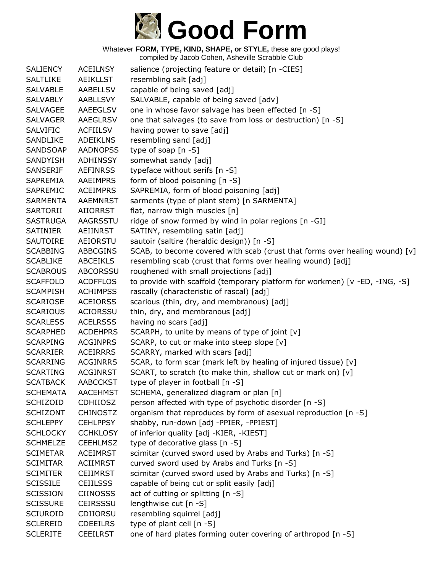

| <b>SALIENCY</b> | <b>ACEILNSY</b> | salience (projecting feature or detail) [n -CIES]                           |
|-----------------|-----------------|-----------------------------------------------------------------------------|
| <b>SALTLIKE</b> | <b>AEIKLLST</b> | resembling salt [adj]                                                       |
| <b>SALVABLE</b> | AABELLSV        | capable of being saved [adj]                                                |
| <b>SALVABLY</b> | <b>AABLLSVY</b> | SALVABLE, capable of being saved [adv]                                      |
| <b>SALVAGEE</b> | AAEEGLSV        | one in whose favor salvage has been effected [n -S]                         |
| <b>SALVAGER</b> | <b>AAEGLRSV</b> | one that salvages (to save from loss or destruction) [n -S]                 |
| <b>SALVIFIC</b> | <b>ACFIILSV</b> | having power to save [adj]                                                  |
| <b>SANDLIKE</b> | <b>ADEIKLNS</b> | resembling sand [adj]                                                       |
| SANDSOAP        | <b>AADNOPSS</b> | type of soap [n -S]                                                         |
| <b>SANDYISH</b> | <b>ADHINSSY</b> | somewhat sandy [adj]                                                        |
| <b>SANSERIF</b> | <b>AEFINRSS</b> | typeface without serifs [n -S]                                              |
| SAPREMIA        | <b>AAEIMPRS</b> | form of blood poisoning [n -S]                                              |
| SAPREMIC        | <b>ACEIMPRS</b> | SAPREMIA, form of blood poisoning [adj]                                     |
| <b>SARMENTA</b> | <b>AAEMNRST</b> | sarments (type of plant stem) [n SARMENTA]                                  |
| SARTORII        | AIIORRST        | flat, narrow thigh muscles [n]                                              |
| <b>SASTRUGA</b> | AAGRSSTU        | ridge of snow formed by wind in polar regions [n -GI]                       |
| <b>SATINIER</b> | <b>AEIINRST</b> | SATINY, resembling satin [adj]                                              |
| <b>SAUTOIRE</b> | AEIORSTU        | sautoir (saltire (heraldic design)) [n -S]                                  |
| <b>SCABBING</b> | <b>ABBCGINS</b> | SCAB, to become covered with scab (crust that forms over healing wound) [v] |
| <b>SCABLIKE</b> | <b>ABCEIKLS</b> | resembling scab (crust that forms over healing wound) [adj]                 |
| <b>SCABROUS</b> | <b>ABCORSSU</b> | roughened with small projections [adj]                                      |
| <b>SCAFFOLD</b> | <b>ACDFFLOS</b> | to provide with scaffold (temporary platform for workmen) [v -ED, -ING, -S] |
| <b>SCAMPISH</b> | <b>ACHIMPSS</b> | rascally (characteristic of rascal) [adj]                                   |
| <b>SCARIOSE</b> | <b>ACEIORSS</b> | scarious (thin, dry, and membranous) [adj]                                  |
| <b>SCARIOUS</b> | <b>ACIORSSU</b> | thin, dry, and membranous [adj]                                             |
| <b>SCARLESS</b> | <b>ACELRSSS</b> | having no scars [adj]                                                       |
| <b>SCARPHED</b> | <b>ACDEHPRS</b> | SCARPH, to unite by means of type of joint [v]                              |
| <b>SCARPING</b> | <b>ACGINPRS</b> | SCARP, to cut or make into steep slope [v]                                  |
| <b>SCARRIER</b> | <b>ACEIRRRS</b> | SCARRY, marked with scars [adj]                                             |
| <b>SCARRING</b> | <b>ACGINRRS</b> | SCAR, to form scar (mark left by healing of injured tissue) [v]             |
| <b>SCARTING</b> | <b>ACGINRST</b> | SCART, to scratch (to make thin, shallow cut or mark on) [v]                |
| <b>SCATBACK</b> | <b>AABCCKST</b> | type of player in football [n -S]                                           |
| <b>SCHEMATA</b> | <b>AACEHMST</b> | SCHEMA, generalized diagram or plan [n]                                     |
| <b>SCHIZOID</b> | <b>CDHIIOSZ</b> | person affected with type of psychotic disorder [n -S]                      |
| <b>SCHIZONT</b> | <b>CHINOSTZ</b> | organism that reproduces by form of asexual reproduction [n -S]             |
| <b>SCHLEPPY</b> | <b>CEHLPPSY</b> | shabby, run-down [adj -PPIER, -PPIEST]                                      |
| <b>SCHLOCKY</b> | <b>CCHKLOSY</b> | of inferior quality [adj -KIER, -KIEST]                                     |
| <b>SCHMELZE</b> | <b>CEEHLMSZ</b> | type of decorative glass [n -S]                                             |
| <b>SCIMETAR</b> | <b>ACEIMRST</b> | scimitar (curved sword used by Arabs and Turks) [n -S]                      |
| <b>SCIMITAR</b> | <b>ACIIMRST</b> | curved sword used by Arabs and Turks [n -S]                                 |
| <b>SCIMITER</b> | <b>CEIIMRST</b> | scimitar (curved sword used by Arabs and Turks) [n -S]                      |
| <b>SCISSILE</b> | <b>CEIILSSS</b> | capable of being cut or split easily [adj]                                  |
| <b>SCISSION</b> | <b>CIINOSSS</b> | act of cutting or splitting [n -S]                                          |
| <b>SCISSURE</b> | <b>CEIRSSSU</b> | lengthwise cut [n -S]                                                       |
| <b>SCIUROID</b> | CDIIORSU        | resembling squirrel [adj]                                                   |
| <b>SCLEREID</b> | <b>CDEEILRS</b> | type of plant cell [n -S]                                                   |
| <b>SCLERITE</b> | <b>CEEILRST</b> | one of hard plates forming outer covering of arthropod [n -S]               |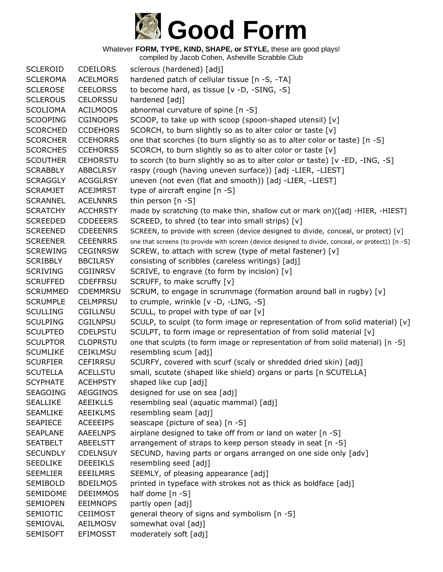# **Good Form**

Whatever **FORM, TYPE, KIND, SHAPE, or STYLE,** these are good plays!

| <b>SCLEROID</b> | <b>CDEILORS</b> | sclerous (hardened) [adj]                                                                         |
|-----------------|-----------------|---------------------------------------------------------------------------------------------------|
| <b>SCLEROMA</b> | <b>ACELMORS</b> | hardened patch of cellular tissue [n -S, -TA]                                                     |
| <b>SCLEROSE</b> | <b>CEELORSS</b> | to become hard, as tissue [v -D, -SING, -S]                                                       |
| <b>SCLEROUS</b> | <b>CELORSSU</b> | hardened [adj]                                                                                    |
| <b>SCOLIOMA</b> | <b>ACILMOOS</b> | abnormal curvature of spine [n -S]                                                                |
| <b>SCOOPING</b> | <b>CGINOOPS</b> | SCOOP, to take up with scoop (spoon-shaped utensil) [v]                                           |
| <b>SCORCHED</b> | <b>CCDEHORS</b> | SCORCH, to burn slightly so as to alter color or taste [v]                                        |
| <b>SCORCHER</b> | <b>CCEHORRS</b> | one that scorches (to burn slightly so as to alter color or taste) [n -S]                         |
| <b>SCORCHES</b> | <b>CCEHORSS</b> | SCORCH, to burn slightly so as to alter color or taste [v]                                        |
| <b>SCOUTHER</b> | <b>CEHORSTU</b> | to scorch (to burn slightly so as to alter color or taste) [v -ED, -ING, -S]                      |
| <b>SCRABBLY</b> | <b>ABBCLRSY</b> | raspy (rough (having uneven surface)) [adj -LIER, -LIEST]                                         |
| <b>SCRAGGLY</b> | <b>ACGGLRSY</b> | uneven (not even (flat and smooth)) [adj -LIER, -LIEST]                                           |
| <b>SCRAMJET</b> | <b>ACEJMRST</b> | type of aircraft engine [n -S]                                                                    |
| <b>SCRANNEL</b> | <b>ACELNNRS</b> | thin person $[n - S]$                                                                             |
| <b>SCRATCHY</b> | <b>ACCHRSTY</b> | made by scratching (to make thin, shallow cut or mark on)([adj -HIER, -HIEST]                     |
| <b>SCREEDED</b> | <b>CDDEEERS</b> | SCREED, to shred (to tear into small strips) [v]                                                  |
| <b>SCREENED</b> | <b>CDEEENRS</b> | SCREEN, to provide with screen (device designed to divide, conceal, or protect) [v]               |
| <b>SCREENER</b> | <b>CEEENRRS</b> | one that screens (to provide with screen (device designed to divide, conceal, or protect)) [n -S] |
| <b>SCREWING</b> | <b>CEGINRSW</b> | SCREW, to attach with screw (type of metal fastener) [v]                                          |
| <b>SCRIBBLY</b> | <b>BBCILRSY</b> | consisting of scribbles (careless writings) [adj]                                                 |
| <b>SCRIVING</b> | <b>CGIINRSV</b> | SCRIVE, to engrave (to form by incision) [v]                                                      |
| <b>SCRUFFED</b> | <b>CDEFFRSU</b> | SCRUFF, to make scruffy [v]                                                                       |
| <b>SCRUMMED</b> | <b>CDEMMRSU</b> | SCRUM, to engage in scrummage (formation around ball in rugby) [v]                                |
| <b>SCRUMPLE</b> | <b>CELMPRSU</b> | to crumple, wrinkle [v -D, -LING, -S]                                                             |
| <b>SCULLING</b> | CGILLNSU        | SCULL, to propel with type of oar [v]                                                             |
| <b>SCULPING</b> | <b>CGILNPSU</b> | SCULP, to sculpt (to form image or representation of from solid material) [v]                     |
| <b>SCULPTED</b> | <b>CDELPSTU</b> | SCULPT, to form image or representation of from solid material [v]                                |
| <b>SCULPTOR</b> | <b>CLOPRSTU</b> | one that sculpts (to form image or representation of from solid material) [n -S]                  |
| <b>SCUMLIKE</b> | <b>CEIKLMSU</b> | resembling scum [adj]                                                                             |
| <b>SCURFIER</b> | <b>CEFIRRSU</b> | SCURFY, covered with scurf (scaly or shredded dried skin) [adj]                                   |
| <b>SCUTELLA</b> | <b>ACELLSTU</b> | small, scutate (shaped like shield) organs or parts [n SCUTELLA]                                  |
| <b>SCYPHATE</b> | <b>ACEHPSTY</b> | shaped like cup [adj]                                                                             |
| <b>SEAGOING</b> | <b>AEGGINOS</b> | designed for use on sea [adj]                                                                     |
| <b>SEALLIKE</b> | <b>AEEIKLLS</b> | resembling seal (aquatic mammal) [adj]                                                            |
| <b>SEAMLIKE</b> | <b>AEEIKLMS</b> | resembling seam [adj]                                                                             |
| <b>SEAPIECE</b> | <b>ACEEEIPS</b> | seascape (picture of sea) [n -S]                                                                  |
| <b>SEAPLANE</b> | <b>AAEELNPS</b> | airplane designed to take off from or land on water [n -S]                                        |
| <b>SEATBELT</b> | ABEELSTT        | arrangement of straps to keep person steady in seat [n -S]                                        |
| <b>SECUNDLY</b> | <b>CDELNSUY</b> | SECUND, having parts or organs arranged on one side only [adv]                                    |
| <b>SEEDLIKE</b> | <b>DEEEIKLS</b> | resembling seed [adj]                                                                             |
| <b>SEEMLIER</b> | <b>EEEILMRS</b> | SEEMLY, of pleasing appearance [adj]                                                              |
| <b>SEMIBOLD</b> | <b>BDEILMOS</b> | printed in typeface with strokes not as thick as boldface [adj]                                   |
| SEMIDOME        | <b>DEEIMMOS</b> | half dome $[n -S]$                                                                                |
| <b>SEMIOPEN</b> | <b>EEIMNOPS</b> | partly open [adj]                                                                                 |
| <b>SEMIOTIC</b> | <b>CEIIMOST</b> | general theory of signs and symbolism [n -S]                                                      |
| SEMIOVAL        | AEILMOSV        | somewhat oval [adj]                                                                               |
| <b>SEMISOFT</b> | <b>EFIMOSST</b> | moderately soft [adj]                                                                             |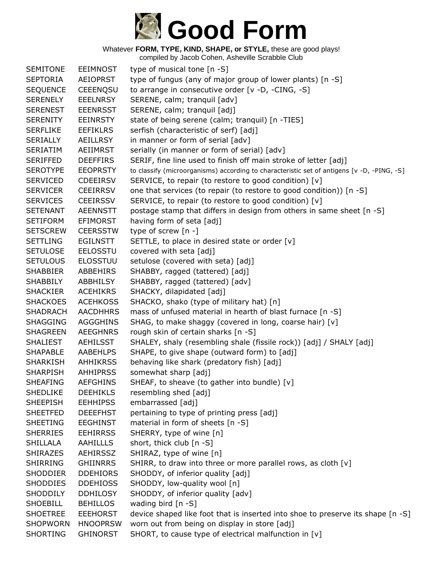

| <b>SEMITONE</b> | <b>EEIMNOST</b> | type of musical tone $[n - S]$                                                             |
|-----------------|-----------------|--------------------------------------------------------------------------------------------|
| <b>SEPTORIA</b> | <b>AEIOPRST</b> | type of fungus (any of major group of lower plants) [n -S]                                 |
| <b>SEQUENCE</b> | <b>CEEENQSU</b> | to arrange in consecutive order [v -D, -CING, -S]                                          |
| <b>SERENELY</b> | <b>EEELNRSY</b> | SERENE, calm; tranquil [adv]                                                               |
| <b>SERENEST</b> | <b>EEENRSST</b> | SERENE, calm; tranquil [adj]                                                               |
| <b>SERENITY</b> | <b>EEINRSTY</b> | state of being serene (calm; tranquil) [n -TIES]                                           |
| <b>SERFLIKE</b> | <b>EEFIKLRS</b> | serfish (characteristic of serf) [adj]                                                     |
| <b>SERIALLY</b> | <b>AEILLRSY</b> | in manner or form of serial [adv]                                                          |
| SERIATIM        | AEIIMRST        | serially (in manner or form of serial) [adv]                                               |
| <b>SERIFFED</b> | <b>DEEFFIRS</b> | SERIF, fine line used to finish off main stroke of letter [adj]                            |
| <b>SEROTYPE</b> | <b>EEOPRSTY</b> | to classify (microorganisms) according to characteristic set of antigens [v -D, -PING, -S] |
| <b>SERVICED</b> | <b>CDEEIRSV</b> | SERVICE, to repair (to restore to good condition) [v]                                      |
| <b>SERVICER</b> | <b>CEEIRRSV</b> | one that services (to repair (to restore to good condition)) [n -S]                        |
| <b>SERVICES</b> | <b>CEEIRSSV</b> | SERVICE, to repair (to restore to good condition) [v]                                      |
| <b>SETENANT</b> | <b>AEENNSTT</b> | postage stamp that differs in design from others in same sheet [n -S]                      |
| <b>SETIFORM</b> | <b>EFIMORST</b> | having form of seta [adj]                                                                  |
| <b>SETSCREW</b> | <b>CEERSSTW</b> | type of screw $[n -]$                                                                      |
| <b>SETTLING</b> | <b>EGILNSTT</b> | SETTLE, to place in desired state or order [v]                                             |
| <b>SETULOSE</b> | <b>EELOSSTU</b> | covered with seta [adj]                                                                    |
| <b>SETULOUS</b> | <b>ELOSSTUU</b> | setulose (covered with seta) [adj]                                                         |
| <b>SHABBIER</b> | ABBEHIRS        | SHABBY, ragged (tattered) [adj]                                                            |
| <b>SHABBILY</b> | ABBHILSY        | SHABBY, ragged (tattered) [adv]                                                            |
| <b>SHACKIER</b> | <b>ACEHIKRS</b> | SHACKY, dilapidated [adj]                                                                  |
| <b>SHACKOES</b> | <b>ACEHKOSS</b> | SHACKO, shako (type of military hat) [n]                                                   |
| <b>SHADRACH</b> | <b>AACDHHRS</b> | mass of unfused material in hearth of blast furnace [n -S]                                 |
| <b>SHAGGING</b> | AGGGHINS        | SHAG, to make shaggy (covered in long, coarse hair) [v]                                    |
| <b>SHAGREEN</b> | <b>AEEGHNRS</b> | rough skin of certain sharks [n -S]                                                        |
| <b>SHALIEST</b> | <b>AEHILSST</b> | SHALEY, shaly (resembling shale (fissile rock)) [adj] / SHALY [adj]                        |
| <b>SHAPABLE</b> | <b>AABEHLPS</b> | SHAPE, to give shape (outward form) to [adj]                                               |
| <b>SHARKISH</b> | <b>AHHIKRSS</b> | behaving like shark (predatory fish) [adj]                                                 |
| <b>SHARPISH</b> | <b>AHHIPRSS</b> | somewhat sharp [adj]                                                                       |
| <b>SHEAFING</b> | <b>AEFGHINS</b> | SHEAF, to sheave (to gather into bundle) [v]                                               |
| <b>SHEDLIKE</b> | <b>DEEHIKLS</b> | resembling shed [adj]                                                                      |
| <b>SHEEPISH</b> | <b>EEHHIPSS</b> | embarrassed [adj]                                                                          |
| <b>SHEETFED</b> | <b>DEEEFHST</b> | pertaining to type of printing press [adj]                                                 |
| <b>SHEETING</b> | <b>EEGHINST</b> | material in form of sheets [n -S]                                                          |
| <b>SHERRIES</b> | <b>EEHIRRSS</b> | SHERRY, type of wine [n]                                                                   |
| <b>SHILLALA</b> | <b>AAHILLLS</b> | short, thick club [n -S]                                                                   |
| <b>SHIRAZES</b> | <b>AEHIRSSZ</b> | SHIRAZ, type of wine [n]                                                                   |
| SHIRRING        | <b>GHIINRRS</b> | SHIRR, to draw into three or more parallel rows, as cloth [v]                              |
| <b>SHODDIER</b> | <b>DDEHIORS</b> | SHODDY, of inferior quality [adj]                                                          |
| <b>SHODDIES</b> | <b>DDEHIOSS</b> | SHODDY, low-quality wool [n]                                                               |
| <b>SHODDILY</b> | <b>DDHILOSY</b> | SHODDY, of inferior quality [adv]                                                          |
| <b>SHOEBILL</b> | <b>BEHILLOS</b> | wading bird [n -S]                                                                         |
| <b>SHOETREE</b> | <b>EEEHORST</b> | device shaped like foot that is inserted into shoe to preserve its shape [n -S]            |
| <b>SHOPWORN</b> | <b>HNOOPRSW</b> | worn out from being on display in store [adj]                                              |
| <b>SHORTING</b> | <b>GHINORST</b> | SHORT, to cause type of electrical malfunction in [v]                                      |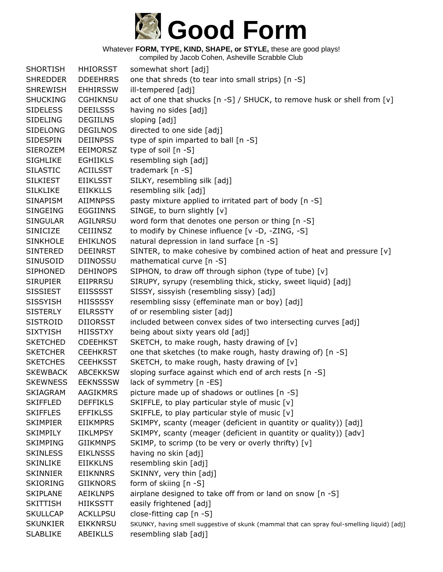

| <b>SHORTISH</b> | <b>HHIORSST</b> | somewhat short [adj]                                                                        |
|-----------------|-----------------|---------------------------------------------------------------------------------------------|
| <b>SHREDDER</b> | <b>DDEEHRRS</b> | one that shreds (to tear into small strips) [n -S]                                          |
| <b>SHREWISH</b> | <b>EHHIRSSW</b> | ill-tempered [adj]                                                                          |
| <b>SHUCKING</b> | <b>CGHIKNSU</b> | act of one that shucks [n -S] / SHUCK, to remove husk or shell from [v]                     |
| <b>SIDELESS</b> | <b>DEEILSSS</b> | having no sides [adj]                                                                       |
| <b>SIDELING</b> | <b>DEGIILNS</b> | sloping [adj]                                                                               |
| <b>SIDELONG</b> | <b>DEGILNOS</b> | directed to one side [adj]                                                                  |
| <b>SIDESPIN</b> | <b>DEIINPSS</b> | type of spin imparted to ball [n -S]                                                        |
| <b>SIEROZEM</b> | <b>EEIMORSZ</b> | type of soil [n -S]                                                                         |
| <b>SIGHLIKE</b> | <b>EGHIIKLS</b> | resembling sigh [adj]                                                                       |
| <b>SILASTIC</b> | <b>ACIILSST</b> | trademark [n -S]                                                                            |
| <b>SILKIEST</b> | <b>EIIKLSST</b> | SILKY, resembling silk [adj]                                                                |
| <b>SILKLIKE</b> | <b>EIIKKLLS</b> | resembling silk [adj]                                                                       |
| <b>SINAPISM</b> | <b>AIIMNPSS</b> | pasty mixture applied to irritated part of body [n -S]                                      |
| <b>SINGEING</b> | <b>EGGIINNS</b> | SINGE, to burn slightly [v]                                                                 |
| <b>SINGULAR</b> | AGILNRSU        | word form that denotes one person or thing [n -S]                                           |
| SINICIZE        | <b>CEIIINSZ</b> | to modify by Chinese influence [v -D, -ZING, -S]                                            |
| <b>SINKHOLE</b> | <b>EHIKLNOS</b> | natural depression in land surface [n -S]                                                   |
| <b>SINTERED</b> | <b>DEEINRST</b> | SINTER, to make cohesive by combined action of heat and pressure [v]                        |
| SINUSOID        | DIINOSSU        | mathematical curve [n -S]                                                                   |
| <b>SIPHONED</b> | <b>DEHINOPS</b> | SIPHON, to draw off through siphon (type of tube) [v]                                       |
| <b>SIRUPIER</b> | EIIPRRSU        | SIRUPY, syrupy (resembling thick, sticky, sweet liquid) [adj]                               |
| <b>SISSIEST</b> | <b>EIISSSST</b> | SISSY, sissyish (resembling sissy) [adj]                                                    |
| <b>SISSYISH</b> | <b>HIISSSSY</b> | resembling sissy (effeminate man or boy) [adj]                                              |
| <b>SISTERLY</b> | <b>EILRSSTY</b> | of or resembling sister [adj]                                                               |
| <b>SISTROID</b> | <b>DIIORSST</b> | included between convex sides of two intersecting curves [adj]                              |
| <b>SIXTYISH</b> | <b>HIISSTXY</b> | being about sixty years old [adj]                                                           |
| <b>SKETCHED</b> | <b>CDEEHKST</b> | SKETCH, to make rough, hasty drawing of [v]                                                 |
| <b>SKETCHER</b> | <b>CEEHKRST</b> | one that sketches (to make rough, hasty drawing of) [n -S]                                  |
| <b>SKETCHES</b> | <b>CEEHKSST</b> | SKETCH, to make rough, hasty drawing of [v]                                                 |
| <b>SKEWBACK</b> | <b>ABCEKKSW</b> | sloping surface against which end of arch rests [n -S]                                      |
| <b>SKEWNESS</b> | <b>EEKNSSSW</b> | lack of symmetry [n -ES]                                                                    |
| <b>SKIAGRAM</b> | AAGIKMRS        | picture made up of shadows or outlines [n -S]                                               |
| <b>SKIFFLED</b> | <b>DEFFIKLS</b> | SKIFFLE, to play particular style of music [v]                                              |
| <b>SKIFFLES</b> | <b>EFFIKLSS</b> | SKIFFLE, to play particular style of music [v]                                              |
| <b>SKIMPIER</b> | <b>EIIKMPRS</b> | SKIMPY, scanty (meager (deficient in quantity or quality)) [adj]                            |
| <b>SKIMPILY</b> | <b>IIKLMPSY</b> | SKIMPY, scanty (meager (deficient in quantity or quality)) [adv]                            |
| <b>SKIMPING</b> | <b>GIIKMNPS</b> | SKIMP, to scrimp (to be very or overly thrifty) [v]                                         |
| <b>SKINLESS</b> | <b>EIKLNSSS</b> | having no skin [adj]                                                                        |
| <b>SKINLIKE</b> | <b>EIIKKLNS</b> | resembling skin [adj]                                                                       |
| <b>SKINNIER</b> | <b>EIIKNNRS</b> | SKINNY, very thin [adj]                                                                     |
| <b>SKIORING</b> | <b>GIIKNORS</b> | form of skiing [n -S]                                                                       |
| <b>SKIPLANE</b> | <b>AEIKLNPS</b> | airplane designed to take off from or land on snow [n -S]                                   |
| <b>SKITTISH</b> | <b>HIIKSSTT</b> | easily frightened [adj]                                                                     |
| <b>SKULLCAP</b> | <b>ACKLLPSU</b> | close-fitting cap [n -S]                                                                    |
| <b>SKUNKIER</b> | <b>EIKKNRSU</b> | SKUNKY, having smell suggestive of skunk (mammal that can spray foul-smelling liquid) [adj] |
| <b>SLABLIKE</b> | ABEIKLLS        | resembling slab [adj]                                                                       |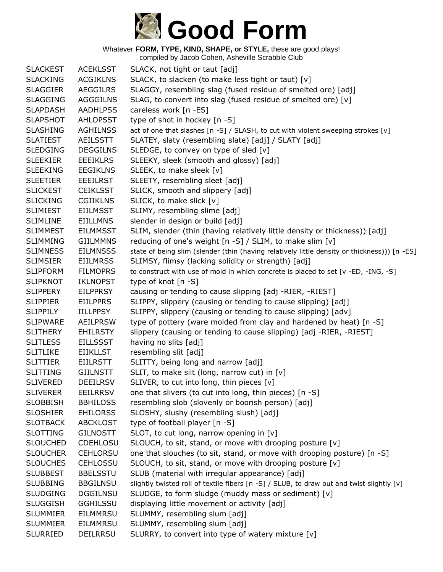

| <b>SLACKEST</b> | <b>ACEKLSST</b> | SLACK, not tight or taut [adj]                                                               |
|-----------------|-----------------|----------------------------------------------------------------------------------------------|
| <b>SLACKING</b> | <b>ACGIKLNS</b> | SLACK, to slacken (to make less tight or taut) [v]                                           |
| <b>SLAGGIER</b> | <b>AEGGILRS</b> | SLAGGY, resembling slag (fused residue of smelted ore) [adj]                                 |
| <b>SLAGGING</b> | <b>AGGGILNS</b> | SLAG, to convert into slag (fused residue of smelted ore) [v]                                |
| <b>SLAPDASH</b> | <b>AADHLPSS</b> | careless work [n -ES]                                                                        |
| <b>SLAPSHOT</b> | <b>AHLOPSST</b> | type of shot in hockey [n -S]                                                                |
| <b>SLASHING</b> | <b>AGHILNSS</b> | act of one that slashes [n -S] / SLASH, to cut with violent sweeping strokes [v]             |
| <b>SLATIEST</b> | <b>AEILSSTT</b> | SLATEY, slaty (resembling slate) [adj] / SLATY [adj]                                         |
| <b>SLEDGING</b> | <b>DEGGILNS</b> | SLEDGE, to convey on type of sled [v]                                                        |
| <b>SLEEKIER</b> | <b>EEEIKLRS</b> | SLEEKY, sleek (smooth and glossy) [adj]                                                      |
| <b>SLEEKING</b> | <b>EEGIKLNS</b> | SLEEK, to make sleek [v]                                                                     |
| <b>SLEETIER</b> | <b>EEEILRST</b> | SLEETY, resembling sleet [adj]                                                               |
| <b>SLICKEST</b> | <b>CEIKLSST</b> | SLICK, smooth and slippery [adj]                                                             |
| <b>SLICKING</b> | <b>CGIIKLNS</b> | SLICK, to make slick [v]                                                                     |
| <b>SLIMIEST</b> | <b>EIILMSST</b> | SLIMY, resembling slime [adj]                                                                |
| <b>SLIMLINE</b> | <b>EIILLMNS</b> | slender in design or build [adj]                                                             |
| <b>SLIMMEST</b> | <b>EILMMSST</b> | SLIM, slender (thin (having relatively little density or thickness)) [adj]                   |
| <b>SLIMMING</b> | <b>GIILMMNS</b> | reducing of one's weight [n -S] / SLIM, to make slim [v]                                     |
| <b>SLIMNESS</b> | <b>EILMNSSS</b> | state of being slim (slender (thin (having relatively little density or thickness))) [n -ES] |
| <b>SLIMSIER</b> | <b>EIILMRSS</b> | SLIMSY, flimsy (lacking solidity or strength) [adj]                                          |
| <b>SLIPFORM</b> | <b>FILMOPRS</b> | to construct with use of mold in which concrete is placed to set [v -ED, -ING, -S]           |
| <b>SLIPKNOT</b> | <b>IKLNOPST</b> | type of knot [n -S]                                                                          |
| <b>SLIPPERY</b> | <b>EILPPRSY</b> | causing or tending to cause slipping [adj -RIER, -RIEST]                                     |
| <b>SLIPPIER</b> | <b>EIILPPRS</b> | SLIPPY, slippery (causing or tending to cause slipping) [adj]                                |
| <b>SLIPPILY</b> | <b>IILLPPSY</b> | SLIPPY, slippery (causing or tending to cause slipping) [adv]                                |
| <b>SLIPWARE</b> | <b>AEILPRSW</b> | type of pottery (ware molded from clay and hardened by heat) [n -S]                          |
| <b>SLITHERY</b> | <b>EHILRSTY</b> | slippery (causing or tending to cause slipping) [adj -RIER, -RIEST]                          |
| <b>SLITLESS</b> | <b>EILLSSST</b> | having no slits [adj]                                                                        |
| <b>SLITLIKE</b> | <b>EIIKLLST</b> | resembling slit [adj]                                                                        |
| <b>SLITTIER</b> | <b>EIILRSTT</b> | SLITTY, being long and narrow [adj]                                                          |
| <b>SLITTING</b> | <b>GIILNSTT</b> | SLIT, to make slit (long, narrow cut) in [v]                                                 |
| <b>SLIVERED</b> | <b>DEEILRSV</b> | SLIVER, to cut into long, thin pieces [v]                                                    |
| <b>SLIVERER</b> | <b>EEILRRSV</b> | one that slivers (to cut into long, thin pieces) [n -S]                                      |
| <b>SLOBBISH</b> | <b>BBHILOSS</b> | resembling slob (slovenly or boorish person) [adj]                                           |
| <b>SLOSHIER</b> | <b>EHILORSS</b> | SLOSHY, slushy (resembling slush) [adj]                                                      |
| <b>SLOTBACK</b> | <b>ABCKLOST</b> | type of football player [n -S]                                                               |
| <b>SLOTTING</b> | <b>GILNOSTT</b> | SLOT, to cut long, narrow opening in $[v]$                                                   |
| <b>SLOUCHED</b> | <b>CDEHLOSU</b> | SLOUCH, to sit, stand, or move with drooping posture [v]                                     |
| <b>SLOUCHER</b> | <b>CEHLORSU</b> | one that slouches (to sit, stand, or move with drooping posture) [n -S]                      |
| <b>SLOUCHES</b> | <b>CEHLOSSU</b> | SLOUCH, to sit, stand, or move with drooping posture [v]                                     |
| <b>SLUBBEST</b> | <b>BBELSSTU</b> | SLUB (material with irregular appearance) [adj]                                              |
| <b>SLUBBING</b> | <b>BBGILNSU</b> | slightly twisted roll of textile fibers [n -S] / SLUB, to draw out and twist slightly [v]    |
| <b>SLUDGING</b> | <b>DGGILNSU</b> | SLUDGE, to form sludge (muddy mass or sediment) [v]                                          |
| <b>SLUGGISH</b> | <b>GGHILSSU</b> | displaying little movement or activity [adj]                                                 |
| <b>SLUMMIER</b> | EILMMRSU        | SLUMMY, resembling slum [adj]                                                                |
| <b>SLUMMIER</b> | <b>EILMMRSU</b> | SLUMMY, resembling slum [adj]                                                                |
| <b>SLURRIED</b> | <b>DEILRRSU</b> | SLURRY, to convert into type of watery mixture [v]                                           |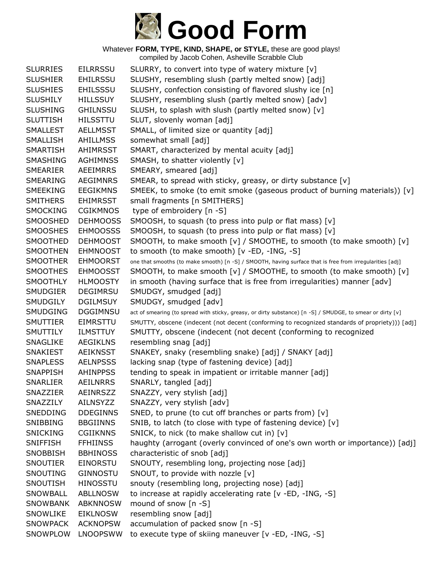

Whatever **FORM, TYPE, KIND, SHAPE, or STYLE,** these are good plays! compiled by Jacob Cohen, Asheville Scrabble Club

SLURRIES EILRRSSU SLURRY, to convert into type of watery mixture [v] SLUSHIER EHILRSSU SLUSHY, resembling slush (partly melted snow) [adj] SLUSHIES EHILSSSU SLUSHY, confection consisting of flavored slushy ice [n] SLUSHILY HILLSSUY SLUSHY, resembling slush (partly melted snow) [adv] SLUSHING GHILNSSU SLUSH, to splash with slush (partly melted snow) [v] SLUTTISH HILSSTTU SLUT, slovenly woman [adj] SMALLEST AELLMSST SMALL, of limited size or quantity [adj] SMALLISH AHILLMSS somewhat small [adj] SMARTISH AHIMRSST SMART, characterized by mental acuity [adj] SMASHING AGHIMNSS SMASH, to shatter violently [v] SMEARIER AEEIMRRS SMEARY, smeared [adj] SMEARING AEGIMNRS SMEAR, to spread with sticky, greasy, or dirty substance [v] SMEEKING EEGIKMNS SMEEK, to smoke (to emit smoke (gaseous product of burning materials)) [v] SMITHERS EHIMRSST small fragments [n SMITHERS] SMOCKING CGIKMNOS type of embroidery [n -S] SMOOSHED DEHMOOSS SMOOSH, to squash (to press into pulp or flat mass) [v] SMOOSHES EHMOOSSS SMOOSH, to squash (to press into pulp or flat mass) [v] SMOOTHED DEHMOOST SMOOTH, to make smooth [v] / SMOOTHE, to smooth (to make smooth) [v] SMOOTHEN EHMNOOST to smooth (to make smooth) [v -ED, -ING, -S] SMOOTHER EHMOORST one that smooths (to make smooth) [n -S] / SMOOTH, having surface that is free from irregularities [adj] SMOOTHES EHMOOSST SMOOTH, to make smooth [v] / SMOOTHE, to smooth (to make smooth) [v] SMOOTHLY HLMOOSTY in smooth (having surface that is free from irregularities) manner [adv] SMUDGIER DEGIMRSU SMUDGY, smudged [adj] SMUDGILY DGILMSUY SMUDGY, smudged [adv] SMUDGING DGGIMNSU act of smearing (to spread with sticky, greasy, or dirty substance) [n -S] / SMUDGE, to smear or dirty [v] SMUTTIER EIMRSTTU SMUTTY, obscene (indecent (not decent (conforming to recognized standards of propriety))) [adj] SMUTTILY ILMSTTUY SMUTTY, obscene (indecent (not decent (conforming to recognized SNAGLIKE AEGIKLNS resembling snag [adj] SNAKIEST AEIKNSST SNAKEY, snaky (resembling snake) [adj] / SNAKY [adj] SNAPLESS AELNPSSS lacking snap (type of fastening device) [adj] SNAPPISH AHINPPSS tending to speak in impatient or irritable manner [adj] SNARLIER AEILNRRS SNARLY, tangled [adj] SNAZZIER AEINRSZZ SNAZZY, very stylish [adj] SNAZZILY AILNSYZZ SNAZZY, very stylish [adv] SNEDDING DDEGINNS SNED, to prune (to cut off branches or parts from) [v] SNIBBING BBGIINNS SNIB, to latch (to close with type of fastening device) [v] SNICKING CGIIKNNS SNICK, to nick (to make shallow cut in) [v] SNIFFISH FFHIINSS haughty (arrogant (overly convinced of one's own worth or importance)) [adj] SNOBBISH BBHINOSS characteristic of snob [adj] SNOUTIER EINORSTU SNOUTY, resembling long, projecting nose [adj] SNOUTING GINNOSTU SNOUT, to provide with nozzle [v] SNOUTISH HINOSSTU snouty (resembling long, projecting nose) [adj] SNOWBALL ABLLNOSW to increase at rapidly accelerating rate [v -ED, -ING, -S] SNOWBANK ABKNNOSW mound of snow [n -S] SNOWLIKE EIKLNOSW resembling snow [adj] SNOWPACK ACKNOPSW accumulation of packed snow [n -S] SNOWPLOW LNOOPSWW to execute type of skiing maneuver [v -ED, -ING, -S]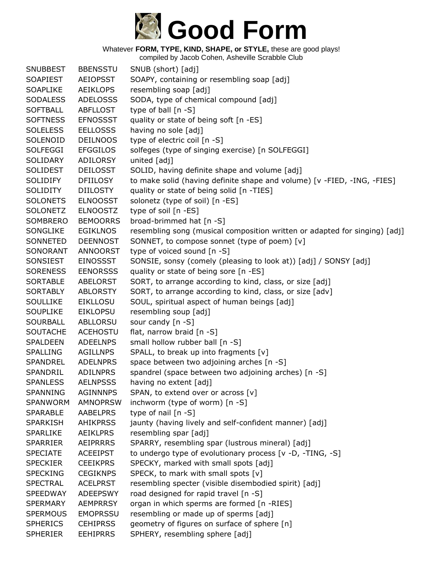

| <b>SNUBBEST</b> | <b>BBENSSTU</b> | SNUB (short) [adj]                                                         |
|-----------------|-----------------|----------------------------------------------------------------------------|
| <b>SOAPIEST</b> | <b>AEIOPSST</b> | SOAPY, containing or resembling soap [adj]                                 |
| <b>SOAPLIKE</b> | <b>AEIKLOPS</b> | resembling soap [adj]                                                      |
| <b>SODALESS</b> | <b>ADELOSSS</b> | SODA, type of chemical compound [adj]                                      |
| <b>SOFTBALL</b> | <b>ABFLLOST</b> | type of ball $[n - S]$                                                     |
| <b>SOFTNESS</b> | <b>EFNOSSST</b> | quality or state of being soft [n -ES]                                     |
| <b>SOLELESS</b> | <b>EELLOSSS</b> | having no sole [adj]                                                       |
| SOLENOID        | <b>DEILNOOS</b> | type of electric coil [n -S]                                               |
| <b>SOLFEGGI</b> | <b>EFGGILOS</b> | solfeges (type of singing exercise) [n SOLFEGGI]                           |
| SOLIDARY        | <b>ADILORSY</b> | united [adj]                                                               |
| <b>SOLIDEST</b> | <b>DEILOSST</b> | SOLID, having definite shape and volume [adj]                              |
| <b>SOLIDIFY</b> | <b>DFIILOSY</b> | to make solid (having definite shape and volume) [v -FIED, -ING, -FIES]    |
| <b>SOLIDITY</b> | <b>DIILOSTY</b> | quality or state of being solid [n -TIES]                                  |
| <b>SOLONETS</b> | <b>ELNOOSST</b> | solonetz (type of soil) [n -ES]                                            |
| <b>SOLONETZ</b> | <b>ELNOOSTZ</b> | type of soil [n -ES]                                                       |
| SOMBRERO        | <b>BEMOORRS</b> | broad-brimmed hat [n -S]                                                   |
| SONGLIKE        | <b>EGIKLNOS</b> | resembling song (musical composition written or adapted for singing) [adj] |
| SONNETED        | <b>DEENNOST</b> | SONNET, to compose sonnet (type of poem) [v]                               |
| SONORANT        | <b>ANNOORST</b> | type of voiced sound [n -S]                                                |
| SONSIEST        | EINOSSST        | SONSIE, sonsy (comely (pleasing to look at)) [adj] / SONSY [adj]           |
| <b>SORENESS</b> | <b>EENORSSS</b> | quality or state of being sore [n -ES]                                     |
| <b>SORTABLE</b> | <b>ABELORST</b> | SORT, to arrange according to kind, class, or size [adj]                   |
| <b>SORTABLY</b> | ABLORSTY        | SORT, to arrange according to kind, class, or size [adv]                   |
| <b>SOULLIKE</b> | <b>EIKLLOSU</b> | SOUL, spiritual aspect of human beings [adj]                               |
| <b>SOUPLIKE</b> | <b>EIKLOPSU</b> | resembling soup [adj]                                                      |
| <b>SOURBALL</b> | ABLLORSU        | sour candy [n -S]                                                          |
| <b>SOUTACHE</b> | <b>ACEHOSTU</b> | flat, narrow braid [n -S]                                                  |
| <b>SPALDEEN</b> | <b>ADEELNPS</b> | small hollow rubber ball [n -S]                                            |
| <b>SPALLING</b> | <b>AGILLNPS</b> | SPALL, to break up into fragments [v]                                      |
| <b>SPANDREL</b> | <b>ADELNPRS</b> | space between two adjoining arches [n -S]                                  |
| SPANDRIL        | <b>ADILNPRS</b> | spandrel (space between two adjoining arches) [n -S]                       |
| <b>SPANLESS</b> | <b>AELNPSSS</b> | having no extent [adj]                                                     |
| SPANNING        | <b>AGINNNPS</b> | SPAN, to extend over or across [v]                                         |
| <b>SPANWORM</b> | <b>AMNOPRSW</b> | inchworm (type of worm) $[n - S]$                                          |
| <b>SPARABLE</b> | AABELPRS        | type of nail $[n - S]$                                                     |
| <b>SPARKISH</b> | <b>AHIKPRSS</b> | jaunty (having lively and self-confident manner) [adj]                     |
| <b>SPARLIKE</b> | <b>AEIKLPRS</b> | resembling spar [adj]                                                      |
| <b>SPARRIER</b> | <b>AEIPRRRS</b> | SPARRY, resembling spar (lustrous mineral) [adj]                           |
| <b>SPECIATE</b> | <b>ACEEIPST</b> | to undergo type of evolutionary process [v -D, -TING, -S]                  |
| <b>SPECKIER</b> | <b>CEEIKPRS</b> | SPECKY, marked with small spots [adj]                                      |
| <b>SPECKING</b> | <b>CEGIKNPS</b> | SPECK, to mark with small spots [v]                                        |
| <b>SPECTRAL</b> | <b>ACELPRST</b> | resembling specter (visible disembodied spirit) [adj]                      |
| <b>SPEEDWAY</b> | <b>ADEEPSWY</b> | road designed for rapid travel [n -S]                                      |
| <b>SPERMARY</b> | <b>AEMPRRSY</b> | organ in which sperms are formed [n -RIES]                                 |
| <b>SPERMOUS</b> | <b>EMOPRSSU</b> | resembling or made up of sperms [adj]                                      |
| <b>SPHERICS</b> | <b>CEHIPRSS</b> | geometry of figures on surface of sphere [n]                               |
| <b>SPHERIER</b> | <b>EEHIPRRS</b> | SPHERY, resembling sphere [adj]                                            |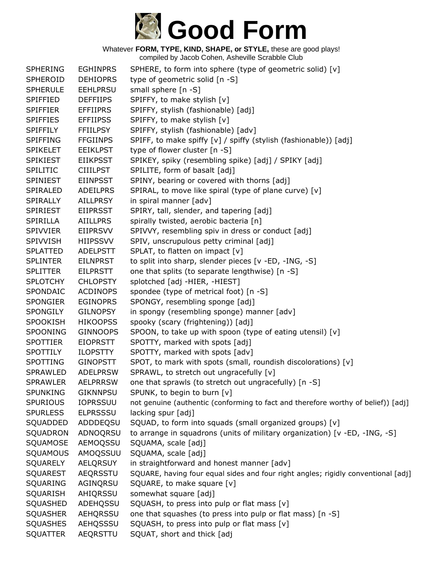

Whatever **FORM, TYPE, KIND, SHAPE, or STYLE,** these are good plays! compiled by Jacob Cohen, Asheville Scrabble Club

| <b>SPHERING</b> | <b>EGHINPRS</b> | SPHERE, to form into sphere (type of geometric solid) [v]                         |
|-----------------|-----------------|-----------------------------------------------------------------------------------|
| SPHEROID        | <b>DEHIOPRS</b> | type of geometric solid [n -S]                                                    |
| <b>SPHERULE</b> | <b>EEHLPRSU</b> | small sphere [n -S]                                                               |
| <b>SPIFFIED</b> | <b>DEFFIIPS</b> | SPIFFY, to make stylish [v]                                                       |
| <b>SPIFFIER</b> | <b>EFFIIPRS</b> | SPIFFY, stylish (fashionable) [adj]                                               |
| <b>SPIFFIES</b> | <b>EFFIIPSS</b> | SPIFFY, to make stylish [v]                                                       |
| <b>SPIFFILY</b> | <b>FFIILPSY</b> | SPIFFY, stylish (fashionable) [adv]                                               |
| <b>SPIFFING</b> | <b>FFGIINPS</b> | SPIFF, to make spiffy [v] / spiffy (stylish (fashionable)) [adj]                  |
| <b>SPIKELET</b> | <b>EEIKLPST</b> | type of flower cluster [n -S]                                                     |
| <b>SPIKIEST</b> | <b>EIIKPSST</b> | SPIKEY, spiky (resembling spike) [adj] / SPIKY [adj]                              |
| <b>SPILITIC</b> | <b>CIIILPST</b> | SPILITE, form of basalt [adj]                                                     |
| <b>SPINIEST</b> | <b>EIINPSST</b> | SPINY, bearing or covered with thorns [adj]                                       |
| SPIRALED        | <b>ADEILPRS</b> | SPIRAL, to move like spiral (type of plane curve) [v]                             |
| SPIRALLY        | <b>AILLPRSY</b> | in spiral manner [adv]                                                            |
| <b>SPIRIEST</b> | <b>EIIPRSST</b> | SPIRY, tall, slender, and tapering [adj]                                          |
| SPIRILLA        | <b>AIILLPRS</b> | spirally twisted, aerobic bacteria [n]                                            |
| <b>SPIVVIER</b> | <b>EIIPRSVV</b> | SPIVVY, resembling spiv in dress or conduct [adj]                                 |
| <b>SPIVVISH</b> | <b>HIIPSSVV</b> | SPIV, unscrupulous petty criminal [adj]                                           |
| <b>SPLATTED</b> | <b>ADELPSTT</b> | SPLAT, to flatten on impact [v]                                                   |
| <b>SPLINTER</b> | <b>EILNPRST</b> | to split into sharp, slender pieces [v -ED, -ING, -S]                             |
| <b>SPLITTER</b> | <b>EILPRSTT</b> | one that splits (to separate lengthwise) [n -S]                                   |
| <b>SPLOTCHY</b> | <b>CHLOPSTY</b> | splotched [adj -HIER, -HIEST]                                                     |
| SPONDAIC        | <b>ACDINOPS</b> | spondee (type of metrical foot) [n -S]                                            |
| <b>SPONGIER</b> | <b>EGINOPRS</b> | SPONGY, resembling sponge [adj]                                                   |
| <b>SPONGILY</b> | <b>GILNOPSY</b> | in spongy (resembling sponge) manner [adv]                                        |
| <b>SPOOKISH</b> | <b>HIKOOPSS</b> | spooky (scary (frightening)) [adj]                                                |
| <b>SPOONING</b> | <b>GINNOOPS</b> | SPOON, to take up with spoon (type of eating utensil) [v]                         |
| <b>SPOTTIER</b> | <b>EIOPRSTT</b> | SPOTTY, marked with spots [adj]                                                   |
| <b>SPOTTILY</b> | <b>ILOPSTTY</b> | SPOTTY, marked with spots [adv]                                                   |
| SPOTTING        | <b>GINOPSTT</b> | SPOT, to mark with spots (small, roundish discolorations) [v]                     |
| SPRAWLED        | <b>ADELPRSW</b> | SPRAWL, to stretch out ungracefully [v]                                           |
| <b>SPRAWLER</b> | <b>AELPRRSW</b> | one that sprawls (to stretch out ungracefully) [n -S]                             |
| <b>SPUNKING</b> | <b>GIKNNPSU</b> | SPUNK, to begin to burn [v]                                                       |
| <b>SPURIOUS</b> | <b>IOPRSSUU</b> | not genuine (authentic (conforming to fact and therefore worthy of belief)) [adj] |
| <b>SPURLESS</b> | <b>ELPRSSSU</b> | lacking spur [adj]                                                                |
| SQUADDED        | ADDDEQSU        | SQUAD, to form into squads (small organized groups) [v]                           |
| SQUADRON        | ADNOQRSU        | to arrange in squadrons (units of military organization) [ $v$ -ED, -ING, -S]     |
| SQUAMOSE        | AEMOQSSU        | SQUAMA, scale [adj]                                                               |
| SQUAMOUS        | AMOQSSUU        | SQUAMA, scale [adj]                                                               |
| SQUARELY        | <b>AELQRSUY</b> | in straightforward and honest manner [adv]                                        |
| <b>SQUAREST</b> | AEQRSSTU        | SQUARE, having four equal sides and four right angles; rigidly conventional [adj] |
| SQUARING        | AGINQRSU        | SQUARE, to make square [v]                                                        |
| SQUARISH        | AHIQRSSU        | somewhat square [adj]                                                             |
| SQUASHED        | ADEHQSSU        | SQUASH, to press into pulp or flat mass [v]                                       |
| <b>SQUASHER</b> | AEHQRSSU        | one that squashes (to press into pulp or flat mass) [n -S]                        |
| <b>SQUASHES</b> | AEHQSSSU        | SQUASH, to press into pulp or flat mass [v]                                       |
| <b>SQUATTER</b> | AEQRSTTU        | SQUAT, short and thick [adj                                                       |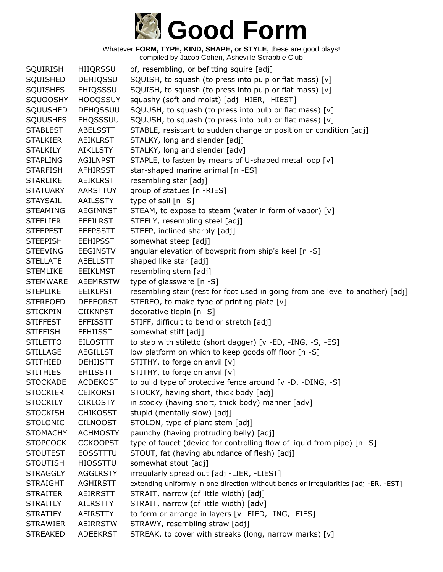

| <b>SQUIRISH</b> | <b>HIIQRSSU</b> | of, resembling, or befitting squire [adj]                                            |
|-----------------|-----------------|--------------------------------------------------------------------------------------|
| SQUISHED        | <b>DEHIQSSU</b> | SQUISH, to squash (to press into pulp or flat mass) [v]                              |
| <b>SQUISHES</b> | EHIQSSSU        | SQUISH, to squash (to press into pulp or flat mass) [v]                              |
| SQUOOSHY        | <b>HOOQSSUY</b> | squashy (soft and moist) [adj -HIER, -HIEST]                                         |
| SQUUSHED        | DEHQSSUU        | SQUUSH, to squash (to press into pulp or flat mass) [v]                              |
| <b>SQUUSHES</b> | <b>EHQSSSUU</b> | SQUUSH, to squash (to press into pulp or flat mass) [v]                              |
| <b>STABLEST</b> | <b>ABELSSTT</b> | STABLE, resistant to sudden change or position or condition [adj]                    |
| <b>STALKIER</b> | <b>AEIKLRST</b> | STALKY, long and slender [adj]                                                       |
| <b>STALKILY</b> | AIKLLSTY        | STALKY, long and slender [adv]                                                       |
| <b>STAPLING</b> | <b>AGILNPST</b> | STAPLE, to fasten by means of U-shaped metal loop [v]                                |
| <b>STARFISH</b> | <b>AFHIRSST</b> | star-shaped marine animal [n -ES]                                                    |
| <b>STARLIKE</b> | <b>AEIKLRST</b> | resembling star [adj]                                                                |
| <b>STATUARY</b> | <b>AARSTTUY</b> | group of statues [n -RIES]                                                           |
| <b>STAYSAIL</b> | AAILSSTY        | type of sail [n -S]                                                                  |
| <b>STEAMING</b> | AEGIMNST        | STEAM, to expose to steam (water in form of vapor) [v]                               |
| <b>STEELIER</b> | <b>EEEILRST</b> | STEELY, resembling steel [adj]                                                       |
| <b>STEEPEST</b> | <b>EEEPSSTT</b> | STEEP, inclined sharply [adj]                                                        |
| <b>STEEPISH</b> | <b>EEHIPSST</b> | somewhat steep [adj]                                                                 |
| <b>STEEVING</b> | <b>EEGINSTV</b> | angular elevation of bowsprit from ship's keel [n -S]                                |
| <b>STELLATE</b> | <b>AEELLSTT</b> | shaped like star [adj]                                                               |
| <b>STEMLIKE</b> | <b>EEIKLMST</b> | resembling stem [adj]                                                                |
| <b>STEMWARE</b> | <b>AEEMRSTW</b> | type of glassware [n -S]                                                             |
| <b>STEPLIKE</b> | <b>EEIKLPST</b> | resembling stair (rest for foot used in going from one level to another) [adj]       |
| <b>STEREOED</b> | <b>DEEEORST</b> | STEREO, to make type of printing plate [v]                                           |
| <b>STICKPIN</b> | <b>CIIKNPST</b> | decorative tiepin [n -S]                                                             |
| <b>STIFFEST</b> | <b>EFFISSTT</b> | STIFF, difficult to bend or stretch [adj]                                            |
| <b>STIFFISH</b> | <b>FFHIISST</b> | somewhat stiff [adj]                                                                 |
| <b>STILETTO</b> | <b>EILOSTTT</b> | to stab with stiletto (short dagger) [v -ED, -ING, -S, -ES]                          |
| <b>STILLAGE</b> | <b>AEGILLST</b> | low platform on which to keep goods off floor [n -S]                                 |
| <b>STITHIED</b> | <b>DEHIISTT</b> | STITHY, to forge on anvil [v]                                                        |
| <b>STITHIES</b> | <b>EHIISSTT</b> | STITHY, to forge on anvil [v]                                                        |
| <b>STOCKADE</b> | <b>ACDEKOST</b> | to build type of protective fence around [v -D, -DING, -S]                           |
| <b>STOCKIER</b> | <b>CEIKORST</b> | STOCKY, having short, thick body [adj]                                               |
| <b>STOCKILY</b> | <b>CIKLOSTY</b> | in stocky (having short, thick body) manner [adv]                                    |
| <b>STOCKISH</b> | <b>CHIKOSST</b> | stupid (mentally slow) [adj]                                                         |
| <b>STOLONIC</b> | <b>CILNOOST</b> | STOLON, type of plant stem [adj]                                                     |
| <b>STOMACHY</b> | <b>ACHMOSTY</b> | paunchy (having protruding belly) [adj]                                              |
| <b>STOPCOCK</b> | <b>CCKOOPST</b> | type of faucet (device for controlling flow of liquid from pipe) [n -S]              |
| <b>STOUTEST</b> | <b>EOSSTTTU</b> | STOUT, fat (having abundance of flesh) [adj]                                         |
| <b>STOUTISH</b> | <b>HIOSSTTU</b> | somewhat stout [adj]                                                                 |
| <b>STRAGGLY</b> | <b>AGGLRSTY</b> | irregularly spread out [adj -LIER, -LIEST]                                           |
| <b>STRAIGHT</b> | <b>AGHIRSTT</b> | extending uniformly in one direction without bends or irregularities [adj -ER, -EST] |
| <b>STRAITER</b> | <b>AEIRRSTT</b> | STRAIT, narrow (of little width) [adj]                                               |
| <b>STRAITLY</b> | <b>AILRSTTY</b> | STRAIT, narrow (of little width) [adv]                                               |
| <b>STRATIFY</b> | <b>AFIRSTTY</b> | to form or arrange in layers [v -FIED, -ING, -FIES]                                  |
| <b>STRAWIER</b> | AEIRRSTW        | STRAWY, resembling straw [adj]                                                       |
| <b>STREAKED</b> | <b>ADEEKRST</b> | STREAK, to cover with streaks (long, narrow marks) [v]                               |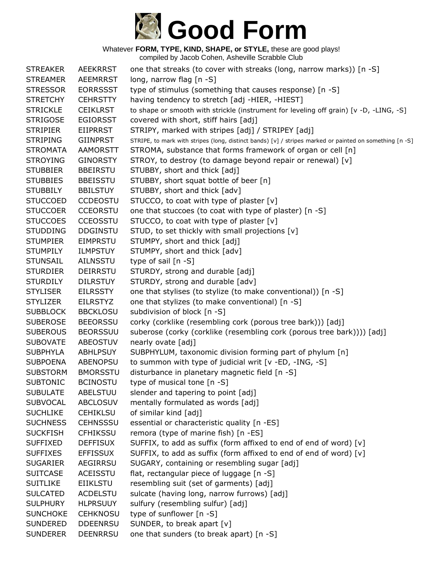

| <b>STREAKER</b> | <b>AEEKRRST</b> | one that streaks (to cover with streaks (long, narrow marks)) [n -S]                                    |
|-----------------|-----------------|---------------------------------------------------------------------------------------------------------|
| <b>STREAMER</b> | <b>AEEMRRST</b> | long, narrow flag [n -S]                                                                                |
| <b>STRESSOR</b> | <b>EORRSSST</b> | type of stimulus (something that causes response) [n -S]                                                |
| <b>STRETCHY</b> | <b>CEHRSTTY</b> | having tendency to stretch [adj -HIER, -HIEST]                                                          |
| <b>STRICKLE</b> | <b>CEIKLRST</b> | to shape or smooth with strickle (instrument for leveling off grain) [v -D, -LING, -S]                  |
| <b>STRIGOSE</b> | <b>EGIORSST</b> | covered with short, stiff hairs [adj]                                                                   |
| <b>STRIPIER</b> | <b>EIIPRRST</b> | STRIPY, marked with stripes [adj] / STRIPEY [adj]                                                       |
| <b>STRIPING</b> | <b>GIINPRST</b> | STRIPE, to mark with stripes (long, distinct bands) [v] / stripes marked or painted on something [n -S] |
| <b>STROMATA</b> | <b>AAMORSTT</b> | STROMA, substance that forms framework of organ or cell [n]                                             |
| <b>STROYING</b> | <b>GINORSTY</b> | STROY, to destroy (to damage beyond repair or renewal) [v]                                              |
| <b>STUBBIER</b> | <b>BBEIRSTU</b> | STUBBY, short and thick [adj]                                                                           |
| <b>STUBBIES</b> | <b>BBEISSTU</b> | STUBBY, short squat bottle of beer [n]                                                                  |
| <b>STUBBILY</b> | <b>BBILSTUY</b> | STUBBY, short and thick [adv]                                                                           |
| <b>STUCCOED</b> | <b>CCDEOSTU</b> | STUCCO, to coat with type of plaster [v]                                                                |
| <b>STUCCOER</b> | <b>CCEORSTU</b> | one that stuccoes (to coat with type of plaster) [n -S]                                                 |
| <b>STUCCOES</b> | <b>CCEOSSTU</b> | STUCCO, to coat with type of plaster [v]                                                                |
| <b>STUDDING</b> | <b>DDGINSTU</b> | STUD, to set thickly with small projections [v]                                                         |
| <b>STUMPIER</b> | <b>EIMPRSTU</b> | STUMPY, short and thick [adj]                                                                           |
| <b>STUMPILY</b> | <b>ILMPSTUY</b> | STUMPY, short and thick [adv]                                                                           |
| <b>STUNSAIL</b> | <b>AILNSSTU</b> | type of sail [n -S]                                                                                     |
| <b>STURDIER</b> | <b>DEIRRSTU</b> | STURDY, strong and durable [adj]                                                                        |
| <b>STURDILY</b> | <b>DILRSTUY</b> | STURDY, strong and durable [adv]                                                                        |
| <b>STYLISER</b> | <b>EILRSSTY</b> | one that stylises (to stylize (to make conventional)) [n -S]                                            |
| <b>STYLIZER</b> | <b>EILRSTYZ</b> | one that stylizes (to make conventional) [n -S]                                                         |
| <b>SUBBLOCK</b> | <b>BBCKLOSU</b> | subdivision of block [n -S]                                                                             |
| <b>SUBEROSE</b> | <b>BEEORSSU</b> | corky (corklike (resembling cork (porous tree bark))) [adj]                                             |
| <b>SUBEROUS</b> | <b>BEORSSUU</b> | suberose (corky (corklike (resembling cork (porous tree bark)))) [adj]                                  |
| <b>SUBOVATE</b> | ABEOSTUV        | nearly ovate [adj]                                                                                      |
| <b>SUBPHYLA</b> | <b>ABHLPSUY</b> | SUBPHYLUM, taxonomic division forming part of phylum [n]                                                |
| <b>SUBPOENA</b> | ABENOPSU        | to summon with type of judicial writ [v -ED, -ING, -S]                                                  |
| <b>SUBSTORM</b> | <b>BMORSSTU</b> | disturbance in planetary magnetic field [n -S]                                                          |
| <b>SUBTONIC</b> | <b>BCINOSTU</b> | type of musical tone [n -S]                                                                             |
| <b>SUBULATE</b> | ABELSTUU        | slender and tapering to point [adj]                                                                     |
| <b>SUBVOCAL</b> | <b>ABCLOSUV</b> | mentally formulated as words [adj]                                                                      |
| <b>SUCHLIKE</b> | <b>CEHIKLSU</b> | of similar kind [adj]                                                                                   |
| <b>SUCHNESS</b> | <b>CEHNSSSU</b> | essential or characteristic quality [n -ES]                                                             |
| <b>SUCKFISH</b> | <b>CFHIKSSU</b> | remora (type of marine fish) [n -ES]                                                                    |
| <b>SUFFIXED</b> | <b>DEFFISUX</b> | SUFFIX, to add as suffix (form affixed to end of end of word) [v]                                       |
| <b>SUFFIXES</b> | <b>EFFISSUX</b> | SUFFIX, to add as suffix (form affixed to end of end of word) [v]                                       |
| <b>SUGARIER</b> | AEGIRRSU        | SUGARY, containing or resembling sugar [adj]                                                            |
| <b>SUITCASE</b> | ACEISSTU        | flat, rectangular piece of luggage [n -S]                                                               |
| <b>SUITLIKE</b> | <b>EIIKLSTU</b> | resembling suit (set of garments) [adj]                                                                 |
| <b>SULCATED</b> | ACDELSTU        | sulcate (having long, narrow furrows) [adj]                                                             |
| <b>SULPHURY</b> | <b>HLPRSUUY</b> | sulfury (resembling sulfur) [adj]                                                                       |
| <b>SUNCHOKE</b> | <b>CEHKNOSU</b> | type of sunflower [n -S]                                                                                |
| <b>SUNDERED</b> | <b>DDEENRSU</b> | SUNDER, to break apart [v]                                                                              |
| <b>SUNDERER</b> | <b>DEENRRSU</b> | one that sunders (to break apart) [n -S]                                                                |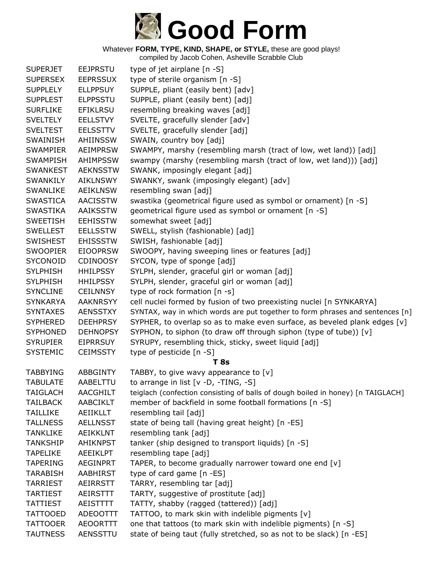

| <b>SUPERJET</b> | <b>EEJPRSTU</b> | type of jet airplane [n -S]                                                     |
|-----------------|-----------------|---------------------------------------------------------------------------------|
| <b>SUPERSEX</b> | <b>EEPRSSUX</b> | type of sterile organism [n -S]                                                 |
| <b>SUPPLELY</b> | <b>ELLPPSUY</b> | SUPPLE, pliant (easily bent) [adv]                                              |
| <b>SUPPLEST</b> | <b>ELPPSSTU</b> | SUPPLE, pliant (easily bent) [adj]                                              |
| <b>SURFLIKE</b> | <b>EFIKLRSU</b> | resembling breaking waves [adj]                                                 |
| <b>SVELTELY</b> | <b>EELLSTVY</b> | SVELTE, gracefully slender [adv]                                                |
| <b>SVELTEST</b> | <b>EELSSTTV</b> | SVELTE, gracefully slender [adj]                                                |
| SWAINISH        | AHIINSSW        | SWAIN, country boy [adj]                                                        |
| <b>SWAMPIER</b> | <b>AEIMPRSW</b> | SWAMPY, marshy (resembling marsh (tract of low, wet land)) [adj]                |
| <b>SWAMPISH</b> | <b>AHIMPSSW</b> | swampy (marshy (resembling marsh (tract of low, wet land))) [adj]               |
| <b>SWANKEST</b> | <b>AEKNSSTW</b> | SWANK, imposingly elegant [adj]                                                 |
| <b>SWANKILY</b> | <b>AIKLNSWY</b> | SWANKY, swank (imposingly elegant) [adv]                                        |
| <b>SWANLIKE</b> | <b>AEIKLNSW</b> | resembling swan [adj]                                                           |
| <b>SWASTICA</b> | <b>AACISSTW</b> | swastika (geometrical figure used as symbol or ornament) [n -S]                 |
| <b>SWASTIKA</b> | AAIKSSTW        | geometrical figure used as symbol or ornament [n -S]                            |
| <b>SWEETISH</b> | <b>EEHISSTW</b> | somewhat sweet [adj]                                                            |
| <b>SWELLEST</b> | <b>EELLSSTW</b> | SWELL, stylish (fashionable) [adj]                                              |
| <b>SWISHEST</b> | <b>EHISSSTW</b> | SWISH, fashionable [adj]                                                        |
| <b>SWOOPIER</b> | <b>EIOOPRSW</b> | SWOOPY, having sweeping lines or features [adj]                                 |
| SYCONOID        | <b>CDINOOSY</b> | SYCON, type of sponge [adj]                                                     |
| <b>SYLPHISH</b> | <b>HHILPSSY</b> | SYLPH, slender, graceful girl or woman [adj]                                    |
| <b>SYLPHISH</b> | <b>HHILPSSY</b> | SYLPH, slender, graceful girl or woman [adj]                                    |
| <b>SYNCLINE</b> | <b>CEILNNSY</b> | type of rock formation [n -s]                                                   |
| <b>SYNKARYA</b> | <b>AAKNRSYY</b> | cell nuclei formed by fusion of two preexisting nuclei [n SYNKARYA]             |
| <b>SYNTAXES</b> | <b>AENSSTXY</b> | SYNTAX, way in which words are put together to form phrases and sentences [n]   |
| <b>SYPHERED</b> | <b>DEEHPRSY</b> | SYPHER, to overlap so as to make even surface, as beveled plank edges $[v]$     |
| <b>SYPHONED</b> | <b>DEHNOPSY</b> | SYPHON, to siphon (to draw off through siphon (type of tube)) [v]               |
| <b>SYRUPIER</b> | <b>EIPRRSUY</b> | SYRUPY, resembling thick, sticky, sweet liquid [adj]                            |
| <b>SYSTEMIC</b> | <b>CEIMSSTY</b> | type of pesticide [n -S]                                                        |
|                 |                 | <b>T</b> 8s                                                                     |
| <b>TABBYING</b> | <b>ABBGINTY</b> | TABBY, to give wavy appearance to $[v]$                                         |
| <b>TABULATE</b> | AABELTTU        | to arrange in list [v -D, -TING, -S]                                            |
| TAIGLACH        | <b>AACGHILT</b> | teiglach (confection consisting of balls of dough boiled in honey) [n TAIGLACH] |
| <b>TAILBACK</b> | <b>AABCIKLT</b> | member of backfield in some football formations [n -S]                          |
| <b>TAILLIKE</b> | AEIIKLLT        | resembling tail [adj]                                                           |
| <b>TALLNESS</b> | <b>AELLNSST</b> | state of being tall (having great height) [n -ES]                               |
| TANKLIKE        | <b>AEIKKLNT</b> | resembling tank [adj]                                                           |
| <b>TANKSHIP</b> | <b>AHIKNPST</b> | tanker (ship designed to transport liquids) [n -S]                              |
| <b>TAPELIKE</b> | <b>AEEIKLPT</b> | resembling tape [adj]                                                           |
| <b>TAPERING</b> | <b>AEGINPRT</b> | TAPER, to become gradually narrower toward one end [v]                          |
| <b>TARABISH</b> | AABHIRST        | type of card game [n -ES]                                                       |
| <b>TARRIEST</b> | AEIRRSTT        | TARRY, resembling tar [adj]                                                     |
| <b>TARTIEST</b> | <b>AEIRSTTT</b> | TARTY, suggestive of prostitute [adj]                                           |
| <b>TATTIEST</b> | <b>AEISTTTT</b> | TATTY, shabby (ragged (tattered)) [adj]                                         |
| <b>TATTOOED</b> | ADEOOTTT        | TATTOO, to mark skin with indelible pigments [v]                                |
| <b>TATTOOER</b> | <b>AEOORTTT</b> | one that tattoos (to mark skin with indelible pigments) [n -S]                  |
| <b>TAUTNESS</b> | AENSSTTU        | state of being taut (fully stretched, so as not to be slack) [n -ES]            |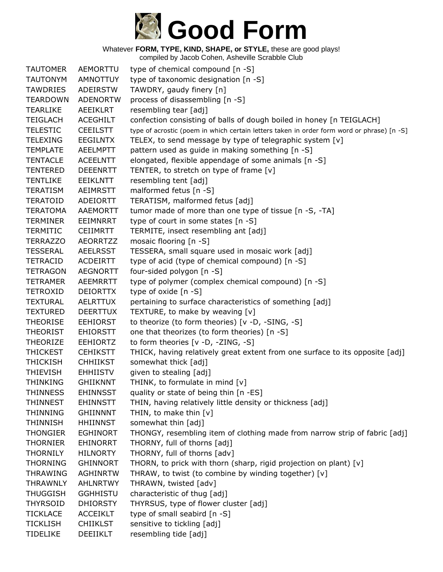

| <b>TAUTOMER</b> | AEMORTTU        | type of chemical compound [n -S]                                                           |
|-----------------|-----------------|--------------------------------------------------------------------------------------------|
| <b>TAUTONYM</b> | <b>AMNOTTUY</b> | type of taxonomic designation [n -S]                                                       |
| <b>TAWDRIES</b> | ADEIRSTW        | TAWDRY, gaudy finery [n]                                                                   |
| <b>TEARDOWN</b> | <b>ADENORTW</b> | process of disassembling [n -S]                                                            |
| <b>TEARLIKE</b> | <b>AEEIKLRT</b> | resembling tear [adj]                                                                      |
| <b>TEIGLACH</b> | <b>ACEGHILT</b> | confection consisting of balls of dough boiled in honey [n TEIGLACH]                       |
| <b>TELESTIC</b> | <b>CEEILSTT</b> | type of acrostic (poem in which certain letters taken in order form word or phrase) [n -S] |
| <b>TELEXING</b> | <b>EEGILNTX</b> | TELEX, to send message by type of telegraphic system [v]                                   |
| <b>TEMPLATE</b> | <b>AEELMPTT</b> | pattern used as guide in making something [n -S]                                           |
| <b>TENTACLE</b> | <b>ACEELNTT</b> | elongated, flexible appendage of some animals [n -S]                                       |
| <b>TENTERED</b> | <b>DEEENRTT</b> | TENTER, to stretch on type of frame [v]                                                    |
| <b>TENTLIKE</b> | EEIKLNTT        | resembling tent [adj]                                                                      |
| <b>TERATISM</b> | AEIMRSTT        | malformed fetus [n -S]                                                                     |
| <b>TERATOID</b> | ADEIORTT        | TERATISM, malformed fetus [adj]                                                            |
| <b>TERATOMA</b> | AAEMORTT        | tumor made of more than one type of tissue [n -S, -TA]                                     |
| <b>TERMINER</b> | EEIMNRRT        | type of court in some states [n -S]                                                        |
| <b>TERMITIC</b> | <b>CEIIMRTT</b> | TERMITE, insect resembling ant [adj]                                                       |
| <b>TERRAZZO</b> | <b>AEORRTZZ</b> | mosaic flooring [n -S]                                                                     |
| <b>TESSERAL</b> | <b>AEELRSST</b> | TESSERA, small square used in mosaic work [adj]                                            |
| <b>TETRACID</b> | <b>ACDEIRTT</b> | type of acid (type of chemical compound) [n -S]                                            |
| <b>TETRAGON</b> | <b>AEGNORTT</b> | four-sided polygon [n -S]                                                                  |
| <b>TETRAMER</b> | AEEMRRTT        | type of polymer (complex chemical compound) [n -S]                                         |
| <b>TETROXID</b> | <b>DEIORTTX</b> | type of oxide [n -S]                                                                       |
| <b>TEXTURAL</b> | <b>AELRTTUX</b> | pertaining to surface characteristics of something [adj]                                   |
| <b>TEXTURED</b> | <b>DEERTTUX</b> | TEXTURE, to make by weaving [v]                                                            |
| <b>THEORISE</b> | <b>EEHIORST</b> | to theorize (to form theories) [v -D, -SING, -S]                                           |
| <b>THEORIST</b> | <b>EHIORSTT</b> | one that theorizes (to form theories) [n -S]                                               |
| <b>THEORIZE</b> | <b>EEHIORTZ</b> | to form theories [v -D, -ZING, -S]                                                         |
| <b>THICKEST</b> | <b>CEHIKSTT</b> | THICK, having relatively great extent from one surface to its opposite [adj]               |
| <b>THICKISH</b> | <b>CHHIIKST</b> | somewhat thick [adj]                                                                       |
| <b>THIEVISH</b> | <b>EHHIISTV</b> | given to stealing [adj]                                                                    |
| <b>THINKING</b> | <b>GHIIKNNT</b> | THINK, to formulate in mind [v]                                                            |
| THINNESS        | <b>EHINNSST</b> | quality or state of being thin [n -ES]                                                     |
| <b>THINNEST</b> | <b>EHINNSTT</b> | THIN, having relatively little density or thickness [adj]                                  |
| <b>THINNING</b> | <b>GHIINNNT</b> | THIN, to make thin [v]                                                                     |
| <b>THINNISH</b> | <b>HHIINNST</b> | somewhat thin [adj]                                                                        |
| <b>THONGIER</b> | <b>EGHINORT</b> | THONGY, resembling item of clothing made from narrow strip of fabric [adj]                 |
| <b>THORNIER</b> | <b>EHINORRT</b> | THORNY, full of thorns [adj]                                                               |
| <b>THORNILY</b> | <b>HILNORTY</b> | THORNY, full of thorns [adv]                                                               |
| <b>THORNING</b> | <b>GHINNORT</b> | THORN, to prick with thorn (sharp, rigid projection on plant) [v]                          |
| <b>THRAWING</b> | <b>AGHINRTW</b> | THRAW, to twist (to combine by winding together) [v]                                       |
| <b>THRAWNLY</b> | <b>AHLNRTWY</b> | THRAWN, twisted [adv]                                                                      |
| <b>THUGGISH</b> | <b>GGHHISTU</b> | characteristic of thug [adj]                                                               |
| <b>THYRSOID</b> | <b>DHIORSTY</b> | THYRSUS, type of flower cluster [adj]                                                      |
| <b>TICKLACE</b> | <b>ACCEIKLT</b> | type of small seabird [n -S]                                                               |
| <b>TICKLISH</b> | <b>CHIIKLST</b> | sensitive to tickling [adj]                                                                |
| <b>TIDELIKE</b> | DEEIIKLT        | resembling tide [adj]                                                                      |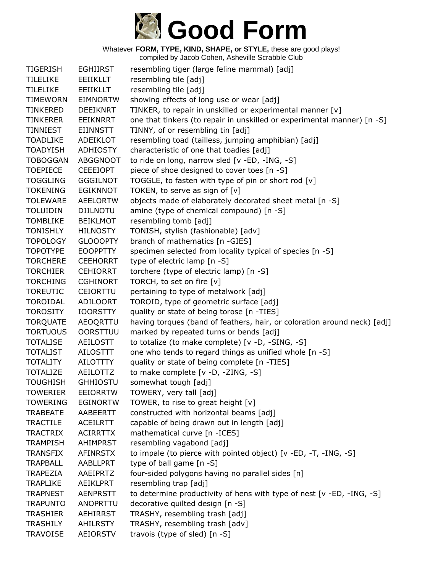

| <b>TIGERISH</b> | <b>EGHIIRST</b> | resembling tiger (large feline mammal) [adj]                             |
|-----------------|-----------------|--------------------------------------------------------------------------|
| <b>TILELIKE</b> | <b>EEIIKLLT</b> | resembling tile [adj]                                                    |
| <b>TILELIKE</b> | <b>EEIIKLLT</b> | resembling tile [adj]                                                    |
| <b>TIMEWORN</b> | <b>EIMNORTW</b> | showing effects of long use or wear [adj]                                |
| <b>TINKERED</b> | <b>DEEIKNRT</b> | TINKER, to repair in unskilled or experimental manner [v]                |
| <b>TINKERER</b> | <b>EEIKNRRT</b> | one that tinkers (to repair in unskilled or experimental manner) [n -S]  |
| TINNIEST        | EIINNSTT        | TINNY, of or resembling tin [adj]                                        |
| <b>TOADLIKE</b> | ADEIKLOT        | resembling toad (tailless, jumping amphibian) [adj]                      |
| <b>TOADYISH</b> | <b>ADHIOSTY</b> | characteristic of one that toadies [adj]                                 |
| <b>TOBOGGAN</b> | <b>ABGGNOOT</b> | to ride on long, narrow sled [v -ED, -ING, -S]                           |
| <b>TOEPIECE</b> | <b>CEEEIOPT</b> | piece of shoe designed to cover toes [n -S]                              |
| <b>TOGGLING</b> | <b>GGGILNOT</b> | TOGGLE, to fasten with type of pin or short rod [v]                      |
| <b>TOKENING</b> | <b>EGIKNNOT</b> | TOKEN, to serve as sign of $[v]$                                         |
| <b>TOLEWARE</b> | <b>AEELORTW</b> | objects made of elaborately decorated sheet metal [n -S]                 |
| <b>TOLUIDIN</b> | DIILNOTU        | amine (type of chemical compound) [n -S]                                 |
| <b>TOMBLIKE</b> | <b>BEIKLMOT</b> | resembling tomb [adj]                                                    |
| <b>TONISHLY</b> | <b>HILNOSTY</b> | TONISH, stylish (fashionable) [adv]                                      |
| <b>TOPOLOGY</b> | <b>GLOOOPTY</b> | branch of mathematics [n -GIES]                                          |
| <b>TOPOTYPE</b> | <b>EOOPPTTY</b> | specimen selected from locality typical of species [n -S]                |
| <b>TORCHERE</b> | <b>CEEHORRT</b> | type of electric lamp [n -S]                                             |
| <b>TORCHIER</b> | <b>CEHIORRT</b> | torchere (type of electric lamp) [n -S]                                  |
| <b>TORCHING</b> | <b>CGHINORT</b> | TORCH, to set on fire [v]                                                |
| <b>TOREUTIC</b> | <b>CEIORTTU</b> | pertaining to type of metalwork [adj]                                    |
| TOROIDAL        | <b>ADILOORT</b> | TOROID, type of geometric surface [adj]                                  |
| <b>TOROSITY</b> | <b>IOORSTTY</b> | quality or state of being torose [n -TIES]                               |
| <b>TORQUATE</b> | AEOQRTTU        | having torques (band of feathers, hair, or coloration around neck) [adj] |
| <b>TORTUOUS</b> | <b>OORSTTUU</b> | marked by repeated turns or bends [adj]                                  |
| <b>TOTALISE</b> | AEILOSTT        | to totalize (to make complete) [v -D, -SING, -S]                         |
| <b>TOTALIST</b> | <b>AILOSTTT</b> | one who tends to regard things as unified whole [n -S]                   |
| <b>TOTALITY</b> | AILOTTTY        | quality or state of being complete [n -TIES]                             |
| <b>TOTALIZE</b> | AEILOTTZ        | to make complete [v -D, -ZING, -S]                                       |
| <b>TOUGHISH</b> | <b>GHHIOSTU</b> | somewhat tough [adj]                                                     |
| <b>TOWERIER</b> | <b>EEIORRTW</b> | TOWERY, very tall [adj]                                                  |
| <b>TOWERING</b> | <b>EGINORTW</b> | TOWER, to rise to great height [v]                                       |
| <b>TRABEATE</b> | AABEERTT        | constructed with horizontal beams [adj]                                  |
| <b>TRACTILE</b> | <b>ACEILRTT</b> | capable of being drawn out in length [adj]                               |
| <b>TRACTRIX</b> | <b>ACIRRTTX</b> | mathematical curve [n -ICES]                                             |
| <b>TRAMPISH</b> | <b>AHIMPRST</b> | resembling vagabond [adj]                                                |
| <b>TRANSFIX</b> | <b>AFINRSTX</b> | to impale (to pierce with pointed object) [v -ED, -T, -ING, -S]          |
| <b>TRAPBALL</b> | AABLLPRT        | type of ball game [n -S]                                                 |
| <b>TRAPEZIA</b> | AAEIPRTZ        | four-sided polygons having no parallel sides [n]                         |
| <b>TRAPLIKE</b> | AEIKLPRT        | resembling trap [adj]                                                    |
| <b>TRAPNEST</b> | <b>AENPRSTT</b> | to determine productivity of hens with type of nest [v -ED, -ING, -S]    |
| <b>TRAPUNTO</b> | ANOPRTTU        | decorative quilted design [n -S]                                         |
| <b>TRASHIER</b> | <b>AEHIRRST</b> | TRASHY, resembling trash [adj]                                           |
| <b>TRASHILY</b> | AHILRSTY        | TRASHY, resembling trash [adv]                                           |
| <b>TRAVOISE</b> | <b>AEIORSTV</b> | travois (type of sled) [n -S]                                            |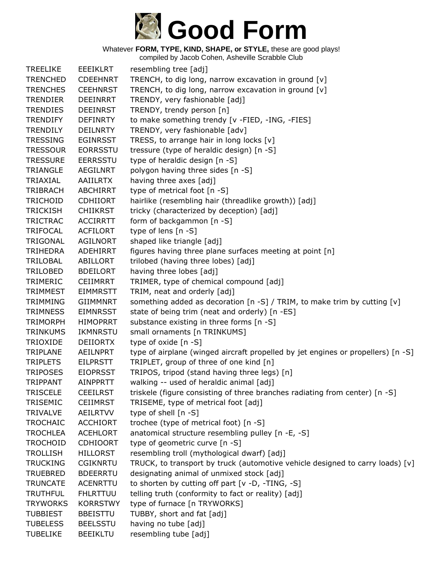

| <b>TREELIKE</b> | <b>EEEIKLRT</b> | resembling tree [adj]                                                            |
|-----------------|-----------------|----------------------------------------------------------------------------------|
| <b>TRENCHED</b> | <b>CDEEHNRT</b> | TRENCH, to dig long, narrow excavation in ground [v]                             |
| <b>TRENCHES</b> | <b>CEEHNRST</b> | TRENCH, to dig long, narrow excavation in ground [v]                             |
| <b>TRENDIER</b> | <b>DEEINRRT</b> | TRENDY, very fashionable [adj]                                                   |
| <b>TRENDIES</b> | <b>DEEINRST</b> | TRENDY, trendy person [n]                                                        |
| <b>TRENDIFY</b> | <b>DEFINRTY</b> | to make something trendy [v -FIED, -ING, -FIES]                                  |
| <b>TRENDILY</b> | <b>DEILNRTY</b> | TRENDY, very fashionable [adv]                                                   |
| <b>TRESSING</b> | <b>EGINRSST</b> | TRESS, to arrange hair in long locks [v]                                         |
| <b>TRESSOUR</b> | <b>EORRSSTU</b> | tressure (type of heraldic design) [n -S]                                        |
| <b>TRESSURE</b> | <b>EERRSSTU</b> | type of heraldic design [n -S]                                                   |
| <b>TRIANGLE</b> | <b>AEGILNRT</b> | polygon having three sides [n -S]                                                |
| TRIAXIAL        | <b>AAIILRTX</b> | having three axes [adj]                                                          |
| <b>TRIBRACH</b> | <b>ABCHIRRT</b> | type of metrical foot [n -S]                                                     |
| <b>TRICHOID</b> | <b>CDHIIORT</b> | hairlike (resembling hair (threadlike growth)) [adj]                             |
| <b>TRICKISH</b> | <b>CHIIKRST</b> | tricky (characterized by deception) [adj]                                        |
| <b>TRICTRAC</b> | <b>ACCIRRTT</b> | form of backgammon [n -S]                                                        |
| <b>TRIFOCAL</b> | <b>ACFILORT</b> | type of lens [n -S]                                                              |
| <b>TRIGONAL</b> | <b>AGILNORT</b> | shaped like triangle [adj]                                                       |
| <b>TRIHEDRA</b> | ADEHIRRT        | figures having three plane surfaces meeting at point [n]                         |
| TRILOBAL        | ABILLORT        | trilobed (having three lobes) [adj]                                              |
| TRILOBED        | <b>BDEILORT</b> | having three lobes [adj]                                                         |
| TRIMERIC        | <b>CEIIMRRT</b> | TRIMER, type of chemical compound [adj]                                          |
| <b>TRIMMEST</b> | <b>EIMMRSTT</b> | TRIM, neat and orderly [adj]                                                     |
| <b>TRIMMING</b> | <b>GIIMMNRT</b> | something added as decoration [n -S] / TRIM, to make trim by cutting [v]         |
| <b>TRIMNESS</b> | <b>EIMNRSST</b> | state of being trim (neat and orderly) [n -ES]                                   |
| <b>TRIMORPH</b> | <b>HIMOPRRT</b> | substance existing in three forms [n -S]                                         |
| <b>TRINKUMS</b> | <b>IKMNRSTU</b> | small ornaments [n TRINKUMS]                                                     |
| <b>TRIOXIDE</b> | <b>DEIIORTX</b> | type of oxide [n -S]                                                             |
| TRIPLANE        | <b>AEILNPRT</b> | type of airplane (winged aircraft propelled by jet engines or propellers) [n -S] |
| <b>TRIPLETS</b> | <b>EILPRSTT</b> | TRIPLET, group of three of one kind [n]                                          |
| <b>TRIPOSES</b> | <b>EIOPRSST</b> | TRIPOS, tripod (stand having three legs) [n]                                     |
| <b>TRIPPANT</b> | <b>AINPPRTT</b> | walking -- used of heraldic animal [adj]                                         |
| <b>TRISCELE</b> | <b>CEEILRST</b> | triskele (figure consisting of three branches radiating from center) [n -S]      |
| TRISEMIC        | <b>CEIIMRST</b> | TRISEME, type of metrical foot [adj]                                             |
| <b>TRIVALVE</b> | AEILRTVV        | type of shell [n -S]                                                             |
| <b>TROCHAIC</b> | <b>ACCHIORT</b> | trochee (type of metrical foot) [n -S]                                           |
| <b>TROCHLEA</b> | <b>ACEHLORT</b> | anatomical structure resembling pulley [n -E, -S]                                |
| <b>TROCHOID</b> | <b>CDHIOORT</b> | type of geometric curve [n -S]                                                   |
| <b>TROLLISH</b> | <b>HILLORST</b> | resembling troll (mythological dwarf) [adj]                                      |
| <b>TRUCKING</b> | <b>CGIKNRTU</b> | TRUCK, to transport by truck (automotive vehicle designed to carry loads) [v]    |
| <b>TRUEBRED</b> | <b>BDEERRTU</b> | designating animal of unmixed stock [adj]                                        |
| <b>TRUNCATE</b> | <b>ACENRTTU</b> | to shorten by cutting off part [v -D, -TING, -S]                                 |
| <b>TRUTHFUL</b> | <b>FHLRTTUU</b> | telling truth (conformity to fact or reality) [adj]                              |
| <b>TRYWORKS</b> | <b>KORRSTWY</b> | type of furnace [n TRYWORKS]                                                     |
| <b>TUBBIEST</b> | <b>BBEISTTU</b> | TUBBY, short and fat [adj]                                                       |
| <b>TUBELESS</b> | <b>BEELSSTU</b> | having no tube [adj]                                                             |
| <b>TUBELIKE</b> | <b>BEEIKLTU</b> | resembling tube [adj]                                                            |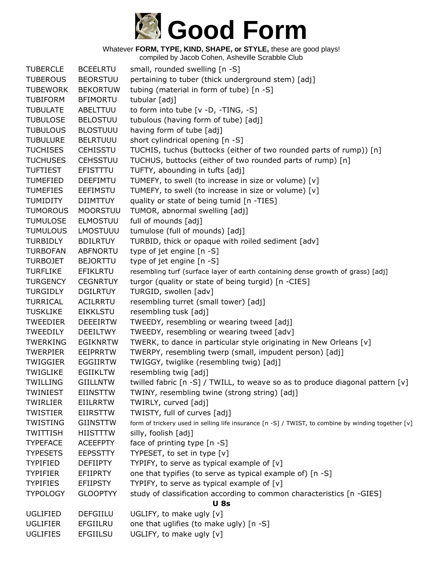

| <b>TUBERCLE</b> | <b>BCEELRTU</b> | small, rounded swelling [n -S]                                                                     |  |
|-----------------|-----------------|----------------------------------------------------------------------------------------------------|--|
| <b>TUBEROUS</b> | <b>BEORSTUU</b> | pertaining to tuber (thick underground stem) [adj]                                                 |  |
| <b>TUBEWORK</b> | <b>BEKORTUW</b> | tubing (material in form of tube) [n -S]                                                           |  |
| <b>TUBIFORM</b> | <b>BFIMORTU</b> | tubular [adj]                                                                                      |  |
| <b>TUBULATE</b> | ABELTTUU        | to form into tube [v -D, -TING, -S]                                                                |  |
| <b>TUBULOSE</b> | <b>BELOSTUU</b> | tubulous (having form of tube) [adj]                                                               |  |
| <b>TUBULOUS</b> | <b>BLOSTUUU</b> | having form of tube [adj]                                                                          |  |
| <b>TUBULURE</b> | <b>BELRTUUU</b> | short cylindrical opening [n -S]                                                                   |  |
| <b>TUCHISES</b> | <b>CEHISSTU</b> | TUCHIS, tuchus (buttocks (either of two rounded parts of rump)) [n]                                |  |
| <b>TUCHUSES</b> | <b>CEHSSTUU</b> | TUCHUS, buttocks (either of two rounded parts of rump) [n]                                         |  |
| <b>TUFTIEST</b> | EFISTTTU        | TUFTY, abounding in tufts [adj]                                                                    |  |
| <b>TUMEFIED</b> | <b>DEEFIMTU</b> | TUMEFY, to swell (to increase in size or volume) [v]                                               |  |
| <b>TUMEFIES</b> | <b>EEFIMSTU</b> | TUMEFY, to swell (to increase in size or volume) [v]                                               |  |
| <b>TUMIDITY</b> | <b>DIIMTTUY</b> | quality or state of being tumid [n -TIES]                                                          |  |
| <b>TUMOROUS</b> | <b>MOORSTUU</b> | TUMOR, abnormal swelling [adj]                                                                     |  |
| <b>TUMULOSE</b> | <b>ELMOSTUU</b> | full of mounds [adj]                                                                               |  |
| <b>TUMULOUS</b> | <b>LMOSTUUU</b> | tumulose (full of mounds) [adj]                                                                    |  |
| <b>TURBIDLY</b> | <b>BDILRTUY</b> | TURBID, thick or opaque with roiled sediment [adv]                                                 |  |
| <b>TURBOFAN</b> | <b>ABFNORTU</b> | type of jet engine $[n - S]$                                                                       |  |
| <b>TURBOJET</b> | <b>BEJORTTU</b> | type of jet engine [n -S]                                                                          |  |
| <b>TURFLIKE</b> | <b>EFIKLRTU</b> | resembling turf (surface layer of earth containing dense growth of grass) [adj]                    |  |
| <b>TURGENCY</b> | <b>CEGNRTUY</b> | turgor (quality or state of being turgid) [n -CIES]                                                |  |
| <b>TURGIDLY</b> | <b>DGILRTUY</b> | TURGID, swollen [adv]                                                                              |  |
| <b>TURRICAL</b> | <b>ACILRRTU</b> | resembling turret (small tower) [adj]                                                              |  |
| <b>TUSKLIKE</b> | <b>EIKKLSTU</b> | resembling tusk [adj]                                                                              |  |
| <b>TWEEDIER</b> | <b>DEEEIRTW</b> | TWEEDY, resembling or wearing tweed [adj]                                                          |  |
| <b>TWEEDILY</b> | <b>DEEILTWY</b> | TWEEDY, resembling or wearing tweed [adv]                                                          |  |
| <b>TWERKING</b> | <b>EGIKNRTW</b> | TWERK, to dance in particular style originating in New Orleans [v]                                 |  |
| <b>TWERPIER</b> | EEIPRRTW        | TWERPY, resembling twerp (small, impudent person) [adj]                                            |  |
| <b>TWIGGIER</b> | <b>EGGIIRTW</b> | TWIGGY, twiglike (resembling twig) [adj]                                                           |  |
| <b>TWIGLIKE</b> | <b>EGIIKLTW</b> | resembling twig [adj]                                                                              |  |
| <b>TWILLING</b> | <b>GIILLNTW</b> | twilled fabric $[n -S]$ / TWILL, to weave so as to produce diagonal pattern $[v]$                  |  |
| <b>TWINIEST</b> | <b>EIINSTTW</b> | TWINY, resembling twine (strong string) [adj]                                                      |  |
| TWIRLIER        | <b>EIILRRTW</b> | TWIRLY, curved [adj]                                                                               |  |
| <b>TWISTIER</b> | <b>EIIRSTTW</b> | TWISTY, full of curves [adj]                                                                       |  |
| <b>TWISTING</b> | <b>GIINSTTW</b> | form of trickery used in selling life insurance [n -S] / TWIST, to combine by winding together [v] |  |
| <b>TWITTISH</b> | <b>HIISTTTW</b> | silly, foolish [adj]                                                                               |  |
| <b>TYPEFACE</b> | <b>ACEEFPTY</b> | face of printing type [n -S]                                                                       |  |
| <b>TYPESETS</b> | <b>EEPSSTTY</b> | TYPESET, to set in type [v]                                                                        |  |
| <b>TYPIFIED</b> | <b>DEFIIPTY</b> | TYPIFY, to serve as typical example of [v]                                                         |  |
| <b>TYPIFIER</b> | EFIIPRTY        | one that typifies (to serve as typical example of) [n -S]                                          |  |
| <b>TYPIFIES</b> | <b>EFIIPSTY</b> | TYPIFY, to serve as typical example of $[v]$                                                       |  |
| <b>TYPOLOGY</b> | <b>GLOOPTYY</b> | study of classification according to common characteristics [n -GIES]                              |  |
| <b>U</b> 8s     |                 |                                                                                                    |  |
| <b>UGLIFIED</b> | <b>DEFGIILU</b> | UGLIFY, to make ugly [v]                                                                           |  |
| <b>UGLIFIER</b> | EFGIILRU        | one that uglifies (to make ugly) [n -S]                                                            |  |
| <b>UGLIFIES</b> | <b>EFGIILSU</b> | UGLIFY, to make ugly [v]                                                                           |  |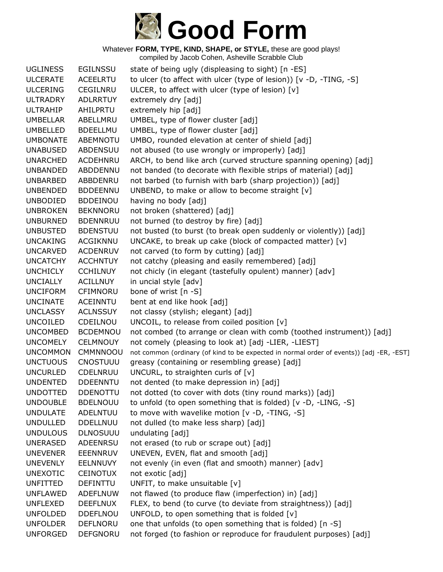

| <b>UGLINESS</b> | <b>EGILNSSU</b> | state of being ugly (displeasing to sight) [n -ES]                                       |
|-----------------|-----------------|------------------------------------------------------------------------------------------|
| <b>ULCERATE</b> | <b>ACEELRTU</b> | to ulcer (to affect with ulcer (type of lesion)) [v -D, -TING, -S]                       |
| <b>ULCERING</b> | CEGILNRU        | ULCER, to affect with ulcer (type of lesion) [v]                                         |
| <b>ULTRADRY</b> | <b>ADLRRTUY</b> | extremely dry [adj]                                                                      |
| <b>ULTRAHIP</b> | AHILPRTU        | extremely hip [adj]                                                                      |
| <b>UMBELLAR</b> | ABELLMRU        | UMBEL, type of flower cluster [adj]                                                      |
| <b>UMBELLED</b> | <b>BDEELLMU</b> | UMBEL, type of flower cluster [adj]                                                      |
| <b>UMBONATE</b> | ABEMNOTU        | UMBO, rounded elevation at center of shield [adj]                                        |
| <b>UNABUSED</b> | ABDENSUU        | not abused (to use wrongly or improperly) [adj]                                          |
| <b>UNARCHED</b> | <b>ACDEHNRU</b> | ARCH, to bend like arch (curved structure spanning opening) [adj]                        |
| <b>UNBANDED</b> | ABDDENNU        | not banded (to decorate with flexible strips of material) [adj]                          |
| <b>UNBARBED</b> | ABBDENRU        | not barbed (to furnish with barb (sharp projection)) [adj]                               |
| <b>UNBENDED</b> | <b>BDDEENNU</b> | UNBEND, to make or allow to become straight [v]                                          |
| <b>UNBODIED</b> | <b>BDDEINOU</b> | having no body [adj]                                                                     |
| <b>UNBROKEN</b> | <b>BEKNNORU</b> | not broken (shattered) [adj]                                                             |
| <b>UNBURNED</b> | <b>BDENNRUU</b> | not burned (to destroy by fire) [adj]                                                    |
| <b>UNBUSTED</b> | <b>BDENSTUU</b> | not busted (to burst (to break open suddenly or violently)) [adj]                        |
| <b>UNCAKING</b> | <b>ACGIKNNU</b> | UNCAKE, to break up cake (block of compacted matter) [v]                                 |
| <b>UNCARVED</b> | <b>ACDENRUV</b> | not carved (to form by cutting) [adj]                                                    |
| <b>UNCATCHY</b> | <b>ACCHNTUY</b> | not catchy (pleasing and easily remembered) [adj]                                        |
| <b>UNCHICLY</b> | <b>CCHILNUY</b> | not chicly (in elegant (tastefully opulent) manner) [adv]                                |
| <b>UNCIALLY</b> | <b>ACILLNUY</b> | in uncial style [adv]                                                                    |
| <b>UNCIFORM</b> | <b>CFIMNORU</b> | bone of wrist [n -S]                                                                     |
| <b>UNCINATE</b> | <b>ACEINNTU</b> | bent at end like hook [adj]                                                              |
| <b>UNCLASSY</b> | <b>ACLNSSUY</b> | not classy (stylish; elegant) [adj]                                                      |
| <b>UNCOILED</b> | CDEILNOU        | UNCOIL, to release from coiled position [v]                                              |
| <b>UNCOMBED</b> | <b>BCDEMNOU</b> | not combed (to arrange or clean with comb (toothed instrument)) [adj]                    |
| <b>UNCOMELY</b> | <b>CELMNOUY</b> | not comely (pleasing to look at) [adj -LIER, -LIEST]                                     |
| <b>UNCOMMON</b> | CMMNNOOU        | not common (ordinary (of kind to be expected in normal order of events)) [adj -ER, -EST] |
| <b>UNCTUOUS</b> | CNOSTUUU        | greasy (containing or resembling grease) [adj]                                           |
| <b>UNCURLED</b> | <b>CDELNRUU</b> | UNCURL, to straighten curls of [v]                                                       |
| <b>UNDENTED</b> | <b>DDEENNTU</b> | not dented (to make depression in) [adj]                                                 |
| <b>UNDOTTED</b> | <b>DDENOTTU</b> | not dotted (to cover with dots (tiny round marks)) [adj]                                 |
| <b>UNDOUBLE</b> | <b>BDELNOUU</b> | to unfold (to open something that is folded) [v -D, -LING, -S]                           |
| <b>UNDULATE</b> | ADELNTUU        | to move with wavelike motion [v -D, -TING, -S]                                           |
| <b>UNDULLED</b> | <b>DDELLNUU</b> | not dulled (to make less sharp) [adj]                                                    |
| <b>UNDULOUS</b> | <b>DLNOSUUU</b> | undulating [adj]                                                                         |
| <b>UNERASED</b> | <b>ADEENRSU</b> | not erased (to rub or scrape out) [adj]                                                  |
| <b>UNEVENER</b> | EEENNRUV        | UNEVEN, EVEN, flat and smooth [adj]                                                      |
| <b>UNEVENLY</b> | EELNNUVY        | not evenly (in even (flat and smooth) manner) [adv]                                      |
| <b>UNEXOTIC</b> | <b>CEINOTUX</b> | not exotic [adj]                                                                         |
| <b>UNFITTED</b> | <b>DEFINTTU</b> | UNFIT, to make unsuitable [v]                                                            |
| <b>UNFLAWED</b> | <b>ADEFLNUW</b> | not flawed (to produce flaw (imperfection) in) [adj]                                     |
| <b>UNFLEXED</b> | <b>DEEFLNUX</b> | FLEX, to bend (to curve (to deviate from straightness)) [adj]                            |
| <b>UNFOLDED</b> | <b>DDEFLNOU</b> | UNFOLD, to open something that is folded $[v]$                                           |
| <b>UNFOLDER</b> | <b>DEFLNORU</b> | one that unfolds (to open something that is folded) [n -S]                               |
| <b>UNFORGED</b> | <b>DEFGNORU</b> | not forged (to fashion or reproduce for fraudulent purposes) [adj]                       |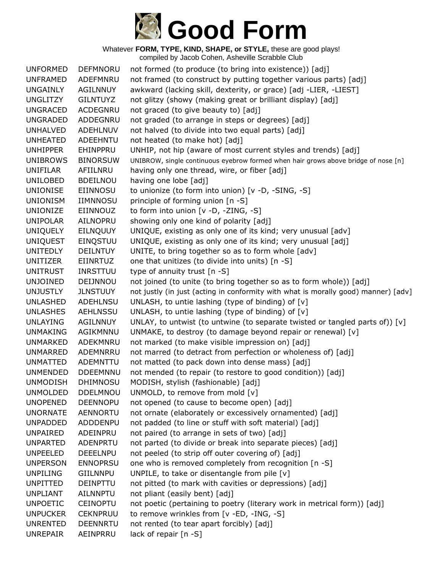

| <b>UNFORMED</b> | <b>DEFMNORU</b> | not formed (to produce (to bring into existence)) [adj]                            |
|-----------------|-----------------|------------------------------------------------------------------------------------|
| <b>UNFRAMED</b> | ADEFMNRU        | not framed (to construct by putting together various parts) [adj]                  |
| UNGAINLY        | AGILNNUY        | awkward (lacking skill, dexterity, or grace) [adj -LIER, -LIEST]                   |
| <b>UNGLITZY</b> | <b>GILNTUYZ</b> | not glitzy (showy (making great or brilliant display) [adj]                        |
| <b>UNGRACED</b> | ACDEGNRU        | not graced (to give beauty to) [adj]                                               |
| <b>UNGRADED</b> | ADDEGNRU        | not graded (to arrange in steps or degrees) [adj]                                  |
| <b>UNHALVED</b> | ADEHLNUV        | not halved (to divide into two equal parts) [adj]                                  |
| <b>UNHEATED</b> | ADEEHNTU        | not heated (to make hot) [adj]                                                     |
| <b>UNHIPPER</b> | EHINPPRU        | UNHIP, not hip (aware of most current styles and trends) [adj]                     |
| <b>UNIBROWS</b> | <b>BINORSUW</b> | UNIBROW, single continuous eyebrow formed when hair grows above bridge of nose [n] |
| <b>UNIFILAR</b> | AFIILNRU        | having only one thread, wire, or fiber [adj]                                       |
| <b>UNILOBED</b> | <b>BDEILNOU</b> | having one lobe [adj]                                                              |
| <b>UNIONISE</b> | EIINNOSU        | to unionize (to form into union) [v -D, -SING, -S]                                 |
| <b>UNIONISM</b> | IIMNNOSU        | principle of forming union [n -S]                                                  |
| UNIONIZE        | EIINNOUZ        | to form into union [v -D, -ZING, -S]                                               |
| <b>UNIPOLAR</b> | AILNOPRU        | showing only one kind of polarity [adj]                                            |
| <b>UNIQUELY</b> | EILNQUUY        | UNIQUE, existing as only one of its kind; very unusual [adv]                       |
| <b>UNIQUEST</b> | EINQSTUU        | UNIQUE, existing as only one of its kind; very unusual [adj]                       |
| <b>UNITEDLY</b> | <b>DEILNTUY</b> | UNITE, to bring together so as to form whole [adv]                                 |
| UNITIZER        | <b>EIINRTUZ</b> | one that unitizes (to divide into units) [n -S]                                    |
| <b>UNITRUST</b> | <b>INRSTTUU</b> | type of annuity trust $[n - S]$                                                    |
| <b>UNJOINED</b> | DEIJNNOU        | not joined (to unite (to bring together so as to form whole)) [adj]                |
| <b>UNJUSTLY</b> | <b>JLNSTUUY</b> | not justly (in just (acting in conformity with what is morally good) manner) [adv] |
| <b>UNLASHED</b> | <b>ADEHLNSU</b> | UNLASH, to untie lashing (type of binding) of $[v]$                                |
| <b>UNLASHES</b> | AEHLNSSU        | UNLASH, to untie lashing (type of binding) of $[v]$                                |
| <b>UNLAYING</b> | AGILNNUY        | UNLAY, to untwist (to untwine (to separate twisted or tangled parts of)) $[v]$     |
| <b>UNMAKING</b> | AGIKMNNU        | UNMAKE, to destroy (to damage beyond repair or renewal) [v]                        |
| <b>UNMARKED</b> | ADEKMNRU        | not marked (to make visible impression on) [adj]                                   |
| <b>UNMARRED</b> | ADEMNRRU        | not marred (to detract from perfection or wholeness of) [adj]                      |
| <b>UNMATTED</b> | ADEMNTTU        | not matted (to pack down into dense mass) [adj]                                    |
| <b>UNMENDED</b> | <b>DDEEMNNU</b> | not mended (to repair (to restore to good condition)) [adj]                        |
| <b>UNMODISH</b> | <b>DHIMNOSU</b> | MODISH, stylish (fashionable) [adj]                                                |
| <b>UNMOLDED</b> | <b>DDELMNOU</b> | UNMOLD, to remove from mold [v]                                                    |
| <b>UNOPENED</b> | <b>DEENNOPU</b> | not opened (to cause to become open) [adj]                                         |
| <b>UNORNATE</b> | <b>AENNORTU</b> | not ornate (elaborately or excessively ornamented) [adj]                           |
| <b>UNPADDED</b> | ADDDENPU        | not padded (to line or stuff with soft material) [adj]                             |
| <b>UNPAIRED</b> | ADEINPRU        | not paired (to arrange in sets of two) [adj]                                       |
| <b>UNPARTED</b> | ADENPRTU        | not parted (to divide or break into separate pieces) [adj]                         |
| <b>UNPEELED</b> | <b>DEEELNPU</b> | not peeled (to strip off outer covering of) [adj]                                  |
| <b>UNPERSON</b> | <b>ENNOPRSU</b> | one who is removed completely from recognition [n -S]                              |
| <b>UNPILING</b> | <b>GIILNNPU</b> | UNPILE, to take or disentangle from pile [v]                                       |
| <b>UNPITTED</b> | <b>DEINPTTU</b> | not pitted (to mark with cavities or depressions) [adj]                            |
| <b>UNPLIANT</b> | AILNNPTU        | not pliant (easily bent) [adj]                                                     |
| <b>UNPOETIC</b> | <b>CEINOPTU</b> | not poetic (pertaining to poetry (literary work in metrical form)) [adj]           |
| <b>UNPUCKER</b> | <b>CEKNPRUU</b> | to remove wrinkles from [v -ED, -ING, -S]                                          |
| <b>UNRENTED</b> | <b>DEENNRTU</b> | not rented (to tear apart forcibly) [adj]                                          |
| <b>UNREPAIR</b> | AEINPRRU        | lack of repair [n -S]                                                              |
|                 |                 |                                                                                    |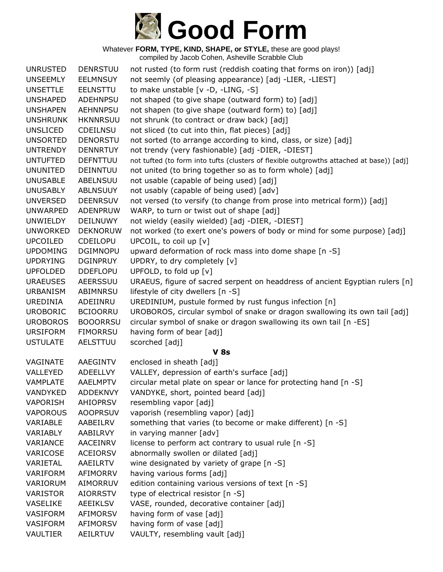

| <b>UNRUSTED</b> | <b>DENRSTUU</b> | not rusted (to form rust (reddish coating that forms on iron)) [adj]                     |
|-----------------|-----------------|------------------------------------------------------------------------------------------|
| <b>UNSEEMLY</b> | <b>EELMNSUY</b> | not seemly (of pleasing appearance) [adj -LIER, -LIEST]                                  |
| <b>UNSETTLE</b> | <b>EELNSTTU</b> | to make unstable [v -D, -LING, -S]                                                       |
| <b>UNSHAPED</b> | <b>ADEHNPSU</b> | not shaped (to give shape (outward form) to) [adj]                                       |
| <b>UNSHAPEN</b> | <b>AEHNNPSU</b> | not shapen (to give shape (outward form) to) [adj]                                       |
| <b>UNSHRUNK</b> | <b>HKNNRSUU</b> | not shrunk (to contract or draw back) [adj]                                              |
| <b>UNSLICED</b> | CDEILNSU        | not sliced (to cut into thin, flat pieces) [adj]                                         |
| <b>UNSORTED</b> | <b>DENORSTU</b> | not sorted (to arrange according to kind, class, or size) [adj]                          |
| <b>UNTRENDY</b> | <b>DENNRTUY</b> | not trendy (very fashionable) [adj -DIER, -DIEST]                                        |
| <b>UNTUFTED</b> | <b>DEFNTTUU</b> | not tufted (to form into tufts (clusters of flexible outgrowths attached at base)) [adj] |
| <b>UNUNITED</b> | DEINNTUU        | not united (to bring together so as to form whole) [adj]                                 |
| <b>UNUSABLE</b> | <b>ABELNSUU</b> | not usable (capable of being used) [adj]                                                 |
| <b>UNUSABLY</b> | <b>ABLNSUUY</b> | not usably (capable of being used) [adv]                                                 |
| <b>UNVERSED</b> | <b>DEENRSUV</b> | not versed (to versify (to change from prose into metrical form)) [adj]                  |
| <b>UNWARPED</b> | <b>ADENPRUW</b> | WARP, to turn or twist out of shape [adj]                                                |
| UNWIELDY        | DEILNUWY        | not wieldy (easily wielded) [adj -DIER, -DIEST]                                          |
| <b>UNWORKED</b> | <b>DEKNORUW</b> | not worked (to exert one's powers of body or mind for some purpose) [adj]                |
| <b>UPCOILED</b> | CDEILOPU        | UPCOIL, to coil up [v]                                                                   |
| <b>UPDOMING</b> | <b>DGIMNOPU</b> | upward deformation of rock mass into dome shape [n -S]                                   |
| <b>UPDRYING</b> | <b>DGINPRUY</b> | UPDRY, to dry completely [v]                                                             |
| <b>UPFOLDED</b> | <b>DDEFLOPU</b> | UPFOLD, to fold up [v]                                                                   |
| <b>URAEUSES</b> | AEERSSUU        | URAEUS, figure of sacred serpent on headdress of ancient Egyptian rulers [n]             |
| <b>URBANISM</b> | ABIMNRSU        | lifestyle of city dwellers [n -S]                                                        |
| <b>UREDINIA</b> | ADEIINRU        | UREDINIUM, pustule formed by rust fungus infection [n]                                   |
| <b>UROBORIC</b> | <b>BCIOORRU</b> | UROBOROS, circular symbol of snake or dragon swallowing its own tail [adj]               |
| <b>UROBOROS</b> | <b>BOOORRSU</b> | circular symbol of snake or dragon swallowing its own tail [n -ES]                       |
| <b>URSIFORM</b> | <b>FIMORRSU</b> | having form of bear [adj]                                                                |
| <b>USTULATE</b> | AELSTTUU        | scorched [adj]                                                                           |
|                 |                 | <b>V 8s</b>                                                                              |
| VAGINATE        | AAEGINTV        | enclosed in sheath [adj]                                                                 |
| VALLEYED        | ADEELLVY        | VALLEY, depression of earth's surface [adj]                                              |
| <b>VAMPLATE</b> | <b>AAELMPTV</b> | circular metal plate on spear or lance for protecting hand [n -S]                        |
| <b>VANDYKED</b> | <b>ADDEKNVY</b> | VANDYKE, short, pointed beard [adj]                                                      |
| <b>VAPORISH</b> | AHIOPRSV        | resembling vapor [adj]                                                                   |
| <b>VAPOROUS</b> | <b>AOOPRSUV</b> | vaporish (resembling vapor) [adj]                                                        |
| VARIABLE        | AABEILRV        | something that varies (to become or make different) [n -S]                               |
| VARIABLY        | AABILRVY        | in varying manner [adv]                                                                  |
| VARIANCE        | AACEINRV        | license to perform act contrary to usual rule [n -S]                                     |
| VARICOSE        | <b>ACEIORSV</b> | abnormally swollen or dilated [adj]                                                      |
| VARIETAL        | AAEILRTV        | wine designated by variety of grape [n -S]                                               |
| VARIFORM        | AFIMORRV        | having various forms [adj]                                                               |
| VARIORUM        | AIMORRUV        | edition containing various versions of text [n -S]                                       |
| <b>VARISTOR</b> | <b>AIORRSTV</b> | type of electrical resistor [n -S]                                                       |
| <b>VASELIKE</b> | <b>AEEIKLSV</b> | VASE, rounded, decorative container [adj]                                                |
| <b>VASIFORM</b> | <b>AFIMORSV</b> | having form of vase [adj]                                                                |
| VASIFORM        | AFIMORSV        | having form of vase [adj]                                                                |
| VAULTIER        | <b>AEILRTUV</b> | VAULTY, resembling vault [adj]                                                           |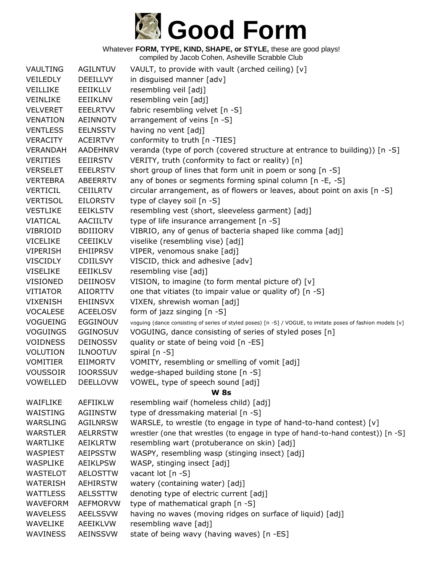

| VAULTING        | <b>AGILNTUV</b> | VAULT, to provide with vault (arched ceiling) [v]                                                           |
|-----------------|-----------------|-------------------------------------------------------------------------------------------------------------|
| <b>VEILEDLY</b> | <b>DEEILLVY</b> | in disguised manner [adv]                                                                                   |
| VEILLIKE        | EEIIKLLV        | resembling veil [adj]                                                                                       |
| VEINLIKE        | EEIIKLNV        | resembling vein [adj]                                                                                       |
| <b>VELVERET</b> | <b>EEELRTVV</b> | fabric resembling velvet [n -S]                                                                             |
| <b>VENATION</b> | AEINNOTV        | arrangement of veins [n -S]                                                                                 |
| <b>VENTLESS</b> | <b>EELNSSTV</b> | having no vent [adj]                                                                                        |
| <b>VERACITY</b> | <b>ACEIRTVY</b> | conformity to truth [n -TIES]                                                                               |
| <b>VERANDAH</b> | AADEHNRV        | veranda (type of porch (covered structure at entrance to building)) [n -S]                                  |
| <b>VERITIES</b> | <b>EEIIRSTV</b> | VERITY, truth (conformity to fact or reality) [n]                                                           |
| <b>VERSELET</b> | <b>EEELRSTV</b> | short group of lines that form unit in poem or song [n -S]                                                  |
| <b>VERTEBRA</b> | ABEERRTV        | any of bones or segments forming spinal column [n -E, -S]                                                   |
| <b>VERTICIL</b> | <b>CEIILRTV</b> | circular arrangement, as of flowers or leaves, about point on axis [n -S]                                   |
| <b>VERTISOL</b> | <b>EILORSTV</b> | type of clayey soil [n -S]                                                                                  |
| <b>VESTLIKE</b> | <b>EEIKLSTV</b> | resembling vest (short, sleeveless garment) [adj]                                                           |
| VIATICAL        | <b>AACIILTV</b> | type of life insurance arrangement [n -S]                                                                   |
| <b>VIBRIOID</b> | <b>BDIIIORV</b> | VIBRIO, any of genus of bacteria shaped like comma [adj]                                                    |
| <b>VICELIKE</b> | <b>CEEIIKLV</b> | viselike (resembling vise) [adj]                                                                            |
| <b>VIPERISH</b> | <b>EHIIPRSV</b> | VIPER, venomous snake [adj]                                                                                 |
| <b>VISCIDLY</b> | <b>CDIILSVY</b> | VISCID, thick and adhesive [adv]                                                                            |
| <b>VISELIKE</b> | <b>EEIIKLSV</b> | resembling vise [adj]                                                                                       |
| <b>VISIONED</b> | DEIINOSV        | VISION, to imagine (to form mental picture of) [v]                                                          |
| <b>VITIATOR</b> | <b>AIIORTTV</b> | one that vitiates (to impair value or quality of) [n -S]                                                    |
| <b>VIXENISH</b> | <b>EHIINSVX</b> | VIXEN, shrewish woman [adj]                                                                                 |
| <b>VOCALESE</b> | <b>ACEELOSV</b> | form of jazz singing [n -S]                                                                                 |
| <b>VOGUEING</b> | EGGINOUV        | voguing (dance consisting of series of styled poses) [n -S] / VOGUE, to imitate poses of fashion models [v] |
| <b>VOGUINGS</b> | <b>GGINOSUV</b> | VOGUING, dance consisting of series of styled poses [n]                                                     |
| <b>VOIDNESS</b> | <b>DEINOSSV</b> | quality or state of being void [n -ES]                                                                      |
| <b>VOLUTION</b> | <b>ILNOOTUV</b> | spiral [n -S]                                                                                               |
| <b>VOMITIER</b> | EIIMORTV        | VOMITY, resembling or smelling of vomit [adj]                                                               |
| <b>VOUSSOIR</b> | <b>IOORSSUV</b> | wedge-shaped building stone [n -S]                                                                          |
| <b>VOWELLED</b> | <b>DEELLOVW</b> | VOWEL, type of speech sound [adj]                                                                           |
|                 |                 | <b>W 8s</b>                                                                                                 |
| WAIFLIKE        | AEFIIKLW        | resembling waif (homeless child) [adj]                                                                      |
| WAISTING        | <b>AGIINSTW</b> | type of dressmaking material [n -S]                                                                         |
| WARSLING        | <b>AGILNRSW</b> | WARSLE, to wrestle (to engage in type of hand-to-hand contest) [v]                                          |
| <b>WARSTLER</b> | <b>AELRRSTW</b> | wrestler (one that wrestles (to engage in type of hand-to-hand contest)) [n -S]                             |
| <b>WARTLIKE</b> | <b>AEIKLRTW</b> | resembling wart (protuberance on skin) [adj]                                                                |
| WASPIEST        | <b>AEIPSSTW</b> | WASPY, resembling wasp (stinging insect) [adj]                                                              |
| <b>WASPLIKE</b> | <b>AEIKLPSW</b> | WASP, stinging insect [adj]                                                                                 |
| <b>WASTELOT</b> | <b>AELOSTTW</b> | vacant lot [n -S]                                                                                           |
| <b>WATERISH</b> | <b>AEHIRSTW</b> | watery (containing water) [adj]                                                                             |
| <b>WATTLESS</b> | <b>AELSSTTW</b> | denoting type of electric current [adj]                                                                     |
| <b>WAVEFORM</b> | <b>AEFMORVW</b> | type of mathematical graph [n -S]                                                                           |
| <b>WAVELESS</b> | <b>AEELSSVW</b> | having no waves (moving ridges on surface of liquid) [adj]                                                  |
| WAVELIKE        | <b>AEEIKLVW</b> | resembling wave [adj]                                                                                       |
| WAVINESS        | AEINSSVW        | state of being wavy (having waves) [n -ES]                                                                  |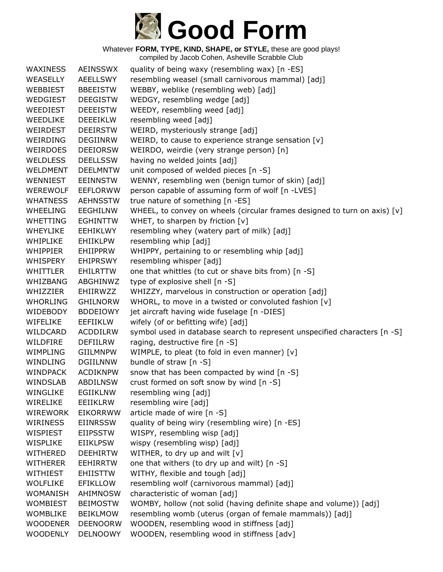

Whatever **FORM, TYPE, KIND, SHAPE, or STYLE,** these are good plays!

compiled by Jacob Cohen, Asheville Scrabble Club

| <b>WAXINESS</b> | <b>AEINSSWX</b> | quality of being waxy (resembling wax) [n -ES]                            |
|-----------------|-----------------|---------------------------------------------------------------------------|
| WEASELLY        | AEELLSWY        | resembling weasel (small carnivorous mammal) [adj]                        |
| WEBBIEST        | <b>BBEEISTW</b> | WEBBY, weblike (resembling web) [adj]                                     |
| WEDGIEST        | <b>DEEGISTW</b> | WEDGY, resembling wedge [adj]                                             |
| WEEDIEST        | <b>DEEEISTW</b> | WEEDY, resembling weed [adj]                                              |
| WEEDLIKE        | <b>DEEEIKLW</b> | resembling weed [adj]                                                     |
| WEIRDEST        | <b>DEEIRSTW</b> | WEIRD, mysteriously strange [adj]                                         |
| WEIRDING        | <b>DEGIINRW</b> | WEIRD, to cause to experience strange sensation [v]                       |
| <b>WEIRDOES</b> | <b>DEEIORSW</b> | WEIRDO, weirdie (very strange person) [n]                                 |
| <b>WELDLESS</b> | <b>DEELLSSW</b> | having no welded joints [adj]                                             |
| WELDMENT        | <b>DEELMNTW</b> | unit composed of welded pieces [n -S]                                     |
| WENNIEST        | EEINNSTW        | WENNY, resembling wen (benign tumor of skin) [adj]                        |
| <b>WEREWOLF</b> | <b>EEFLORWW</b> | person capable of assuming form of wolf [n -LVES]                         |
| <b>WHATNESS</b> | <b>AEHNSSTW</b> | true nature of something [n -ES]                                          |
| WHEELING        | EEGHILNW        | WHEEL, to convey on wheels (circular frames designed to turn on axis) [v] |
| <b>WHETTING</b> | <b>EGHINTTW</b> | WHET, to sharpen by friction [v]                                          |
| <b>WHEYLIKE</b> | EEHIKLWY        | resembling whey (watery part of milk) [adj]                               |
| <b>WHIPLIKE</b> | <b>EHIIKLPW</b> | resembling whip [adj]                                                     |
| <b>WHIPPIER</b> | <b>EHIIPPRW</b> | WHIPPY, pertaining to or resembling whip [adj]                            |
| WHISPERY        | <b>EHIPRSWY</b> | resembling whisper [adj]                                                  |
| WHITTLER        | EHILRTTW        | one that whittles (to cut or shave bits from) [n -S]                      |
| WHIZBANG        | ABGHINWZ        | type of explosive shell [n -S]                                            |
| WHIZZIER        | EHIIRWZZ        | WHIZZY, marvelous in construction or operation [adj]                      |
| <b>WHORLING</b> | <b>GHILNORW</b> | WHORL, to move in a twisted or convoluted fashion [v]                     |
| WIDEBODY        | <b>BDDEIOWY</b> | jet aircraft having wide fuselage [n -DIES]                               |
| WIFELIKE        | <b>EEFIIKLW</b> | wifely (of or befitting wife) [adj]                                       |
| WILDCARD        | <b>ACDDILRW</b> | symbol used in database search to represent unspecified characters [n -S] |
| WILDFIRE        | <b>DEFIILRW</b> | raging, destructive fire [n -S]                                           |
| <b>WIMPLING</b> | <b>GIILMNPW</b> | WIMPLE, to pleat (to fold in even manner) [v]                             |
| WINDLING        | <b>DGIILNNW</b> | bundle of straw [n -S]                                                    |
| <b>WINDPACK</b> | <b>ACDIKNPW</b> | snow that has been compacted by wind [n -S]                               |
| <b>WINDSLAB</b> | <b>ABDILNSW</b> | crust formed on soft snow by wind [n -S]                                  |
| WINGLIKE        | <b>EGIIKLNW</b> | resembling wing [adj]                                                     |
| WIRELIKE        | EEIIKLRW        | resembling wire [adj]                                                     |
| <b>WIREWORK</b> | <b>EIKORRWW</b> | article made of wire [n -S]                                               |
| WIRINESS        | <b>EIINRSSW</b> | quality of being wiry (resembling wire) [n -ES]                           |
| WISPIEST        | <b>EIIPSSTW</b> | WISPY, resembling wisp [adj]                                              |
| WISPLIKE        | <b>EIIKLPSW</b> | wispy (resembling wisp) [adj]                                             |
| WITHERED        | <b>DEEHIRTW</b> | WITHER, to dry up and wilt [v]                                            |
| <b>WITHERER</b> | <b>EEHIRRTW</b> | one that withers (to dry up and wilt) [n -S]                              |
| WITHIEST        | <b>EHIISTTW</b> | WITHY, flexible and tough [adj]                                           |
| <b>WOLFLIKE</b> | <b>EFIKLLOW</b> | resembling wolf (carnivorous mammal) [adj]                                |
| <b>WOMANISH</b> | AHIMNOSW        | characteristic of woman [adj]                                             |
| <b>WOMBIEST</b> | <b>BEIMOSTW</b> | WOMBY, hollow (not solid (having definite shape and volume)) [adj]        |
| <b>WOMBLIKE</b> | <b>BEIKLMOW</b> | resembling womb (uterus (organ of female mammals)) [adj]                  |
| <b>WOODENER</b> | <b>DEENOORW</b> | WOODEN, resembling wood in stiffness [adj]                                |
| <b>WOODENLY</b> | <b>DELNOOWY</b> | WOODEN, resembling wood in stiffness [adv]                                |